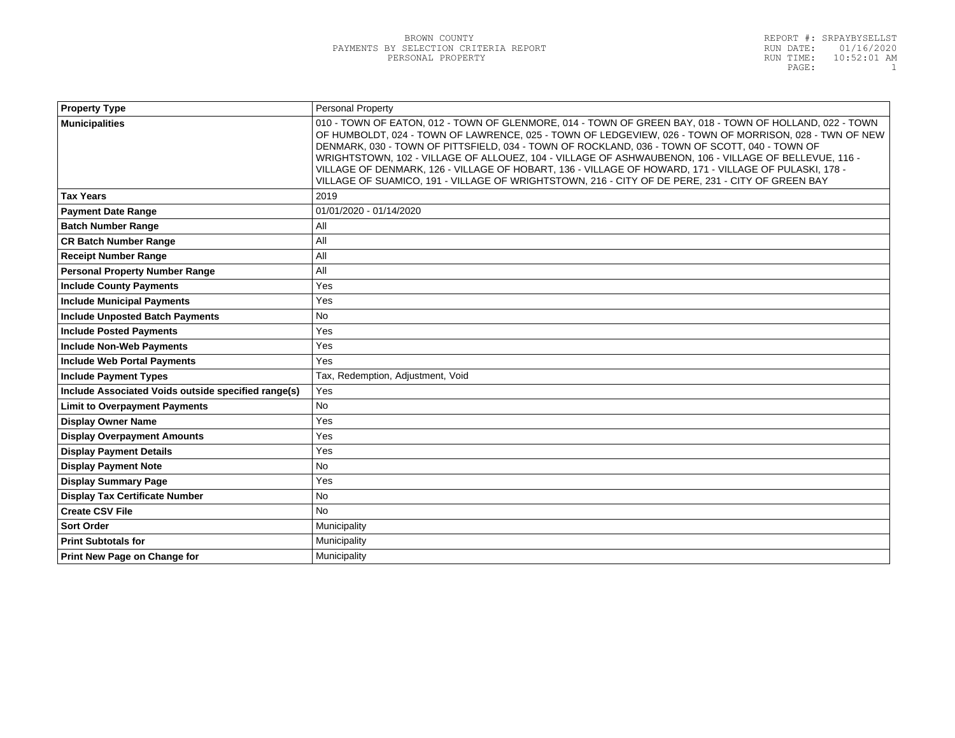| <b>Property Type</b>                                | <b>Personal Property</b>                                                                                                                                                                                                                                                                                                                                                                                                                                                                                                                                                                                                                 |
|-----------------------------------------------------|------------------------------------------------------------------------------------------------------------------------------------------------------------------------------------------------------------------------------------------------------------------------------------------------------------------------------------------------------------------------------------------------------------------------------------------------------------------------------------------------------------------------------------------------------------------------------------------------------------------------------------------|
| <b>Municipalities</b>                               | 010 - TOWN OF EATON, 012 - TOWN OF GLENMORE, 014 - TOWN OF GREEN BAY, 018 - TOWN OF HOLLAND, 022 - TOWN<br>OF HUMBOLDT, 024 - TOWN OF LAWRENCE, 025 - TOWN OF LEDGEVIEW, 026 - TOWN OF MORRISON, 028 - TWN OF NEW<br>DENMARK, 030 - TOWN OF PITTSFIELD, 034 - TOWN OF ROCKLAND, 036 - TOWN OF SCOTT, 040 - TOWN OF<br>WRIGHTSTOWN, 102 - VILLAGE OF ALLOUEZ, 104 - VILLAGE OF ASHWAUBENON, 106 - VILLAGE OF BELLEVUE, 116 -<br>VILLAGE OF DENMARK, 126 - VILLAGE OF HOBART, 136 - VILLAGE OF HOWARD, 171 - VILLAGE OF PULASKI, 178 -<br>VILLAGE OF SUAMICO, 191 - VILLAGE OF WRIGHTSTOWN, 216 - CITY OF DE PERE, 231 - CITY OF GREEN BAY |
| <b>Tax Years</b>                                    | 2019                                                                                                                                                                                                                                                                                                                                                                                                                                                                                                                                                                                                                                     |
| <b>Payment Date Range</b>                           | 01/01/2020 - 01/14/2020                                                                                                                                                                                                                                                                                                                                                                                                                                                                                                                                                                                                                  |
| <b>Batch Number Range</b>                           | All                                                                                                                                                                                                                                                                                                                                                                                                                                                                                                                                                                                                                                      |
| <b>CR Batch Number Range</b>                        | All                                                                                                                                                                                                                                                                                                                                                                                                                                                                                                                                                                                                                                      |
| <b>Receipt Number Range</b>                         | All                                                                                                                                                                                                                                                                                                                                                                                                                                                                                                                                                                                                                                      |
| <b>Personal Property Number Range</b>               | All                                                                                                                                                                                                                                                                                                                                                                                                                                                                                                                                                                                                                                      |
| <b>Include County Payments</b>                      | Yes                                                                                                                                                                                                                                                                                                                                                                                                                                                                                                                                                                                                                                      |
| <b>Include Municipal Payments</b>                   | Yes                                                                                                                                                                                                                                                                                                                                                                                                                                                                                                                                                                                                                                      |
| <b>Include Unposted Batch Payments</b>              | No                                                                                                                                                                                                                                                                                                                                                                                                                                                                                                                                                                                                                                       |
| <b>Include Posted Payments</b>                      | Yes                                                                                                                                                                                                                                                                                                                                                                                                                                                                                                                                                                                                                                      |
| <b>Include Non-Web Payments</b>                     | Yes                                                                                                                                                                                                                                                                                                                                                                                                                                                                                                                                                                                                                                      |
| <b>Include Web Portal Payments</b>                  | Yes                                                                                                                                                                                                                                                                                                                                                                                                                                                                                                                                                                                                                                      |
| <b>Include Payment Types</b>                        | Tax, Redemption, Adjustment, Void                                                                                                                                                                                                                                                                                                                                                                                                                                                                                                                                                                                                        |
| Include Associated Voids outside specified range(s) | Yes                                                                                                                                                                                                                                                                                                                                                                                                                                                                                                                                                                                                                                      |
| <b>Limit to Overpayment Payments</b>                | <b>No</b>                                                                                                                                                                                                                                                                                                                                                                                                                                                                                                                                                                                                                                |
| <b>Display Owner Name</b>                           | Yes                                                                                                                                                                                                                                                                                                                                                                                                                                                                                                                                                                                                                                      |
| <b>Display Overpayment Amounts</b>                  | Yes                                                                                                                                                                                                                                                                                                                                                                                                                                                                                                                                                                                                                                      |
| <b>Display Payment Details</b>                      | Yes                                                                                                                                                                                                                                                                                                                                                                                                                                                                                                                                                                                                                                      |
| <b>Display Payment Note</b>                         | <b>No</b>                                                                                                                                                                                                                                                                                                                                                                                                                                                                                                                                                                                                                                |
| <b>Display Summary Page</b>                         | Yes                                                                                                                                                                                                                                                                                                                                                                                                                                                                                                                                                                                                                                      |
| <b>Display Tax Certificate Number</b>               | <b>No</b>                                                                                                                                                                                                                                                                                                                                                                                                                                                                                                                                                                                                                                |
| <b>Create CSV File</b>                              | <b>No</b>                                                                                                                                                                                                                                                                                                                                                                                                                                                                                                                                                                                                                                |
| <b>Sort Order</b>                                   | Municipality                                                                                                                                                                                                                                                                                                                                                                                                                                                                                                                                                                                                                             |
| <b>Print Subtotals for</b>                          | Municipality                                                                                                                                                                                                                                                                                                                                                                                                                                                                                                                                                                                                                             |
| Print New Page on Change for                        | Municipality                                                                                                                                                                                                                                                                                                                                                                                                                                                                                                                                                                                                                             |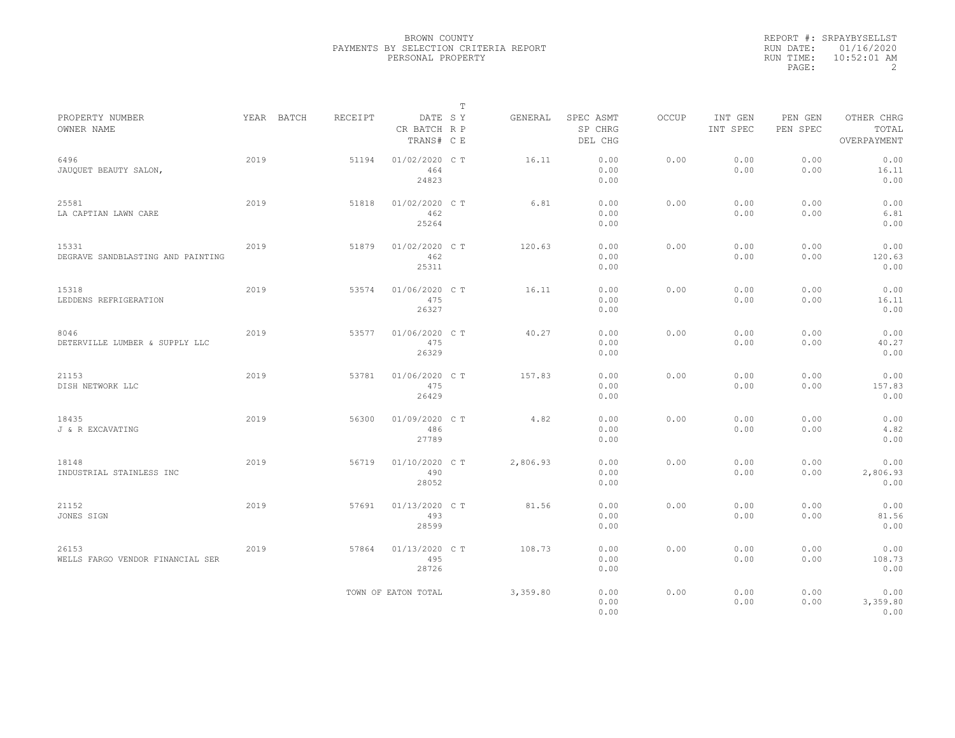|           | REPORT #: SRPAYBYSELLST |
|-----------|-------------------------|
|           | RUN DATE: 01/16/2020    |
| RUN TIME: | $10:52:01$ AM           |
| PAGE:     |                         |

|                                            |      |            |         |                                       | $\mathbb T$ |          |                                 |              |                     |                     |                                    |  |
|--------------------------------------------|------|------------|---------|---------------------------------------|-------------|----------|---------------------------------|--------------|---------------------|---------------------|------------------------------------|--|
| PROPERTY NUMBER<br>OWNER NAME              |      | YEAR BATCH | RECEIPT | DATE SY<br>CR BATCH R P<br>TRANS# C E |             | GENERAL  | SPEC ASMT<br>SP CHRG<br>DEL CHG | <b>OCCUP</b> | INT GEN<br>INT SPEC | PEN GEN<br>PEN SPEC | OTHER CHRG<br>TOTAL<br>OVERPAYMENT |  |
| 6496<br>JAUQUET BEAUTY SALON,              | 2019 |            | 51194   | 01/02/2020 C T<br>464<br>24823        |             | 16.11    | 0.00<br>0.00<br>0.00            | 0.00         | 0.00<br>0.00        | 0.00<br>0.00        | 0.00<br>16.11<br>0.00              |  |
| 25581<br>LA CAPTIAN LAWN CARE              | 2019 |            | 51818   | 01/02/2020 C T<br>462<br>25264        |             | 6.81     | 0.00<br>0.00<br>0.00            | 0.00         | 0.00<br>0.00        | 0.00<br>0.00        | 0.00<br>6.81<br>0.00               |  |
| 15331<br>DEGRAVE SANDBLASTING AND PAINTING | 2019 |            | 51879   | 01/02/2020 C T<br>462<br>25311        |             | 120.63   | 0.00<br>0.00<br>0.00            | 0.00         | 0.00<br>0.00        | 0.00<br>0.00        | 0.00<br>120.63<br>0.00             |  |
| 15318<br>LEDDENS REFRIGERATION             | 2019 |            | 53574   | 01/06/2020 C T<br>475<br>26327        |             | 16.11    | 0.00<br>0.00<br>0.00            | 0.00         | 0.00<br>0.00        | 0.00<br>0.00        | 0.00<br>16.11<br>0.00              |  |
| 8046<br>DETERVILLE LUMBER & SUPPLY LLC     | 2019 |            | 53577   | 01/06/2020 C T<br>475<br>26329        |             | 40.27    | 0.00<br>0.00<br>0.00            | 0.00         | 0.00<br>0.00        | 0.00<br>0.00        | 0.00<br>40.27<br>0.00              |  |
| 21153<br>DISH NETWORK LLC                  | 2019 |            | 53781   | 01/06/2020 C T<br>475<br>26429        |             | 157.83   | 0.00<br>0.00<br>0.00            | 0.00         | 0.00<br>0.00        | 0.00<br>0.00        | 0.00<br>157.83<br>0.00             |  |
| 18435<br>J & R EXCAVATING                  | 2019 |            | 56300   | 01/09/2020 C T<br>486<br>27789        |             | 4.82     | 0.00<br>0.00<br>0.00            | 0.00         | 0.00<br>0.00        | 0.00<br>0.00        | 0.00<br>4.82<br>0.00               |  |
| 18148<br>INDUSTRIAL STAINLESS INC          | 2019 |            | 56719   | 01/10/2020 C T<br>490<br>28052        |             | 2,806.93 | 0.00<br>0.00<br>0.00            | 0.00         | 0.00<br>0.00        | 0.00<br>0.00        | 0.00<br>2,806.93<br>0.00           |  |
| 21152<br>JONES SIGN                        | 2019 |            | 57691   | 01/13/2020 C T<br>493<br>28599        |             | 81.56    | 0.00<br>0.00<br>0.00            | 0.00         | 0.00<br>0.00        | 0.00<br>0.00        | 0.00<br>81.56<br>0.00              |  |
| 26153<br>WELLS FARGO VENDOR FINANCIAL SER  | 2019 |            | 57864   | 01/13/2020 C T<br>495<br>28726        |             | 108.73   | 0.00<br>0.00<br>0.00            | 0.00         | 0.00<br>0.00        | 0.00<br>0.00        | 0.00<br>108.73<br>0.00             |  |
|                                            |      |            |         | TOWN OF EATON TOTAL                   |             | 3,359.80 | 0.00<br>0.00<br>0.00            | 0.00         | 0.00<br>0.00        | 0.00<br>0.00        | 0.00<br>3,359.80<br>0.00           |  |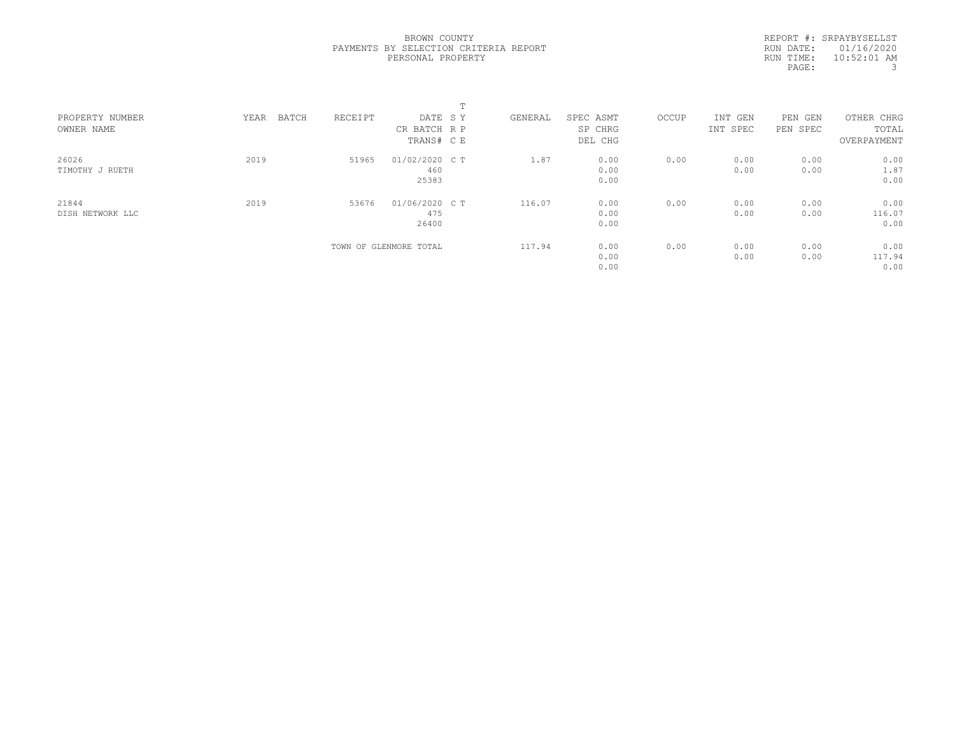REPORT #: SRPAYBYSELLST RUN DATE: 01/16/2020 RUN TIME: 10:52:01 AM PAGE: 3

|      |       |         |       | $\mathbf{r}$<br>ᆠ      |                                                                           |           |         |         |            |             |       |
|------|-------|---------|-------|------------------------|---------------------------------------------------------------------------|-----------|---------|---------|------------|-------------|-------|
| YEAR | BATCH | RECEIPT |       |                        | GENERAL                                                                   | SPEC ASMT | OCCUP   | INT GEN | PEN<br>GEN | OTHER CHRG  |       |
|      |       |         |       |                        |                                                                           |           |         |         |            |             |       |
|      |       |         |       |                        |                                                                           | DEL CHG   |         |         |            | OVERPAYMENT |       |
| 2019 |       | 51965   |       |                        | 1.87                                                                      | 0.00      | 0.00    | 0.00    | 0.00       | 0.00        |       |
|      |       |         | 460   |                        |                                                                           | 0.00      |         | 0.00    | 0.00       | 1.87        |       |
|      |       |         | 25383 |                        |                                                                           | 0.00      |         |         |            | 0.00        |       |
| 2019 |       | 53676   |       |                        | 116.07                                                                    | 0.00      | 0.00    | 0.00    | 0.00       | 0.00        |       |
|      |       |         | 475   |                        |                                                                           | 0.00      |         | 0.00    | 0.00       | 116.07      |       |
|      |       |         | 26400 |                        |                                                                           | 0.00      |         |         |            | 0.00        |       |
|      |       |         |       |                        | 117.94                                                                    | 0.00      | 0.00    | 0.00    | 0.00       | 0.00        |       |
|      |       |         |       |                        |                                                                           | 0.00      |         | 0.00    | 0.00       | 117.94      |       |
|      |       |         |       |                        |                                                                           | 0.00      |         |         |            | 0.00        |       |
|      |       |         |       | TOWN OF GLENMORE TOTAL | DATE SY<br>CR BATCH R P<br>TRANS# C E<br>01/02/2020 C T<br>01/06/2020 C T |           | SP CHRG |         | INT SPEC   | PEN SPEC    | TOTAL |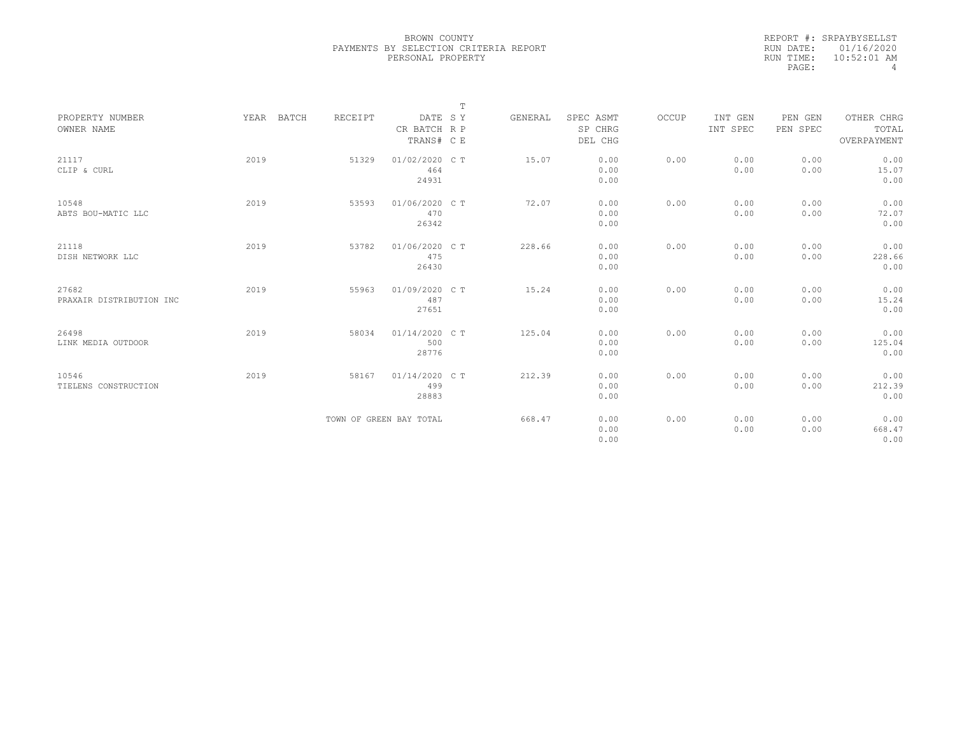|           | REPORT #: SRPAYBYSELLST |
|-----------|-------------------------|
|           | RUN DATE: 01/16/2020    |
| RUN TIME: | $10:52:01$ AM           |
| PAGE:     | 4                       |

|                                   |            |         |                                       | $\mathbb T$ |         |                                 |       |                     |                     |                                    |  |
|-----------------------------------|------------|---------|---------------------------------------|-------------|---------|---------------------------------|-------|---------------------|---------------------|------------------------------------|--|
| PROPERTY NUMBER<br>OWNER NAME     | YEAR BATCH | RECEIPT | DATE SY<br>CR BATCH R P<br>TRANS# C E |             | GENERAL | SPEC ASMT<br>SP CHRG<br>DEL CHG | OCCUP | INT GEN<br>INT SPEC | PEN GEN<br>PEN SPEC | OTHER CHRG<br>TOTAL<br>OVERPAYMENT |  |
| 21117<br>CLIP & CURL              | 2019       | 51329   | 01/02/2020 C T<br>464<br>24931        |             | 15.07   | 0.00<br>0.00<br>0.00            | 0.00  | 0.00<br>0.00        | 0.00<br>0.00        | 0.00<br>15.07<br>0.00              |  |
| 10548<br>ABTS BOU-MATIC LLC       | 2019       | 53593   | 01/06/2020 C T<br>470<br>26342        |             | 72.07   | 0.00<br>0.00<br>0.00            | 0.00  | 0.00<br>0.00        | 0.00<br>0.00        | 0.00<br>72.07<br>0.00              |  |
| 21118<br>DISH NETWORK LLC         | 2019       | 53782   | 01/06/2020 C T<br>475<br>26430        |             | 228.66  | 0.00<br>0.00<br>0.00            | 0.00  | 0.00<br>0.00        | 0.00<br>0.00        | 0.00<br>228.66<br>0.00             |  |
| 27682<br>PRAXAIR DISTRIBUTION INC | 2019       | 55963   | 01/09/2020 C T<br>487<br>27651        |             | 15.24   | 0.00<br>0.00<br>0.00            | 0.00  | 0.00<br>0.00        | 0.00<br>0.00        | 0.00<br>15.24<br>0.00              |  |
| 26498<br>LINK MEDIA OUTDOOR       | 2019       | 58034   | 01/14/2020 C T<br>500<br>28776        |             | 125.04  | 0.00<br>0.00<br>0.00            | 0.00  | 0.00<br>0.00        | 0.00<br>0.00        | 0.00<br>125.04<br>0.00             |  |
| 10546<br>TIELENS CONSTRUCTION     | 2019       | 58167   | 01/14/2020 C T<br>499<br>28883        |             | 212.39  | 0.00<br>0.00<br>0.00            | 0.00  | 0.00<br>0.00        | 0.00<br>0.00        | 0.00<br>212.39<br>0.00             |  |
|                                   |            |         | TOWN OF GREEN BAY TOTAL               |             | 668.47  | 0.00<br>0.00<br>0.00            | 0.00  | 0.00<br>0.00        | 0.00<br>0.00        | 0.00<br>668.47<br>0.00             |  |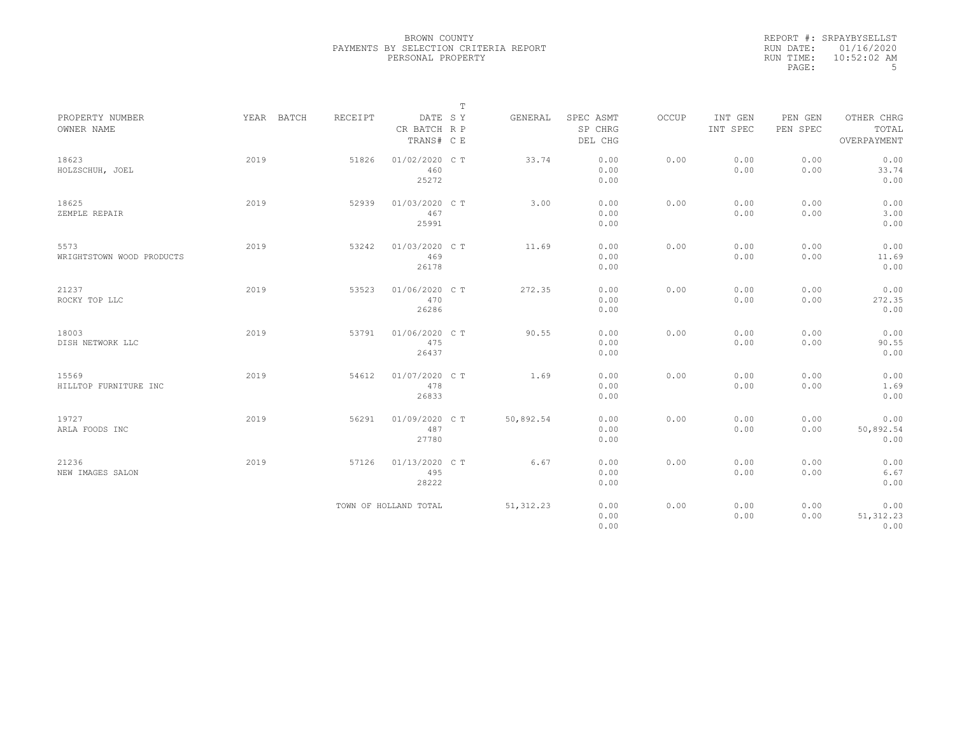|           | REPORT #: SRPAYBYSELLST |
|-----------|-------------------------|
|           | RUN DATE: 01/16/2020    |
| RUN TIME: | $10:52:02$ AM           |
| PAGE:     | .5                      |

|                                   |            |                |                                       | $\mathbb T$ |            |                                 |       |                     |                     |                                    |
|-----------------------------------|------------|----------------|---------------------------------------|-------------|------------|---------------------------------|-------|---------------------|---------------------|------------------------------------|
| PROPERTY NUMBER<br>OWNER NAME     | YEAR BATCH | <b>RECEIPT</b> | DATE SY<br>CR BATCH R P<br>TRANS# C E |             | GENERAL    | SPEC ASMT<br>SP CHRG<br>DEL CHG | OCCUP | INT GEN<br>INT SPEC | PEN GEN<br>PEN SPEC | OTHER CHRG<br>TOTAL<br>OVERPAYMENT |
| 18623<br>HOLZSCHUH, JOEL          | 2019       | 51826          | 01/02/2020 C T<br>460<br>25272        |             | 33.74      | 0.00<br>0.00<br>0.00            | 0.00  | 0.00<br>0.00        | 0.00<br>0.00        | 0.00<br>33.74<br>0.00              |
| 18625<br>ZEMPLE REPAIR            | 2019       | 52939          | 01/03/2020 CT<br>467<br>25991         |             | 3.00       | 0.00<br>0.00<br>0.00            | 0.00  | 0.00<br>0.00        | 0.00<br>0.00        | 0.00<br>3.00<br>0.00               |
| 5573<br>WRIGHTSTOWN WOOD PRODUCTS | 2019       | 53242          | 01/03/2020 C T<br>469<br>26178        |             | 11.69      | 0.00<br>0.00<br>0.00            | 0.00  | 0.00<br>0.00        | 0.00<br>0.00        | 0.00<br>11.69<br>0.00              |
| 21237<br>ROCKY TOP LLC            | 2019       | 53523          | 01/06/2020 C T<br>470<br>26286        |             | 272.35     | 0.00<br>0.00<br>0.00            | 0.00  | 0.00<br>0.00        | 0.00<br>0.00        | 0.00<br>272.35<br>0.00             |
| 18003<br>DISH NETWORK LLC         | 2019       | 53791          | 01/06/2020 C T<br>475<br>26437        |             | 90.55      | 0.00<br>0.00<br>0.00            | 0.00  | 0.00<br>0.00        | 0.00<br>0.00        | 0.00<br>90.55<br>0.00              |
| 15569<br>HILLTOP FURNITURE INC    | 2019       | 54612          | 01/07/2020 C T<br>478<br>26833        |             | 1.69       | 0.00<br>0.00<br>0.00            | 0.00  | 0.00<br>0.00        | 0.00<br>0.00        | 0.00<br>1.69<br>0.00               |
| 19727<br>ARLA FOODS INC           | 2019       | 56291          | 01/09/2020 C T<br>487<br>27780        |             | 50,892.54  | 0.00<br>0.00<br>0.00            | 0.00  | 0.00<br>0.00        | 0.00<br>0.00        | 0.00<br>50,892.54<br>0.00          |
| 21236<br>NEW IMAGES SALON         | 2019       | 57126          | 01/13/2020 C T<br>495<br>28222        |             | 6.67       | 0.00<br>0.00<br>0.00            | 0.00  | 0.00<br>0.00        | 0.00<br>0.00        | 0.00<br>6.67<br>0.00               |
|                                   |            |                | TOWN OF HOLLAND TOTAL                 |             | 51, 312.23 | 0.00<br>0.00<br>0.00            | 0.00  | 0.00<br>0.00        | 0.00<br>0.00        | 0.00<br>51, 312.23<br>0.00         |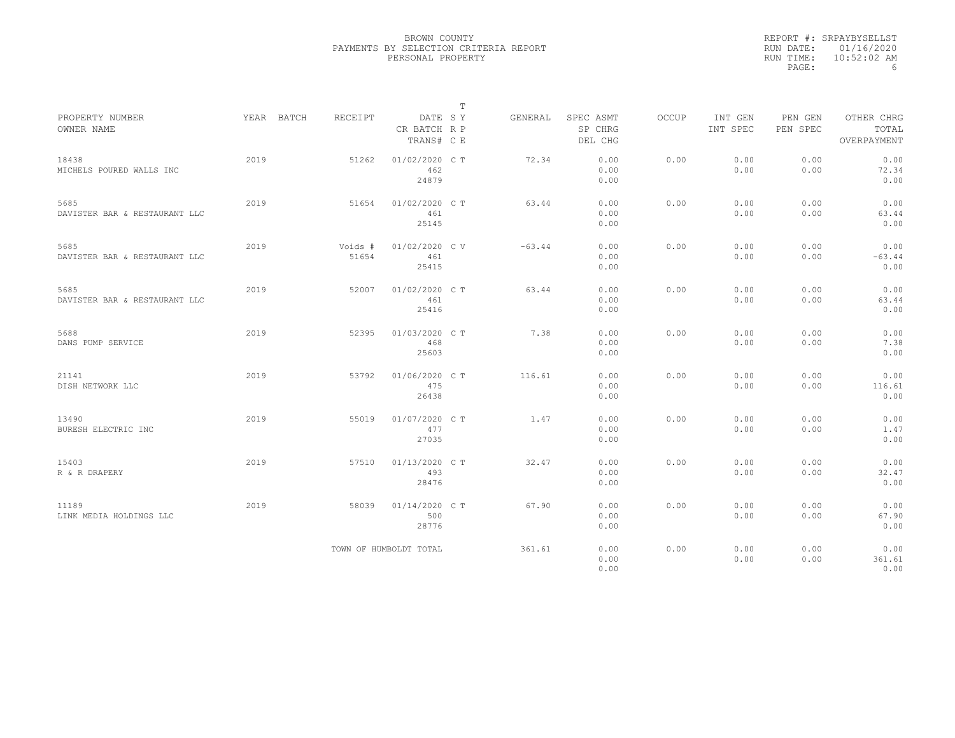|           | REPORT #: SRPAYBYSELLST |
|-----------|-------------------------|
|           | RUN DATE: 01/16/2020    |
| RUN TIME: | $10:52:02$ AM           |
| PAGE:     | h                       |

|                                       |            |                  |                                       | Т |          |                                 |              |                     |                     |                                    |  |
|---------------------------------------|------------|------------------|---------------------------------------|---|----------|---------------------------------|--------------|---------------------|---------------------|------------------------------------|--|
| PROPERTY NUMBER<br>OWNER NAME         | YEAR BATCH | RECEIPT          | DATE SY<br>CR BATCH R P<br>TRANS# C E |   | GENERAL  | SPEC ASMT<br>SP CHRG<br>DEL CHG | <b>OCCUP</b> | INT GEN<br>INT SPEC | PEN GEN<br>PEN SPEC | OTHER CHRG<br>TOTAL<br>OVERPAYMENT |  |
| 18438<br>MICHELS POURED WALLS INC     | 2019       | 51262            | 01/02/2020 C T<br>462<br>24879        |   | 72.34    | 0.00<br>0.00<br>0.00            | 0.00         | 0.00<br>0.00        | 0.00<br>0.00        | 0.00<br>72.34<br>0.00              |  |
| 5685<br>DAVISTER BAR & RESTAURANT LLC | 2019       | 51654            | 01/02/2020 C T<br>461<br>25145        |   | 63.44    | 0.00<br>0.00<br>0.00            | 0.00         | 0.00<br>0.00        | 0.00<br>0.00        | 0.00<br>63.44<br>0.00              |  |
| 5685<br>DAVISTER BAR & RESTAURANT LLC | 2019       | Voids #<br>51654 | 01/02/2020 CV<br>461<br>25415         |   | $-63.44$ | 0.00<br>0.00<br>0.00            | 0.00         | 0.00<br>0.00        | 0.00<br>0.00        | 0.00<br>$-63.44$<br>0.00           |  |
| 5685<br>DAVISTER BAR & RESTAURANT LLC | 2019       | 52007            | 01/02/2020 C T<br>461<br>25416        |   | 63.44    | 0.00<br>0.00<br>0.00            | 0.00         | 0.00<br>0.00        | 0.00<br>0.00        | 0.00<br>63.44<br>0.00              |  |
| 5688<br>DANS PUMP SERVICE             | 2019       | 52395            | 01/03/2020 C T<br>468<br>25603        |   | 7.38     | 0.00<br>0.00<br>0.00            | 0.00         | 0.00<br>0.00        | 0.00<br>0.00        | 0.00<br>7.38<br>0.00               |  |
| 21141<br>DISH NETWORK LLC             | 2019       | 53792            | 01/06/2020 C T<br>475<br>26438        |   | 116.61   | 0.00<br>0.00<br>0.00            | 0.00         | 0.00<br>0.00        | 0.00<br>0.00        | 0.00<br>116.61<br>0.00             |  |
| 13490<br>BURESH ELECTRIC INC          | 2019       | 55019            | 01/07/2020 C T<br>477<br>27035        |   | 1.47     | 0.00<br>0.00<br>0.00            | 0.00         | 0.00<br>0.00        | 0.00<br>0.00        | 0.00<br>1.47<br>0.00               |  |
| 15403<br>R & R DRAPERY                | 2019       | 57510            | 01/13/2020 C T<br>493<br>28476        |   | 32.47    | 0.00<br>0.00<br>0.00            | 0.00         | 0.00<br>0.00        | 0.00<br>0.00        | 0.00<br>32.47<br>0.00              |  |
| 11189<br>LINK MEDIA HOLDINGS LLC      | 2019       | 58039            | 01/14/2020 C T<br>500<br>28776        |   | 67.90    | 0.00<br>0.00<br>0.00            | 0.00         | 0.00<br>0.00        | 0.00<br>0.00        | 0.00<br>67.90<br>0.00              |  |
|                                       |            |                  | TOWN OF HUMBOLDT TOTAL                |   | 361.61   | 0.00<br>0.00<br>0.00            | 0.00         | 0.00<br>0.00        | 0.00<br>0.00        | 0.00<br>361.61<br>0.00             |  |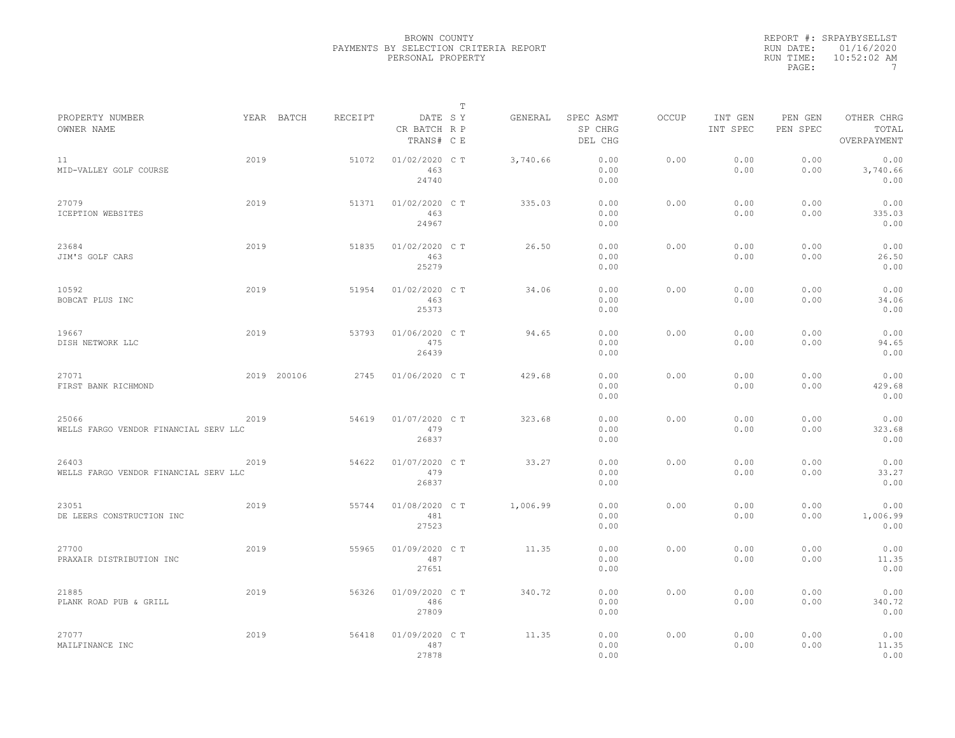|           | REPORT #: SRPAYBYSELLST |
|-----------|-------------------------|
|           | RUN DATE: 01/16/2020    |
| RUN TIME: | $10:52:02$ AM           |
| PAGE:     |                         |

|                                                |      |             |         |                                       | $\mathbb T$ |          |                                 |              |                     |                     |                                    |
|------------------------------------------------|------|-------------|---------|---------------------------------------|-------------|----------|---------------------------------|--------------|---------------------|---------------------|------------------------------------|
| PROPERTY NUMBER<br>OWNER NAME                  |      | YEAR BATCH  | RECEIPT | DATE SY<br>CR BATCH R P<br>TRANS# C E |             | GENERAL  | SPEC ASMT<br>SP CHRG<br>DEL CHG | <b>OCCUP</b> | INT GEN<br>INT SPEC | PEN GEN<br>PEN SPEC | OTHER CHRG<br>TOTAL<br>OVERPAYMENT |
| 11<br>MID-VALLEY GOLF COURSE                   | 2019 |             | 51072   | 01/02/2020 C T<br>463<br>24740        |             | 3,740.66 | 0.00<br>0.00<br>0.00            | 0.00         | 0.00<br>0.00        | 0.00<br>0.00        | 0.00<br>3,740.66<br>0.00           |
| 27079<br>ICEPTION WEBSITES                     | 2019 |             | 51371   | 01/02/2020 C T<br>463<br>24967        |             | 335.03   | 0.00<br>0.00<br>0.00            | 0.00         | 0.00<br>0.00        | 0.00<br>0.00        | 0.00<br>335.03<br>0.00             |
| 23684<br>JIM'S GOLF CARS                       | 2019 |             | 51835   | 01/02/2020 C T<br>463<br>25279        |             | 26.50    | 0.00<br>0.00<br>0.00            | 0.00         | 0.00<br>0.00        | 0.00<br>0.00        | 0.00<br>26.50<br>0.00              |
| 10592<br>BOBCAT PLUS INC                       | 2019 |             | 51954   | 01/02/2020 C T<br>463<br>25373        |             | 34.06    | 0.00<br>0.00<br>0.00            | 0.00         | 0.00<br>0.00        | 0.00<br>0.00        | 0.00<br>34.06<br>0.00              |
| 19667<br>DISH NETWORK LLC                      | 2019 |             | 53793   | 01/06/2020 C T<br>475<br>26439        |             | 94.65    | 0.00<br>0.00<br>0.00            | 0.00         | 0.00<br>0.00        | 0.00<br>0.00        | 0.00<br>94.65<br>0.00              |
| 27071<br>FIRST BANK RICHMOND                   |      | 2019 200106 | 2745    | 01/06/2020 C T                        |             | 429.68   | 0.00<br>0.00<br>0.00            | 0.00         | 0.00<br>0.00        | 0.00<br>0.00        | 0.00<br>429.68<br>0.00             |
| 25066<br>WELLS FARGO VENDOR FINANCIAL SERV LLC | 2019 |             | 54619   | 01/07/2020 C T<br>479<br>26837        |             | 323.68   | 0.00<br>0.00<br>0.00            | 0.00         | 0.00<br>0.00        | 0.00<br>0.00        | 0.00<br>323.68<br>0.00             |
| 26403<br>WELLS FARGO VENDOR FINANCIAL SERV LLC | 2019 |             | 54622   | 01/07/2020 C T<br>479<br>26837        |             | 33.27    | 0.00<br>0.00<br>0.00            | 0.00         | 0.00<br>0.00        | 0.00<br>0.00        | 0.00<br>33.27<br>0.00              |
| 23051<br>DE LEERS CONSTRUCTION INC             | 2019 |             | 55744   | 01/08/2020 CT<br>481<br>27523         |             | 1,006.99 | 0.00<br>0.00<br>0.00            | 0.00         | 0.00<br>0.00        | 0.00<br>0.00        | 0.00<br>1,006.99<br>0.00           |
| 27700<br>PRAXAIR DISTRIBUTION INC              | 2019 |             | 55965   | 01/09/2020 C T<br>487<br>27651        |             | 11.35    | 0.00<br>0.00<br>0.00            | 0.00         | 0.00<br>0.00        | 0.00<br>0.00        | 0.00<br>11.35<br>0.00              |
| 21885<br>PLANK ROAD PUB & GRILL                | 2019 |             | 56326   | 01/09/2020 C T<br>486<br>27809        |             | 340.72   | 0.00<br>0.00<br>0.00            | 0.00         | 0.00<br>0.00        | 0.00<br>0.00        | 0.00<br>340.72<br>0.00             |
| 27077<br>MAILFINANCE INC                       | 2019 |             | 56418   | 01/09/2020 C T<br>487<br>27878        |             | 11.35    | 0.00<br>0.00<br>0.00            | 0.00         | 0.00<br>0.00        | 0.00<br>0.00        | 0.00<br>11.35<br>0.00              |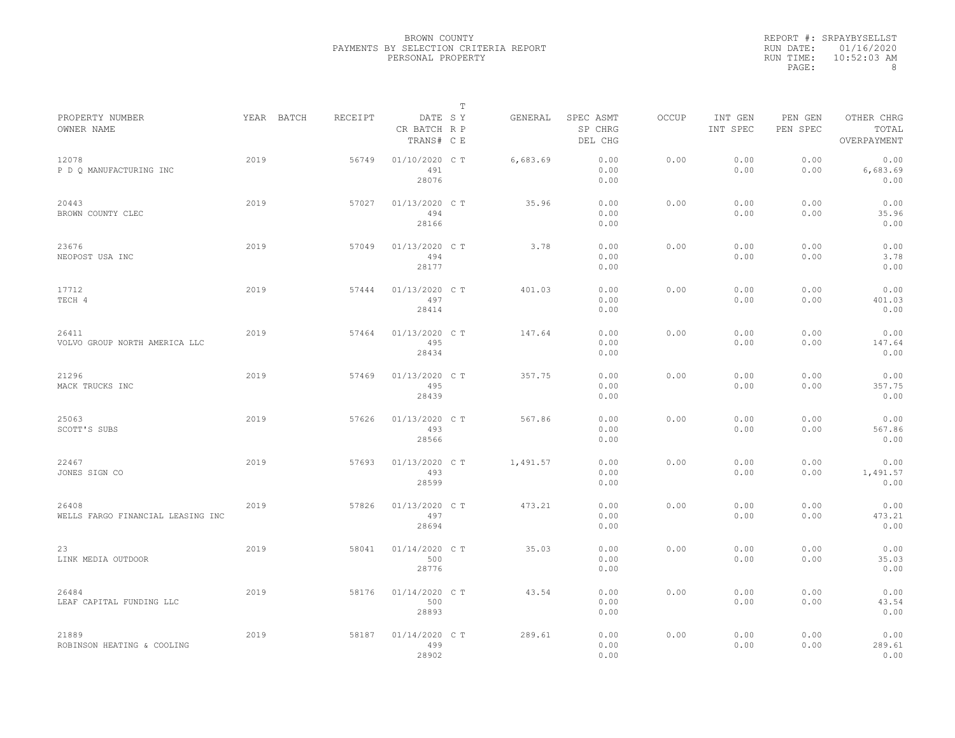|           | REPORT #: SRPAYBYSELLST |
|-----------|-------------------------|
|           | RUN DATE: 01/16/2020    |
| RUN TIME: | $10:52:03$ AM           |
| PAGE:     | 8                       |

|                                            |      |            |         |                                       | T |          |                                 |       |                     |                     |                                    |  |
|--------------------------------------------|------|------------|---------|---------------------------------------|---|----------|---------------------------------|-------|---------------------|---------------------|------------------------------------|--|
| PROPERTY NUMBER<br>OWNER NAME              |      | YEAR BATCH | RECEIPT | DATE SY<br>CR BATCH R P<br>TRANS# C E |   | GENERAL  | SPEC ASMT<br>SP CHRG<br>DEL CHG | OCCUP | INT GEN<br>INT SPEC | PEN GEN<br>PEN SPEC | OTHER CHRG<br>TOTAL<br>OVERPAYMENT |  |
| 12078<br>P D O MANUFACTURING INC           | 2019 |            | 56749   | 01/10/2020 C T<br>491<br>28076        |   | 6,683.69 | 0.00<br>0.00<br>0.00            | 0.00  | 0.00<br>0.00        | 0.00<br>0.00        | 0.00<br>6,683.69<br>0.00           |  |
| 20443<br>BROWN COUNTY CLEC                 | 2019 |            | 57027   | 01/13/2020 C T<br>494<br>28166        |   | 35.96    | 0.00<br>0.00<br>0.00            | 0.00  | 0.00<br>0.00        | 0.00<br>0.00        | 0.00<br>35.96<br>0.00              |  |
| 23676<br>NEOPOST USA INC                   | 2019 |            | 57049   | 01/13/2020 C T<br>494<br>28177        |   | 3.78     | 0.00<br>0.00<br>0.00            | 0.00  | 0.00<br>0.00        | 0.00<br>0.00        | 0.00<br>3.78<br>0.00               |  |
| 17712<br>TECH 4                            | 2019 |            | 57444   | 01/13/2020 C T<br>497<br>28414        |   | 401.03   | 0.00<br>0.00<br>0.00            | 0.00  | 0.00<br>0.00        | 0.00<br>0.00        | 0.00<br>401.03<br>0.00             |  |
| 26411<br>VOLVO GROUP NORTH AMERICA LLC     | 2019 |            | 57464   | 01/13/2020 C T<br>495<br>28434        |   | 147.64   | 0.00<br>0.00<br>0.00            | 0.00  | 0.00<br>0.00        | 0.00<br>0.00        | 0.00<br>147.64<br>0.00             |  |
| 21296<br>MACK TRUCKS INC                   | 2019 |            | 57469   | 01/13/2020 C T<br>495<br>28439        |   | 357.75   | 0.00<br>0.00<br>0.00            | 0.00  | 0.00<br>0.00        | 0.00<br>0.00        | 0.00<br>357.75<br>0.00             |  |
| 25063<br>SCOTT'S SUBS                      | 2019 |            | 57626   | 01/13/2020 C T<br>493<br>28566        |   | 567.86   | 0.00<br>0.00<br>0.00            | 0.00  | 0.00<br>0.00        | 0.00<br>0.00        | 0.00<br>567.86<br>0.00             |  |
| 22467<br>JONES SIGN CO                     | 2019 |            | 57693   | 01/13/2020 C T<br>493<br>28599        |   | 1,491.57 | 0.00<br>0.00<br>0.00            | 0.00  | 0.00<br>0.00        | 0.00<br>0.00        | 0.00<br>1,491.57<br>0.00           |  |
| 26408<br>WELLS FARGO FINANCIAL LEASING INC | 2019 |            | 57826   | 01/13/2020 C T<br>497<br>28694        |   | 473.21   | 0.00<br>0.00<br>0.00            | 0.00  | 0.00<br>0.00        | 0.00<br>0.00        | 0.00<br>473.21<br>0.00             |  |
| 23<br>LINK MEDIA OUTDOOR                   | 2019 |            | 58041   | 01/14/2020 C T<br>500<br>28776        |   | 35.03    | 0.00<br>0.00<br>0.00            | 0.00  | 0.00<br>0.00        | 0.00<br>0.00        | 0.00<br>35.03<br>0.00              |  |
| 26484<br>LEAF CAPITAL FUNDING LLC          | 2019 |            | 58176   | 01/14/2020 C T<br>500<br>28893        |   | 43.54    | 0.00<br>0.00<br>0.00            | 0.00  | 0.00<br>0.00        | 0.00<br>0.00        | 0.00<br>43.54<br>0.00              |  |
| 21889<br>ROBINSON HEATING & COOLING        | 2019 |            | 58187   | 01/14/2020 C T<br>499<br>28902        |   | 289.61   | 0.00<br>0.00<br>0.00            | 0.00  | 0.00<br>0.00        | 0.00<br>0.00        | 0.00<br>289.61<br>0.00             |  |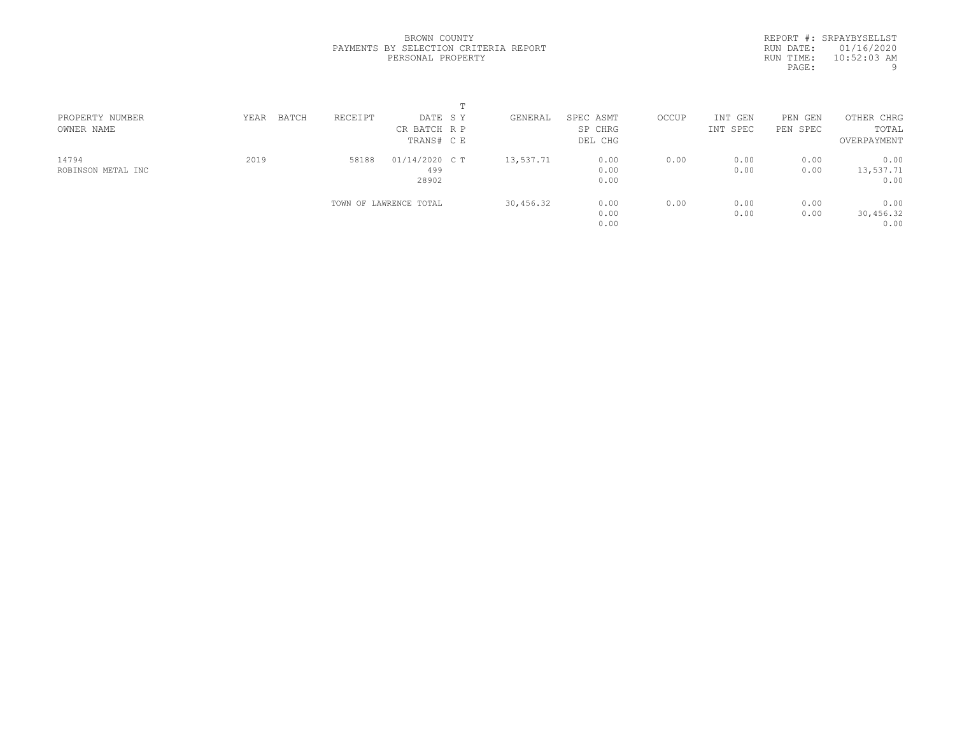REPORT #: SRPAYBYSELLST RUN DATE: 01/16/2020 RUN TIME: 10:52:03 AM PAGE: 9

|                    |               |         | m                      |           |           |       |          |          |             |  |
|--------------------|---------------|---------|------------------------|-----------|-----------|-------|----------|----------|-------------|--|
| PROPERTY NUMBER    | BATCH<br>YEAR | RECEIPT | DATE SY                | GENERAL   | SPEC ASMT | OCCUP | INT GEN  | PEN GEN  | OTHER CHRG  |  |
| OWNER NAME         |               |         | CR BATCH R P           |           | SP CHRG   |       | INT SPEC | PEN SPEC | TOTAL       |  |
|                    |               |         | TRANS# C E             |           | DEL CHG   |       |          |          | OVERPAYMENT |  |
| 14794              | 2019          | 58188   | 01/14/2020 C T         | 13,537.71 | 0.00      | 0.00  | 0.00     | 0.00     | 0.00        |  |
| ROBINSON METAL INC |               |         | 499                    |           | 0.00      |       | 0.00     | 0.00     | 13,537.71   |  |
|                    |               |         | 28902                  |           | 0.00      |       |          |          | 0.00        |  |
|                    |               |         | TOWN OF LAWRENCE TOTAL | 30,456.32 | 0.00      | 0.00  | 0.00     | 0.00     | 0.00        |  |
|                    |               |         |                        |           | 0.00      |       | 0.00     | 0.00     | 30,456.32   |  |
|                    |               |         |                        |           | 0.00      |       |          |          | 0.00        |  |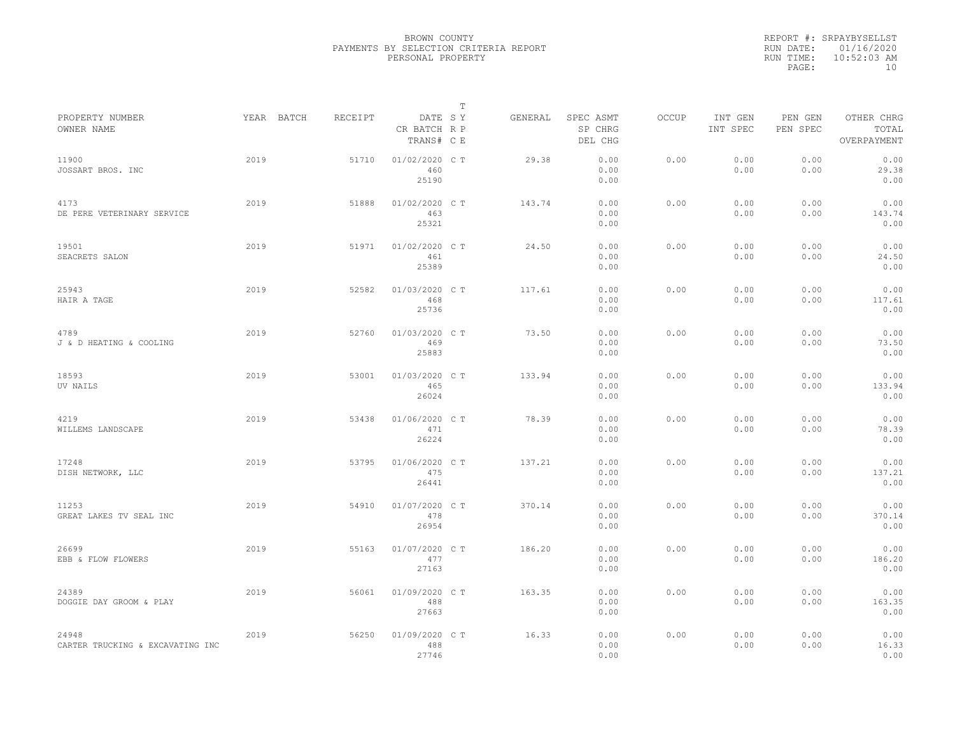|           | REPORT #: SRPAYBYSELLST |
|-----------|-------------------------|
|           | RUN DATE: 01/16/2020    |
| RUN TIME: | $10:52:03$ AM           |
| PAGE:     | 1 N                     |

| PROPERTY NUMBER                           |      | YEAR BATCH | RECEIPT | DATE SY                        | Т | GENERAL | SPEC ASMT            | OCCUP | INT GEN      | PEN GEN      | OTHER CHRG             |  |
|-------------------------------------------|------|------------|---------|--------------------------------|---|---------|----------------------|-------|--------------|--------------|------------------------|--|
| OWNER NAME                                |      |            |         | CR BATCH R P<br>TRANS# C E     |   |         | SP CHRG<br>DEL CHG   |       | INT SPEC     | PEN SPEC     | TOTAL<br>OVERPAYMENT   |  |
| 11900<br>JOSSART BROS. INC                | 2019 |            | 51710   | 01/02/2020 C T<br>460<br>25190 |   | 29.38   | 0.00<br>0.00<br>0.00 | 0.00  | 0.00<br>0.00 | 0.00<br>0.00 | 0.00<br>29.38<br>0.00  |  |
| 4173<br>DE PERE VETERINARY SERVICE        | 2019 |            | 51888   | 01/02/2020 C T<br>463<br>25321 |   | 143.74  | 0.00<br>0.00<br>0.00 | 0.00  | 0.00<br>0.00 | 0.00<br>0.00 | 0.00<br>143.74<br>0.00 |  |
| 19501<br>SEACRETS SALON                   | 2019 |            | 51971   | 01/02/2020 C T<br>461<br>25389 |   | 24.50   | 0.00<br>0.00<br>0.00 | 0.00  | 0.00<br>0.00 | 0.00<br>0.00 | 0.00<br>24.50<br>0.00  |  |
| 25943<br>HAIR A TAGE                      | 2019 |            | 52582   | 01/03/2020 C T<br>468<br>25736 |   | 117.61  | 0.00<br>0.00<br>0.00 | 0.00  | 0.00<br>0.00 | 0.00<br>0.00 | 0.00<br>117.61<br>0.00 |  |
| 4789<br>J & D HEATING & COOLING           | 2019 |            | 52760   | 01/03/2020 C T<br>469<br>25883 |   | 73.50   | 0.00<br>0.00<br>0.00 | 0.00  | 0.00<br>0.00 | 0.00<br>0.00 | 0.00<br>73.50<br>0.00  |  |
| 18593<br>UV NAILS                         | 2019 |            | 53001   | 01/03/2020 C T<br>465<br>26024 |   | 133.94  | 0.00<br>0.00<br>0.00 | 0.00  | 0.00<br>0.00 | 0.00<br>0.00 | 0.00<br>133.94<br>0.00 |  |
| 4219<br>WILLEMS LANDSCAPE                 | 2019 |            | 53438   | 01/06/2020 C T<br>471<br>26224 |   | 78.39   | 0.00<br>0.00<br>0.00 | 0.00  | 0.00<br>0.00 | 0.00<br>0.00 | 0.00<br>78.39<br>0.00  |  |
| 17248<br>DISH NETWORK, LLC                | 2019 |            | 53795   | 01/06/2020 C T<br>475<br>26441 |   | 137.21  | 0.00<br>0.00<br>0.00 | 0.00  | 0.00<br>0.00 | 0.00<br>0.00 | 0.00<br>137.21<br>0.00 |  |
| 11253<br>GREAT LAKES TV SEAL INC          | 2019 |            | 54910   | 01/07/2020 C T<br>478<br>26954 |   | 370.14  | 0.00<br>0.00<br>0.00 | 0.00  | 0.00<br>0.00 | 0.00<br>0.00 | 0.00<br>370.14<br>0.00 |  |
| 26699<br>EBB & FLOW FLOWERS               | 2019 |            | 55163   | 01/07/2020 C T<br>477<br>27163 |   | 186.20  | 0.00<br>0.00<br>0.00 | 0.00  | 0.00<br>0.00 | 0.00<br>0.00 | 0.00<br>186.20<br>0.00 |  |
| 24389<br>DOGGIE DAY GROOM & PLAY          | 2019 |            | 56061   | 01/09/2020 C T<br>488<br>27663 |   | 163.35  | 0.00<br>0.00<br>0.00 | 0.00  | 0.00<br>0.00 | 0.00<br>0.00 | 0.00<br>163.35<br>0.00 |  |
| 24948<br>CARTER TRUCKING & EXCAVATING INC | 2019 |            | 56250   | 01/09/2020 C T<br>488<br>27746 |   | 16.33   | 0.00<br>0.00<br>0.00 | 0.00  | 0.00<br>0.00 | 0.00<br>0.00 | 0.00<br>16.33<br>0.00  |  |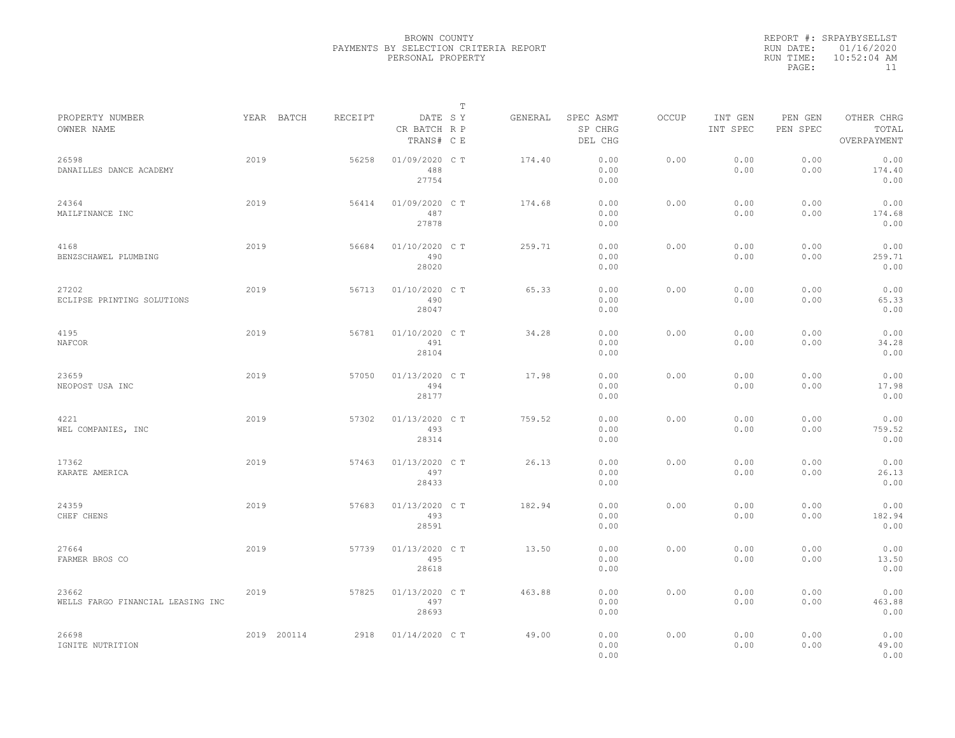|           | REPORT #: SRPAYBYSELLST |
|-----------|-------------------------|
|           | RUN DATE: 01/16/2020    |
| RUN TIME: | $10:52:04$ AM           |
| PAGE:     | 11                      |

|                                            |      |             |         |                                       | $\mathbb T$ |         |                                 |       |                     |                     |                                    |  |
|--------------------------------------------|------|-------------|---------|---------------------------------------|-------------|---------|---------------------------------|-------|---------------------|---------------------|------------------------------------|--|
| PROPERTY NUMBER<br>OWNER NAME              |      | YEAR BATCH  | RECEIPT | DATE SY<br>CR BATCH R P<br>TRANS# C E |             | GENERAL | SPEC ASMT<br>SP CHRG<br>DEL CHG | OCCUP | INT GEN<br>INT SPEC | PEN GEN<br>PEN SPEC | OTHER CHRG<br>TOTAL<br>OVERPAYMENT |  |
| 26598<br>DANAILLES DANCE ACADEMY           | 2019 |             | 56258   | 01/09/2020 C T<br>488<br>27754        |             | 174.40  | 0.00<br>0.00<br>0.00            | 0.00  | 0.00<br>0.00        | 0.00<br>0.00        | 0.00<br>174.40<br>0.00             |  |
| 24364<br>MAILFINANCE INC                   | 2019 |             | 56414   | 01/09/2020 C T<br>487<br>27878        |             | 174.68  | 0.00<br>0.00<br>0.00            | 0.00  | 0.00<br>0.00        | 0.00<br>0.00        | 0.00<br>174.68<br>0.00             |  |
| 4168<br>BENZSCHAWEL PLUMBING               | 2019 |             | 56684   | 01/10/2020 C T<br>490<br>28020        |             | 259.71  | 0.00<br>0.00<br>0.00            | 0.00  | 0.00<br>0.00        | 0.00<br>0.00        | 0.00<br>259.71<br>0.00             |  |
| 27202<br>ECLIPSE PRINTING SOLUTIONS        | 2019 |             | 56713   | 01/10/2020 C T<br>490<br>28047        |             | 65.33   | 0.00<br>0.00<br>0.00            | 0.00  | 0.00<br>0.00        | 0.00<br>0.00        | 0.00<br>65.33<br>0.00              |  |
| 4195<br>NAFCOR                             | 2019 |             | 56781   | 01/10/2020 C T<br>491<br>28104        |             | 34.28   | 0.00<br>0.00<br>0.00            | 0.00  | 0.00<br>0.00        | 0.00<br>0.00        | 0.00<br>34.28<br>0.00              |  |
| 23659<br>NEOPOST USA INC                   | 2019 |             | 57050   | 01/13/2020 C T<br>494<br>28177        |             | 17.98   | 0.00<br>0.00<br>0.00            | 0.00  | 0.00<br>0.00        | 0.00<br>0.00        | 0.00<br>17.98<br>0.00              |  |
| 4221<br>WEL COMPANIES, INC                 | 2019 |             | 57302   | 01/13/2020 C T<br>493<br>28314        |             | 759.52  | 0.00<br>0.00<br>0.00            | 0.00  | 0.00<br>0.00        | 0.00<br>0.00        | 0.00<br>759.52<br>0.00             |  |
| 17362<br>KARATE AMERICA                    | 2019 |             | 57463   | 01/13/2020 C T<br>497<br>28433        |             | 26.13   | 0.00<br>0.00<br>0.00            | 0.00  | 0.00<br>0.00        | 0.00<br>0.00        | 0.00<br>26.13<br>0.00              |  |
| 24359<br>CHEF CHENS                        | 2019 |             | 57683   | 01/13/2020 C T<br>493<br>28591        |             | 182.94  | 0.00<br>0.00<br>0.00            | 0.00  | 0.00<br>0.00        | 0.00<br>0.00        | 0.00<br>182.94<br>0.00             |  |
| 27664<br>FARMER BROS CO                    | 2019 |             | 57739   | 01/13/2020 C T<br>495<br>28618        |             | 13.50   | 0.00<br>0.00<br>0.00            | 0.00  | 0.00<br>0.00        | 0.00<br>0.00        | 0.00<br>13.50<br>0.00              |  |
| 23662<br>WELLS FARGO FINANCIAL LEASING INC | 2019 |             | 57825   | 01/13/2020 C T<br>497<br>28693        |             | 463.88  | 0.00<br>0.00<br>0.00            | 0.00  | 0.00<br>0.00        | 0.00<br>0.00        | 0.00<br>463.88<br>0.00             |  |
| 26698<br>IGNITE NUTRITION                  |      | 2019 200114 | 2918    | $01/14/2020$ C T                      |             | 49.00   | 0.00<br>0.00<br>0.00            | 0.00  | 0.00<br>0.00        | 0.00<br>0.00        | 0.00<br>49.00<br>0.00              |  |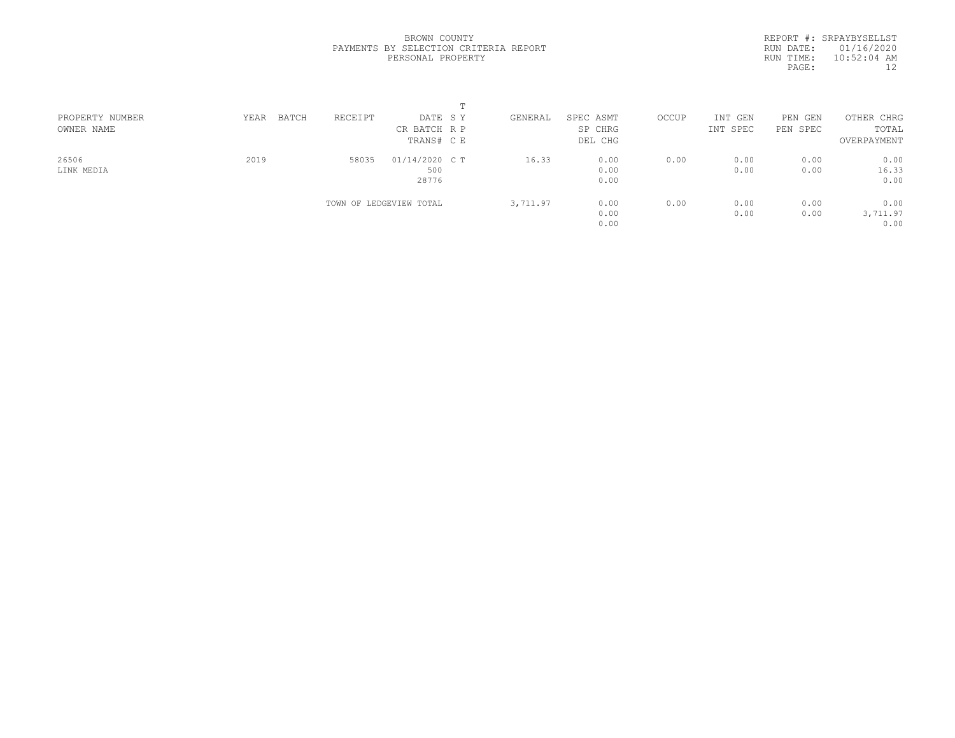REPORT #: SRPAYBYSELLST RUN DATE: 01/16/2020 RUN TIME: 10:52:04 AM PAGE: 12

| PROPERTY NUMBER | BATCH<br>YEAR | RECEIPT | DATE SY                 | GENERAL  | SPEC ASMT | OCCUP | INT GEN  | PEN GEN  | OTHER CHRG  |  |
|-----------------|---------------|---------|-------------------------|----------|-----------|-------|----------|----------|-------------|--|
| OWNER NAME      |               |         | CR BATCH R P            |          | SP CHRG   |       | INT SPEC | PEN SPEC | TOTAL       |  |
|                 |               |         | TRANS# C E              |          | DEL CHG   |       |          |          | OVERPAYMENT |  |
| 26506           | 2019          | 58035   | $01/14/2020$ C T        | 16.33    | 0.00      | 0.00  | 0.00     | 0.00     | 0.00        |  |
| LINK MEDIA      |               |         | 500                     |          | 0.00      |       | 0.00     | 0.00     | 16.33       |  |
|                 |               |         | 28776                   |          | 0.00      |       |          |          | 0.00        |  |
|                 |               |         | TOWN OF LEDGEVIEW TOTAL | 3,711.97 | 0.00      | 0.00  | 0.00     | 0.00     | 0.00        |  |
|                 |               |         |                         |          | 0.00      |       | 0.00     | 0.00     | 3,711.97    |  |
|                 |               |         |                         |          | 0.00      |       |          |          | 0.00        |  |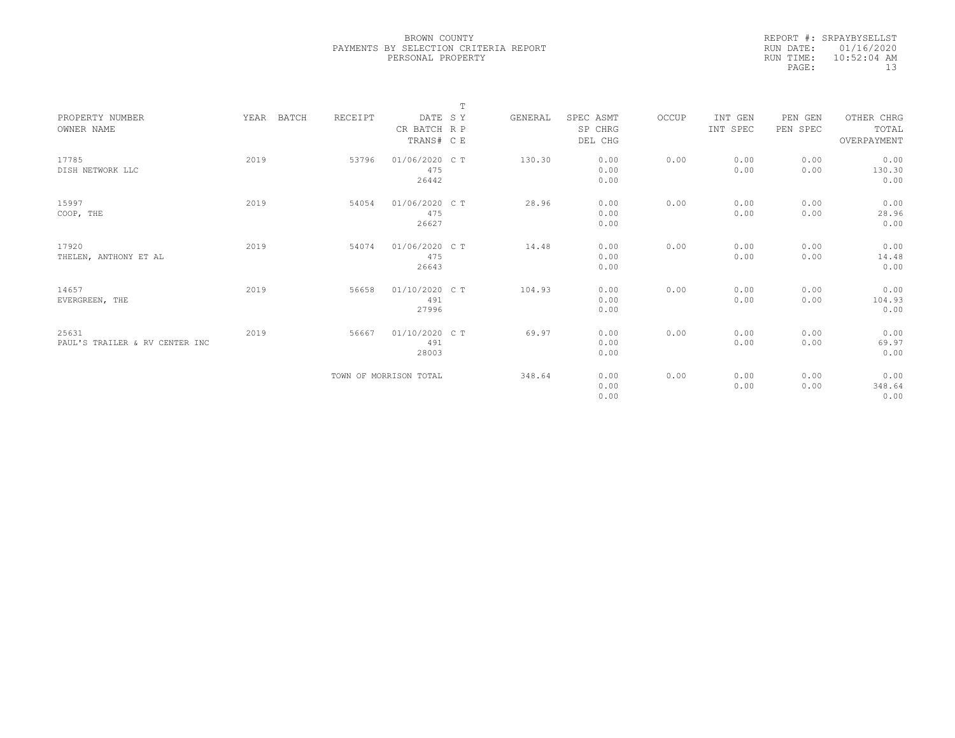|           | REPORT #: SRPAYBYSELLST |
|-----------|-------------------------|
|           | RUN DATE: 01/16/2020    |
| RUN TIME: | $10:52:04$ AM           |
| PAGE:     | 13                      |

|                                |      |                  |                        | $\mathbb T$ |         |           |       |          |          |             |  |
|--------------------------------|------|------------------|------------------------|-------------|---------|-----------|-------|----------|----------|-------------|--|
| PROPERTY NUMBER                | YEAR | BATCH<br>RECEIPT | DATE SY                |             | GENERAL | SPEC ASMT | OCCUP | INT GEN  | PEN GEN  | OTHER CHRG  |  |
| OWNER NAME                     |      |                  | CR BATCH R P           |             |         | SP CHRG   |       | INT SPEC | PEN SPEC | TOTAL       |  |
|                                |      |                  | TRANS# C E             |             |         | DEL CHG   |       |          |          | OVERPAYMENT |  |
| 17785                          | 2019 | 53796            | 01/06/2020 C T         |             | 130.30  | 0.00      | 0.00  | 0.00     | 0.00     | 0.00        |  |
| DISH NETWORK LLC               |      |                  | 475                    |             |         | 0.00      |       | 0.00     | 0.00     | 130.30      |  |
|                                |      |                  | 26442                  |             |         | 0.00      |       |          |          | 0.00        |  |
| 15997                          | 2019 | 54054            | 01/06/2020 CT          |             | 28.96   | 0.00      | 0.00  | 0.00     | 0.00     | 0.00        |  |
| COOP, THE                      |      |                  | 475                    |             |         | 0.00      |       | 0.00     | 0.00     | 28.96       |  |
|                                |      |                  | 26627                  |             |         | 0.00      |       |          |          | 0.00        |  |
|                                |      |                  |                        |             |         |           |       |          |          |             |  |
| 17920                          | 2019 | 54074            | 01/06/2020 C T         |             | 14.48   | 0.00      | 0.00  | 0.00     | 0.00     | 0.00        |  |
| THELEN, ANTHONY ET AL          |      |                  | 475                    |             |         | 0.00      |       | 0.00     | 0.00     | 14.48       |  |
|                                |      |                  | 26643                  |             |         | 0.00      |       |          |          | 0.00        |  |
| 14657                          | 2019 | 56658            | 01/10/2020 CT          |             | 104.93  | 0.00      | 0.00  | 0.00     | 0.00     | 0.00        |  |
| EVERGREEN, THE                 |      |                  | 491                    |             |         | 0.00      |       | 0.00     | 0.00     | 104.93      |  |
|                                |      |                  | 27996                  |             |         | 0.00      |       |          |          | 0.00        |  |
|                                |      |                  |                        |             |         |           |       |          |          |             |  |
| 25631                          | 2019 | 56667            | 01/10/2020 C T         |             | 69.97   | 0.00      | 0.00  | 0.00     | 0.00     | 0.00        |  |
| PAUL'S TRAILER & RV CENTER INC |      |                  | 491                    |             |         | 0.00      |       | 0.00     | 0.00     | 69.97       |  |
|                                |      |                  | 28003                  |             |         | 0.00      |       |          |          | 0.00        |  |
|                                |      |                  | TOWN OF MORRISON TOTAL |             | 348.64  | 0.00      | 0.00  | 0.00     | 0.00     | 0.00        |  |
|                                |      |                  |                        |             |         | 0.00      |       | 0.00     | 0.00     | 348.64      |  |
|                                |      |                  |                        |             |         | 0.00      |       |          |          | 0.00        |  |
|                                |      |                  |                        |             |         |           |       |          |          |             |  |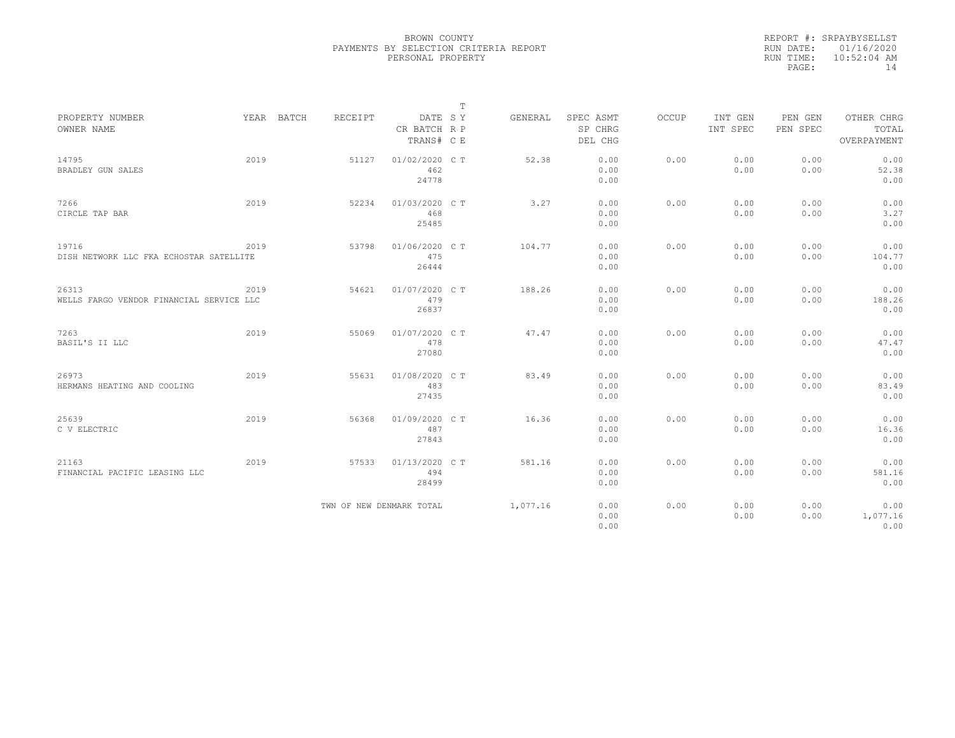|           | REPORT #: SRPAYBYSELLST |
|-----------|-------------------------|
|           | RUN DATE: 01/16/2020    |
| RUN TIME: | $10:52:04$ AM           |
| PAGE:     | 14                      |

|                                                   |      |            |                          |                                       | $\mathbb T$ |          |                                 |       |                     |                     |                                    |
|---------------------------------------------------|------|------------|--------------------------|---------------------------------------|-------------|----------|---------------------------------|-------|---------------------|---------------------|------------------------------------|
| PROPERTY NUMBER<br>OWNER NAME                     |      | YEAR BATCH | <b>RECEIPT</b>           | DATE SY<br>CR BATCH R P<br>TRANS# C E |             | GENERAL  | SPEC ASMT<br>SP CHRG<br>DEL CHG | OCCUP | INT GEN<br>INT SPEC | PEN GEN<br>PEN SPEC | OTHER CHRG<br>TOTAL<br>OVERPAYMENT |
| 14795<br>BRADLEY GUN SALES                        | 2019 |            | 51127                    | 01/02/2020 CT<br>462<br>24778         |             | 52.38    | 0.00<br>0.00<br>0.00            | 0.00  | 0.00<br>0.00        | 0.00<br>0.00        | 0.00<br>52.38<br>0.00              |
| 7266<br>CIRCLE TAP BAR                            | 2019 |            | 52234                    | 01/03/2020 C T<br>468<br>25485        |             | 3.27     | 0.00<br>0.00<br>0.00            | 0.00  | 0.00<br>0.00        | 0.00<br>0.00        | 0.00<br>3.27<br>0.00               |
| 19716<br>DISH NETWORK LLC FKA ECHOSTAR SATELLITE  | 2019 |            | 53798                    | 01/06/2020 C T<br>475<br>26444        |             | 104.77   | 0.00<br>0.00<br>0.00            | 0.00  | 0.00<br>0.00        | 0.00<br>0.00        | 0.00<br>104.77<br>0.00             |
| 26313<br>WELLS FARGO VENDOR FINANCIAL SERVICE LLC | 2019 |            | 54621                    | 01/07/2020 C T<br>479<br>26837        |             | 188.26   | 0.00<br>0.00<br>0.00            | 0.00  | 0.00<br>0.00        | 0.00<br>0.00        | 0.00<br>188.26<br>0.00             |
| 7263<br>BASIL'S II LLC                            | 2019 |            | 55069                    | 01/07/2020 CT<br>478<br>27080         |             | 47.47    | 0.00<br>0.00<br>0.00            | 0.00  | 0.00<br>0.00        | 0.00<br>0.00        | 0.00<br>47.47<br>0.00              |
| 26973<br>HERMANS HEATING AND COOLING              | 2019 |            | 55631                    | 01/08/2020 C T<br>483<br>27435        |             | 83.49    | 0.00<br>0.00<br>0.00            | 0.00  | 0.00<br>0.00        | 0.00<br>0.00        | 0.00<br>83.49<br>0.00              |
| 25639<br>C V ELECTRIC                             | 2019 |            | 56368                    | 01/09/2020 C T<br>487<br>27843        |             | 16.36    | 0.00<br>0.00<br>0.00            | 0.00  | 0.00<br>0.00        | 0.00<br>0.00        | 0.00<br>16.36<br>0.00              |
| 21163<br>FINANCIAL PACIFIC LEASING LLC            | 2019 |            | 57533                    | 01/13/2020 C T<br>494<br>28499        |             | 581.16   | 0.00<br>0.00<br>0.00            | 0.00  | 0.00<br>0.00        | 0.00<br>0.00        | 0.00<br>581.16<br>0.00             |
|                                                   |      |            | TWN OF NEW DENMARK TOTAL |                                       |             | 1,077.16 | 0.00<br>0.00<br>0.00            | 0.00  | 0.00<br>0.00        | 0.00<br>0.00        | 0.00<br>1,077.16<br>0.00           |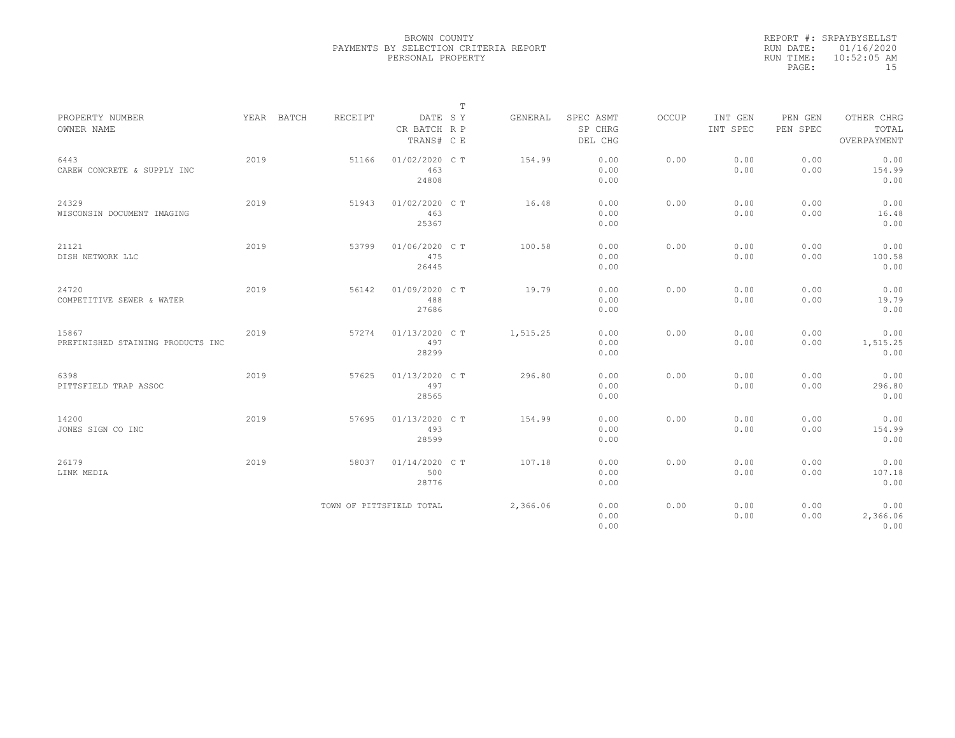|           | REPORT #: SRPAYBYSELLST |
|-----------|-------------------------|
|           | RUN DATE: 01/16/2020    |
| RUN TIME: | $10:52:05$ AM           |
| PAGE:     | 15                      |

|                                     |      |            |                          |                                       | $\mathbb T$ |          |                                 |       |                     |                     |                                    |
|-------------------------------------|------|------------|--------------------------|---------------------------------------|-------------|----------|---------------------------------|-------|---------------------|---------------------|------------------------------------|
| PROPERTY NUMBER<br>OWNER NAME       |      | YEAR BATCH | RECEIPT                  | DATE SY<br>CR BATCH R P<br>TRANS# C E |             | GENERAL  | SPEC ASMT<br>SP CHRG<br>DEL CHG | OCCUP | INT GEN<br>INT SPEC | PEN GEN<br>PEN SPEC | OTHER CHRG<br>TOTAL<br>OVERPAYMENT |
|                                     |      |            |                          |                                       |             |          |                                 |       |                     |                     |                                    |
| 6443<br>CAREW CONCRETE & SUPPLY INC | 2019 |            | 51166                    | 01/02/2020 C T<br>463<br>24808        |             | 154.99   | 0.00<br>0.00<br>0.00            | 0.00  | 0.00<br>0.00        | 0.00<br>0.00        | 0.00<br>154.99<br>0.00             |
|                                     |      |            |                          |                                       |             |          |                                 |       |                     |                     |                                    |
| 24329                               | 2019 |            | 51943                    | 01/02/2020 C T                        |             | 16.48    | 0.00                            | 0.00  | 0.00                | 0.00                | 0.00                               |
| WISCONSIN DOCUMENT IMAGING          |      |            |                          | 463                                   |             |          | 0.00                            |       | 0.00                | 0.00                | 16.48                              |
|                                     |      |            |                          | 25367                                 |             |          | 0.00                            |       |                     |                     | 0.00                               |
| 21121                               | 2019 |            | 53799                    | 01/06/2020 C T                        |             | 100.58   | 0.00                            | 0.00  | 0.00                | 0.00                | 0.00                               |
| DISH NETWORK LLC                    |      |            |                          | 475                                   |             |          | 0.00                            |       | 0.00                | 0.00                | 100.58                             |
|                                     |      |            |                          | 26445                                 |             |          | 0.00                            |       |                     |                     | 0.00                               |
| 24720                               | 2019 |            | 56142                    | 01/09/2020 C T                        |             | 19.79    | 0.00                            | 0.00  | 0.00                | 0.00                | 0.00                               |
| COMPETITIVE SEWER & WATER           |      |            |                          | 488                                   |             |          | 0.00                            |       | 0.00                | 0.00                | 19.79                              |
|                                     |      |            |                          | 27686                                 |             |          | 0.00                            |       |                     |                     | 0.00                               |
| 15867                               | 2019 |            | 57274                    | 01/13/2020 C T                        |             | 1,515.25 | 0.00                            | 0.00  | 0.00                | 0.00                | 0.00                               |
| PREFINISHED STAINING PRODUCTS INC   |      |            |                          | 497                                   |             |          | 0.00                            |       | 0.00                | 0.00                | 1,515.25                           |
|                                     |      |            |                          | 28299                                 |             |          | 0.00                            |       |                     |                     | 0.00                               |
| 6398                                | 2019 |            | 57625                    | 01/13/2020 C T                        |             | 296.80   | 0.00                            | 0.00  | 0.00                | 0.00                | 0.00                               |
| PITTSFIELD TRAP ASSOC               |      |            |                          | 497                                   |             |          | 0.00                            |       | 0.00                | 0.00                | 296.80                             |
|                                     |      |            |                          | 28565                                 |             |          | 0.00                            |       |                     |                     | 0.00                               |
| 14200                               | 2019 |            | 57695                    | 01/13/2020 C T                        |             | 154.99   | 0.00                            | 0.00  | 0.00                | 0.00                | 0.00                               |
| JONES SIGN CO INC                   |      |            |                          | 493                                   |             |          | 0.00                            |       | 0.00                | 0.00                | 154.99                             |
|                                     |      |            |                          | 28599                                 |             |          | 0.00                            |       |                     |                     | 0.00                               |
| 26179                               | 2019 |            | 58037                    | 01/14/2020 C T                        |             | 107.18   | 0.00                            | 0.00  | 0.00                | 0.00                | 0.00                               |
| LINK MEDIA                          |      |            |                          | 500                                   |             |          | 0.00                            |       | 0.00                | 0.00                | 107.18                             |
|                                     |      |            |                          | 28776                                 |             |          | 0.00                            |       |                     |                     | 0.00                               |
|                                     |      |            | TOWN OF PITTSFIELD TOTAL |                                       |             | 2,366.06 | 0.00                            | 0.00  | 0.00                | 0.00                | 0.00                               |
|                                     |      |            |                          |                                       |             |          | 0.00                            |       | 0.00                | 0.00                | 2,366.06                           |
|                                     |      |            |                          |                                       |             |          | 0.00                            |       |                     |                     | 0.00                               |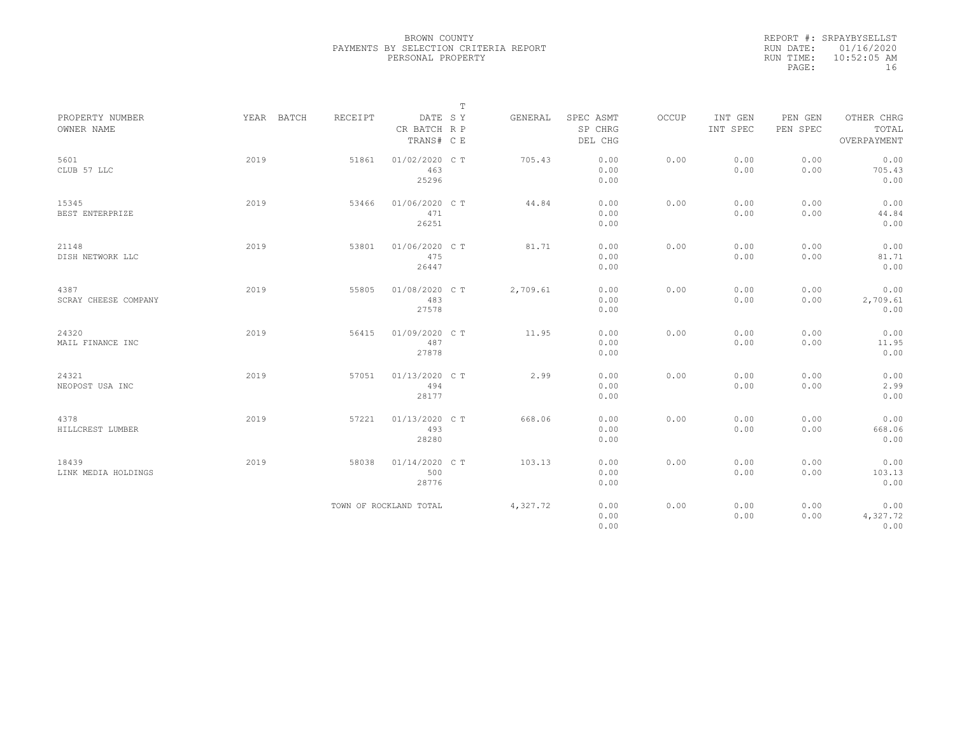|           | REPORT #: SRPAYBYSELLST |
|-----------|-------------------------|
|           | RUN DATE: 01/16/2020    |
| RUN TIME: | $10:52:05$ AM           |
| PAGE:     | 16                      |

|                               |            |         |                                       | $\mathbb T$ |                                 |       |                     |                     |                                    |
|-------------------------------|------------|---------|---------------------------------------|-------------|---------------------------------|-------|---------------------|---------------------|------------------------------------|
| PROPERTY NUMBER<br>OWNER NAME | YEAR BATCH | RECEIPT | DATE SY<br>CR BATCH R P<br>TRANS# C E | GENERAL     | SPEC ASMT<br>SP CHRG<br>DEL CHG | OCCUP | INT GEN<br>INT SPEC | PEN GEN<br>PEN SPEC | OTHER CHRG<br>TOTAL<br>OVERPAYMENT |
| 5601<br>CLUB 57 LLC           | 2019       | 51861   | 01/02/2020 C T<br>463<br>25296        | 705.43      | 0.00<br>0.00<br>0.00            | 0.00  | 0.00<br>0.00        | 0.00<br>0.00        | 0.00<br>705.43<br>0.00             |
| 15345<br>BEST ENTERPRIZE      | 2019       | 53466   | 01/06/2020 C T<br>471<br>26251        | 44.84       | 0.00<br>0.00<br>0.00            | 0.00  | 0.00<br>0.00        | 0.00<br>0.00        | 0.00<br>44.84<br>0.00              |
| 21148<br>DISH NETWORK LLC     | 2019       | 53801   | 01/06/2020 C T<br>475<br>26447        | 81.71       | 0.00<br>0.00<br>0.00            | 0.00  | 0.00<br>0.00        | 0.00<br>0.00        | 0.00<br>81.71<br>0.00              |
| 4387<br>SCRAY CHEESE COMPANY  | 2019       | 55805   | 01/08/2020 C T<br>483<br>27578        | 2,709.61    | 0.00<br>0.00<br>0.00            | 0.00  | 0.00<br>0.00        | 0.00<br>0.00        | 0.00<br>2,709.61<br>0.00           |
| 24320<br>MAIL FINANCE INC     | 2019       | 56415   | 01/09/2020 C T<br>487<br>27878        | 11.95       | 0.00<br>0.00<br>0.00            | 0.00  | 0.00<br>0.00        | 0.00<br>0.00        | 0.00<br>11.95<br>0.00              |
| 24321<br>NEOPOST USA INC      | 2019       | 57051   | 01/13/2020 C T<br>494<br>28177        | 2.99        | 0.00<br>0.00<br>0.00            | 0.00  | 0.00<br>0.00        | 0.00<br>0.00        | 0.00<br>2.99<br>0.00               |
| 4378<br>HILLCREST LUMBER      | 2019       | 57221   | 01/13/2020 C T<br>493<br>28280        | 668.06      | 0.00<br>0.00<br>0.00            | 0.00  | 0.00<br>0.00        | 0.00<br>0.00        | 0.00<br>668.06<br>0.00             |
| 18439<br>LINK MEDIA HOLDINGS  | 2019       | 58038   | 01/14/2020 C T<br>500<br>28776        | 103.13      | 0.00<br>0.00<br>0.00            | 0.00  | 0.00<br>0.00        | 0.00<br>0.00        | 0.00<br>103.13<br>0.00             |
|                               |            |         | TOWN OF ROCKLAND TOTAL                | 4,327.72    | 0.00<br>0.00<br>0.00            | 0.00  | 0.00<br>0.00        | 0.00<br>0.00        | 0.00<br>4,327.72<br>0.00           |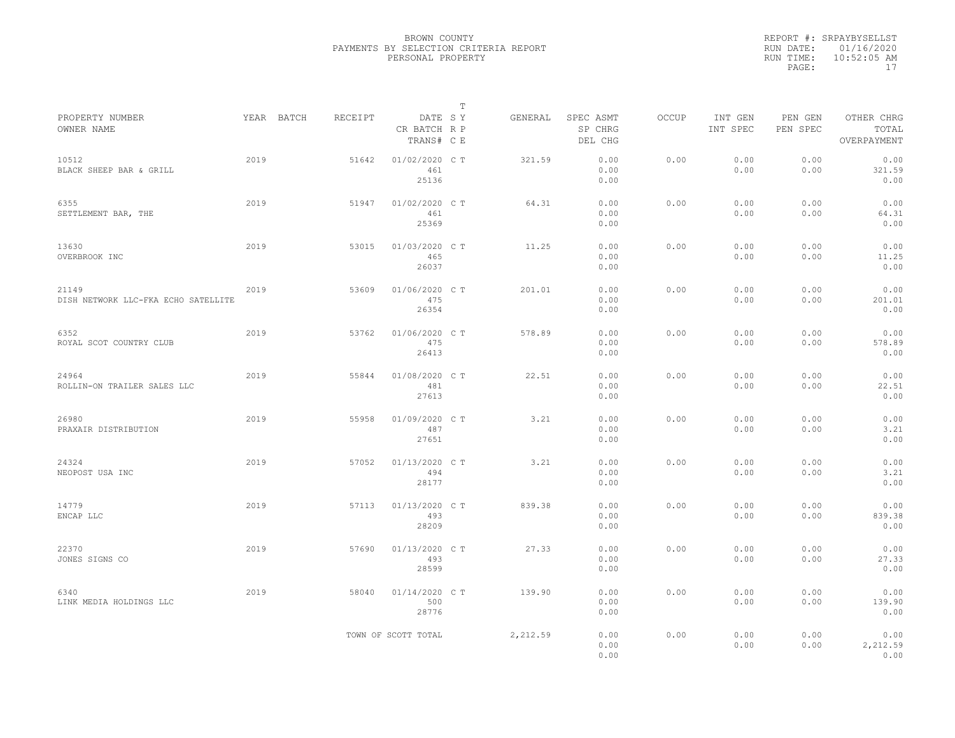|           | REPORT #: SRPAYBYSELLST |
|-----------|-------------------------|
|           | RUN DATE: 01/16/2020    |
| RUN TIME: | $10:52:05$ AM           |
| PAGE:     | 17                      |

|                                              |      |            |         |                                       | T |          |                                 |       |                     |                     |                                    |
|----------------------------------------------|------|------------|---------|---------------------------------------|---|----------|---------------------------------|-------|---------------------|---------------------|------------------------------------|
| PROPERTY NUMBER<br>OWNER NAME                |      | YEAR BATCH | RECEIPT | DATE SY<br>CR BATCH R P<br>TRANS# C E |   | GENERAL  | SPEC ASMT<br>SP CHRG<br>DEL CHG | OCCUP | INT GEN<br>INT SPEC | PEN GEN<br>PEN SPEC | OTHER CHRG<br>TOTAL<br>OVERPAYMENT |
| 10512<br>BLACK SHEEP BAR & GRILL             | 2019 |            | 51642   | 01/02/2020 C T<br>461<br>25136        |   | 321.59   | 0.00<br>0.00<br>0.00            | 0.00  | 0.00<br>0.00        | 0.00<br>0.00        | 0.00<br>321.59<br>0.00             |
| 6355<br>SETTLEMENT BAR, THE                  | 2019 |            | 51947   | 01/02/2020 C T<br>461<br>25369        |   | 64.31    | 0.00<br>0.00<br>0.00            | 0.00  | 0.00<br>0.00        | 0.00<br>0.00        | 0.00<br>64.31<br>0.00              |
| 13630<br>OVERBROOK INC                       | 2019 |            | 53015   | 01/03/2020 C T<br>465<br>26037        |   | 11.25    | 0.00<br>0.00<br>0.00            | 0.00  | 0.00<br>0.00        | 0.00<br>0.00        | 0.00<br>11.25<br>0.00              |
| 21149<br>DISH NETWORK LLC-FKA ECHO SATELLITE | 2019 |            | 53609   | 01/06/2020 C T<br>475<br>26354        |   | 201.01   | 0.00<br>0.00<br>0.00            | 0.00  | 0.00<br>0.00        | 0.00<br>0.00        | 0.00<br>201.01<br>0.00             |
| 6352<br>ROYAL SCOT COUNTRY CLUB              | 2019 |            | 53762   | 01/06/2020 C T<br>475<br>26413        |   | 578.89   | 0.00<br>0.00<br>0.00            | 0.00  | 0.00<br>0.00        | 0.00<br>0.00        | 0.00<br>578.89<br>0.00             |
| 24964<br>ROLLIN-ON TRAILER SALES LLC         | 2019 |            | 55844   | 01/08/2020 C T<br>481<br>27613        |   | 22.51    | 0.00<br>0.00<br>0.00            | 0.00  | 0.00<br>0.00        | 0.00<br>0.00        | 0.00<br>22.51<br>0.00              |
| 26980<br>PRAXAIR DISTRIBUTION                | 2019 |            | 55958   | 01/09/2020 C T<br>487<br>27651        |   | 3.21     | 0.00<br>0.00<br>0.00            | 0.00  | 0.00<br>0.00        | 0.00<br>0.00        | 0.00<br>3.21<br>0.00               |
| 24324<br>NEOPOST USA INC                     | 2019 |            | 57052   | 01/13/2020 C T<br>494<br>28177        |   | 3.21     | 0.00<br>0.00<br>0.00            | 0.00  | 0.00<br>0.00        | 0.00<br>0.00        | 0.00<br>3.21<br>0.00               |
| 14779<br>ENCAP LLC                           | 2019 |            | 57113   | 01/13/2020 C T<br>493<br>28209        |   | 839.38   | 0.00<br>0.00<br>0.00            | 0.00  | 0.00<br>0.00        | 0.00<br>0.00        | 0.00<br>839.38<br>0.00             |
| 22370<br>JONES SIGNS CO                      | 2019 |            | 57690   | 01/13/2020 C T<br>493<br>28599        |   | 27.33    | 0.00<br>0.00<br>0.00            | 0.00  | 0.00<br>0.00        | 0.00<br>0.00        | 0.00<br>27.33<br>0.00              |
| 6340<br>LINK MEDIA HOLDINGS LLC              | 2019 |            | 58040   | 01/14/2020 C T<br>500<br>28776        |   | 139.90   | 0.00<br>0.00<br>0.00            | 0.00  | 0.00<br>0.00        | 0.00<br>0.00        | 0.00<br>139.90<br>0.00             |
|                                              |      |            |         | TOWN OF SCOTT TOTAL                   |   | 2,212.59 | 0.00<br>0.00<br>0.00            | 0.00  | 0.00<br>0.00        | 0.00<br>0.00        | 0.00<br>2,212.59<br>0.00           |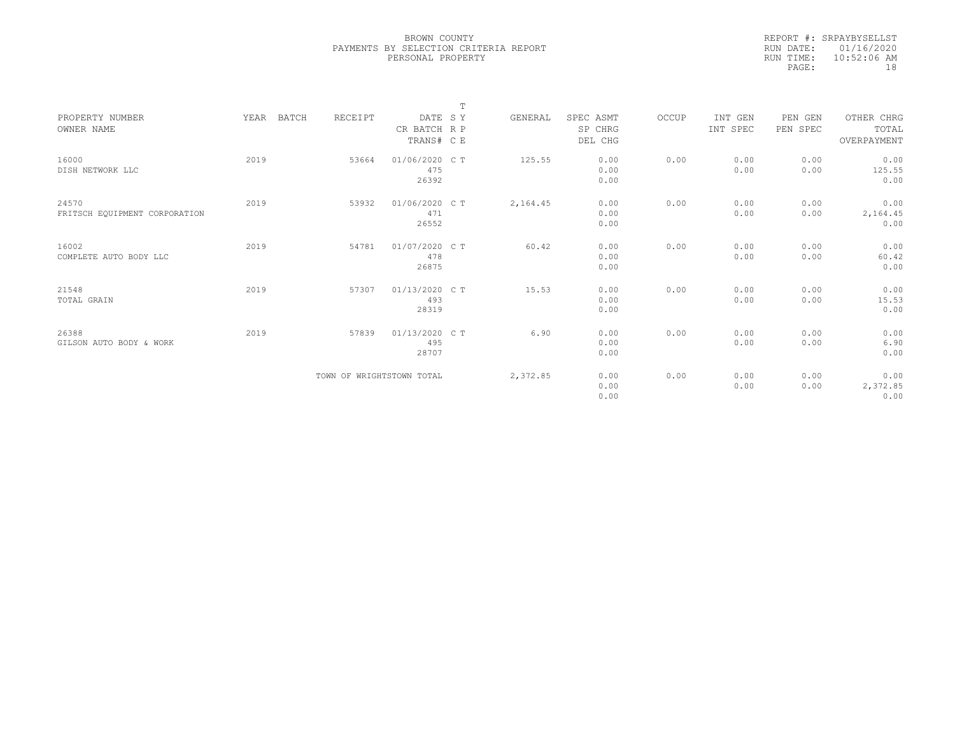|           | REPORT #: SRPAYBYSELLST |
|-----------|-------------------------|
|           | RUN DATE: 01/16/2020    |
| RUN TIME: | $10:52:06$ AM           |
| PAGE:     | 18                      |

|                               |               |                           |                         | $\mathbb{T}$ |          |                      |       |                     |                     |                     |
|-------------------------------|---------------|---------------------------|-------------------------|--------------|----------|----------------------|-------|---------------------|---------------------|---------------------|
| PROPERTY NUMBER<br>OWNER NAME | YEAR<br>BATCH | RECEIPT                   | DATE SY<br>CR BATCH R P |              | GENERAL  | SPEC ASMT<br>SP CHRG | OCCUP | INT GEN<br>INT SPEC | PEN GEN<br>PEN SPEC | OTHER CHRG<br>TOTAL |
|                               |               |                           | TRANS# C E              |              |          | DEL CHG              |       |                     |                     | OVERPAYMENT         |
| 16000                         | 2019          | 53664                     | 01/06/2020 C T          |              | 125.55   | 0.00                 | 0.00  | 0.00                | 0.00                | 0.00                |
| DISH NETWORK LLC              |               |                           | 475                     |              |          | 0.00                 |       | 0.00                | 0.00                | 125.55              |
|                               |               |                           | 26392                   |              |          | 0.00                 |       |                     |                     | 0.00                |
| 24570                         | 2019          | 53932                     | 01/06/2020 C T          |              | 2,164.45 | 0.00                 | 0.00  | 0.00                | 0.00                | 0.00                |
| FRITSCH EQUIPMENT CORPORATION |               |                           | 471                     |              |          | 0.00                 |       | 0.00                | 0.00                | 2,164.45            |
|                               |               |                           | 26552                   |              |          | 0.00                 |       |                     |                     | 0.00                |
| 16002                         | 2019          | 54781                     | 01/07/2020 C T          |              | 60.42    | 0.00                 | 0.00  | 0.00                | 0.00                | 0.00                |
| COMPLETE AUTO BODY LLC        |               |                           | 478                     |              |          | 0.00                 |       | 0.00                | 0.00                | 60.42               |
|                               |               |                           | 26875                   |              |          | 0.00                 |       |                     |                     | 0.00                |
| 21548                         | 2019          | 57307                     | 01/13/2020 C T          |              | 15.53    | 0.00                 | 0.00  | 0.00                | 0.00                | 0.00                |
| TOTAL GRAIN                   |               |                           | 493                     |              |          | 0.00                 |       | 0.00                | 0.00                | 15.53               |
|                               |               |                           | 28319                   |              |          | 0.00                 |       |                     |                     | 0.00                |
| 26388                         | 2019          | 57839                     | 01/13/2020 C T          |              | 6.90     | 0.00                 | 0.00  | 0.00                | 0.00                | 0.00                |
| GILSON AUTO BODY & WORK       |               |                           | 495                     |              |          | 0.00                 |       | 0.00                | 0.00                | 6.90                |
|                               |               |                           | 28707                   |              |          | 0.00                 |       |                     |                     | 0.00                |
|                               |               | TOWN OF WRIGHTSTOWN TOTAL |                         |              | 2,372.85 | 0.00                 | 0.00  | 0.00                | 0.00                | 0.00                |
|                               |               |                           |                         |              |          | 0.00                 |       | 0.00                | 0.00                | 2,372.85            |
|                               |               |                           |                         |              |          | 0.00                 |       |                     |                     | 0.00                |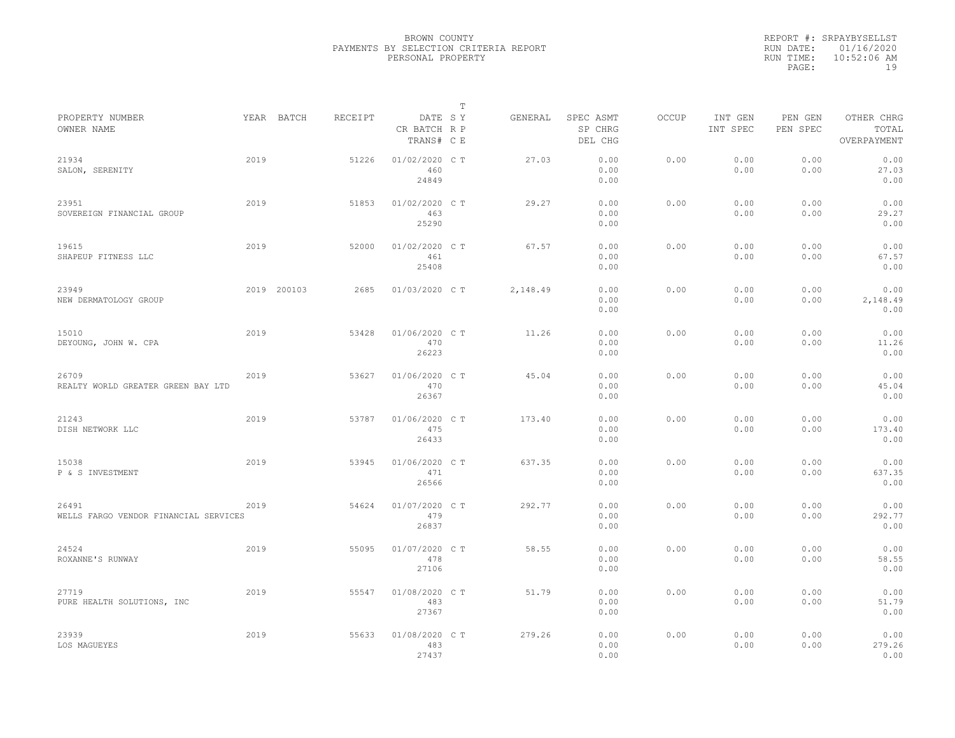|                                                |      |             |         |                                       | T |          |                                 |              |                     |                     |                                    |  |
|------------------------------------------------|------|-------------|---------|---------------------------------------|---|----------|---------------------------------|--------------|---------------------|---------------------|------------------------------------|--|
| PROPERTY NUMBER<br>OWNER NAME                  |      | YEAR BATCH  | RECEIPT | DATE SY<br>CR BATCH R P<br>TRANS# C E |   | GENERAL  | SPEC ASMT<br>SP CHRG<br>DEL CHG | <b>OCCUP</b> | INT GEN<br>INT SPEC | PEN GEN<br>PEN SPEC | OTHER CHRG<br>TOTAL<br>OVERPAYMENT |  |
| 21934<br>SALON, SERENITY                       | 2019 |             | 51226   | 01/02/2020 CT<br>460<br>24849         |   | 27.03    | 0.00<br>0.00<br>0.00            | 0.00         | 0.00<br>0.00        | 0.00<br>0.00        | 0.00<br>27.03<br>0.00              |  |
| 23951<br>SOVEREIGN FINANCIAL GROUP             | 2019 |             | 51853   | 01/02/2020 C T<br>463<br>25290        |   | 29.27    | 0.00<br>0.00<br>0.00            | 0.00         | 0.00<br>0.00        | 0.00<br>0.00        | 0.00<br>29.27<br>0.00              |  |
| 19615<br>SHAPEUP FITNESS LLC                   | 2019 |             | 52000   | 01/02/2020 C T<br>461<br>25408        |   | 67.57    | 0.00<br>0.00<br>0.00            | 0.00         | 0.00<br>0.00        | 0.00<br>0.00        | 0.00<br>67.57<br>0.00              |  |
| 23949<br>NEW DERMATOLOGY GROUP                 |      | 2019 200103 | 2685    | 01/03/2020 C T                        |   | 2,148.49 | 0.00<br>0.00<br>0.00            | 0.00         | 0.00<br>0.00        | 0.00<br>0.00        | 0.00<br>2,148.49<br>0.00           |  |
| 15010<br>DEYOUNG, JOHN W. CPA                  | 2019 |             | 53428   | 01/06/2020 C T<br>470<br>26223        |   | 11.26    | 0.00<br>0.00<br>0.00            | 0.00         | 0.00<br>0.00        | 0.00<br>0.00        | 0.00<br>11.26<br>0.00              |  |
| 26709<br>REALTY WORLD GREATER GREEN BAY LTD    | 2019 |             | 53627   | 01/06/2020 C T<br>470<br>26367        |   | 45.04    | 0.00<br>0.00<br>0.00            | 0.00         | 0.00<br>0.00        | 0.00<br>0.00        | 0.00<br>45.04<br>0.00              |  |
| 21243<br>DISH NETWORK LLC                      | 2019 |             | 53787   | 01/06/2020 C T<br>475<br>26433        |   | 173.40   | 0.00<br>0.00<br>0.00            | 0.00         | 0.00<br>0.00        | 0.00<br>0.00        | 0.00<br>173.40<br>0.00             |  |
| 15038<br>P & S INVESTMENT                      | 2019 |             | 53945   | 01/06/2020 C T<br>471<br>26566        |   | 637.35   | 0.00<br>0.00<br>0.00            | 0.00         | 0.00<br>0.00        | 0.00<br>0.00        | 0.00<br>637.35<br>0.00             |  |
| 26491<br>WELLS FARGO VENDOR FINANCIAL SERVICES | 2019 |             | 54624   | 01/07/2020 C T<br>479<br>26837        |   | 292.77   | 0.00<br>0.00<br>0.00            | 0.00         | 0.00<br>0.00        | 0.00<br>0.00        | 0.00<br>292.77<br>0.00             |  |
| 24524<br>ROXANNE'S RUNWAY                      | 2019 |             | 55095   | 01/07/2020 C T<br>478<br>27106        |   | 58.55    | 0.00<br>0.00<br>0.00            | 0.00         | 0.00<br>0.00        | 0.00<br>0.00        | 0.00<br>58.55<br>0.00              |  |
| 27719<br>PURE HEALTH SOLUTIONS, INC            | 2019 |             | 55547   | 01/08/2020 C T<br>483<br>27367        |   | 51.79    | 0.00<br>0.00<br>0.00            | 0.00         | 0.00<br>0.00        | 0.00<br>0.00        | 0.00<br>51.79<br>0.00              |  |
| 23939<br>LOS MAGUEYES                          | 2019 |             | 55633   | 01/08/2020 C T<br>483<br>27437        |   | 279.26   | 0.00<br>0.00<br>0.00            | 0.00         | 0.00<br>0.00        | 0.00<br>0.00        | 0.00<br>279.26<br>0.00             |  |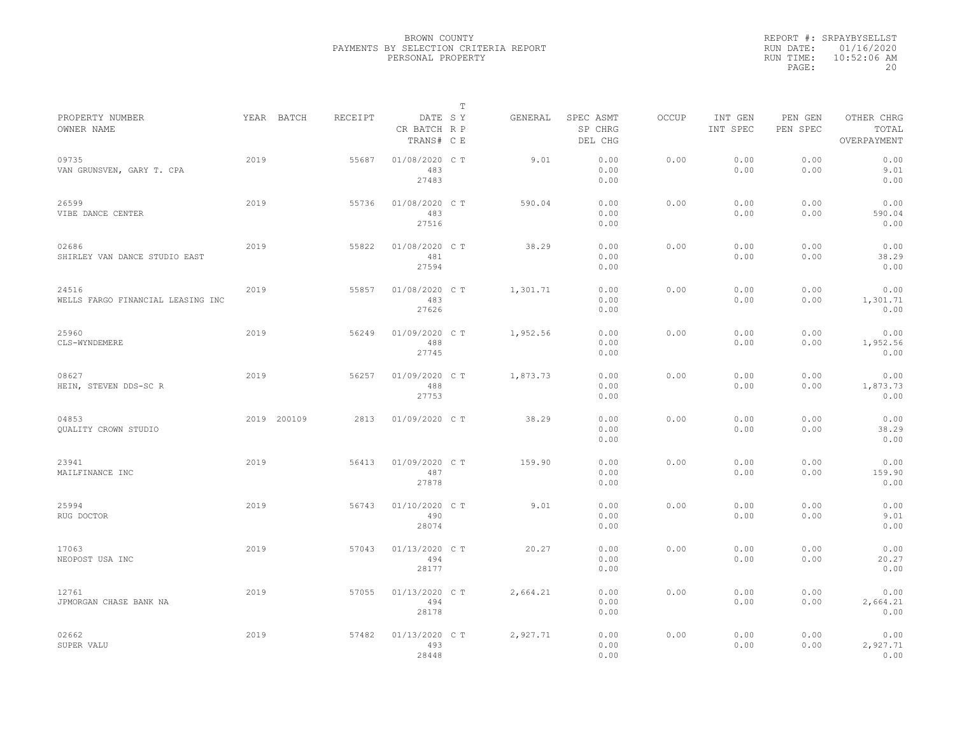|                                            |      |             |         |                                       | T |          |                                 |              |                     |                     |                                    |  |
|--------------------------------------------|------|-------------|---------|---------------------------------------|---|----------|---------------------------------|--------------|---------------------|---------------------|------------------------------------|--|
| PROPERTY NUMBER<br>OWNER NAME              |      | YEAR BATCH  | RECEIPT | DATE SY<br>CR BATCH R P<br>TRANS# C E |   | GENERAL  | SPEC ASMT<br>SP CHRG<br>DEL CHG | <b>OCCUP</b> | INT GEN<br>INT SPEC | PEN GEN<br>PEN SPEC | OTHER CHRG<br>TOTAL<br>OVERPAYMENT |  |
| 09735<br>VAN GRUNSVEN, GARY T. CPA         | 2019 |             | 55687   | 01/08/2020 CT<br>483<br>27483         |   | 9.01     | 0.00<br>0.00<br>0.00            | 0.00         | 0.00<br>0.00        | 0.00<br>0.00        | 0.00<br>9.01<br>0.00               |  |
| 26599<br>VIBE DANCE CENTER                 | 2019 |             | 55736   | 01/08/2020 C T<br>483<br>27516        |   | 590.04   | 0.00<br>0.00<br>0.00            | 0.00         | 0.00<br>0.00        | 0.00<br>0.00        | 0.00<br>590.04<br>0.00             |  |
| 02686<br>SHIRLEY VAN DANCE STUDIO EAST     | 2019 |             | 55822   | 01/08/2020 C T<br>481<br>27594        |   | 38.29    | 0.00<br>0.00<br>0.00            | 0.00         | 0.00<br>0.00        | 0.00<br>0.00        | 0.00<br>38.29<br>0.00              |  |
| 24516<br>WELLS FARGO FINANCIAL LEASING INC | 2019 |             | 55857   | 01/08/2020 C T<br>483<br>27626        |   | 1,301.71 | 0.00<br>0.00<br>0.00            | 0.00         | 0.00<br>0.00        | 0.00<br>0.00        | 0.00<br>1,301.71<br>0.00           |  |
| 25960<br>CLS-WYNDEMERE                     | 2019 |             | 56249   | 01/09/2020 C T<br>488<br>27745        |   | 1,952.56 | 0.00<br>0.00<br>0.00            | 0.00         | 0.00<br>0.00        | 0.00<br>0.00        | 0.00<br>1,952.56<br>0.00           |  |
| 08627<br>HEIN, STEVEN DDS-SC R             | 2019 |             | 56257   | 01/09/2020 C T<br>488<br>27753        |   | 1,873.73 | 0.00<br>0.00<br>0.00            | 0.00         | 0.00<br>0.00        | 0.00<br>0.00        | 0.00<br>1,873.73<br>0.00           |  |
| 04853<br><b>OUALITY CROWN STUDIO</b>       |      | 2019 200109 | 2813    | 01/09/2020 C T                        |   | 38.29    | 0.00<br>0.00<br>0.00            | 0.00         | 0.00<br>0.00        | 0.00<br>0.00        | 0.00<br>38.29<br>0.00              |  |
| 23941<br>MAILFINANCE INC                   | 2019 |             | 56413   | 01/09/2020 C T<br>487<br>27878        |   | 159.90   | 0.00<br>0.00<br>0.00            | 0.00         | 0.00<br>0.00        | 0.00<br>0.00        | 0.00<br>159.90<br>0.00             |  |
| 25994<br>RUG DOCTOR                        | 2019 |             | 56743   | 01/10/2020 C T<br>490<br>28074        |   | 9.01     | 0.00<br>0.00<br>0.00            | 0.00         | 0.00<br>0.00        | 0.00<br>0.00        | 0.00<br>9.01<br>0.00               |  |
| 17063<br>NEOPOST USA INC                   | 2019 |             | 57043   | 01/13/2020 C T<br>494<br>28177        |   | 20.27    | 0.00<br>0.00<br>0.00            | 0.00         | 0.00<br>0.00        | 0.00<br>0.00        | 0.00<br>20.27<br>0.00              |  |
| 12761<br>JPMORGAN CHASE BANK NA            | 2019 |             | 57055   | 01/13/2020 C T<br>494<br>28178        |   | 2,664.21 | 0.00<br>0.00<br>0.00            | 0.00         | 0.00<br>0.00        | 0.00<br>0.00        | 0.00<br>2,664.21<br>0.00           |  |
| 02662<br>SUPER VALU                        | 2019 |             | 57482   | 01/13/2020 C T<br>493<br>28448        |   | 2,927.71 | 0.00<br>0.00<br>0.00            | 0.00         | 0.00<br>0.00        | 0.00<br>0.00        | 0.00<br>2,927.71<br>0.00           |  |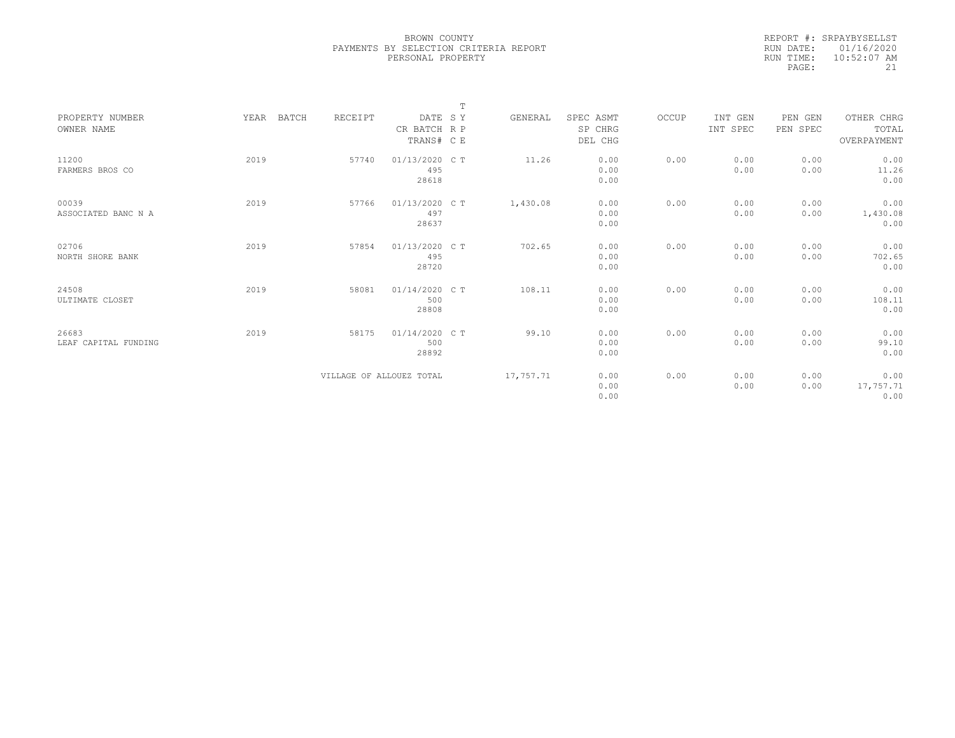| REPORT #: SRPAYBYSELLST |
|-------------------------|
| RUN DATE: 01/16/2020    |
| $10:52:07$ AM           |
| 21                      |
|                         |

|                      |               |                          |                | $\mathbb{T}$ |           |           |       |          |          |             |
|----------------------|---------------|--------------------------|----------------|--------------|-----------|-----------|-------|----------|----------|-------------|
| PROPERTY NUMBER      | YEAR<br>BATCH | RECEIPT                  | DATE SY        |              | GENERAL   | SPEC ASMT | OCCUP | INT GEN  | PEN GEN  | OTHER CHRG  |
| OWNER NAME           |               |                          | CR BATCH R P   |              |           | SP CHRG   |       | INT SPEC | PEN SPEC | TOTAL       |
|                      |               |                          | TRANS# C E     |              |           | DEL CHG   |       |          |          | OVERPAYMENT |
|                      |               |                          |                |              |           |           |       |          |          |             |
| 11200                | 2019          | 57740                    | 01/13/2020 C T |              | 11.26     | 0.00      | 0.00  | 0.00     | 0.00     | 0.00        |
| FARMERS BROS CO      |               |                          | 495            |              |           | 0.00      |       | 0.00     | 0.00     | 11.26       |
|                      |               |                          | 28618          |              |           | 0.00      |       |          |          | 0.00        |
|                      |               |                          |                |              |           |           |       |          |          |             |
| 00039                | 2019          | 57766                    | 01/13/2020 C T |              | 1,430.08  | 0.00      | 0.00  | 0.00     | 0.00     | 0.00        |
| ASSOCIATED BANC N A  |               |                          | 497            |              |           | 0.00      |       | 0.00     | 0.00     | 1,430.08    |
|                      |               |                          | 28637          |              |           | 0.00      |       |          |          | 0.00        |
|                      |               |                          |                |              |           |           |       |          |          |             |
| 02706                | 2019          | 57854                    | 01/13/2020 C T |              | 702.65    | 0.00      | 0.00  | 0.00     | 0.00     | 0.00        |
| NORTH SHORE BANK     |               |                          | 495            |              |           | 0.00      |       | 0.00     | 0.00     | 702.65      |
|                      |               |                          | 28720          |              |           | 0.00      |       |          |          | 0.00        |
|                      |               |                          |                |              |           |           |       |          |          |             |
| 24508                | 2019          | 58081                    | 01/14/2020 C T |              | 108.11    | 0.00      | 0.00  | 0.00     | 0.00     | 0.00        |
| ULTIMATE CLOSET      |               |                          | 500            |              |           | 0.00      |       | 0.00     | 0.00     | 108.11      |
|                      |               |                          | 28808          |              |           | 0.00      |       |          |          | 0.00        |
|                      |               |                          |                |              |           |           |       |          |          |             |
| 26683                | 2019          | 58175                    | 01/14/2020 C T |              | 99.10     | 0.00      | 0.00  | 0.00     | 0.00     | 0.00        |
| LEAF CAPITAL FUNDING |               |                          | 500            |              |           | 0.00      |       | 0.00     | 0.00     | 99.10       |
|                      |               |                          | 28892          |              |           | 0.00      |       |          |          | 0.00        |
|                      |               |                          |                |              |           |           |       |          |          |             |
|                      |               | VILLAGE OF ALLOUEZ TOTAL |                |              | 17,757.71 | 0.00      | 0.00  | 0.00     | 0.00     | 0.00        |
|                      |               |                          |                |              |           | 0.00      |       | 0.00     | 0.00     | 17,757.71   |
|                      |               |                          |                |              |           | 0.00      |       |          |          | 0.00        |
|                      |               |                          |                |              |           |           |       |          |          |             |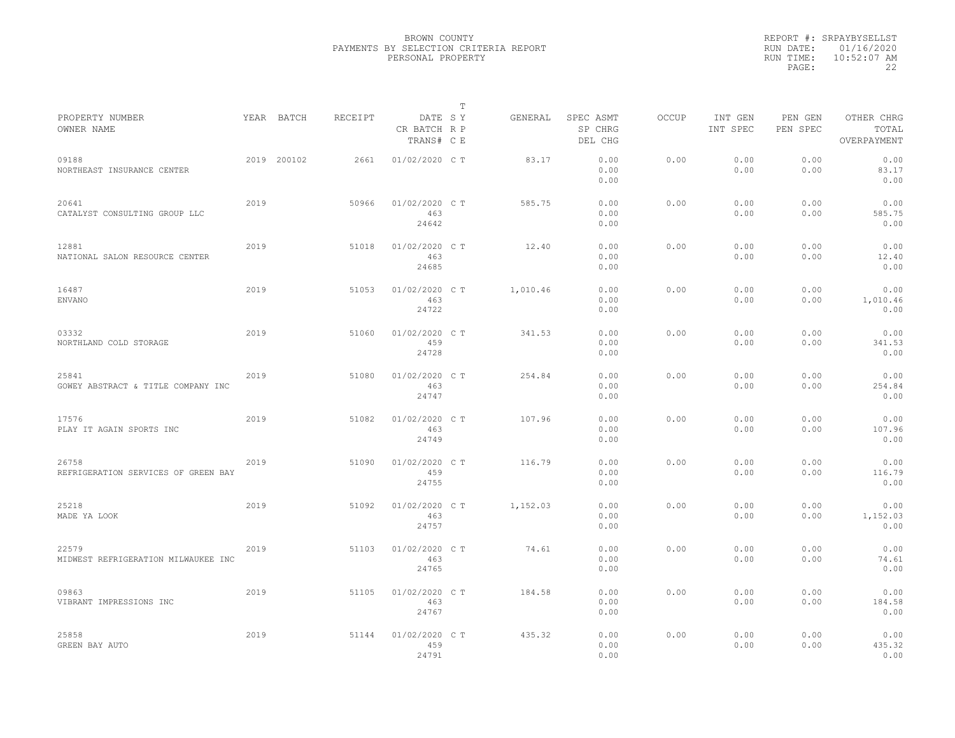|                                              |      |             |         |                                       | T |          |                                 |              |                     |                     |                                    |  |
|----------------------------------------------|------|-------------|---------|---------------------------------------|---|----------|---------------------------------|--------------|---------------------|---------------------|------------------------------------|--|
| PROPERTY NUMBER<br>OWNER NAME                |      | YEAR BATCH  | RECEIPT | DATE SY<br>CR BATCH R P<br>TRANS# C E |   | GENERAL  | SPEC ASMT<br>SP CHRG<br>DEL CHG | <b>OCCUP</b> | INT GEN<br>INT SPEC | PEN GEN<br>PEN SPEC | OTHER CHRG<br>TOTAL<br>OVERPAYMENT |  |
| 09188<br>NORTHEAST INSURANCE CENTER          |      | 2019 200102 | 2661    | 01/02/2020 C T                        |   | 83.17    | 0.00<br>0.00<br>0.00            | 0.00         | 0.00<br>0.00        | 0.00<br>0.00        | 0.00<br>83.17<br>0.00              |  |
| 20641<br>CATALYST CONSULTING GROUP LLC       | 2019 |             | 50966   | 01/02/2020 C T<br>463<br>24642        |   | 585.75   | 0.00<br>0.00<br>0.00            | 0.00         | 0.00<br>0.00        | 0.00<br>0.00        | 0.00<br>585.75<br>0.00             |  |
| 12881<br>NATIONAL SALON RESOURCE CENTER      | 2019 |             | 51018   | 01/02/2020 C T<br>463<br>24685        |   | 12.40    | 0.00<br>0.00<br>0.00            | 0.00         | 0.00<br>0.00        | 0.00<br>0.00        | 0.00<br>12.40<br>0.00              |  |
| 16487<br><b>ENVANO</b>                       | 2019 |             | 51053   | 01/02/2020 C T<br>463<br>24722        |   | 1,010.46 | 0.00<br>0.00<br>0.00            | 0.00         | 0.00<br>0.00        | 0.00<br>0.00        | 0.00<br>1,010.46<br>0.00           |  |
| 03332<br>NORTHLAND COLD STORAGE              | 2019 |             | 51060   | 01/02/2020 C T<br>459<br>24728        |   | 341.53   | 0.00<br>0.00<br>0.00            | 0.00         | 0.00<br>0.00        | 0.00<br>0.00        | 0.00<br>341.53<br>0.00             |  |
| 25841<br>GOWEY ABSTRACT & TITLE COMPANY INC  | 2019 |             | 51080   | 01/02/2020 C T<br>463<br>24747        |   | 254.84   | 0.00<br>0.00<br>0.00            | 0.00         | 0.00<br>0.00        | 0.00<br>0.00        | 0.00<br>254.84<br>0.00             |  |
| 17576<br>PLAY IT AGAIN SPORTS INC            | 2019 |             | 51082   | 01/02/2020 C T<br>463<br>24749        |   | 107.96   | 0.00<br>0.00<br>0.00            | 0.00         | 0.00<br>0.00        | 0.00<br>0.00        | 0.00<br>107.96<br>0.00             |  |
| 26758<br>REFRIGERATION SERVICES OF GREEN BAY | 2019 |             | 51090   | 01/02/2020 C T<br>459<br>24755        |   | 116.79   | 0.00<br>0.00<br>0.00            | 0.00         | 0.00<br>0.00        | 0.00<br>0.00        | 0.00<br>116.79<br>0.00             |  |
| 25218<br>MADE YA LOOK                        | 2019 |             | 51092   | 01/02/2020 CT<br>463<br>24757         |   | 1,152.03 | 0.00<br>0.00<br>0.00            | 0.00         | 0.00<br>0.00        | 0.00<br>0.00        | 0.00<br>1,152.03<br>0.00           |  |
| 22579<br>MIDWEST REFRIGERATION MILWAUKEE INC | 2019 |             | 51103   | 01/02/2020 C T<br>463<br>24765        |   | 74.61    | 0.00<br>0.00<br>0.00            | 0.00         | 0.00<br>0.00        | 0.00<br>0.00        | 0.00<br>74.61<br>0.00              |  |
| 09863<br>VIBRANT IMPRESSIONS INC             | 2019 |             | 51105   | 01/02/2020 C T<br>463<br>24767        |   | 184.58   | 0.00<br>0.00<br>0.00            | 0.00         | 0.00<br>0.00        | 0.00<br>0.00        | 0.00<br>184.58<br>0.00             |  |
| 25858<br>GREEN BAY AUTO                      | 2019 |             | 51144   | 01/02/2020 C T<br>459<br>24791        |   | 435.32   | 0.00<br>0.00<br>0.00            | 0.00         | 0.00<br>0.00        | 0.00<br>0.00        | 0.00<br>435.32<br>0.00             |  |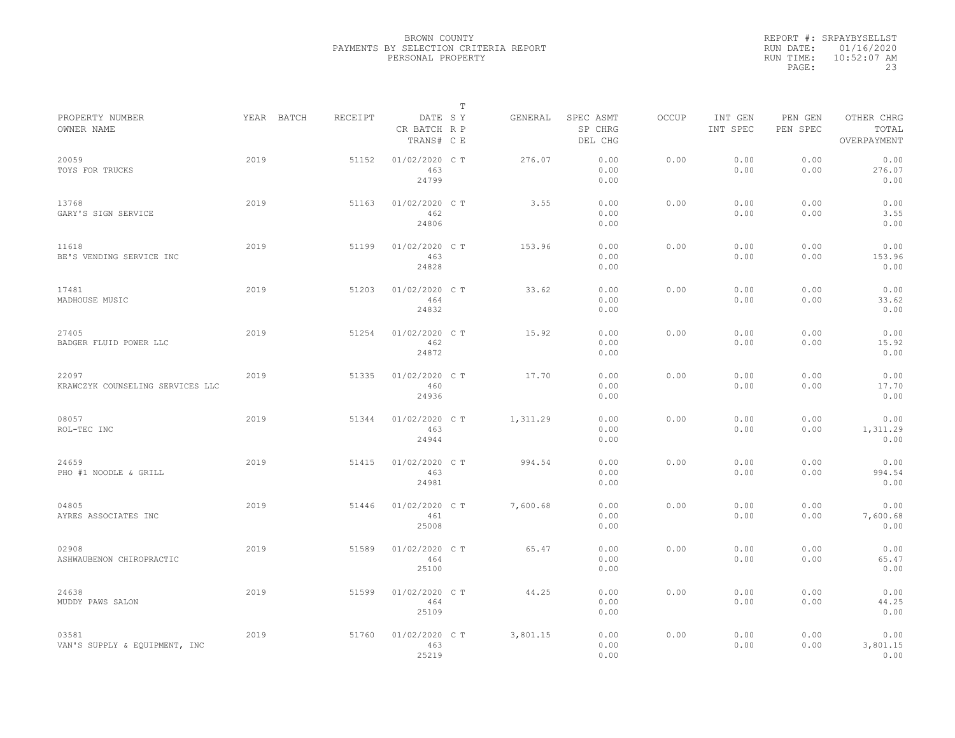|           | REPORT #: SRPAYBYSELLST |
|-----------|-------------------------|
|           | RUN DATE: 01/16/2020    |
| RUN TIME: | $10:52:07$ AM           |
| PAGE:     | 23                      |

|                                           |      |            |         |                                       | $\mathbb T$ |          |                                 |              |                     |                     |                                    |  |
|-------------------------------------------|------|------------|---------|---------------------------------------|-------------|----------|---------------------------------|--------------|---------------------|---------------------|------------------------------------|--|
| PROPERTY NUMBER<br>OWNER NAME             |      | YEAR BATCH | RECEIPT | DATE SY<br>CR BATCH R P<br>TRANS# C E |             | GENERAL  | SPEC ASMT<br>SP CHRG<br>DEL CHG | <b>OCCUP</b> | INT GEN<br>INT SPEC | PEN GEN<br>PEN SPEC | OTHER CHRG<br>TOTAL<br>OVERPAYMENT |  |
| 20059<br>TOYS FOR TRUCKS                  | 2019 |            | 51152   | 01/02/2020 C T<br>463<br>24799        |             | 276.07   | 0.00<br>0.00<br>0.00            | 0.00         | 0.00<br>0.00        | 0.00<br>0.00        | 0.00<br>276.07<br>0.00             |  |
| 13768<br>GARY'S SIGN SERVICE              | 2019 |            | 51163   | 01/02/2020 C T<br>462<br>24806        |             | 3.55     | 0.00<br>0.00<br>0.00            | 0.00         | 0.00<br>0.00        | 0.00<br>0.00        | 0.00<br>3.55<br>0.00               |  |
| 11618<br>BE'S VENDING SERVICE INC         | 2019 |            | 51199   | 01/02/2020 C T<br>463<br>24828        |             | 153.96   | 0.00<br>0.00<br>0.00            | 0.00         | 0.00<br>0.00        | 0.00<br>0.00        | 0.00<br>153.96<br>0.00             |  |
| 17481<br>MADHOUSE MUSIC                   | 2019 |            | 51203   | 01/02/2020 CT<br>464<br>24832         |             | 33.62    | 0.00<br>0.00<br>0.00            | 0.00         | 0.00<br>0.00        | 0.00<br>0.00        | 0.00<br>33.62<br>0.00              |  |
| 27405<br>BADGER FLUID POWER LLC           | 2019 |            | 51254   | 01/02/2020 CT<br>462<br>24872         |             | 15.92    | 0.00<br>0.00<br>0.00            | 0.00         | 0.00<br>0.00        | 0.00<br>0.00        | 0.00<br>15.92<br>0.00              |  |
| 22097<br>KRAWCZYK COUNSELING SERVICES LLC | 2019 |            | 51335   | 01/02/2020 C T<br>460<br>24936        |             | 17.70    | 0.00<br>0.00<br>0.00            | 0.00         | 0.00<br>0.00        | 0.00<br>0.00        | 0.00<br>17.70<br>0.00              |  |
| 08057<br>ROL-TEC INC                      | 2019 |            | 51344   | 01/02/2020 C T<br>463<br>24944        |             | 1,311.29 | 0.00<br>0.00<br>0.00            | 0.00         | 0.00<br>0.00        | 0.00<br>0.00        | 0.00<br>1,311.29<br>0.00           |  |
| 24659<br>PHO #1 NOODLE & GRILL            | 2019 |            | 51415   | 01/02/2020 C T<br>463<br>24981        |             | 994.54   | 0.00<br>0.00<br>0.00            | 0.00         | 0.00<br>0.00        | 0.00<br>0.00        | 0.00<br>994.54<br>0.00             |  |
| 04805<br>AYRES ASSOCIATES INC             | 2019 |            | 51446   | 01/02/2020 C T<br>461<br>25008        |             | 7,600.68 | 0.00<br>0.00<br>0.00            | 0.00         | 0.00<br>0.00        | 0.00<br>0.00        | 0.00<br>7,600.68<br>0.00           |  |
| 02908<br>ASHWAUBENON CHIROPRACTIC         | 2019 |            | 51589   | 01/02/2020 CT<br>464<br>25100         |             | 65.47    | 0.00<br>0.00<br>0.00            | 0.00         | 0.00<br>0.00        | 0.00<br>0.00        | 0.00<br>65.47<br>0.00              |  |
| 24638<br>MUDDY PAWS SALON                 | 2019 |            | 51599   | 01/02/2020 C T<br>464<br>25109        |             | 44.25    | 0.00<br>0.00<br>0.00            | 0.00         | 0.00<br>0.00        | 0.00<br>0.00        | 0.00<br>44.25<br>0.00              |  |
| 03581<br>VAN'S SUPPLY & EQUIPMENT, INC    | 2019 |            | 51760   | 01/02/2020 C T<br>463<br>25219        |             | 3,801.15 | 0.00<br>0.00<br>0.00            | 0.00         | 0.00<br>0.00        | 0.00<br>0.00        | 0.00<br>3,801.15<br>0.00           |  |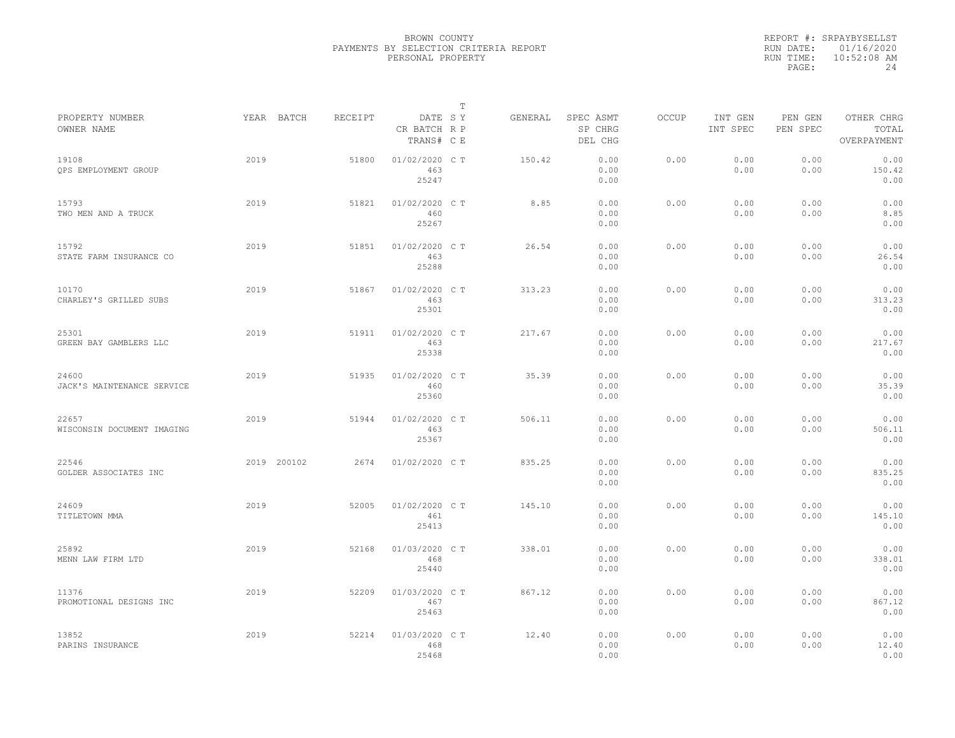|           | REPORT #: SRPAYBYSELLST |
|-----------|-------------------------|
|           | RUN DATE: 01/16/2020    |
| RUN TIME: | $10:52:08$ AM           |
| PAGE:     | 24                      |

|                                     |             |         |                                       | Т |         |                                 |              |                     |                     |                                    |
|-------------------------------------|-------------|---------|---------------------------------------|---|---------|---------------------------------|--------------|---------------------|---------------------|------------------------------------|
| PROPERTY NUMBER<br>OWNER NAME       | YEAR BATCH  | RECEIPT | DATE SY<br>CR BATCH R P<br>TRANS# C E |   | GENERAL | SPEC ASMT<br>SP CHRG<br>DEL CHG | <b>OCCUP</b> | INT GEN<br>INT SPEC | PEN GEN<br>PEN SPEC | OTHER CHRG<br>TOTAL<br>OVERPAYMENT |
| 19108<br>QPS EMPLOYMENT GROUP       | 2019        | 51800   | 01/02/2020 C T<br>463<br>25247        |   | 150.42  | 0.00<br>0.00<br>0.00            | 0.00         | 0.00<br>0.00        | 0.00<br>0.00        | 0.00<br>150.42<br>0.00             |
| 15793<br>TWO MEN AND A TRUCK        | 2019        | 51821   | 01/02/2020 C T<br>460<br>25267        |   | 8.85    | 0.00<br>0.00<br>0.00            | 0.00         | 0.00<br>0.00        | 0.00<br>0.00        | 0.00<br>8.85<br>0.00               |
| 15792<br>STATE FARM INSURANCE CO    | 2019        | 51851   | 01/02/2020 C T<br>463<br>25288        |   | 26.54   | 0.00<br>0.00<br>0.00            | 0.00         | 0.00<br>0.00        | 0.00<br>0.00        | 0.00<br>26.54<br>0.00              |
| 10170<br>CHARLEY'S GRILLED SUBS     | 2019        | 51867   | 01/02/2020 C T<br>463<br>25301        |   | 313.23  | 0.00<br>0.00<br>0.00            | 0.00         | 0.00<br>0.00        | 0.00<br>0.00        | 0.00<br>313.23<br>0.00             |
| 25301<br>GREEN BAY GAMBLERS LLC     | 2019        | 51911   | 01/02/2020 C T<br>463<br>25338        |   | 217.67  | 0.00<br>0.00<br>0.00            | 0.00         | 0.00<br>0.00        | 0.00<br>0.00        | 0.00<br>217.67<br>0.00             |
| 24600<br>JACK'S MAINTENANCE SERVICE | 2019        | 51935   | 01/02/2020 C T<br>460<br>25360        |   | 35.39   | 0.00<br>0.00<br>0.00            | 0.00         | 0.00<br>0.00        | 0.00<br>0.00        | 0.00<br>35.39<br>0.00              |
| 22657<br>WISCONSIN DOCUMENT IMAGING | 2019        | 51944   | 01/02/2020 C T<br>463<br>25367        |   | 506.11  | 0.00<br>0.00<br>0.00            | 0.00         | 0.00<br>0.00        | 0.00<br>0.00        | 0.00<br>506.11<br>0.00             |
| 22546<br>GOLDER ASSOCIATES INC      | 2019 200102 | 2674    | 01/02/2020 C T                        |   | 835.25  | 0.00<br>0.00<br>0.00            | 0.00         | 0.00<br>0.00        | 0.00<br>0.00        | 0.00<br>835.25<br>0.00             |
| 24609<br>TITLETOWN MMA              | 2019        | 52005   | 01/02/2020 C T<br>461<br>25413        |   | 145.10  | 0.00<br>0.00<br>0.00            | 0.00         | 0.00<br>0.00        | 0.00<br>0.00        | 0.00<br>145.10<br>0.00             |
| 25892<br>MENN LAW FIRM LTD          | 2019        | 52168   | 01/03/2020 C T<br>468<br>25440        |   | 338.01  | 0.00<br>0.00<br>0.00            | 0.00         | 0.00<br>0.00        | 0.00<br>0.00        | 0.00<br>338.01<br>0.00             |
| 11376<br>PROMOTIONAL DESIGNS INC    | 2019        | 52209   | 01/03/2020 C T<br>467<br>25463        |   | 867.12  | 0.00<br>0.00<br>0.00            | 0.00         | 0.00<br>0.00        | 0.00<br>0.00        | 0.00<br>867.12<br>0.00             |
| 13852<br>PARINS INSURANCE           | 2019        | 52214   | 01/03/2020 CT<br>468<br>25468         |   | 12.40   | 0.00<br>0.00<br>0.00            | 0.00         | 0.00<br>0.00        | 0.00<br>0.00        | 0.00<br>12.40<br>0.00              |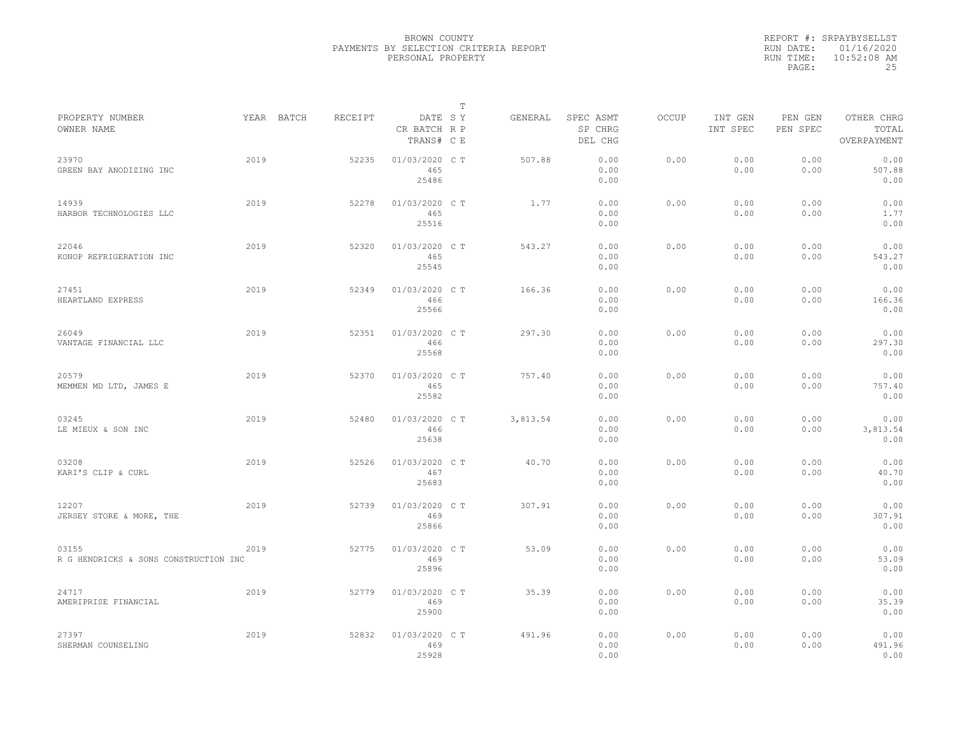|           | REPORT #: SRPAYBYSELLST |
|-----------|-------------------------|
|           | RUN DATE: 01/16/2020    |
| RUN TIME: | $10:52:08$ AM           |
| PAGE:     | 25                      |

|                                                |            |         |                                       | $\mathbb T$ |          |                                 |              |                     |                     |                                    |
|------------------------------------------------|------------|---------|---------------------------------------|-------------|----------|---------------------------------|--------------|---------------------|---------------------|------------------------------------|
| PROPERTY NUMBER<br>OWNER NAME                  | YEAR BATCH | RECEIPT | DATE SY<br>CR BATCH R P<br>TRANS# C E |             | GENERAL  | SPEC ASMT<br>SP CHRG<br>DEL CHG | <b>OCCUP</b> | INT GEN<br>INT SPEC | PEN GEN<br>PEN SPEC | OTHER CHRG<br>TOTAL<br>OVERPAYMENT |
| 23970<br>GREEN BAY ANODIZING INC               | 2019       | 52235   | 01/03/2020 C T<br>465<br>25486        |             | 507.88   | 0.00<br>0.00<br>0.00            | 0.00         | 0.00<br>0.00        | 0.00<br>0.00        | 0.00<br>507.88<br>0.00             |
| 14939<br>HARBOR TECHNOLOGIES LLC               | 2019       | 52278   | 01/03/2020 C T<br>465<br>25516        |             | 1.77     | 0.00<br>0.00<br>0.00            | 0.00         | 0.00<br>0.00        | 0.00<br>0.00        | 0.00<br>1.77<br>0.00               |
| 22046<br>KONOP REFRIGERATION INC               | 2019       | 52320   | 01/03/2020 C T<br>465<br>25545        |             | 543.27   | 0.00<br>0.00<br>0.00            | 0.00         | 0.00<br>0.00        | 0.00<br>0.00        | 0.00<br>543.27<br>0.00             |
| 27451<br>HEARTLAND EXPRESS                     | 2019       | 52349   | 01/03/2020 C T<br>466<br>25566        |             | 166.36   | 0.00<br>0.00<br>0.00            | 0.00         | 0.00<br>0.00        | 0.00<br>0.00        | 0.00<br>166.36<br>0.00             |
| 26049<br>VANTAGE FINANCIAL LLC                 | 2019       | 52351   | 01/03/2020 C T<br>466<br>25568        |             | 297.30   | 0.00<br>0.00<br>0.00            | 0.00         | 0.00<br>0.00        | 0.00<br>0.00        | 0.00<br>297.30<br>0.00             |
| 20579<br>MEMMEN MD LTD, JAMES E                | 2019       | 52370   | 01/03/2020 CT<br>465<br>25582         |             | 757.40   | 0.00<br>0.00<br>0.00            | 0.00         | 0.00<br>0.00        | 0.00<br>0.00        | 0.00<br>757.40<br>0.00             |
| 03245<br>LE MIEUX & SON INC                    | 2019       | 52480   | 01/03/2020 C T<br>466<br>25638        |             | 3,813.54 | 0.00<br>0.00<br>0.00            | 0.00         | 0.00<br>0.00        | 0.00<br>0.00        | 0.00<br>3,813.54<br>0.00           |
| 03208<br>KARI'S CLIP & CURL                    | 2019       | 52526   | 01/03/2020 C T<br>467<br>25683        |             | 40.70    | 0.00<br>0.00<br>0.00            | 0.00         | 0.00<br>0.00        | 0.00<br>0.00        | 0.00<br>40.70<br>0.00              |
| 12207<br>JERSEY STORE & MORE, THE              | 2019       | 52739   | 01/03/2020 CT<br>469<br>25866         |             | 307.91   | 0.00<br>0.00<br>0.00            | 0.00         | 0.00<br>0.00        | 0.00<br>0.00        | 0.00<br>307.91<br>0.00             |
| 03155<br>R G HENDRICKS & SONS CONSTRUCTION INC | 2019       | 52775   | 01/03/2020 C T<br>469<br>25896        |             | 53.09    | 0.00<br>0.00<br>0.00            | 0.00         | 0.00<br>0.00        | 0.00<br>0.00        | 0.00<br>53.09<br>0.00              |
| 24717<br>AMERIPRISE FINANCIAL                  | 2019       | 52779   | 01/03/2020 C T<br>469<br>25900        |             | 35.39    | 0.00<br>0.00<br>0.00            | 0.00         | 0.00<br>0.00        | 0.00<br>0.00        | 0.00<br>35.39<br>0.00              |
| 27397<br>SHERMAN COUNSELING                    | 2019       | 52832   | 01/03/2020 CT<br>469<br>25928         |             | 491.96   | 0.00<br>0.00<br>0.00            | 0.00         | 0.00<br>0.00        | 0.00<br>0.00        | 0.00<br>491.96<br>0.00             |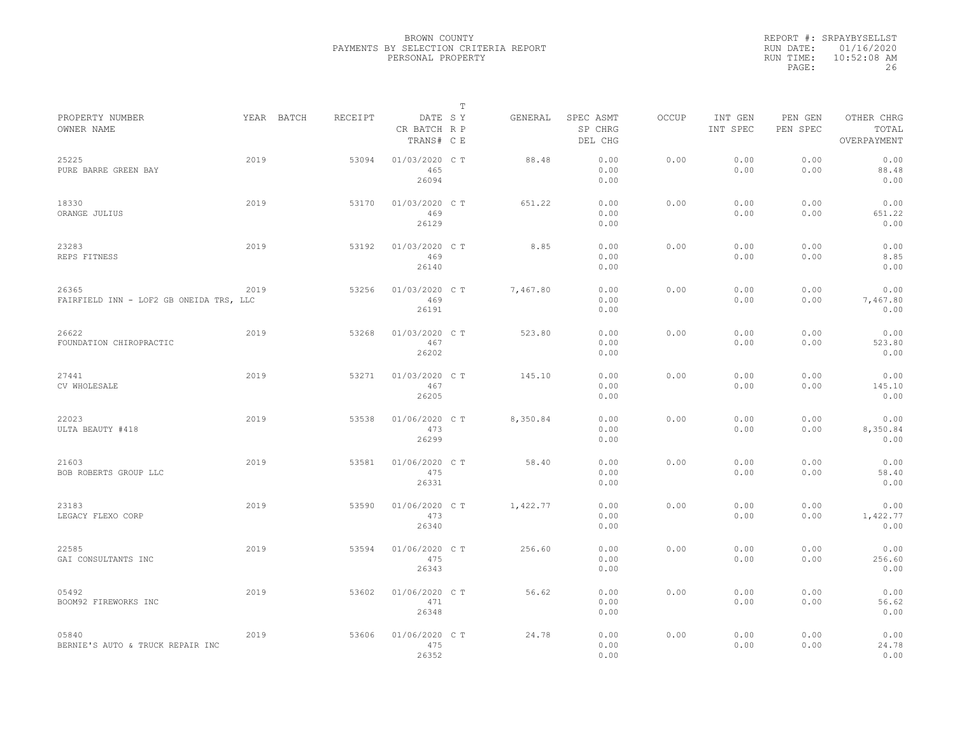|                                                  |      |            |         |                                       | $\mathbb T$ |          |                                 |              |                     |                     |                                    |
|--------------------------------------------------|------|------------|---------|---------------------------------------|-------------|----------|---------------------------------|--------------|---------------------|---------------------|------------------------------------|
| PROPERTY NUMBER<br>OWNER NAME                    |      | YEAR BATCH | RECEIPT | DATE SY<br>CR BATCH R P<br>TRANS# C E |             | GENERAL  | SPEC ASMT<br>SP CHRG<br>DEL CHG | <b>OCCUP</b> | INT GEN<br>INT SPEC | PEN GEN<br>PEN SPEC | OTHER CHRG<br>TOTAL<br>OVERPAYMENT |
| 25225<br>PURE BARRE GREEN BAY                    | 2019 |            | 53094   | 01/03/2020 C T<br>465<br>26094        |             | 88.48    | 0.00<br>0.00<br>0.00            | 0.00         | 0.00<br>0.00        | 0.00<br>0.00        | 0.00<br>88.48<br>0.00              |
| 18330<br>ORANGE JULIUS                           | 2019 |            | 53170   | 01/03/2020 C T<br>469<br>26129        |             | 651.22   | 0.00<br>0.00<br>0.00            | 0.00         | 0.00<br>0.00        | 0.00<br>0.00        | 0.00<br>651.22<br>0.00             |
| 23283<br>REPS FITNESS                            | 2019 |            | 53192   | 01/03/2020 C T<br>469<br>26140        |             | 8.85     | 0.00<br>0.00<br>0.00            | 0.00         | 0.00<br>0.00        | 0.00<br>0.00        | 0.00<br>8.85<br>0.00               |
| 26365<br>FAIRFIELD INN - LOF2 GB ONEIDA TRS, LLC | 2019 |            | 53256   | 01/03/2020 C T<br>469<br>26191        |             | 7,467.80 | 0.00<br>0.00<br>0.00            | 0.00         | 0.00<br>0.00        | 0.00<br>0.00        | 0.00<br>7,467.80<br>0.00           |
| 26622<br>FOUNDATION CHIROPRACTIC                 | 2019 |            | 53268   | 01/03/2020 C T<br>467<br>26202        |             | 523.80   | 0.00<br>0.00<br>0.00            | 0.00         | 0.00<br>0.00        | 0.00<br>0.00        | 0.00<br>523.80<br>0.00             |
| 27441<br>CV WHOLESALE                            | 2019 |            | 53271   | 01/03/2020 C T<br>467<br>26205        |             | 145.10   | 0.00<br>0.00<br>0.00            | 0.00         | 0.00<br>0.00        | 0.00<br>0.00        | 0.00<br>145.10<br>0.00             |
| 22023<br>ULTA BEAUTY #418                        | 2019 |            | 53538   | 01/06/2020 C T<br>473<br>26299        |             | 8,350.84 | 0.00<br>0.00<br>0.00            | 0.00         | 0.00<br>0.00        | 0.00<br>0.00        | 0.00<br>8,350.84<br>0.00           |
| 21603<br>BOB ROBERTS GROUP LLC                   | 2019 |            | 53581   | 01/06/2020 C T<br>475<br>26331        |             | 58.40    | 0.00<br>0.00<br>0.00            | 0.00         | 0.00<br>0.00        | 0.00<br>0.00        | 0.00<br>58.40<br>0.00              |
| 23183<br>LEGACY FLEXO CORP                       | 2019 |            | 53590   | 01/06/2020 C T<br>473<br>26340        |             | 1,422.77 | 0.00<br>0.00<br>0.00            | 0.00         | 0.00<br>0.00        | 0.00<br>0.00        | 0.00<br>1,422.77<br>0.00           |
| 22585<br>GAI CONSULTANTS INC                     | 2019 |            | 53594   | 01/06/2020 C T<br>475<br>26343        |             | 256.60   | 0.00<br>0.00<br>0.00            | 0.00         | 0.00<br>0.00        | 0.00<br>0.00        | 0.00<br>256.60<br>0.00             |
| 05492<br>BOOM92 FIREWORKS INC                    | 2019 |            | 53602   | 01/06/2020 C T<br>471<br>26348        |             | 56.62    | 0.00<br>0.00<br>0.00            | 0.00         | 0.00<br>0.00        | 0.00<br>0.00        | 0.00<br>56.62<br>0.00              |
| 05840<br>BERNIE'S AUTO & TRUCK REPAIR INC        | 2019 |            | 53606   | 01/06/2020 C T<br>475<br>26352        |             | 24.78    | 0.00<br>0.00<br>0.00            | 0.00         | 0.00<br>0.00        | 0.00<br>0.00        | 0.00<br>24.78<br>0.00              |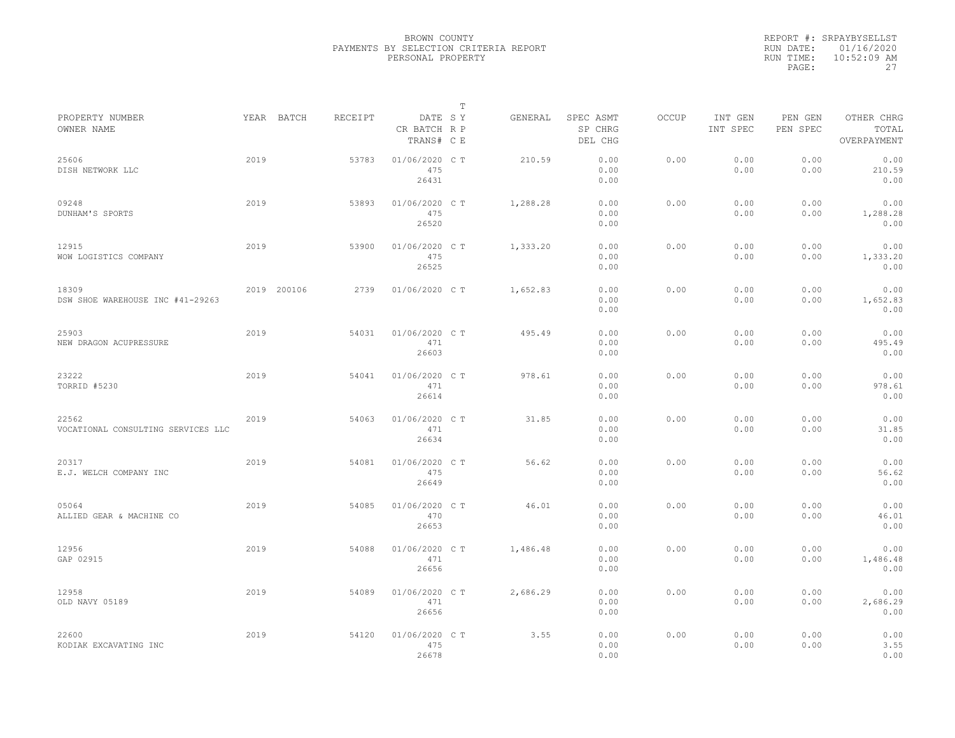|                                             |      |             |         |                                       | $\mathbb{T}$ |          |                                 |              |                     |                     |                                    |
|---------------------------------------------|------|-------------|---------|---------------------------------------|--------------|----------|---------------------------------|--------------|---------------------|---------------------|------------------------------------|
| PROPERTY NUMBER<br>OWNER NAME               |      | YEAR BATCH  | RECEIPT | DATE SY<br>CR BATCH R P<br>TRANS# C E |              | GENERAL  | SPEC ASMT<br>SP CHRG<br>DEL CHG | <b>OCCUP</b> | INT GEN<br>INT SPEC | PEN GEN<br>PEN SPEC | OTHER CHRG<br>TOTAL<br>OVERPAYMENT |
| 25606<br>DISH NETWORK LLC                   | 2019 |             | 53783   | 01/06/2020 C T<br>475<br>26431        |              | 210.59   | 0.00<br>0.00<br>0.00            | 0.00         | 0.00<br>0.00        | 0.00<br>0.00        | 0.00<br>210.59<br>0.00             |
| 09248<br>DUNHAM'S SPORTS                    | 2019 |             | 53893   | 01/06/2020 C T<br>475<br>26520        |              | 1,288.28 | 0.00<br>0.00<br>0.00            | 0.00         | 0.00<br>0.00        | 0.00<br>0.00        | 0.00<br>1,288.28<br>0.00           |
| 12915<br>WOW LOGISTICS COMPANY              | 2019 |             | 53900   | 01/06/2020 C T<br>475<br>26525        |              | 1,333.20 | 0.00<br>0.00<br>0.00            | 0.00         | 0.00<br>0.00        | 0.00<br>0.00        | 0.00<br>1,333.20<br>0.00           |
| 18309<br>DSW SHOE WAREHOUSE INC #41-29263   |      | 2019 200106 | 2739    | 01/06/2020 C T                        |              | 1,652.83 | 0.00<br>0.00<br>0.00            | 0.00         | 0.00<br>0.00        | 0.00<br>0.00        | 0.00<br>1,652.83<br>0.00           |
| 25903<br>NEW DRAGON ACUPRESSURE             | 2019 |             | 54031   | 01/06/2020 C T<br>471<br>26603        |              | 495.49   | 0.00<br>0.00<br>0.00            | 0.00         | 0.00<br>0.00        | 0.00<br>0.00        | 0.00<br>495.49<br>0.00             |
| 23222<br>TORRID #5230                       | 2019 |             | 54041   | 01/06/2020 C T<br>471<br>26614        |              | 978.61   | 0.00<br>0.00<br>0.00            | 0.00         | 0.00<br>0.00        | 0.00<br>0.00        | 0.00<br>978.61<br>0.00             |
| 22562<br>VOCATIONAL CONSULTING SERVICES LLC | 2019 |             | 54063   | 01/06/2020 C T<br>471<br>26634        |              | 31.85    | 0.00<br>0.00<br>0.00            | 0.00         | 0.00<br>0.00        | 0.00<br>0.00        | 0.00<br>31.85<br>0.00              |
| 20317<br>E.J. WELCH COMPANY INC             | 2019 |             | 54081   | 01/06/2020 C T<br>475<br>26649        |              | 56.62    | 0.00<br>0.00<br>0.00            | 0.00         | 0.00<br>0.00        | 0.00<br>0.00        | 0.00<br>56.62<br>0.00              |
| 05064<br>ALLIED GEAR & MACHINE CO           | 2019 |             | 54085   | 01/06/2020 C T<br>470<br>26653        |              | 46.01    | 0.00<br>0.00<br>0.00            | 0.00         | 0.00<br>0.00        | 0.00<br>0.00        | 0.00<br>46.01<br>0.00              |
| 12956<br>GAP 02915                          | 2019 |             | 54088   | 01/06/2020 C T<br>471<br>26656        |              | 1,486.48 | 0.00<br>0.00<br>0.00            | 0.00         | 0.00<br>0.00        | 0.00<br>0.00        | 0.00<br>1,486.48<br>0.00           |
| 12958<br>OLD NAVY 05189                     | 2019 |             | 54089   | 01/06/2020 C T<br>471<br>26656        |              | 2,686.29 | 0.00<br>0.00<br>0.00            | 0.00         | 0.00<br>0.00        | 0.00<br>0.00        | 0.00<br>2,686.29<br>0.00           |
| 22600<br>KODIAK EXCAVATING INC              | 2019 |             | 54120   | 01/06/2020 C T<br>475<br>26678        |              | 3.55     | 0.00<br>0.00<br>0.00            | 0.00         | 0.00<br>0.00        | 0.00<br>0.00        | 0.00<br>3.55<br>0.00               |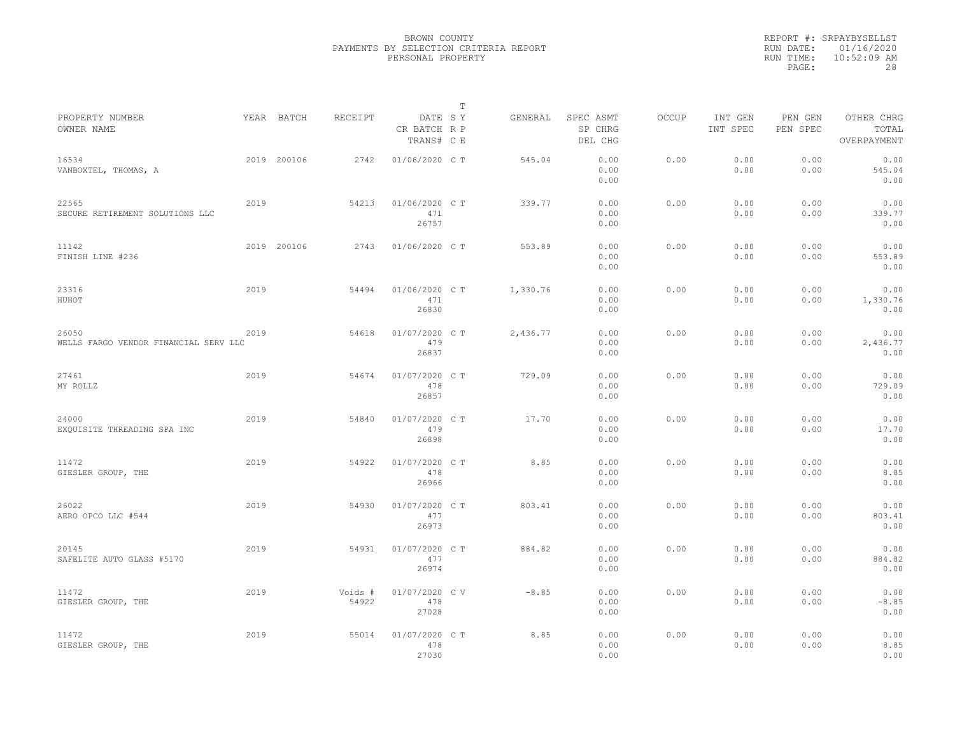|                                                |      |             |                  |                                       | $\mathbb T$ |          |                                 |              |                     |                     |                                    |  |
|------------------------------------------------|------|-------------|------------------|---------------------------------------|-------------|----------|---------------------------------|--------------|---------------------|---------------------|------------------------------------|--|
| PROPERTY NUMBER<br>OWNER NAME                  |      | YEAR BATCH  | RECEIPT          | DATE SY<br>CR BATCH R P<br>TRANS# C E |             | GENERAL  | SPEC ASMT<br>SP CHRG<br>DEL CHG | <b>OCCUP</b> | INT GEN<br>INT SPEC | PEN GEN<br>PEN SPEC | OTHER CHRG<br>TOTAL<br>OVERPAYMENT |  |
| 16534<br>VANBOXTEL, THOMAS, A                  |      | 2019 200106 | 2742             | 01/06/2020 C T                        |             | 545.04   | 0.00<br>0.00<br>0.00            | 0.00         | 0.00<br>0.00        | 0.00<br>0.00        | 0.00<br>545.04<br>0.00             |  |
| 22565<br>SECURE RETIREMENT SOLUTIONS LLC       | 2019 |             | 54213            | 01/06/2020 C T<br>471<br>26757        |             | 339.77   | 0.00<br>0.00<br>0.00            | 0.00         | 0.00<br>0.00        | 0.00<br>0.00        | 0.00<br>339.77<br>0.00             |  |
| 11142<br>FINISH LINE #236                      |      | 2019 200106 | 2743             | 01/06/2020 C T                        |             | 553.89   | 0.00<br>0.00<br>0.00            | 0.00         | 0.00<br>0.00        | 0.00<br>0.00        | 0.00<br>553.89<br>0.00             |  |
| 23316<br>HUHOT                                 | 2019 |             | 54494            | 01/06/2020 C T<br>471<br>26830        |             | 1,330.76 | 0.00<br>0.00<br>0.00            | 0.00         | 0.00<br>0.00        | 0.00<br>0.00        | 0.00<br>1,330.76<br>0.00           |  |
| 26050<br>WELLS FARGO VENDOR FINANCIAL SERV LLC | 2019 |             | 54618            | 01/07/2020 C T<br>479<br>26837        |             | 2,436.77 | 0.00<br>0.00<br>0.00            | 0.00         | 0.00<br>0.00        | 0.00<br>0.00        | 0.00<br>2,436.77<br>0.00           |  |
| 27461<br>MY ROLLZ                              | 2019 |             | 54674            | 01/07/2020 C T<br>478<br>26857        |             | 729.09   | 0.00<br>0.00<br>0.00            | 0.00         | 0.00<br>0.00        | 0.00<br>0.00        | 0.00<br>729.09<br>0.00             |  |
| 24000<br>EXQUISITE THREADING SPA INC           | 2019 |             | 54840            | 01/07/2020 C T<br>479<br>26898        |             | 17.70    | 0.00<br>0.00<br>0.00            | 0.00         | 0.00<br>0.00        | 0.00<br>0.00        | 0.00<br>17.70<br>0.00              |  |
| 11472<br>GIESLER GROUP, THE                    | 2019 |             | 54922            | 01/07/2020 C T<br>478<br>26966        |             | 8.85     | 0.00<br>0.00<br>0.00            | 0.00         | 0.00<br>0.00        | 0.00<br>0.00        | 0.00<br>8.85<br>0.00               |  |
| 26022<br>AERO OPCO LLC #544                    | 2019 |             | 54930            | 01/07/2020 C T<br>477<br>26973        |             | 803.41   | 0.00<br>0.00<br>0.00            | 0.00         | 0.00<br>0.00        | 0.00<br>0.00        | 0.00<br>803.41<br>0.00             |  |
| 20145<br>SAFELITE AUTO GLASS #5170             | 2019 |             | 54931            | 01/07/2020 C T<br>477<br>26974        |             | 884.82   | 0.00<br>0.00<br>0.00            | 0.00         | 0.00<br>0.00        | 0.00<br>0.00        | 0.00<br>884.82<br>0.00             |  |
| 11472<br>GIESLER GROUP, THE                    | 2019 |             | Voids #<br>54922 | 01/07/2020 CV<br>478<br>27028         |             | $-8.85$  | 0.00<br>0.00<br>0.00            | 0.00         | 0.00<br>0.00        | 0.00<br>0.00        | 0.00<br>$-8.85$<br>0.00            |  |
| 11472<br>GIESLER GROUP, THE                    | 2019 |             | 55014            | 01/07/2020 CT<br>478<br>27030         |             | 8.85     | 0.00<br>0.00<br>0.00            | 0.00         | 0.00<br>0.00        | 0.00<br>0.00        | 0.00<br>8.85<br>0.00               |  |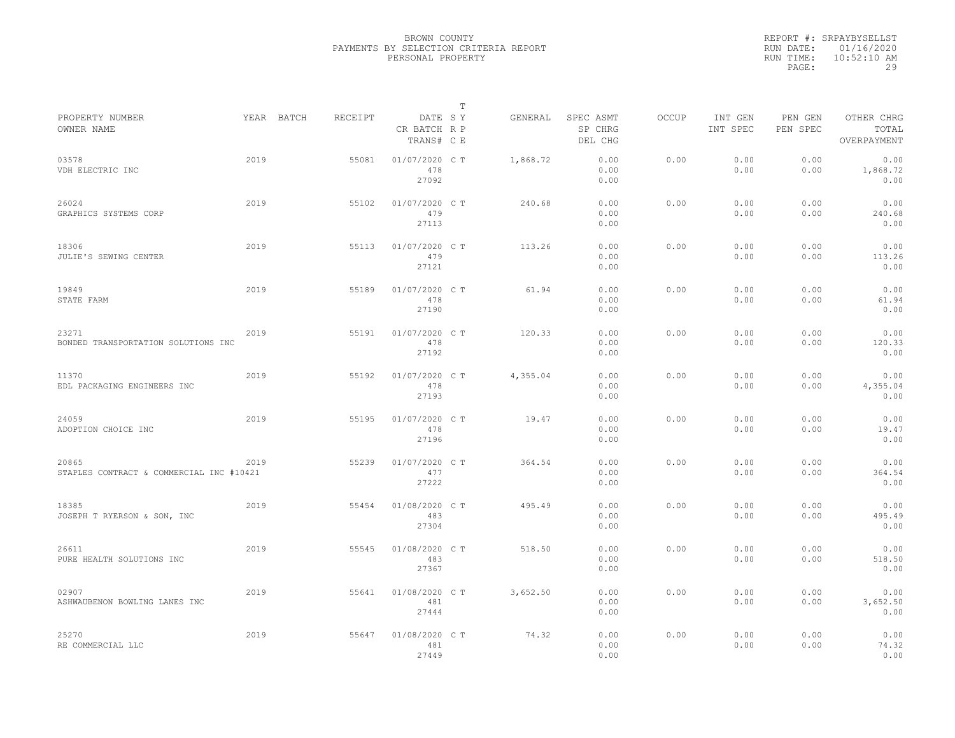|           | REPORT #: SRPAYBYSELLST |
|-----------|-------------------------|
|           | RUN DATE: 01/16/2020    |
| RUN TIME: | $10:52:10$ AM           |
| PAGE:     | 29                      |

|                                                   |      |            |         |                                       | $\mathbb T$ |          |                                 |              |                     |                     |                                    |
|---------------------------------------------------|------|------------|---------|---------------------------------------|-------------|----------|---------------------------------|--------------|---------------------|---------------------|------------------------------------|
| PROPERTY NUMBER<br>OWNER NAME                     |      | YEAR BATCH | RECEIPT | DATE SY<br>CR BATCH R P<br>TRANS# C E |             | GENERAL  | SPEC ASMT<br>SP CHRG<br>DEL CHG | <b>OCCUP</b> | INT GEN<br>INT SPEC | PEN GEN<br>PEN SPEC | OTHER CHRG<br>TOTAL<br>OVERPAYMENT |
| 03578<br>VDH ELECTRIC INC                         | 2019 |            | 55081   | 01/07/2020 C T<br>478<br>27092        |             | 1,868.72 | 0.00<br>0.00<br>0.00            | 0.00         | 0.00<br>0.00        | 0.00<br>0.00        | 0.00<br>1,868.72<br>0.00           |
| 26024<br>GRAPHICS SYSTEMS CORP                    | 2019 |            | 55102   | 01/07/2020 C T<br>479<br>27113        |             | 240.68   | 0.00<br>0.00<br>0.00            | 0.00         | 0.00<br>0.00        | 0.00<br>0.00        | 0.00<br>240.68<br>0.00             |
| 18306<br>JULIE'S SEWING CENTER                    | 2019 |            | 55113   | 01/07/2020 C T<br>479<br>27121        |             | 113.26   | 0.00<br>0.00<br>0.00            | 0.00         | 0.00<br>0.00        | 0.00<br>0.00        | 0.00<br>113.26<br>0.00             |
| 19849<br>STATE FARM                               | 2019 |            | 55189   | 01/07/2020 C T<br>478<br>27190        |             | 61.94    | 0.00<br>0.00<br>0.00            | 0.00         | 0.00<br>0.00        | 0.00<br>0.00        | 0.00<br>61.94<br>0.00              |
| 23271<br>BONDED TRANSPORTATION SOLUTIONS INC      | 2019 |            | 55191   | 01/07/2020 CT<br>478<br>27192         |             | 120.33   | 0.00<br>0.00<br>0.00            | 0.00         | 0.00<br>0.00        | 0.00<br>0.00        | 0.00<br>120.33<br>0.00             |
| 11370<br>EDL PACKAGING ENGINEERS INC              | 2019 |            | 55192   | 01/07/2020 C T<br>478<br>27193        |             | 4,355.04 | 0.00<br>0.00<br>0.00            | 0.00         | 0.00<br>0.00        | 0.00<br>0.00        | 0.00<br>4,355.04<br>0.00           |
| 24059<br>ADOPTION CHOICE INC                      | 2019 |            | 55195   | 01/07/2020 C T<br>478<br>27196        |             | 19.47    | 0.00<br>0.00<br>0.00            | 0.00         | 0.00<br>0.00        | 0.00<br>0.00        | 0.00<br>19.47<br>0.00              |
| 20865<br>STAPLES CONTRACT & COMMERCIAL INC #10421 | 2019 |            | 55239   | 01/07/2020 C T<br>477<br>27222        |             | 364.54   | 0.00<br>0.00<br>0.00            | 0.00         | 0.00<br>0.00        | 0.00<br>0.00        | 0.00<br>364.54<br>0.00             |
| 18385<br>JOSEPH T RYERSON & SON, INC              | 2019 |            | 55454   | 01/08/2020 C T<br>483<br>27304        |             | 495.49   | 0.00<br>0.00<br>0.00            | 0.00         | 0.00<br>0.00        | 0.00<br>0.00        | 0.00<br>495.49<br>0.00             |
| 26611<br>PURE HEALTH SOLUTIONS INC                | 2019 |            | 55545   | 01/08/2020 CT<br>483<br>27367         |             | 518.50   | 0.00<br>0.00<br>0.00            | 0.00         | 0.00<br>0.00        | 0.00<br>0.00        | 0.00<br>518.50<br>0.00             |
| 02907<br>ASHWAUBENON BOWLING LANES INC            | 2019 |            | 55641   | 01/08/2020 C T<br>481<br>27444        |             | 3,652.50 | 0.00<br>0.00<br>0.00            | 0.00         | 0.00<br>0.00        | 0.00<br>0.00        | 0.00<br>3,652.50<br>0.00           |
| 25270<br>RE COMMERCIAL LLC                        | 2019 |            | 55647   | 01/08/2020 CT<br>481<br>27449         |             | 74.32    | 0.00<br>0.00<br>0.00            | 0.00         | 0.00<br>0.00        | 0.00<br>0.00        | 0.00<br>74.32<br>0.00              |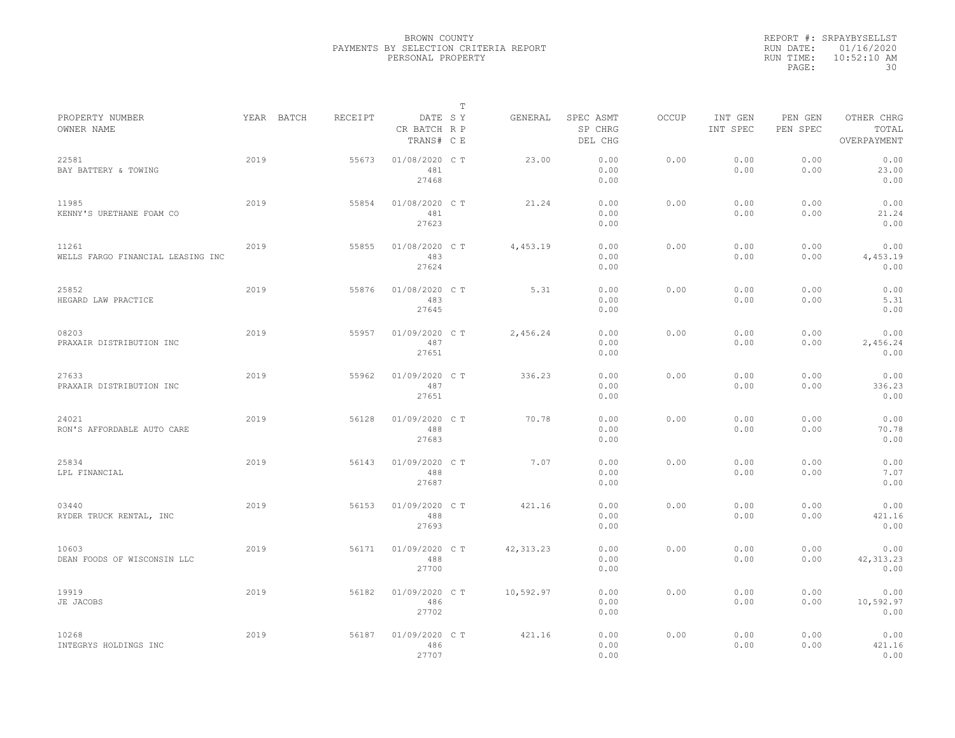|                                            |      |            |         |                                       | $\mathbb T$ |            |                                 |              |                     |                     |                                    |
|--------------------------------------------|------|------------|---------|---------------------------------------|-------------|------------|---------------------------------|--------------|---------------------|---------------------|------------------------------------|
| PROPERTY NUMBER<br>OWNER NAME              |      | YEAR BATCH | RECEIPT | DATE SY<br>CR BATCH R P<br>TRANS# C E |             | GENERAL    | SPEC ASMT<br>SP CHRG<br>DEL CHG | <b>OCCUP</b> | INT GEN<br>INT SPEC | PEN GEN<br>PEN SPEC | OTHER CHRG<br>TOTAL<br>OVERPAYMENT |
| 22581<br>BAY BATTERY & TOWING              | 2019 |            | 55673   | 01/08/2020 C T<br>481<br>27468        |             | 23.00      | 0.00<br>0.00<br>0.00            | 0.00         | 0.00<br>0.00        | 0.00<br>0.00        | 0.00<br>23.00<br>0.00              |
| 11985<br>KENNY'S URETHANE FOAM CO          | 2019 |            | 55854   | 01/08/2020 C T<br>481<br>27623        |             | 21.24      | 0.00<br>0.00<br>0.00            | 0.00         | 0.00<br>0.00        | 0.00<br>0.00        | 0.00<br>21.24<br>0.00              |
| 11261<br>WELLS FARGO FINANCIAL LEASING INC | 2019 |            | 55855   | 01/08/2020 C T<br>483<br>27624        |             | 4,453.19   | 0.00<br>0.00<br>0.00            | 0.00         | 0.00<br>0.00        | 0.00<br>0.00        | 0.00<br>4,453.19<br>0.00           |
| 25852<br>HEGARD LAW PRACTICE               | 2019 |            | 55876   | 01/08/2020 C T<br>483<br>27645        |             | 5.31       | 0.00<br>0.00<br>0.00            | 0.00         | 0.00<br>0.00        | 0.00<br>0.00        | 0.00<br>5.31<br>0.00               |
| 08203<br>PRAXAIR DISTRIBUTION INC          | 2019 |            | 55957   | 01/09/2020 C T<br>487<br>27651        |             | 2,456.24   | 0.00<br>0.00<br>0.00            | 0.00         | 0.00<br>0.00        | 0.00<br>0.00        | 0.00<br>2,456.24<br>0.00           |
| 27633<br>PRAXAIR DISTRIBUTION INC          | 2019 |            | 55962   | 01/09/2020 C T<br>487<br>27651        |             | 336.23     | 0.00<br>0.00<br>0.00            | 0.00         | 0.00<br>0.00        | 0.00<br>0.00        | 0.00<br>336.23<br>0.00             |
| 24021<br>RON'S AFFORDABLE AUTO CARE        | 2019 |            | 56128   | 01/09/2020 C T<br>488<br>27683        |             | 70.78      | 0.00<br>0.00<br>0.00            | 0.00         | 0.00<br>0.00        | 0.00<br>0.00        | 0.00<br>70.78<br>0.00              |
| 25834<br>LPL FINANCIAL                     | 2019 |            | 56143   | 01/09/2020 C T<br>488<br>27687        |             | 7.07       | 0.00<br>0.00<br>0.00            | 0.00         | 0.00<br>0.00        | 0.00<br>0.00        | 0.00<br>7.07<br>0.00               |
| 03440<br>RYDER TRUCK RENTAL, INC           | 2019 |            | 56153   | 01/09/2020 C T<br>488<br>27693        |             | 421.16     | 0.00<br>0.00<br>0.00            | 0.00         | 0.00<br>0.00        | 0.00<br>0.00        | 0.00<br>421.16<br>0.00             |
| 10603<br>DEAN FOODS OF WISCONSIN LLC       | 2019 |            | 56171   | 01/09/2020 C T<br>488<br>27700        |             | 42, 313.23 | 0.00<br>0.00<br>0.00            | 0.00         | 0.00<br>0.00        | 0.00<br>0.00        | 0.00<br>42, 313.23<br>0.00         |
| 19919<br>JE JACOBS                         | 2019 |            | 56182   | 01/09/2020 C T<br>486<br>27702        |             | 10,592.97  | 0.00<br>0.00<br>0.00            | 0.00         | 0.00<br>0.00        | 0.00<br>0.00        | 0.00<br>10,592.97<br>0.00          |
| 10268<br>INTEGRYS HOLDINGS INC             | 2019 |            | 56187   | 01/09/2020 C T<br>486<br>27707        |             | 421.16     | 0.00<br>0.00<br>0.00            | 0.00         | 0.00<br>0.00        | 0.00<br>0.00        | 0.00<br>421.16<br>0.00             |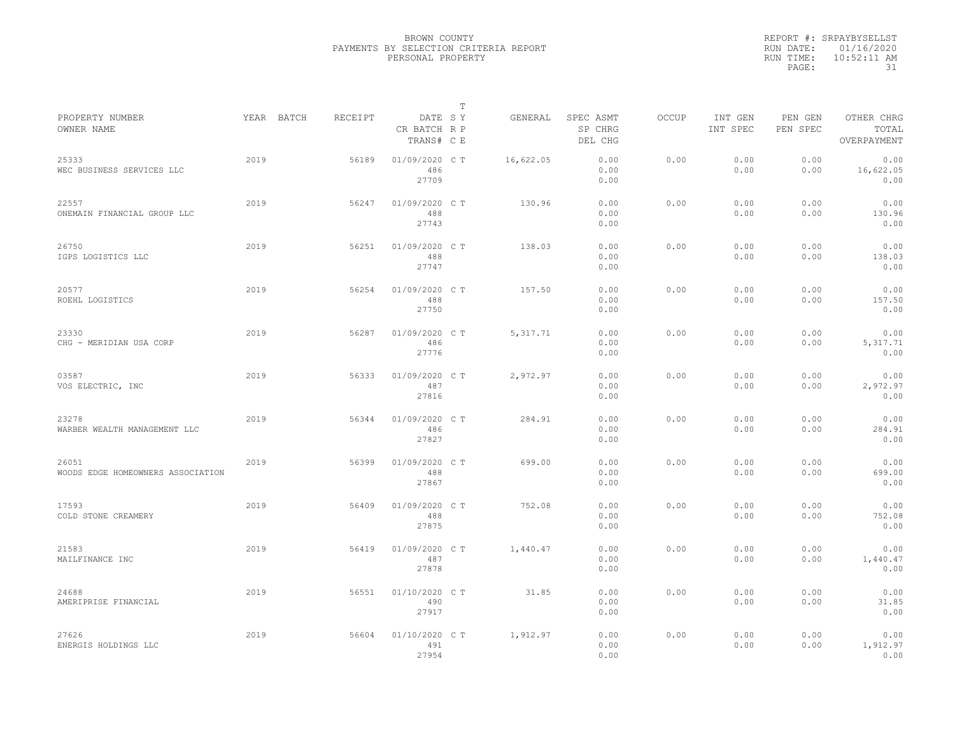|           | REPORT #: SRPAYBYSELLST |
|-----------|-------------------------|
|           | RUN DATE: 01/16/2020    |
| RUN TIME: | $10:52:11$ AM           |
| PAGE:     | 31                      |

|                                            |            |         |                                       | T |           |                                 |              |                     |                     |                                    |
|--------------------------------------------|------------|---------|---------------------------------------|---|-----------|---------------------------------|--------------|---------------------|---------------------|------------------------------------|
| PROPERTY NUMBER<br>OWNER NAME              | YEAR BATCH | RECEIPT | DATE SY<br>CR BATCH R P<br>TRANS# C E |   | GENERAL   | SPEC ASMT<br>SP CHRG<br>DEL CHG | <b>OCCUP</b> | INT GEN<br>INT SPEC | PEN GEN<br>PEN SPEC | OTHER CHRG<br>TOTAL<br>OVERPAYMENT |
| 25333<br>WEC BUSINESS SERVICES LLC         | 2019       | 56189   | 01/09/2020 CT<br>486<br>27709         |   | 16,622.05 | 0.00<br>0.00<br>0.00            | 0.00         | 0.00<br>0.00        | 0.00<br>0.00        | 0.00<br>16,622.05<br>0.00          |
| 22557<br>ONEMAIN FINANCIAL GROUP LLC       | 2019       | 56247   | 01/09/2020 C T<br>488<br>27743        |   | 130.96    | 0.00<br>0.00<br>0.00            | 0.00         | 0.00<br>0.00        | 0.00<br>0.00        | 0.00<br>130.96<br>0.00             |
| 26750<br>IGPS LOGISTICS LLC                | 2019       | 56251   | 01/09/2020 C T<br>488<br>27747        |   | 138.03    | 0.00<br>0.00<br>0.00            | 0.00         | 0.00<br>0.00        | 0.00<br>0.00        | 0.00<br>138.03<br>0.00             |
| 20577<br>ROEHL LOGISTICS                   | 2019       | 56254   | 01/09/2020 C T<br>488<br>27750        |   | 157.50    | 0.00<br>0.00<br>0.00            | 0.00         | 0.00<br>0.00        | 0.00<br>0.00        | 0.00<br>157.50<br>0.00             |
| 23330<br>CHG - MERIDIAN USA CORP           | 2019       | 56287   | 01/09/2020 C T<br>486<br>27776        |   | 5, 317.71 | 0.00<br>0.00<br>0.00            | 0.00         | 0.00<br>0.00        | 0.00<br>0.00        | 0.00<br>5, 317.71<br>0.00          |
| 03587<br>VOS ELECTRIC, INC                 | 2019       | 56333   | 01/09/2020 C T<br>487<br>27816        |   | 2,972.97  | 0.00<br>0.00<br>0.00            | 0.00         | 0.00<br>0.00        | 0.00<br>0.00        | 0.00<br>2,972.97<br>0.00           |
| 23278<br>WARBER WEALTH MANAGEMENT LLC      | 2019       | 56344   | 01/09/2020 C T<br>486<br>27827        |   | 284.91    | 0.00<br>0.00<br>0.00            | 0.00         | 0.00<br>0.00        | 0.00<br>0.00        | 0.00<br>284.91<br>0.00             |
| 26051<br>WOODS EDGE HOMEOWNERS ASSOCIATION | 2019       | 56399   | 01/09/2020 C T<br>488<br>27867        |   | 699.00    | 0.00<br>0.00<br>0.00            | 0.00         | 0.00<br>0.00        | 0.00<br>0.00        | 0.00<br>699.00<br>0.00             |
| 17593<br>COLD STONE CREAMERY               | 2019       | 56409   | 01/09/2020 C T<br>488<br>27875        |   | 752.08    | 0.00<br>0.00<br>0.00            | 0.00         | 0.00<br>0.00        | 0.00<br>0.00        | 0.00<br>752.08<br>0.00             |
| 21583<br>MAILFINANCE INC                   | 2019       | 56419   | 01/09/2020 C T<br>487<br>27878        |   | 1,440.47  | 0.00<br>0.00<br>0.00            | 0.00         | 0.00<br>0.00        | 0.00<br>0.00        | 0.00<br>1,440.47<br>0.00           |
| 24688<br>AMERIPRISE FINANCIAL              | 2019       | 56551   | 01/10/2020 C T<br>490<br>27917        |   | 31.85     | 0.00<br>0.00<br>0.00            | 0.00         | 0.00<br>0.00        | 0.00<br>0.00        | 0.00<br>31.85<br>0.00              |
| 27626<br>ENERGIS HOLDINGS LLC              | 2019       | 56604   | 01/10/2020 C T<br>491<br>27954        |   | 1,912.97  | 0.00<br>0.00<br>0.00            | 0.00         | 0.00<br>0.00        | 0.00<br>0.00        | 0.00<br>1,912.97<br>0.00           |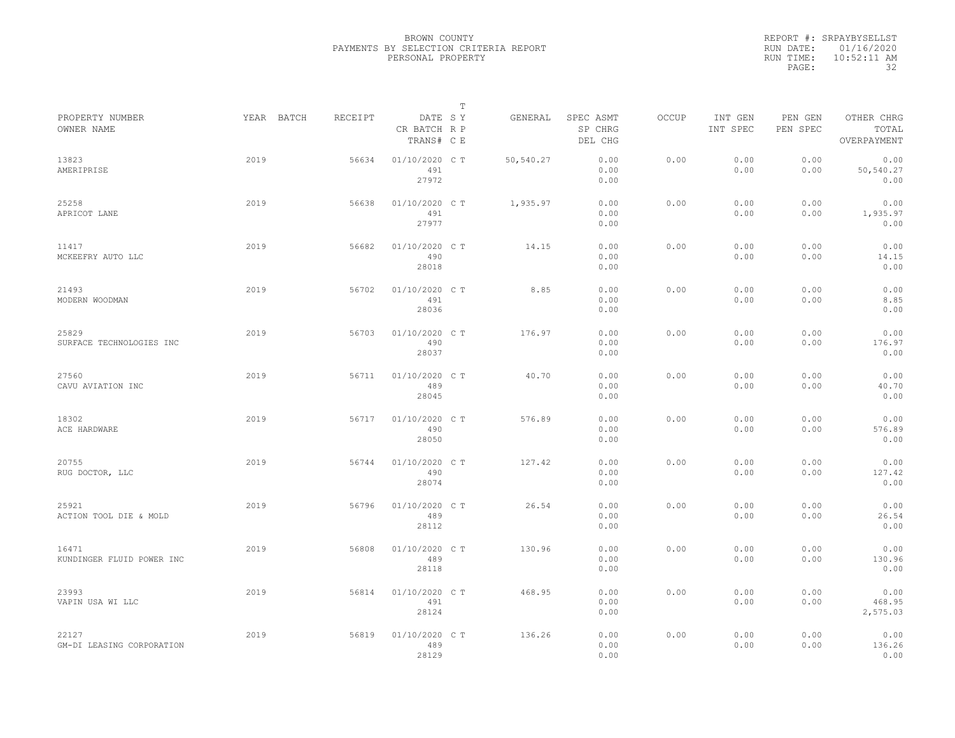| REPORT #: SRPAYBYSELLST |
|-------------------------|
| RUN DATE: 01/16/2020    |
| $10:52:11$ AM           |
| 32                      |
|                         |

|                                    |            |         |                                       | $\mathbb T$ |           |                                 |              |                     |                     |                                    |
|------------------------------------|------------|---------|---------------------------------------|-------------|-----------|---------------------------------|--------------|---------------------|---------------------|------------------------------------|
| PROPERTY NUMBER<br>OWNER NAME      | YEAR BATCH | RECEIPT | DATE SY<br>CR BATCH R P<br>TRANS# C E |             | GENERAL   | SPEC ASMT<br>SP CHRG<br>DEL CHG | <b>OCCUP</b> | INT GEN<br>INT SPEC | PEN GEN<br>PEN SPEC | OTHER CHRG<br>TOTAL<br>OVERPAYMENT |
| 13823<br>AMERIPRISE                | 2019       | 56634   | 01/10/2020 C T<br>491<br>27972        |             | 50,540.27 | 0.00<br>0.00<br>0.00            | 0.00         | 0.00<br>0.00        | 0.00<br>0.00        | 0.00<br>50,540.27<br>0.00          |
| 25258<br>APRICOT LANE              | 2019       | 56638   | 01/10/2020 C T<br>491<br>27977        |             | 1,935.97  | 0.00<br>0.00<br>0.00            | 0.00         | 0.00<br>0.00        | 0.00<br>0.00        | 0.00<br>1,935.97<br>0.00           |
| 11417<br>MCKEEFRY AUTO LLC         | 2019       | 56682   | 01/10/2020 C T<br>490<br>28018        |             | 14.15     | 0.00<br>0.00<br>0.00            | 0.00         | 0.00<br>0.00        | 0.00<br>0.00        | 0.00<br>14.15<br>0.00              |
| 21493<br>MODERN WOODMAN            | 2019       | 56702   | 01/10/2020 C T<br>491<br>28036        |             | 8.85      | 0.00<br>0.00<br>0.00            | 0.00         | 0.00<br>0.00        | 0.00<br>0.00        | 0.00<br>8.85<br>0.00               |
| 25829<br>SURFACE TECHNOLOGIES INC  | 2019       | 56703   | 01/10/2020 C T<br>490<br>28037        |             | 176.97    | 0.00<br>0.00<br>0.00            | 0.00         | 0.00<br>0.00        | 0.00<br>0.00        | 0.00<br>176.97<br>0.00             |
| 27560<br>CAVU AVIATION INC         | 2019       | 56711   | 01/10/2020 C T<br>489<br>28045        |             | 40.70     | 0.00<br>0.00<br>0.00            | 0.00         | 0.00<br>0.00        | 0.00<br>0.00        | 0.00<br>40.70<br>0.00              |
| 18302<br>ACE HARDWARE              | 2019       | 56717   | 01/10/2020 C T<br>490<br>28050        |             | 576.89    | 0.00<br>0.00<br>0.00            | 0.00         | 0.00<br>0.00        | 0.00<br>0.00        | 0.00<br>576.89<br>0.00             |
| 20755<br>RUG DOCTOR, LLC           | 2019       | 56744   | 01/10/2020 C T<br>490<br>28074        |             | 127.42    | 0.00<br>0.00<br>0.00            | 0.00         | 0.00<br>0.00        | 0.00<br>0.00        | 0.00<br>127.42<br>0.00             |
| 25921<br>ACTION TOOL DIE & MOLD    | 2019       | 56796   | 01/10/2020 C T<br>489<br>28112        |             | 26.54     | 0.00<br>0.00<br>0.00            | 0.00         | 0.00<br>0.00        | 0.00<br>0.00        | 0.00<br>26.54<br>0.00              |
| 16471<br>KUNDINGER FLUID POWER INC | 2019       | 56808   | 01/10/2020 C T<br>489<br>28118        |             | 130.96    | 0.00<br>0.00<br>0.00            | 0.00         | 0.00<br>0.00        | 0.00<br>0.00        | 0.00<br>130.96<br>0.00             |
| 23993<br>VAPIN USA WI LLC          | 2019       | 56814   | 01/10/2020 C T<br>491<br>28124        |             | 468.95    | 0.00<br>0.00<br>0.00            | 0.00         | 0.00<br>0.00        | 0.00<br>0.00        | 0.00<br>468.95<br>2,575.03         |
| 22127<br>GM-DI LEASING CORPORATION | 2019       | 56819   | 01/10/2020 CT<br>489<br>28129         |             | 136.26    | 0.00<br>0.00<br>0.00            | 0.00         | 0.00<br>0.00        | 0.00<br>0.00        | 0.00<br>136.26<br>0.00             |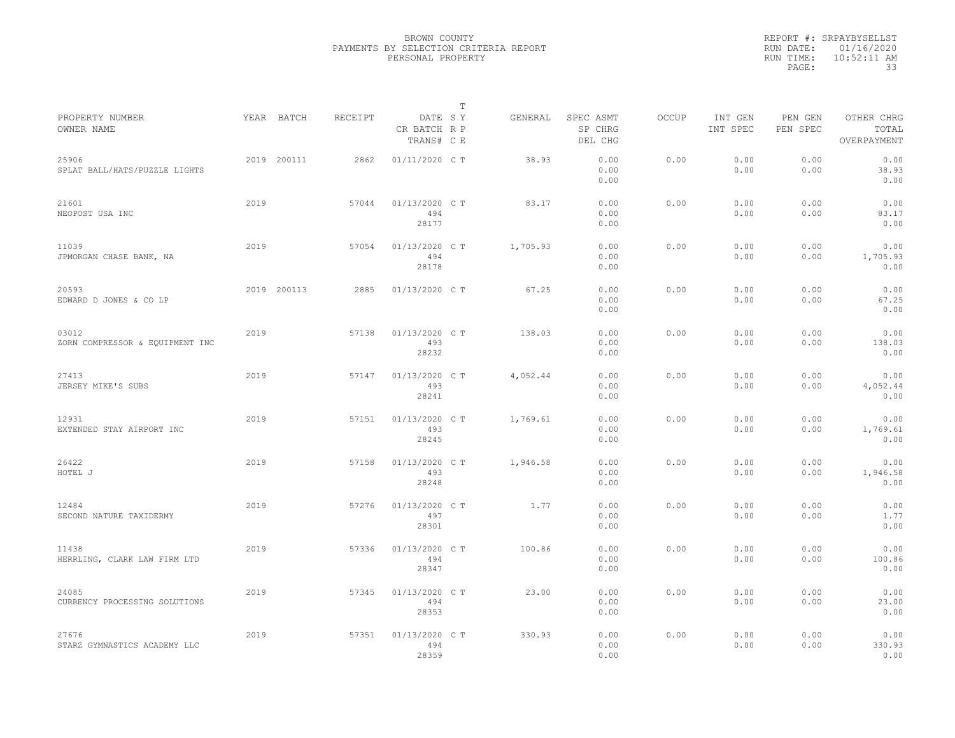|                                          |      |             |         |                                       | $\mathbb T$ |          |                                 |              |                     |                     |                                    |
|------------------------------------------|------|-------------|---------|---------------------------------------|-------------|----------|---------------------------------|--------------|---------------------|---------------------|------------------------------------|
| PROPERTY NUMBER<br>OWNER NAME            |      | YEAR BATCH  | RECEIPT | DATE SY<br>CR BATCH R P<br>TRANS# C E |             | GENERAL  | SPEC ASMT<br>SP CHRG<br>DEL CHG | <b>OCCUP</b> | INT GEN<br>INT SPEC | PEN GEN<br>PEN SPEC | OTHER CHRG<br>TOTAL<br>OVERPAYMENT |
| 25906<br>SPLAT BALL/HATS/PUZZLE LIGHTS   |      | 2019 200111 | 2862    | 01/11/2020 C T                        |             | 38.93    | 0.00<br>0.00<br>0.00            | 0.00         | 0.00<br>0.00        | 0.00<br>0.00        | 0.00<br>38.93<br>0.00              |
| 21601<br>NEOPOST USA INC                 | 2019 |             | 57044   | 01/13/2020 C T<br>494<br>28177        |             | 83.17    | 0.00<br>0.00<br>0.00            | 0.00         | 0.00<br>0.00        | 0.00<br>0.00        | 0.00<br>83.17<br>0.00              |
| 11039<br>JPMORGAN CHASE BANK, NA         | 2019 |             | 57054   | 01/13/2020 C T<br>494<br>28178        |             | 1,705.93 | 0.00<br>0.00<br>0.00            | 0.00         | 0.00<br>0.00        | 0.00<br>0.00        | 0.00<br>1,705.93<br>0.00           |
| 20593<br>EDWARD D JONES & CO LP          |      | 2019 200113 | 2885    | 01/13/2020 C T                        |             | 67.25    | 0.00<br>0.00<br>0.00            | 0.00         | 0.00<br>0.00        | 0.00<br>0.00        | 0.00<br>67.25<br>0.00              |
| 03012<br>ZORN COMPRESSOR & EQUIPMENT INC | 2019 |             | 57138   | 01/13/2020 C T<br>493<br>28232        |             | 138.03   | 0.00<br>0.00<br>0.00            | 0.00         | 0.00<br>0.00        | 0.00<br>0.00        | 0.00<br>138.03<br>0.00             |
| 27413<br>JERSEY MIKE'S SUBS              | 2019 |             | 57147   | 01/13/2020 C T<br>493<br>28241        |             | 4,052.44 | 0.00<br>0.00<br>0.00            | 0.00         | 0.00<br>0.00        | 0.00<br>0.00        | 0.00<br>4,052.44<br>0.00           |
| 12931<br>EXTENDED STAY AIRPORT INC       | 2019 |             | 57151   | 01/13/2020 C T<br>493<br>28245        |             | 1,769.61 | 0.00<br>0.00<br>0.00            | 0.00         | 0.00<br>0.00        | 0.00<br>0.00        | 0.00<br>1,769.61<br>0.00           |
| 26422<br>HOTEL J                         | 2019 |             | 57158   | 01/13/2020 C T<br>493<br>28248        |             | 1,946.58 | 0.00<br>0.00<br>0.00            | 0.00         | 0.00<br>0.00        | 0.00<br>0.00        | 0.00<br>1,946.58<br>0.00           |
| 12484<br>SECOND NATURE TAXIDERMY         | 2019 |             | 57276   | 01/13/2020 C T<br>497<br>28301        |             | 1.77     | 0.00<br>0.00<br>0.00            | 0.00         | 0.00<br>0.00        | 0.00<br>0.00        | 0.00<br>1.77<br>0.00               |
| 11438<br>HERRLING, CLARK LAW FIRM LTD    | 2019 |             | 57336   | 01/13/2020 C T<br>494<br>28347        |             | 100.86   | 0.00<br>0.00<br>0.00            | 0.00         | 0.00<br>0.00        | 0.00<br>0.00        | 0.00<br>100.86<br>0.00             |
| 24085<br>CURRENCY PROCESSING SOLUTIONS   | 2019 |             | 57345   | 01/13/2020 C T<br>494<br>28353        |             | 23.00    | 0.00<br>0.00<br>0.00            | 0.00         | 0.00<br>0.00        | 0.00<br>0.00        | 0.00<br>23.00<br>0.00              |
| 27676<br>STARZ GYMNASTICS ACADEMY LLC    | 2019 |             | 57351   | 01/13/2020 C T<br>494<br>28359        |             | 330.93   | 0.00<br>0.00<br>0.00            | 0.00         | 0.00<br>0.00        | 0.00<br>0.00        | 0.00<br>330.93<br>0.00             |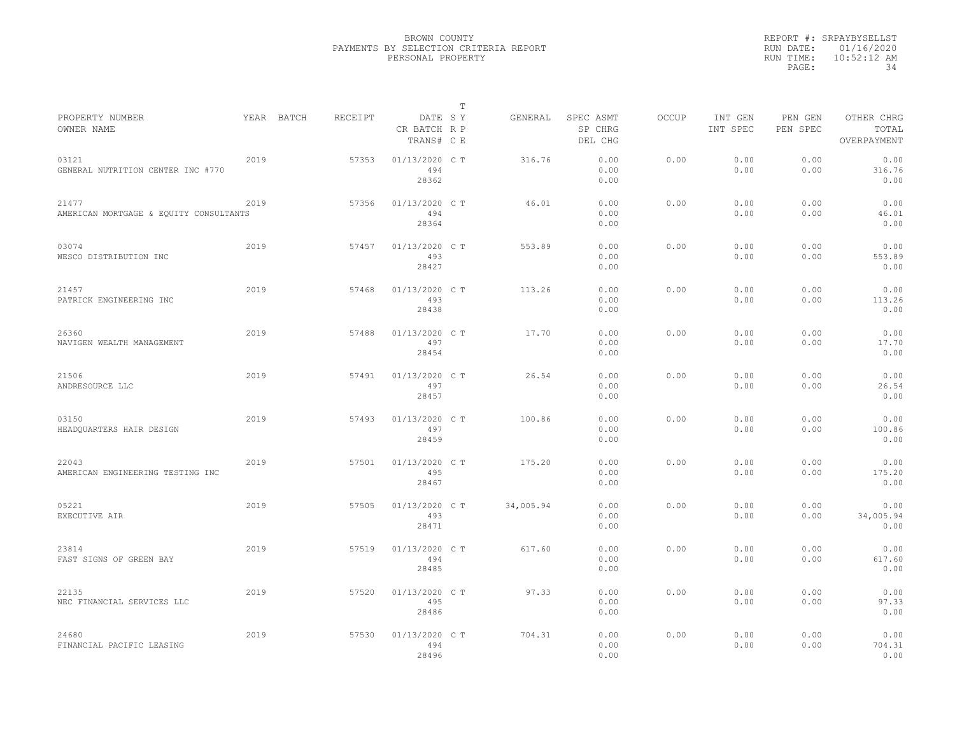|           | REPORT #: SRPAYBYSELLST |
|-----------|-------------------------|
|           | RUN DATE: 01/16/2020    |
| RUN TIME: | $10:52:12$ AM           |
| PAGE:     | 34                      |

|                                                 |      |            |         |                                       | Т |           |                                 |       |                     |                     |                                    |
|-------------------------------------------------|------|------------|---------|---------------------------------------|---|-----------|---------------------------------|-------|---------------------|---------------------|------------------------------------|
| PROPERTY NUMBER<br>OWNER NAME                   |      | YEAR BATCH | RECEIPT | DATE SY<br>CR BATCH R P<br>TRANS# C E |   | GENERAL   | SPEC ASMT<br>SP CHRG<br>DEL CHG | OCCUP | INT GEN<br>INT SPEC | PEN GEN<br>PEN SPEC | OTHER CHRG<br>TOTAL<br>OVERPAYMENT |
| 03121<br>GENERAL NUTRITION CENTER INC #770      | 2019 |            | 57353   | 01/13/2020 C T<br>494<br>28362        |   | 316.76    | 0.00<br>0.00<br>0.00            | 0.00  | 0.00<br>0.00        | 0.00<br>0.00        | 0.00<br>316.76<br>0.00             |
| 21477<br>AMERICAN MORTGAGE & EQUITY CONSULTANTS | 2019 |            | 57356   | 01/13/2020 C T<br>494<br>28364        |   | 46.01     | 0.00<br>0.00<br>0.00            | 0.00  | 0.00<br>0.00        | 0.00<br>0.00        | 0.00<br>46.01<br>0.00              |
| 03074<br>WESCO DISTRIBUTION INC                 | 2019 |            | 57457   | 01/13/2020 C T<br>493<br>28427        |   | 553.89    | 0.00<br>0.00<br>0.00            | 0.00  | 0.00<br>0.00        | 0.00<br>0.00        | 0.00<br>553.89<br>0.00             |
| 21457<br>PATRICK ENGINEERING INC                | 2019 |            | 57468   | 01/13/2020 C T<br>493<br>28438        |   | 113.26    | 0.00<br>0.00<br>0.00            | 0.00  | 0.00<br>0.00        | 0.00<br>0.00        | 0.00<br>113.26<br>0.00             |
| 26360<br>NAVIGEN WEALTH MANAGEMENT              | 2019 |            | 57488   | 01/13/2020 C T<br>497<br>28454        |   | 17.70     | 0.00<br>0.00<br>0.00            | 0.00  | 0.00<br>0.00        | 0.00<br>0.00        | 0.00<br>17.70<br>0.00              |
| 21506<br>ANDRESOURCE LLC                        | 2019 |            | 57491   | 01/13/2020 C T<br>497<br>28457        |   | 26.54     | 0.00<br>0.00<br>0.00            | 0.00  | 0.00<br>0.00        | 0.00<br>0.00        | 0.00<br>26.54<br>0.00              |
| 03150<br>HEADQUARTERS HAIR DESIGN               | 2019 |            | 57493   | 01/13/2020 C T<br>497<br>28459        |   | 100.86    | 0.00<br>0.00<br>0.00            | 0.00  | 0.00<br>0.00        | 0.00<br>0.00        | 0.00<br>100.86<br>0.00             |
| 22043<br>AMERICAN ENGINEERING TESTING INC       | 2019 |            | 57501   | 01/13/2020 C T<br>495<br>28467        |   | 175.20    | 0.00<br>0.00<br>0.00            | 0.00  | 0.00<br>0.00        | 0.00<br>0.00        | 0.00<br>175.20<br>0.00             |
| 05221<br>EXECUTIVE AIR                          | 2019 |            | 57505   | 01/13/2020 C T<br>493<br>28471        |   | 34,005.94 | 0.00<br>0.00<br>0.00            | 0.00  | 0.00<br>0.00        | 0.00<br>0.00        | 0.00<br>34,005.94<br>0.00          |
| 23814<br>FAST SIGNS OF GREEN BAY                | 2019 |            | 57519   | 01/13/2020 C T<br>494<br>28485        |   | 617.60    | 0.00<br>0.00<br>0.00            | 0.00  | 0.00<br>0.00        | 0.00<br>0.00        | 0.00<br>617.60<br>0.00             |
| 22135<br>NEC FINANCIAL SERVICES LLC             | 2019 |            | 57520   | 01/13/2020 C T<br>495<br>28486        |   | 97.33     | 0.00<br>0.00<br>0.00            | 0.00  | 0.00<br>0.00        | 0.00<br>0.00        | 0.00<br>97.33<br>0.00              |
| 24680<br>FINANCIAL PACIFIC LEASING              | 2019 |            | 57530   | 01/13/2020 C T<br>494<br>28496        |   | 704.31    | 0.00<br>0.00<br>0.00            | 0.00  | 0.00<br>0.00        | 0.00<br>0.00        | 0.00<br>704.31<br>0.00             |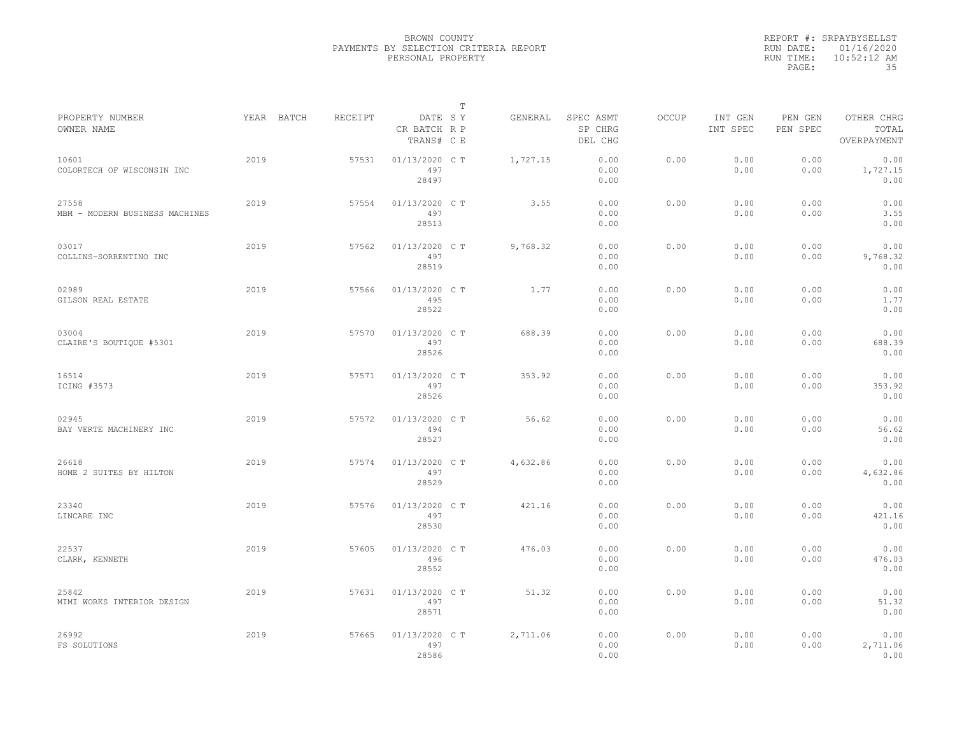|           | REPORT #: SRPAYBYSELLST |
|-----------|-------------------------|
|           | RUN DATE: 01/16/2020    |
| RUN TIME: | $10:52:12$ AM           |
| PAGE:     | 35                      |

|                                         |            |         |                                       | T |          |                                 |              |                     |                     |                                    |
|-----------------------------------------|------------|---------|---------------------------------------|---|----------|---------------------------------|--------------|---------------------|---------------------|------------------------------------|
| PROPERTY NUMBER<br>OWNER NAME           | YEAR BATCH | RECEIPT | DATE SY<br>CR BATCH R P<br>TRANS# C E |   | GENERAL  | SPEC ASMT<br>SP CHRG<br>DEL CHG | <b>OCCUP</b> | INT GEN<br>INT SPEC | PEN GEN<br>PEN SPEC | OTHER CHRG<br>TOTAL<br>OVERPAYMENT |
| 10601<br>COLORTECH OF WISCONSIN INC     | 2019       | 57531   | 01/13/2020 C T<br>497<br>28497        |   | 1,727.15 | 0.00<br>0.00<br>0.00            | 0.00         | 0.00<br>0.00        | 0.00<br>0.00        | 0.00<br>1,727.15<br>0.00           |
| 27558<br>MBM - MODERN BUSINESS MACHINES | 2019       | 57554   | 01/13/2020 C T<br>497<br>28513        |   | 3.55     | 0.00<br>0.00<br>0.00            | 0.00         | 0.00<br>0.00        | 0.00<br>0.00        | 0.00<br>3.55<br>0.00               |
| 03017<br>COLLINS-SORRENTINO INC         | 2019       | 57562   | 01/13/2020 C T<br>497<br>28519        |   | 9,768.32 | 0.00<br>0.00<br>0.00            | 0.00         | 0.00<br>0.00        | 0.00<br>0.00        | 0.00<br>9,768.32<br>0.00           |
| 02989<br>GILSON REAL ESTATE             | 2019       | 57566   | 01/13/2020 C T<br>495<br>28522        |   | 1.77     | 0.00<br>0.00<br>0.00            | 0.00         | 0.00<br>0.00        | 0.00<br>0.00        | 0.00<br>1.77<br>0.00               |
| 03004<br>CLAIRE'S BOUTIQUE #5301        | 2019       | 57570   | 01/13/2020 C T<br>497<br>28526        |   | 688.39   | 0.00<br>0.00<br>0.00            | 0.00         | 0.00<br>0.00        | 0.00<br>0.00        | 0.00<br>688.39<br>0.00             |
| 16514<br>ICING #3573                    | 2019       | 57571   | 01/13/2020 C T<br>497<br>28526        |   | 353.92   | 0.00<br>0.00<br>0.00            | 0.00         | 0.00<br>0.00        | 0.00<br>0.00        | 0.00<br>353.92<br>0.00             |
| 02945<br>BAY VERTE MACHINERY INC        | 2019       | 57572   | 01/13/2020 CT<br>494<br>28527         |   | 56.62    | 0.00<br>0.00<br>0.00            | 0.00         | 0.00<br>0.00        | 0.00<br>0.00        | 0.00<br>56.62<br>0.00              |
| 26618<br>HOME 2 SUITES BY HILTON        | 2019       | 57574   | 01/13/2020 C T<br>497<br>28529        |   | 4,632.86 | 0.00<br>0.00<br>0.00            | 0.00         | 0.00<br>0.00        | 0.00<br>0.00        | 0.00<br>4,632.86<br>0.00           |
| 23340<br>LINCARE INC                    | 2019       | 57576   | 01/13/2020 C T<br>497<br>28530        |   | 421.16   | 0.00<br>0.00<br>0.00            | 0.00         | 0.00<br>0.00        | 0.00<br>0.00        | 0.00<br>421.16<br>0.00             |
| 22537<br>CLARK, KENNETH                 | 2019       | 57605   | 01/13/2020 C T<br>496<br>28552        |   | 476.03   | 0.00<br>0.00<br>0.00            | 0.00         | 0.00<br>0.00        | 0.00<br>0.00        | 0.00<br>476.03<br>0.00             |
| 25842<br>MIMI WORKS INTERIOR DESIGN     | 2019       | 57631   | 01/13/2020 C T<br>497<br>28571        |   | 51.32    | 0.00<br>0.00<br>0.00            | 0.00         | 0.00<br>0.00        | 0.00<br>0.00        | 0.00<br>51.32<br>0.00              |
| 26992<br>FS SOLUTIONS                   | 2019       | 57665   | 01/13/2020 C T<br>497<br>28586        |   | 2,711.06 | 0.00<br>0.00<br>0.00            | 0.00         | 0.00<br>0.00        | 0.00<br>0.00        | 0.00<br>2,711.06<br>0.00           |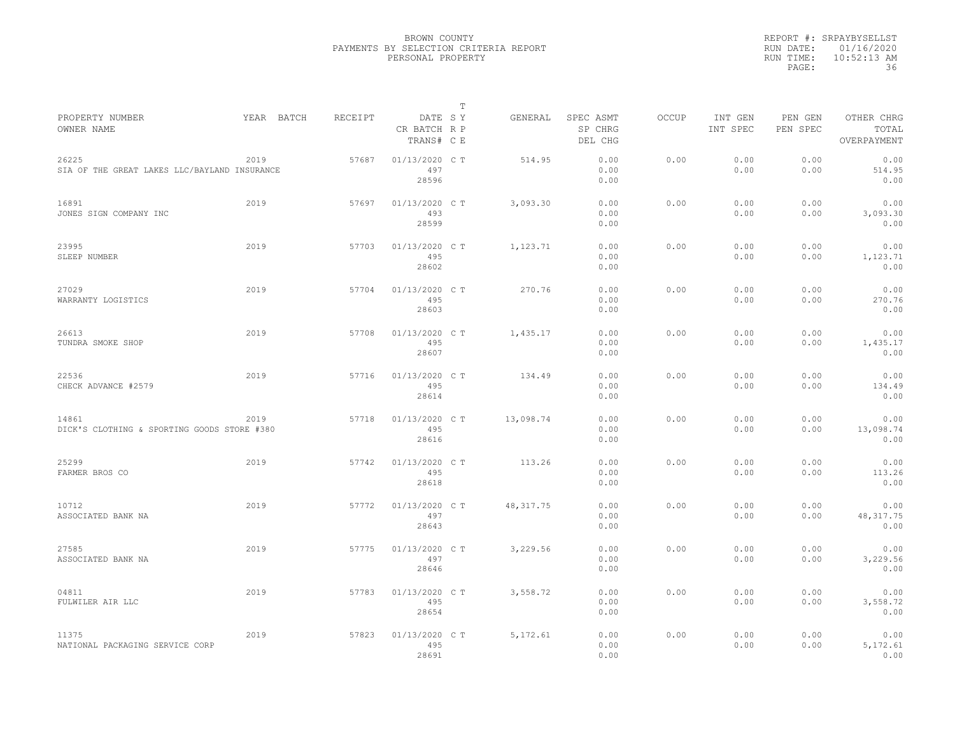|           | REPORT #: SRPAYBYSELLST |
|-----------|-------------------------|
|           | RUN DATE: 01/16/2020    |
| RUN TIME: | $10:52:13$ AM           |
| PAGE:     | 36                      |

| PROPERTY NUMBER                                       |      | YEAR BATCH | RECEIPT | DATE SY                        | Т | GENERAL    | SPEC ASMT            | OCCUP | INT GEN      | PEN GEN      | OTHER CHRG                 |  |
|-------------------------------------------------------|------|------------|---------|--------------------------------|---|------------|----------------------|-------|--------------|--------------|----------------------------|--|
| OWNER NAME                                            |      |            |         | CR BATCH R P<br>TRANS# C E     |   |            | SP CHRG<br>DEL CHG   |       | INT SPEC     | PEN SPEC     | TOTAL<br>OVERPAYMENT       |  |
| 26225<br>SIA OF THE GREAT LAKES LLC/BAYLAND INSURANCE | 2019 |            | 57687   | 01/13/2020 C T<br>497<br>28596 |   | 514.95     | 0.00<br>0.00<br>0.00 | 0.00  | 0.00<br>0.00 | 0.00<br>0.00 | 0.00<br>514.95<br>0.00     |  |
| 16891<br>JONES SIGN COMPANY INC                       | 2019 |            | 57697   | 01/13/2020 C T<br>493          |   | 3,093.30   | 0.00<br>0.00         | 0.00  | 0.00<br>0.00 | 0.00<br>0.00 | 0.00<br>3,093.30           |  |
|                                                       |      |            |         | 28599                          |   |            | 0.00                 |       |              |              | 0.00                       |  |
| 23995<br>SLEEP NUMBER                                 | 2019 |            | 57703   | 01/13/2020 C T<br>495<br>28602 |   | 1,123.71   | 0.00<br>0.00<br>0.00 | 0.00  | 0.00<br>0.00 | 0.00<br>0.00 | 0.00<br>1,123.71<br>0.00   |  |
| 27029<br>WARRANTY LOGISTICS                           | 2019 |            | 57704   | 01/13/2020 C T<br>495<br>28603 |   | 270.76     | 0.00<br>0.00<br>0.00 | 0.00  | 0.00<br>0.00 | 0.00<br>0.00 | 0.00<br>270.76<br>0.00     |  |
| 26613<br>TUNDRA SMOKE SHOP                            | 2019 |            | 57708   | 01/13/2020 C T<br>495<br>28607 |   | 1,435.17   | 0.00<br>0.00<br>0.00 | 0.00  | 0.00<br>0.00 | 0.00<br>0.00 | 0.00<br>1,435.17<br>0.00   |  |
| 22536<br>CHECK ADVANCE #2579                          | 2019 |            | 57716   | 01/13/2020 C T<br>495<br>28614 |   | 134.49     | 0.00<br>0.00<br>0.00 | 0.00  | 0.00<br>0.00 | 0.00<br>0.00 | 0.00<br>134.49<br>0.00     |  |
| 14861<br>DICK'S CLOTHING & SPORTING GOODS STORE #380  | 2019 |            | 57718   | 01/13/2020 C T<br>495<br>28616 |   | 13,098.74  | 0.00<br>0.00<br>0.00 | 0.00  | 0.00<br>0.00 | 0.00<br>0.00 | 0.00<br>13,098.74<br>0.00  |  |
| 25299<br>FARMER BROS CO                               | 2019 |            | 57742   | 01/13/2020 C T<br>495<br>28618 |   | 113.26     | 0.00<br>0.00<br>0.00 | 0.00  | 0.00<br>0.00 | 0.00<br>0.00 | 0.00<br>113.26<br>0.00     |  |
| 10712<br>ASSOCIATED BANK NA                           | 2019 |            | 57772   | 01/13/2020 C T<br>497<br>28643 |   | 48, 317.75 | 0.00<br>0.00<br>0.00 | 0.00  | 0.00<br>0.00 | 0.00<br>0.00 | 0.00<br>48, 317.75<br>0.00 |  |
| 27585<br>ASSOCIATED BANK NA                           | 2019 |            | 57775   | 01/13/2020 C T<br>497<br>28646 |   | 3,229.56   | 0.00<br>0.00<br>0.00 | 0.00  | 0.00<br>0.00 | 0.00<br>0.00 | 0.00<br>3,229.56<br>0.00   |  |
| 04811<br>FULWILER AIR LLC                             | 2019 |            | 57783   | 01/13/2020 C T<br>495<br>28654 |   | 3,558.72   | 0.00<br>0.00<br>0.00 | 0.00  | 0.00<br>0.00 | 0.00<br>0.00 | 0.00<br>3,558.72<br>0.00   |  |
| 11375<br>NATIONAL PACKAGING SERVICE CORP              | 2019 |            | 57823   | 01/13/2020 C T<br>495<br>28691 |   | 5, 172.61  | 0.00<br>0.00<br>0.00 | 0.00  | 0.00<br>0.00 | 0.00<br>0.00 | 0.00<br>5,172.61<br>0.00   |  |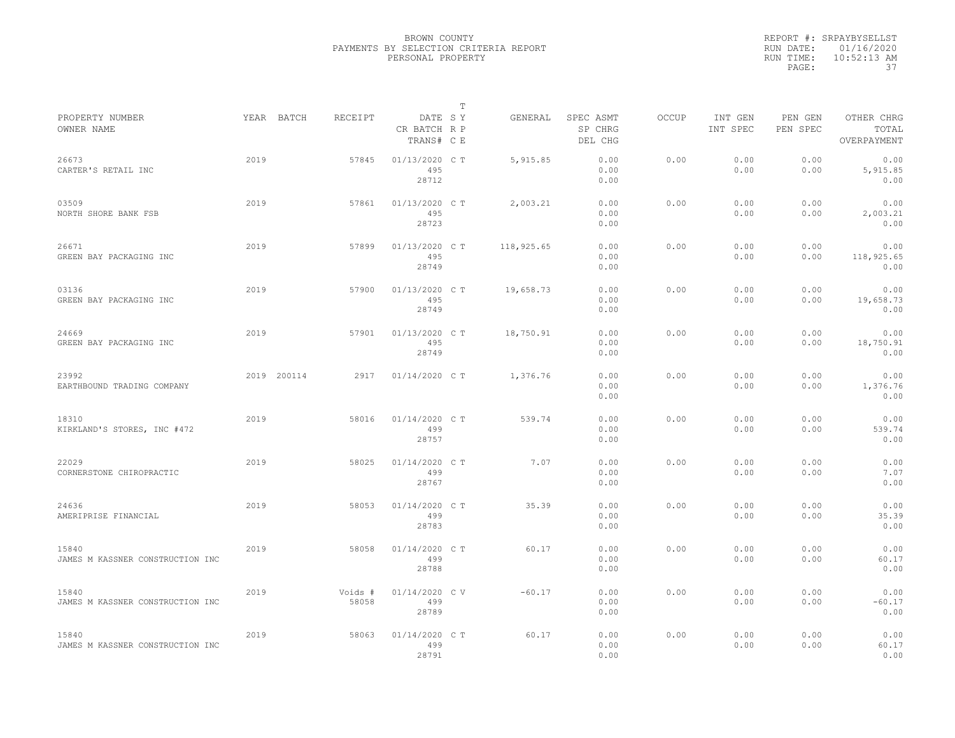|                                           |      |             |                  |                                       | $\mathbb T$ |            |                                 |              |                     |                     |                                    |
|-------------------------------------------|------|-------------|------------------|---------------------------------------|-------------|------------|---------------------------------|--------------|---------------------|---------------------|------------------------------------|
| PROPERTY NUMBER<br>OWNER NAME             |      | YEAR BATCH  | RECEIPT          | DATE SY<br>CR BATCH R P<br>TRANS# C E |             | GENERAL    | SPEC ASMT<br>SP CHRG<br>DEL CHG | <b>OCCUP</b> | INT GEN<br>INT SPEC | PEN GEN<br>PEN SPEC | OTHER CHRG<br>TOTAL<br>OVERPAYMENT |
| 26673<br>CARTER'S RETAIL INC              | 2019 |             | 57845            | 01/13/2020 C T<br>495<br>28712        |             | 5,915.85   | 0.00<br>0.00<br>0.00            | 0.00         | 0.00<br>0.00        | 0.00<br>0.00        | 0.00<br>5,915.85<br>0.00           |
| 03509<br>NORTH SHORE BANK FSB             | 2019 |             | 57861            | 01/13/2020 C T<br>495<br>28723        |             | 2,003.21   | 0.00<br>0.00<br>0.00            | 0.00         | 0.00<br>0.00        | 0.00<br>0.00        | 0.00<br>2,003.21<br>0.00           |
| 26671<br>GREEN BAY PACKAGING INC          | 2019 |             | 57899            | 01/13/2020 C T<br>495<br>28749        |             | 118,925.65 | 0.00<br>0.00<br>0.00            | 0.00         | 0.00<br>0.00        | 0.00<br>0.00        | 0.00<br>118,925.65<br>0.00         |
| 03136<br>GREEN BAY PACKAGING INC          | 2019 |             | 57900            | 01/13/2020 C T<br>495<br>28749        |             | 19,658.73  | 0.00<br>0.00<br>0.00            | 0.00         | 0.00<br>0.00        | 0.00<br>0.00        | 0.00<br>19,658.73<br>0.00          |
| 24669<br>GREEN BAY PACKAGING INC          | 2019 |             | 57901            | 01/13/2020 C T<br>495<br>28749        |             | 18,750.91  | 0.00<br>0.00<br>0.00            | 0.00         | 0.00<br>0.00        | 0.00<br>0.00        | 0.00<br>18,750.91<br>0.00          |
| 23992<br>EARTHBOUND TRADING COMPANY       |      | 2019 200114 | 2917             | $01/14/2020$ C T                      |             | 1,376.76   | 0.00<br>0.00<br>0.00            | 0.00         | 0.00<br>0.00        | 0.00<br>0.00        | 0.00<br>1,376.76<br>0.00           |
| 18310<br>KIRKLAND'S STORES, INC #472      | 2019 |             | 58016            | 01/14/2020 C T<br>499<br>28757        |             | 539.74     | 0.00<br>0.00<br>0.00            | 0.00         | 0.00<br>0.00        | 0.00<br>0.00        | 0.00<br>539.74<br>0.00             |
| 22029<br>CORNERSTONE CHIROPRACTIC         | 2019 |             | 58025            | 01/14/2020 C T<br>499<br>28767        |             | 7.07       | 0.00<br>0.00<br>0.00            | 0.00         | 0.00<br>0.00        | 0.00<br>0.00        | 0.00<br>7.07<br>0.00               |
| 24636<br>AMERIPRISE FINANCIAL             | 2019 |             | 58053            | $01/14/2020$ C T<br>499<br>28783      |             | 35.39      | 0.00<br>0.00<br>0.00            | 0.00         | 0.00<br>0.00        | 0.00<br>0.00        | 0.00<br>35.39<br>0.00              |
| 15840<br>JAMES M KASSNER CONSTRUCTION INC | 2019 |             | 58058            | 01/14/2020 C T<br>499<br>28788        |             | 60.17      | 0.00<br>0.00<br>0.00            | 0.00         | 0.00<br>0.00        | 0.00<br>0.00        | 0.00<br>60.17<br>0.00              |
| 15840<br>JAMES M KASSNER CONSTRUCTION INC | 2019 |             | Voids #<br>58058 | 01/14/2020 CV<br>499<br>28789         |             | $-60.17$   | 0.00<br>0.00<br>0.00            | 0.00         | 0.00<br>0.00        | 0.00<br>0.00        | 0.00<br>$-60.17$<br>0.00           |
| 15840<br>JAMES M KASSNER CONSTRUCTION INC | 2019 |             | 58063            | 01/14/2020 C T<br>499<br>28791        |             | 60.17      | 0.00<br>0.00<br>0.00            | 0.00         | 0.00<br>0.00        | 0.00<br>0.00        | 0.00<br>60.17<br>0.00              |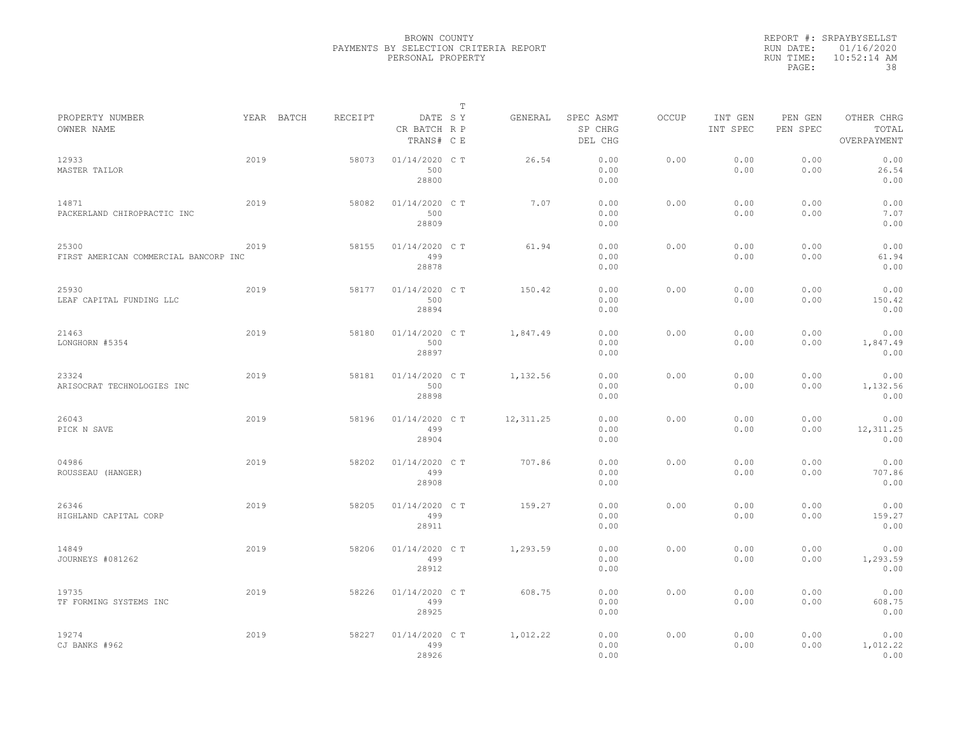|           | REPORT #: SRPAYBYSELLST |
|-----------|-------------------------|
|           | RUN DATE: 01/16/2020    |
| RUN TIME: | $10:52:14$ AM           |
| PAGE:     | 38                      |

|                                                |            |         |                                       | $\mathbb T$ |           |                                 |              |                     |                     |                                    |
|------------------------------------------------|------------|---------|---------------------------------------|-------------|-----------|---------------------------------|--------------|---------------------|---------------------|------------------------------------|
| PROPERTY NUMBER<br>OWNER NAME                  | YEAR BATCH | RECEIPT | DATE SY<br>CR BATCH R P<br>TRANS# C E |             | GENERAL   | SPEC ASMT<br>SP CHRG<br>DEL CHG | <b>OCCUP</b> | INT GEN<br>INT SPEC | PEN GEN<br>PEN SPEC | OTHER CHRG<br>TOTAL<br>OVERPAYMENT |
| 12933<br>MASTER TAILOR                         | 2019       | 58073   | 01/14/2020 C T<br>500<br>28800        |             | 26.54     | 0.00<br>0.00<br>0.00            | 0.00         | 0.00<br>0.00        | 0.00<br>0.00        | 0.00<br>26.54<br>0.00              |
| 14871<br>PACKERLAND CHIROPRACTIC INC           | 2019       | 58082   | 01/14/2020 C T<br>500<br>28809        |             | 7.07      | 0.00<br>0.00<br>0.00            | 0.00         | 0.00<br>0.00        | 0.00<br>0.00        | 0.00<br>7.07<br>0.00               |
| 25300<br>FIRST AMERICAN COMMERCIAL BANCORP INC | 2019       | 58155   | 01/14/2020 C T<br>499<br>28878        |             | 61.94     | 0.00<br>0.00<br>0.00            | 0.00         | 0.00<br>0.00        | 0.00<br>0.00        | 0.00<br>61.94<br>0.00              |
| 25930<br>LEAF CAPITAL FUNDING LLC              | 2019       | 58177   | 01/14/2020 C T<br>500<br>28894        |             | 150.42    | 0.00<br>0.00<br>0.00            | 0.00         | 0.00<br>0.00        | 0.00<br>0.00        | 0.00<br>150.42<br>0.00             |
| 21463<br>LONGHORN #5354                        | 2019       | 58180   | 01/14/2020 C T<br>500<br>28897        |             | 1,847.49  | 0.00<br>0.00<br>0.00            | 0.00         | 0.00<br>0.00        | 0.00<br>0.00        | 0.00<br>1,847.49<br>0.00           |
| 23324<br>ARISOCRAT TECHNOLOGIES INC            | 2019       | 58181   | 01/14/2020 C T<br>500<br>28898        |             | 1,132.56  | 0.00<br>0.00<br>0.00            | 0.00         | 0.00<br>0.00        | 0.00<br>0.00        | 0.00<br>1,132.56<br>0.00           |
| 26043<br>PICK N SAVE                           | 2019       | 58196   | 01/14/2020 C T<br>499<br>28904        |             | 12,311.25 | 0.00<br>0.00<br>0.00            | 0.00         | 0.00<br>0.00        | 0.00<br>0.00        | 0.00<br>12,311.25<br>0.00          |
| 04986<br>ROUSSEAU (HANGER)                     | 2019       | 58202   | 01/14/2020 C T<br>499<br>28908        |             | 707.86    | 0.00<br>0.00<br>0.00            | 0.00         | 0.00<br>0.00        | 0.00<br>0.00        | 0.00<br>707.86<br>0.00             |
| 26346<br>HIGHLAND CAPITAL CORP                 | 2019       | 58205   | 01/14/2020 C T<br>499<br>28911        |             | 159.27    | 0.00<br>0.00<br>0.00            | 0.00         | 0.00<br>0.00        | 0.00<br>0.00        | 0.00<br>159.27<br>0.00             |
| 14849<br>JOURNEYS #081262                      | 2019       | 58206   | 01/14/2020 C T<br>499<br>28912        |             | 1,293.59  | 0.00<br>0.00<br>0.00            | 0.00         | 0.00<br>0.00        | 0.00<br>0.00        | 0.00<br>1,293.59<br>0.00           |
| 19735<br>TF FORMING SYSTEMS INC                | 2019       | 58226   | 01/14/2020 C T<br>499<br>28925        |             | 608.75    | 0.00<br>0.00<br>0.00            | 0.00         | 0.00<br>0.00        | 0.00<br>0.00        | 0.00<br>608.75<br>0.00             |
| 19274<br>CJ BANKS #962                         | 2019       | 58227   | 01/14/2020 C T<br>499<br>28926        |             | 1,012.22  | 0.00<br>0.00<br>0.00            | 0.00         | 0.00<br>0.00        | 0.00<br>0.00        | 0.00<br>1,012.22<br>0.00           |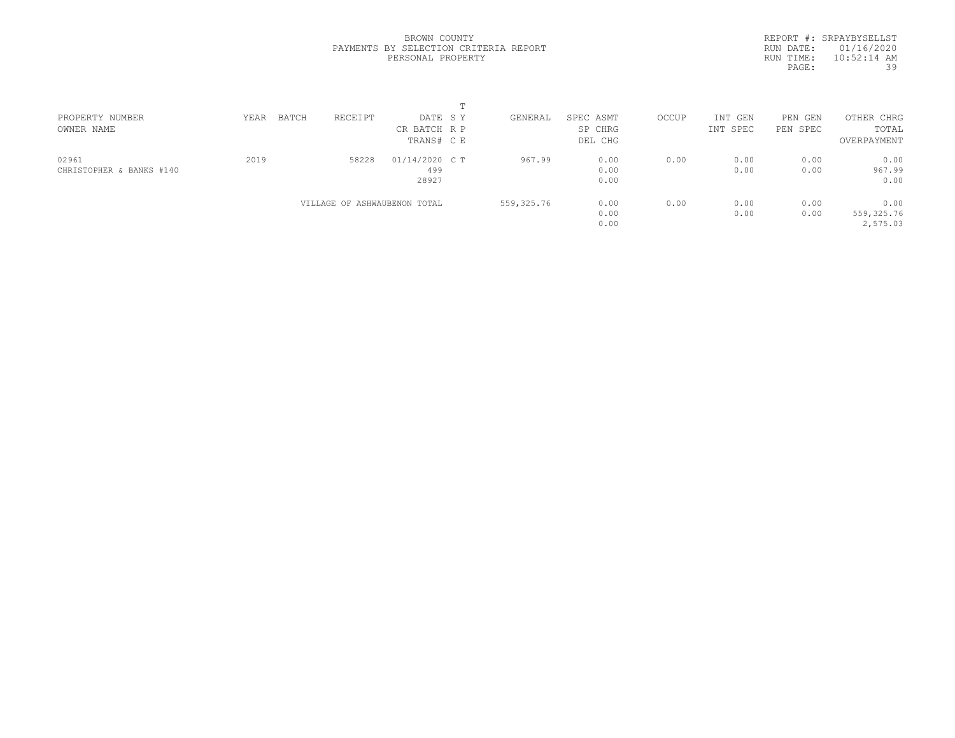REPORT #: SRPAYBYSELLST RUN DATE: 01/16/2020 RUN TIME: 10:52:14 AM PAGE: 39

| PROPERTY NUMBER          | YEAR | BATCH | RECEIPT                      | DATE SY        | GENERAL    | SPEC ASMT | OCCUP | INT GEN  | PEN GEN  | OTHER CHRG  |  |
|--------------------------|------|-------|------------------------------|----------------|------------|-----------|-------|----------|----------|-------------|--|
| OWNER NAME               |      |       |                              | CR BATCH R P   |            | SP CHRG   |       | INT SPEC | PEN SPEC | TOTAL       |  |
|                          |      |       |                              | TRANS# C E     |            | DEL CHG   |       |          |          | OVERPAYMENT |  |
| 02961                    | 2019 |       | 58228                        | 01/14/2020 C T | 967.99     | 0.00      | 0.00  | 0.00     | 0.00     | 0.00        |  |
| CHRISTOPHER & BANKS #140 |      |       |                              | 499            |            | 0.00      |       | 0.00     | 0.00     | 967.99      |  |
|                          |      |       |                              | 28927          |            | 0.00      |       |          |          | 0.00        |  |
|                          |      |       | VILLAGE OF ASHWAUBENON TOTAL |                | 559,325.76 | 0.00      | 0.00  | 0.00     | 0.00     | 0.00        |  |
|                          |      |       |                              |                |            | 0.00      |       | 0.00     | 0.00     | 559,325.76  |  |
|                          |      |       |                              |                |            | 0.00      |       |          |          | 2,575.03    |  |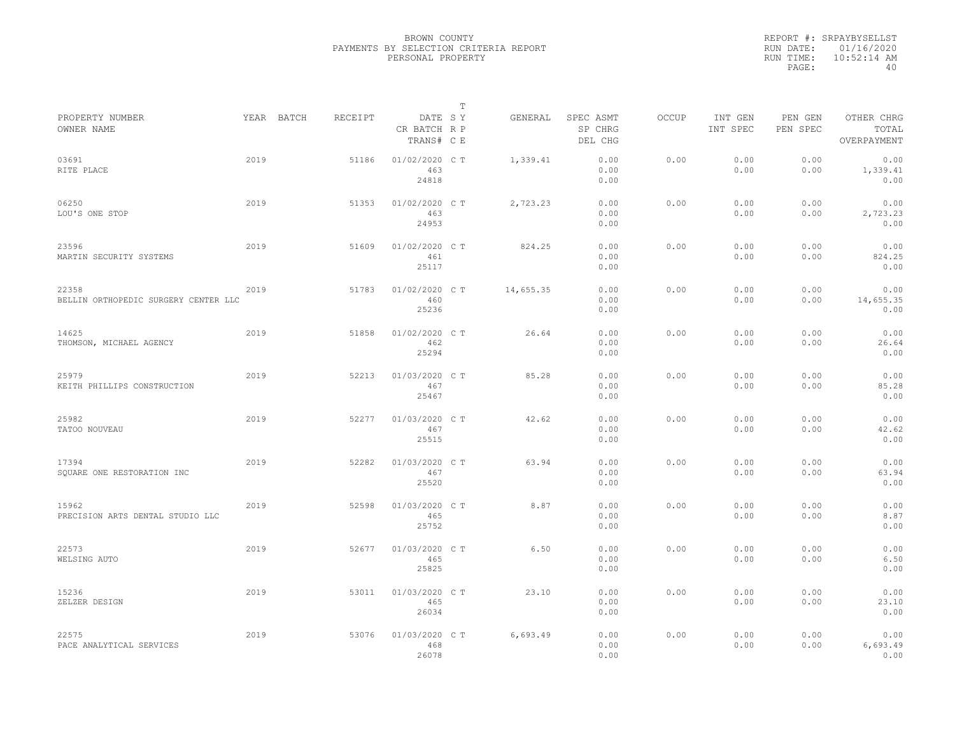|           | REPORT #: SRPAYBYSELLST |
|-----------|-------------------------|
|           | RUN DATE: 01/16/2020    |
| RUN TIME: | $10:52:14$ AM           |
| PAGE:     | 40                      |

|                                               |      |            |         |                                       | $\mathbb T$ |           |                                 |              |                     |                     |                                    |
|-----------------------------------------------|------|------------|---------|---------------------------------------|-------------|-----------|---------------------------------|--------------|---------------------|---------------------|------------------------------------|
| PROPERTY NUMBER<br>OWNER NAME                 |      | YEAR BATCH | RECEIPT | DATE SY<br>CR BATCH R P<br>TRANS# C E |             | GENERAL   | SPEC ASMT<br>SP CHRG<br>DEL CHG | <b>OCCUP</b> | INT GEN<br>INT SPEC | PEN GEN<br>PEN SPEC | OTHER CHRG<br>TOTAL<br>OVERPAYMENT |
| 03691<br>RITE PLACE                           | 2019 |            | 51186   | 01/02/2020 C T<br>463<br>24818        |             | 1,339.41  | 0.00<br>0.00<br>0.00            | 0.00         | 0.00<br>0.00        | 0.00<br>0.00        | 0.00<br>1,339.41<br>0.00           |
| 06250<br>LOU'S ONE STOP                       | 2019 |            | 51353   | 01/02/2020 C T<br>463<br>24953        |             | 2,723.23  | 0.00<br>0.00<br>0.00            | 0.00         | 0.00<br>0.00        | 0.00<br>0.00        | 0.00<br>2,723.23<br>0.00           |
| 23596<br>MARTIN SECURITY SYSTEMS              | 2019 |            | 51609   | 01/02/2020 C T<br>461<br>25117        |             | 824.25    | 0.00<br>0.00<br>0.00            | 0.00         | 0.00<br>0.00        | 0.00<br>0.00        | 0.00<br>824.25<br>0.00             |
| 22358<br>BELLIN ORTHOPEDIC SURGERY CENTER LLC | 2019 |            | 51783   | 01/02/2020 C T<br>460<br>25236        |             | 14,655.35 | 0.00<br>0.00<br>0.00            | 0.00         | 0.00<br>0.00        | 0.00<br>0.00        | 0.00<br>14,655.35<br>0.00          |
| 14625<br>THOMSON, MICHAEL AGENCY              | 2019 |            | 51858   | 01/02/2020 C T<br>462<br>25294        |             | 26.64     | 0.00<br>0.00<br>0.00            | 0.00         | 0.00<br>0.00        | 0.00<br>0.00        | 0.00<br>26.64<br>0.00              |
| 25979<br>KEITH PHILLIPS CONSTRUCTION          | 2019 |            | 52213   | 01/03/2020 C T<br>467<br>25467        |             | 85.28     | 0.00<br>0.00<br>0.00            | 0.00         | 0.00<br>0.00        | 0.00<br>0.00        | 0.00<br>85.28<br>0.00              |
| 25982<br>TATOO NOUVEAU                        | 2019 |            | 52277   | 01/03/2020 C T<br>467<br>25515        |             | 42.62     | 0.00<br>0.00<br>0.00            | 0.00         | 0.00<br>0.00        | 0.00<br>0.00        | 0.00<br>42.62<br>0.00              |
| 17394<br>SOUARE ONE RESTORATION INC           | 2019 |            | 52282   | 01/03/2020 C T<br>467<br>25520        |             | 63.94     | 0.00<br>0.00<br>0.00            | 0.00         | 0.00<br>0.00        | 0.00<br>0.00        | 0.00<br>63.94<br>0.00              |
| 15962<br>PRECISION ARTS DENTAL STUDIO LLC     | 2019 |            | 52598   | 01/03/2020 CT<br>465<br>25752         |             | 8.87      | 0.00<br>0.00<br>0.00            | 0.00         | 0.00<br>0.00        | 0.00<br>0.00        | 0.00<br>8.87<br>0.00               |
| 22573<br>WELSING AUTO                         | 2019 |            | 52677   | 01/03/2020 C T<br>465<br>25825        |             | 6.50      | 0.00<br>0.00<br>0.00            | 0.00         | 0.00<br>0.00        | 0.00<br>0.00        | 0.00<br>6.50<br>0.00               |
| 15236<br>ZELZER DESIGN                        | 2019 |            | 53011   | 01/03/2020 C T<br>465<br>26034        |             | 23.10     | 0.00<br>0.00<br>0.00            | 0.00         | 0.00<br>0.00        | 0.00<br>0.00        | 0.00<br>23.10<br>0.00              |
| 22575<br>PACE ANALYTICAL SERVICES             | 2019 |            | 53076   | 01/03/2020 CT<br>468<br>26078         |             | 6,693.49  | 0.00<br>0.00<br>0.00            | 0.00         | 0.00<br>0.00        | 0.00<br>0.00        | 0.00<br>6,693.49<br>0.00           |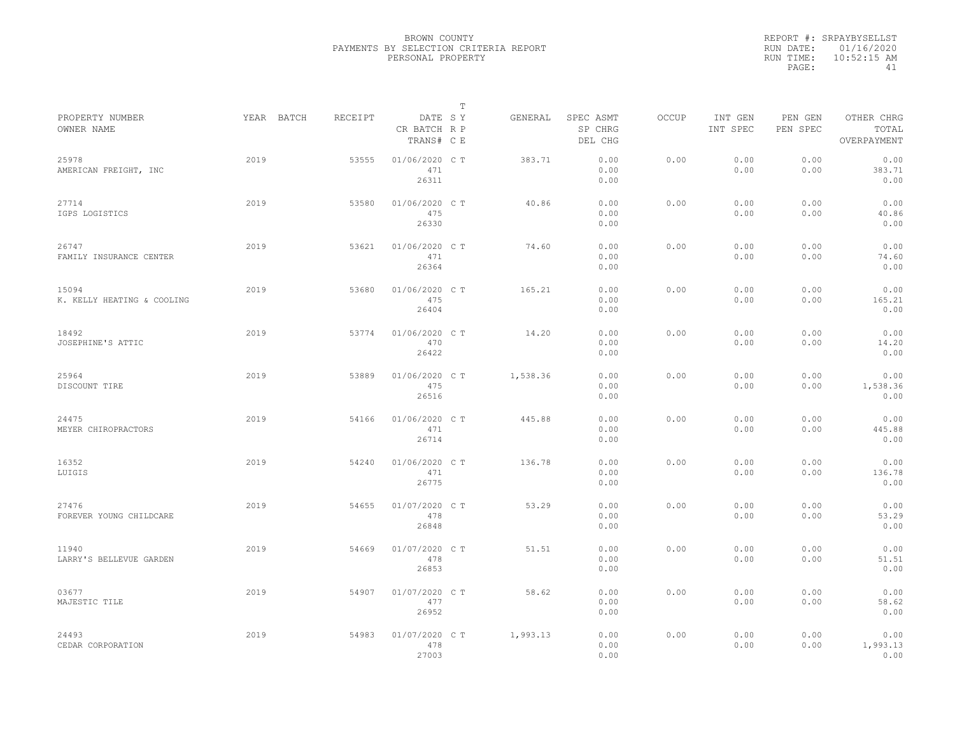|           | REPORT #: SRPAYBYSELLST |
|-----------|-------------------------|
|           | RUN DATE: 01/16/2020    |
| RUN TIME: | $10:52:15$ AM           |
| PAGE:     | 41                      |

|                                     |            |         |                                       | T |          |                                 |       |                     |                     |                                    |  |
|-------------------------------------|------------|---------|---------------------------------------|---|----------|---------------------------------|-------|---------------------|---------------------|------------------------------------|--|
| PROPERTY NUMBER<br>OWNER NAME       | YEAR BATCH | RECEIPT | DATE SY<br>CR BATCH R P<br>TRANS# C E |   | GENERAL  | SPEC ASMT<br>SP CHRG<br>DEL CHG | OCCUP | INT GEN<br>INT SPEC | PEN GEN<br>PEN SPEC | OTHER CHRG<br>TOTAL<br>OVERPAYMENT |  |
| 25978<br>AMERICAN FREIGHT, INC      | 2019       | 53555   | 01/06/2020 C T<br>471<br>26311        |   | 383.71   | 0.00<br>0.00<br>0.00            | 0.00  | 0.00<br>0.00        | 0.00<br>0.00        | 0.00<br>383.71<br>0.00             |  |
| 27714<br>IGPS LOGISTICS             | 2019       | 53580   | 01/06/2020 C T<br>475<br>26330        |   | 40.86    | 0.00<br>0.00<br>0.00            | 0.00  | 0.00<br>0.00        | 0.00<br>0.00        | 0.00<br>40.86<br>0.00              |  |
| 26747<br>FAMILY INSURANCE CENTER    | 2019       | 53621   | 01/06/2020 C T<br>471<br>26364        |   | 74.60    | 0.00<br>0.00<br>0.00            | 0.00  | 0.00<br>0.00        | 0.00<br>0.00        | 0.00<br>74.60<br>0.00              |  |
| 15094<br>K. KELLY HEATING & COOLING | 2019       | 53680   | 01/06/2020 C T<br>475<br>26404        |   | 165.21   | 0.00<br>0.00<br>0.00            | 0.00  | 0.00<br>0.00        | 0.00<br>0.00        | 0.00<br>165.21<br>0.00             |  |
| 18492<br>JOSEPHINE'S ATTIC          | 2019       | 53774   | 01/06/2020 C T<br>470<br>26422        |   | 14.20    | 0.00<br>0.00<br>0.00            | 0.00  | 0.00<br>0.00        | 0.00<br>0.00        | 0.00<br>14.20<br>0.00              |  |
| 25964<br>DISCOUNT TIRE              | 2019       | 53889   | 01/06/2020 C T<br>475<br>26516        |   | 1,538.36 | 0.00<br>0.00<br>0.00            | 0.00  | 0.00<br>0.00        | 0.00<br>0.00        | 0.00<br>1,538.36<br>0.00           |  |
| 24475<br>MEYER CHIROPRACTORS        | 2019       | 54166   | 01/06/2020 C T<br>471<br>26714        |   | 445.88   | 0.00<br>0.00<br>0.00            | 0.00  | 0.00<br>0.00        | 0.00<br>0.00        | 0.00<br>445.88<br>0.00             |  |
| 16352<br>LUIGIS                     | 2019       | 54240   | 01/06/2020 CT<br>471<br>26775         |   | 136.78   | 0.00<br>0.00<br>0.00            | 0.00  | 0.00<br>0.00        | 0.00<br>0.00        | 0.00<br>136.78<br>0.00             |  |
| 27476<br>FOREVER YOUNG CHILDCARE    | 2019       | 54655   | 01/07/2020 CT<br>478<br>26848         |   | 53.29    | 0.00<br>0.00<br>0.00            | 0.00  | 0.00<br>0.00        | 0.00<br>0.00        | 0.00<br>53.29<br>0.00              |  |
| 11940<br>LARRY'S BELLEVUE GARDEN    | 2019       | 54669   | 01/07/2020 C T<br>478<br>26853        |   | 51.51    | 0.00<br>0.00<br>0.00            | 0.00  | 0.00<br>0.00        | 0.00<br>0.00        | 0.00<br>51.51<br>0.00              |  |
| 03677<br>MAJESTIC TILE              | 2019       | 54907   | 01/07/2020 C T<br>477<br>26952        |   | 58.62    | 0.00<br>0.00<br>0.00            | 0.00  | 0.00<br>0.00        | 0.00<br>0.00        | 0.00<br>58.62<br>0.00              |  |
| 24493<br>CEDAR CORPORATION          | 2019       | 54983   | 01/07/2020 C T<br>478<br>27003        |   | 1,993.13 | 0.00<br>0.00<br>0.00            | 0.00  | 0.00<br>0.00        | 0.00<br>0.00        | 0.00<br>1,993.13<br>0.00           |  |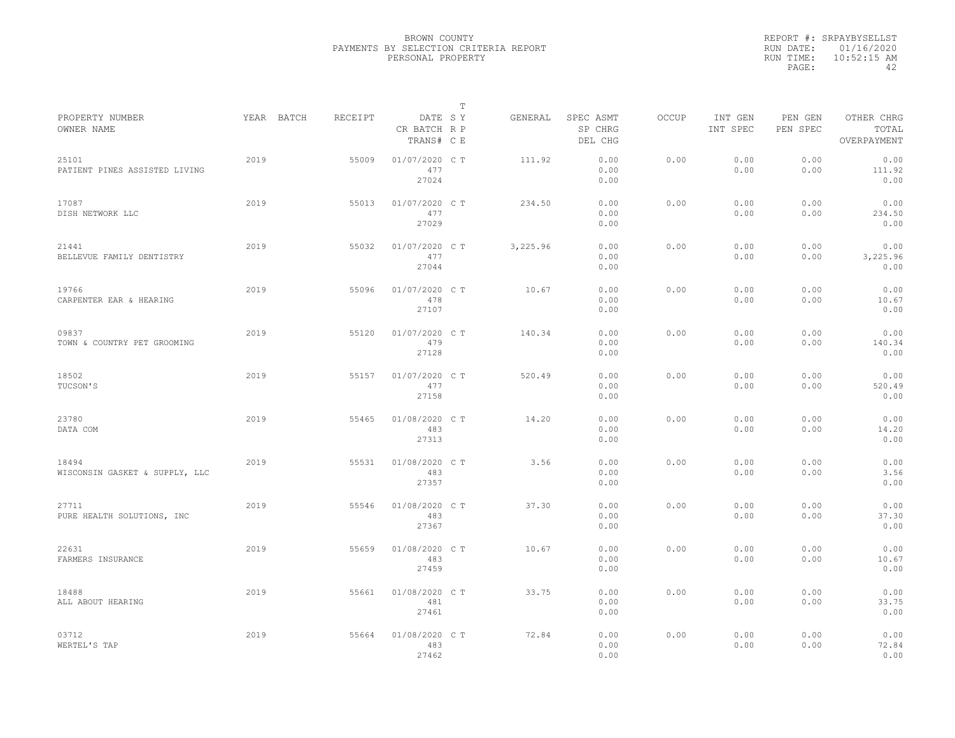|           | REPORT #: SRPAYBYSELLST |
|-----------|-------------------------|
|           | RUN DATE: 01/16/2020    |
| RUN TIME: | $10:52:15$ AM           |
| PAGE:     | ΔΩ                      |

|                                         |            |         |                                       | $\mathbb T$ |          |                                 |              |                     |                     |                                    |
|-----------------------------------------|------------|---------|---------------------------------------|-------------|----------|---------------------------------|--------------|---------------------|---------------------|------------------------------------|
| PROPERTY NUMBER<br>OWNER NAME           | YEAR BATCH | RECEIPT | DATE SY<br>CR BATCH R P<br>TRANS# C E |             | GENERAL  | SPEC ASMT<br>SP CHRG<br>DEL CHG | <b>OCCUP</b> | INT GEN<br>INT SPEC | PEN GEN<br>PEN SPEC | OTHER CHRG<br>TOTAL<br>OVERPAYMENT |
| 25101<br>PATIENT PINES ASSISTED LIVING  | 2019       | 55009   | 01/07/2020 C T<br>477<br>27024        |             | 111.92   | 0.00<br>0.00<br>0.00            | 0.00         | 0.00<br>0.00        | 0.00<br>0.00        | 0.00<br>111.92<br>0.00             |
| 17087<br>DISH NETWORK LLC               | 2019       | 55013   | 01/07/2020 C T<br>477<br>27029        |             | 234.50   | 0.00<br>0.00<br>0.00            | 0.00         | 0.00<br>0.00        | 0.00<br>0.00        | 0.00<br>234.50<br>0.00             |
| 21441<br>BELLEVUE FAMILY DENTISTRY      | 2019       | 55032   | 01/07/2020 C T<br>477<br>27044        |             | 3,225.96 | 0.00<br>0.00<br>0.00            | 0.00         | 0.00<br>0.00        | 0.00<br>0.00        | 0.00<br>3,225.96<br>0.00           |
| 19766<br>CARPENTER EAR & HEARING        | 2019       | 55096   | 01/07/2020 C T<br>478<br>27107        |             | 10.67    | 0.00<br>0.00<br>0.00            | 0.00         | 0.00<br>0.00        | 0.00<br>0.00        | 0.00<br>10.67<br>0.00              |
| 09837<br>TOWN & COUNTRY PET GROOMING    | 2019       | 55120   | 01/07/2020 C T<br>479<br>27128        |             | 140.34   | 0.00<br>0.00<br>0.00            | 0.00         | 0.00<br>0.00        | 0.00<br>0.00        | 0.00<br>140.34<br>0.00             |
| 18502<br>TUCSON'S                       | 2019       | 55157   | 01/07/2020 CT<br>477<br>27158         |             | 520.49   | 0.00<br>0.00<br>0.00            | 0.00         | 0.00<br>0.00        | 0.00<br>0.00        | 0.00<br>520.49<br>0.00             |
| 23780<br>DATA COM                       | 2019       | 55465   | 01/08/2020 C T<br>483<br>27313        |             | 14.20    | 0.00<br>0.00<br>0.00            | 0.00         | 0.00<br>0.00        | 0.00<br>0.00        | 0.00<br>14.20<br>0.00              |
| 18494<br>WISCONSIN GASKET & SUPPLY, LLC | 2019       | 55531   | 01/08/2020 C T<br>483<br>27357        |             | 3.56     | 0.00<br>0.00<br>0.00            | 0.00         | 0.00<br>0.00        | 0.00<br>0.00        | 0.00<br>3.56<br>0.00               |
| 27711<br>PURE HEALTH SOLUTIONS, INC     | 2019       | 55546   | 01/08/2020 CT<br>483<br>27367         |             | 37.30    | 0.00<br>0.00<br>0.00            | 0.00         | 0.00<br>0.00        | 0.00<br>0.00        | 0.00<br>37.30<br>0.00              |
| 22631<br>FARMERS INSURANCE              | 2019       | 55659   | 01/08/2020 C T<br>483<br>27459        |             | 10.67    | 0.00<br>0.00<br>0.00            | 0.00         | 0.00<br>0.00        | 0.00<br>0.00        | 0.00<br>10.67<br>0.00              |
| 18488<br>ALL ABOUT HEARING              | 2019       | 55661   | 01/08/2020 C T<br>481<br>27461        |             | 33.75    | 0.00<br>0.00<br>0.00            | 0.00         | 0.00<br>0.00        | 0.00<br>0.00        | 0.00<br>33.75<br>0.00              |
| 03712<br>WERTEL'S TAP                   | 2019       | 55664   | 01/08/2020 CT<br>483<br>27462         |             | 72.84    | 0.00<br>0.00<br>0.00            | 0.00         | 0.00<br>0.00        | 0.00<br>0.00        | 0.00<br>72.84<br>0.00              |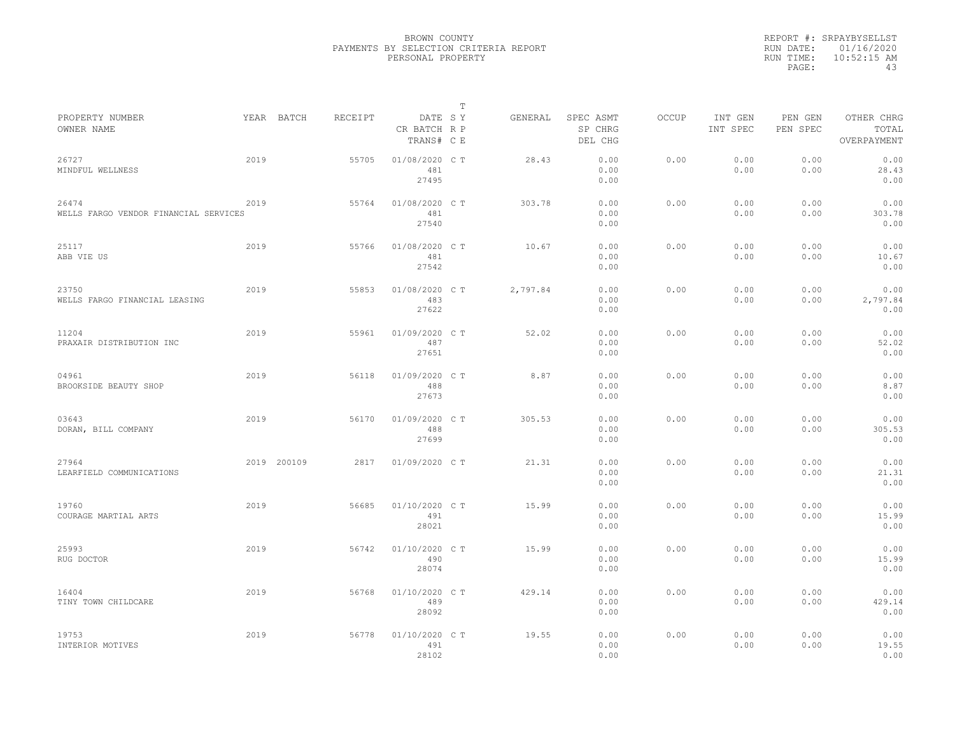|           | REPORT #: SRPAYBYSELLST |
|-----------|-------------------------|
|           | RUN DATE: 01/16/2020    |
| RUN TIME: | $10:52:15$ AM           |
| PAGE:     | 43                      |

|                                                |             |         |                                       | $\mathbb T$ |          |                                 |              |                     |                     |                                    |
|------------------------------------------------|-------------|---------|---------------------------------------|-------------|----------|---------------------------------|--------------|---------------------|---------------------|------------------------------------|
| PROPERTY NUMBER<br>OWNER NAME                  | YEAR BATCH  | RECEIPT | DATE SY<br>CR BATCH R P<br>TRANS# C E |             | GENERAL  | SPEC ASMT<br>SP CHRG<br>DEL CHG | <b>OCCUP</b> | INT GEN<br>INT SPEC | PEN GEN<br>PEN SPEC | OTHER CHRG<br>TOTAL<br>OVERPAYMENT |
| 26727<br>MINDFUL WELLNESS                      | 2019        | 55705   | 01/08/2020 C T<br>481<br>27495        |             | 28.43    | 0.00<br>0.00<br>0.00            | 0.00         | 0.00<br>0.00        | 0.00<br>0.00        | 0.00<br>28.43<br>0.00              |
| 26474<br>WELLS FARGO VENDOR FINANCIAL SERVICES | 2019        | 55764   | 01/08/2020 C T<br>481<br>27540        |             | 303.78   | 0.00<br>0.00<br>0.00            | 0.00         | 0.00<br>0.00        | 0.00<br>0.00        | 0.00<br>303.78<br>0.00             |
| 25117<br>ABB VIE US                            | 2019        | 55766   | 01/08/2020 C T<br>481<br>27542        |             | 10.67    | 0.00<br>0.00<br>0.00            | 0.00         | 0.00<br>0.00        | 0.00<br>0.00        | 0.00<br>10.67<br>0.00              |
| 23750<br>WELLS FARGO FINANCIAL LEASING         | 2019        | 55853   | 01/08/2020 CT<br>483<br>27622         |             | 2,797.84 | 0.00<br>0.00<br>0.00            | 0.00         | 0.00<br>0.00        | 0.00<br>0.00        | 0.00<br>2,797.84<br>0.00           |
| 11204<br>PRAXAIR DISTRIBUTION INC              | 2019        | 55961   | 01/09/2020 CT<br>487<br>27651         |             | 52.02    | 0.00<br>0.00<br>0.00            | 0.00         | 0.00<br>0.00        | 0.00<br>0.00        | 0.00<br>52.02<br>0.00              |
| 04961<br>BROOKSIDE BEAUTY SHOP                 | 2019        | 56118   | 01/09/2020 C T<br>488<br>27673        |             | 8.87     | 0.00<br>0.00<br>0.00            | 0.00         | 0.00<br>0.00        | 0.00<br>0.00        | 0.00<br>8.87<br>0.00               |
| 03643<br>DORAN, BILL COMPANY                   | 2019        | 56170   | 01/09/2020 C T<br>488<br>27699        |             | 305.53   | 0.00<br>0.00<br>0.00            | 0.00         | 0.00<br>0.00        | 0.00<br>0.00        | 0.00<br>305.53<br>0.00             |
| 27964<br>LEARFIELD COMMUNICATIONS              | 2019 200109 | 2817    | 01/09/2020 C T                        |             | 21.31    | 0.00<br>0.00<br>0.00            | 0.00         | 0.00<br>0.00        | 0.00<br>0.00        | 0.00<br>21.31<br>0.00              |
| 19760<br>COURAGE MARTIAL ARTS                  | 2019        | 56685   | 01/10/2020 C T<br>491<br>28021        |             | 15.99    | 0.00<br>0.00<br>0.00            | 0.00         | 0.00<br>0.00        | 0.00<br>0.00        | 0.00<br>15.99<br>0.00              |
| 25993<br>RUG DOCTOR                            | 2019        | 56742   | 01/10/2020 C T<br>490<br>28074        |             | 15.99    | 0.00<br>0.00<br>0.00            | 0.00         | 0.00<br>0.00        | 0.00<br>0.00        | 0.00<br>15.99<br>0.00              |
| 16404<br>TINY TOWN CHILDCARE                   | 2019        | 56768   | 01/10/2020 C T<br>489<br>28092        |             | 429.14   | 0.00<br>0.00<br>0.00            | 0.00         | 0.00<br>0.00        | 0.00<br>0.00        | 0.00<br>429.14<br>0.00             |
| 19753<br>INTERIOR MOTIVES                      | 2019        | 56778   | 01/10/2020 C T<br>491<br>28102        |             | 19.55    | 0.00<br>0.00<br>0.00            | 0.00         | 0.00<br>0.00        | 0.00<br>0.00        | 0.00<br>19.55<br>0.00              |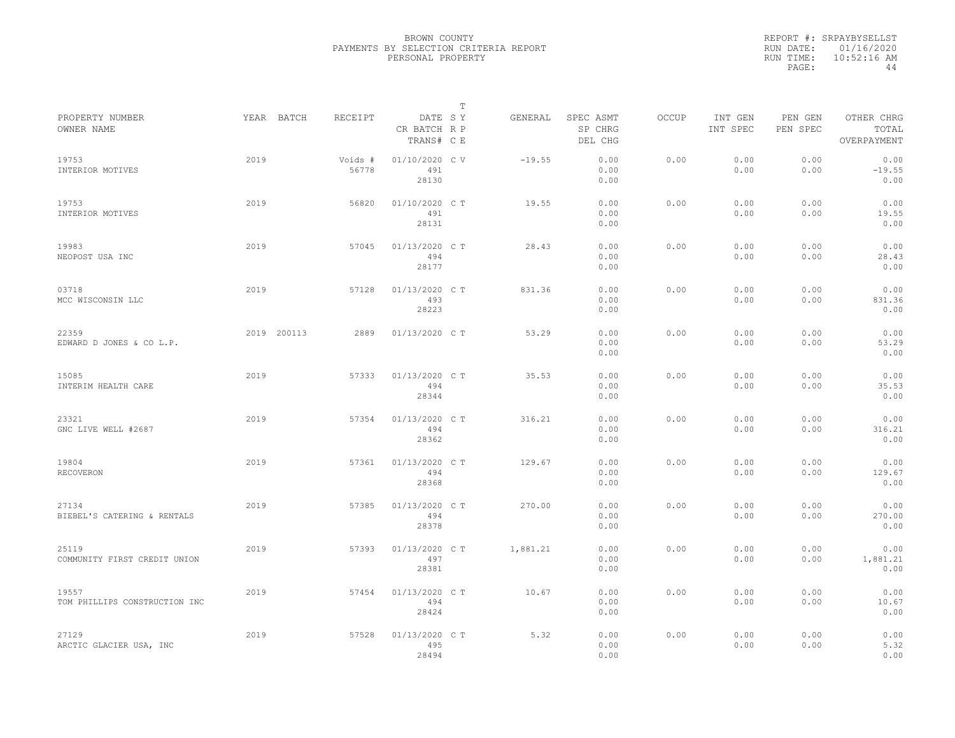|           | REPORT #: SRPAYBYSELLST |
|-----------|-------------------------|
|           | RUN DATE: 01/16/2020    |
| RUN TIME: | $10:52:16$ AM           |
| PAGE:     | 44                      |
|           |                         |

|                                        |      |             |                  |                                       | $\mathbb T$ |          |                                 |       |                     |                     |                                    |  |
|----------------------------------------|------|-------------|------------------|---------------------------------------|-------------|----------|---------------------------------|-------|---------------------|---------------------|------------------------------------|--|
| PROPERTY NUMBER<br>OWNER NAME          |      | YEAR BATCH  | RECEIPT          | DATE SY<br>CR BATCH R P<br>TRANS# C E |             | GENERAL  | SPEC ASMT<br>SP CHRG<br>DEL CHG | OCCUP | INT GEN<br>INT SPEC | PEN GEN<br>PEN SPEC | OTHER CHRG<br>TOTAL<br>OVERPAYMENT |  |
| 19753<br>INTERIOR MOTIVES              | 2019 |             | Voids #<br>56778 | 01/10/2020 CV<br>491<br>28130         |             | $-19.55$ | 0.00<br>0.00<br>0.00            | 0.00  | 0.00<br>0.00        | 0.00<br>0.00        | 0.00<br>$-19.55$<br>0.00           |  |
| 19753<br>INTERIOR MOTIVES              | 2019 |             | 56820            | 01/10/2020 C T<br>491<br>28131        |             | 19.55    | 0.00<br>0.00<br>0.00            | 0.00  | 0.00<br>0.00        | 0.00<br>0.00        | 0.00<br>19.55<br>0.00              |  |
| 19983<br>NEOPOST USA INC               | 2019 |             | 57045            | 01/13/2020 CT<br>494<br>28177         |             | 28.43    | 0.00<br>0.00<br>0.00            | 0.00  | 0.00<br>0.00        | 0.00<br>0.00        | 0.00<br>28.43<br>0.00              |  |
| 03718<br>MCC WISCONSIN LLC             | 2019 |             | 57128            | 01/13/2020 C T<br>493<br>28223        |             | 831.36   | 0.00<br>0.00<br>0.00            | 0.00  | 0.00<br>0.00        | 0.00<br>0.00        | 0.00<br>831.36<br>0.00             |  |
| 22359<br>EDWARD D JONES & CO L.P.      |      | 2019 200113 | 2889             | 01/13/2020 C T                        |             | 53.29    | 0.00<br>0.00<br>0.00            | 0.00  | 0.00<br>0.00        | 0.00<br>0.00        | 0.00<br>53.29<br>0.00              |  |
| 15085<br>INTERIM HEALTH CARE           | 2019 |             | 57333            | 01/13/2020 C T<br>494<br>28344        |             | 35.53    | 0.00<br>0.00<br>0.00            | 0.00  | 0.00<br>0.00        | 0.00<br>0.00        | 0.00<br>35.53<br>0.00              |  |
| 23321<br>GNC LIVE WELL #2687           | 2019 |             | 57354            | 01/13/2020 C T<br>494<br>28362        |             | 316.21   | 0.00<br>0.00<br>0.00            | 0.00  | 0.00<br>0.00        | 0.00<br>0.00        | 0.00<br>316.21<br>0.00             |  |
| 19804<br>RECOVERON                     | 2019 |             | 57361            | 01/13/2020 CT<br>494<br>28368         |             | 129.67   | 0.00<br>0.00<br>0.00            | 0.00  | 0.00<br>0.00        | 0.00<br>0.00        | 0.00<br>129.67<br>0.00             |  |
| 27134<br>BIEBEL'S CATERING & RENTALS   | 2019 |             | 57385            | 01/13/2020 C T<br>494<br>28378        |             | 270.00   | 0.00<br>0.00<br>0.00            | 0.00  | 0.00<br>0.00        | 0.00<br>0.00        | 0.00<br>270.00<br>0.00             |  |
| 25119<br>COMMUNITY FIRST CREDIT UNION  | 2019 |             | 57393            | 01/13/2020 C T<br>497<br>28381        |             | 1,881.21 | 0.00<br>0.00<br>0.00            | 0.00  | 0.00<br>0.00        | 0.00<br>0.00        | 0.00<br>1,881.21<br>0.00           |  |
| 19557<br>TOM PHILLIPS CONSTRUCTION INC | 2019 |             | 57454            | 01/13/2020 C T<br>494<br>28424        |             | 10.67    | 0.00<br>0.00<br>0.00            | 0.00  | 0.00<br>0.00        | 0.00<br>0.00        | 0.00<br>10.67<br>0.00              |  |
| 27129<br>ARCTIC GLACIER USA, INC       | 2019 |             | 57528            | 01/13/2020 C T<br>495<br>28494        |             | 5.32     | 0.00<br>0.00<br>0.00            | 0.00  | 0.00<br>0.00        | 0.00<br>0.00        | 0.00<br>5.32<br>0.00               |  |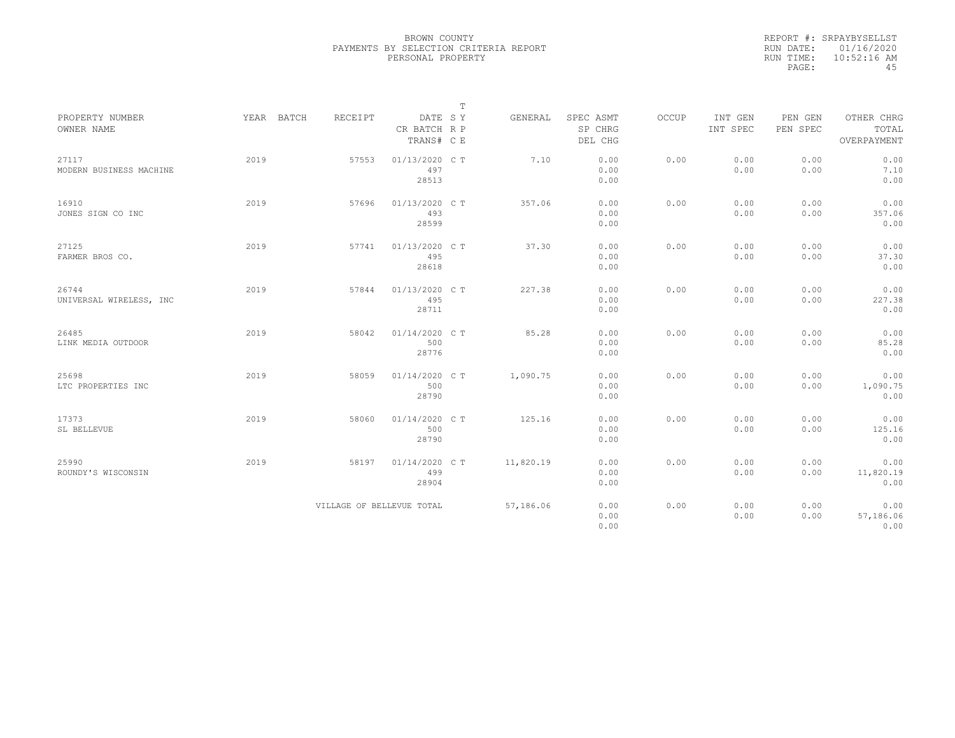|           | REPORT #: SRPAYBYSELLST |
|-----------|-------------------------|
|           | RUN DATE: 01/16/2020    |
| RUN TIME: | $10:52:16$ AM           |
| PAGE:     | 45                      |

|                               |            |                           |                                       | $\mathbb T$ |           |                                 |       |                     |                     |                                    |
|-------------------------------|------------|---------------------------|---------------------------------------|-------------|-----------|---------------------------------|-------|---------------------|---------------------|------------------------------------|
| PROPERTY NUMBER<br>OWNER NAME | YEAR BATCH | <b>RECEIPT</b>            | DATE SY<br>CR BATCH R P<br>TRANS# C E |             | GENERAL   | SPEC ASMT<br>SP CHRG<br>DEL CHG | OCCUP | INT GEN<br>INT SPEC | PEN GEN<br>PEN SPEC | OTHER CHRG<br>TOTAL<br>OVERPAYMENT |
|                               |            |                           |                                       |             |           |                                 |       |                     |                     |                                    |
| 27117                         | 2019       | 57553                     | 01/13/2020 CT                         |             | 7.10      | 0.00                            | 0.00  | 0.00                | 0.00                | 0.00                               |
| MODERN BUSINESS MACHINE       |            |                           | 497                                   |             |           | 0.00                            |       | 0.00                | 0.00                | 7.10                               |
|                               |            |                           | 28513                                 |             |           | 0.00                            |       |                     |                     | 0.00                               |
| 16910                         | 2019       | 57696                     | 01/13/2020 C T                        |             | 357.06    | 0.00                            | 0.00  | 0.00                | 0.00                | 0.00                               |
| JONES SIGN CO INC             |            |                           | 493                                   |             |           | 0.00                            |       | 0.00                | 0.00                | 357.06                             |
|                               |            |                           | 28599                                 |             |           | 0.00                            |       |                     |                     | 0.00                               |
| 27125                         | 2019       | 57741                     | 01/13/2020 C T                        |             | 37.30     | 0.00                            | 0.00  | 0.00                | 0.00                | 0.00                               |
| FARMER BROS CO.               |            |                           | 495                                   |             |           | 0.00                            |       | 0.00                | 0.00                | 37.30                              |
|                               |            |                           | 28618                                 |             |           | 0.00                            |       |                     |                     | 0.00                               |
| 26744                         | 2019       | 57844                     | 01/13/2020 C T                        |             | 227.38    | 0.00                            | 0.00  | 0.00                | 0.00                | 0.00                               |
| UNIVERSAL WIRELESS, INC       |            |                           | 495                                   |             |           | 0.00                            |       | 0.00                | 0.00                | 227.38                             |
|                               |            |                           | 28711                                 |             |           | 0.00                            |       |                     |                     | 0.00                               |
| 26485                         | 2019       | 58042                     | 01/14/2020 C T                        |             | 85.28     | 0.00                            | 0.00  | 0.00                | 0.00                | 0.00                               |
| LINK MEDIA OUTDOOR            |            |                           | 500                                   |             |           | 0.00                            |       | 0.00                | 0.00                | 85.28                              |
|                               |            |                           | 28776                                 |             |           | 0.00                            |       |                     |                     | 0.00                               |
| 25698                         | 2019       | 58059                     | 01/14/2020 C T                        |             | 1,090.75  | 0.00                            | 0.00  | 0.00                | 0.00                | 0.00                               |
| LTC PROPERTIES INC            |            |                           | 500                                   |             |           | 0.00                            |       | 0.00                | 0.00                | 1,090.75                           |
|                               |            |                           | 28790                                 |             |           | 0.00                            |       |                     |                     | 0.00                               |
| 17373                         | 2019       | 58060                     | 01/14/2020 C T                        |             | 125.16    | 0.00                            | 0.00  | 0.00                | 0.00                | 0.00                               |
| SL BELLEVUE                   |            |                           | 500                                   |             |           | 0.00                            |       | 0.00                | 0.00                | 125.16                             |
|                               |            |                           | 28790                                 |             |           | 0.00                            |       |                     |                     | 0.00                               |
| 25990                         | 2019       | 58197                     | 01/14/2020 C T                        |             | 11,820.19 | 0.00                            | 0.00  | 0.00                | 0.00                | 0.00                               |
| ROUNDY'S WISCONSIN            |            |                           | 499                                   |             |           | 0.00                            |       | 0.00                | 0.00                | 11,820.19                          |
|                               |            |                           | 28904                                 |             |           | 0.00                            |       |                     |                     | 0.00                               |
|                               |            | VILLAGE OF BELLEVUE TOTAL |                                       |             | 57,186.06 | 0.00                            | 0.00  | 0.00                | 0.00                | 0.00                               |
|                               |            |                           |                                       |             |           | 0.00                            |       | 0.00                | 0.00                | 57,186.06                          |
|                               |            |                           |                                       |             |           | 0.00                            |       |                     |                     | 0.00                               |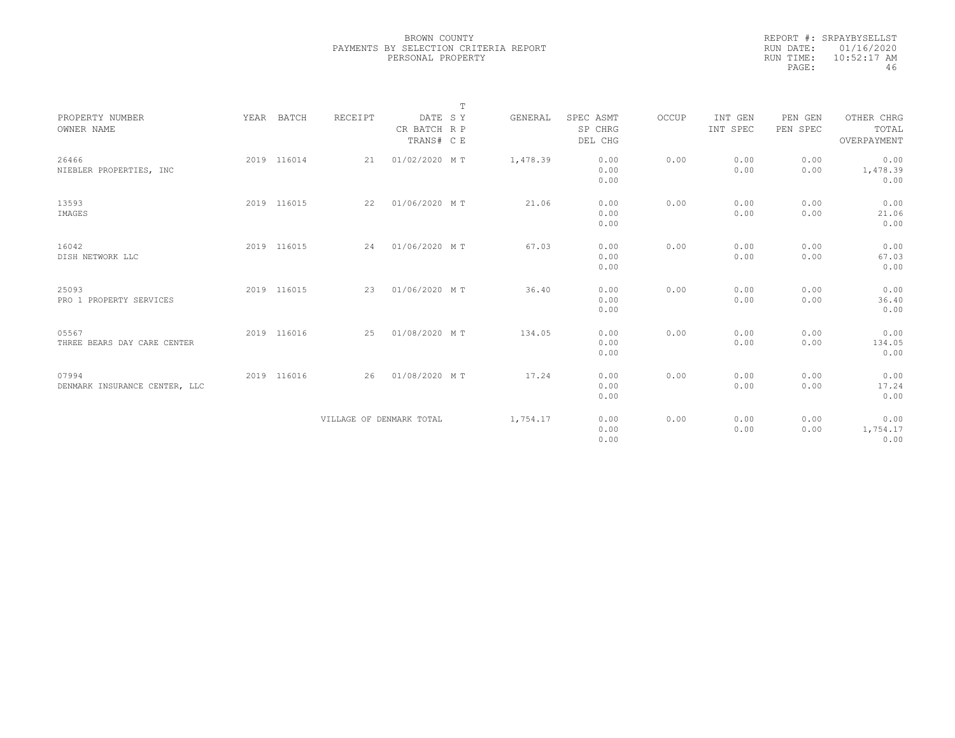|           | REPORT #: SRPAYBYSELLST |
|-----------|-------------------------|
|           | RUN DATE: 01/16/2020    |
| RUN TIME: | $10:52:17$ AM           |
| PAGE:     | 46                      |
|           |                         |

|                                        |             |                          |                                       | $\mathbb T$ |          |                                 |       |                     |                     |                                    |
|----------------------------------------|-------------|--------------------------|---------------------------------------|-------------|----------|---------------------------------|-------|---------------------|---------------------|------------------------------------|
| PROPERTY NUMBER<br>OWNER NAME          | YEAR BATCH  | RECEIPT                  | DATE SY<br>CR BATCH R P<br>TRANS# C E |             | GENERAL  | SPEC ASMT<br>SP CHRG<br>DEL CHG | OCCUP | INT GEN<br>INT SPEC | PEN GEN<br>PEN SPEC | OTHER CHRG<br>TOTAL<br>OVERPAYMENT |
| 26466<br>NIEBLER PROPERTIES, INC       | 2019 116014 | 21                       | 01/02/2020 MT                         |             | 1,478.39 | 0.00<br>0.00<br>0.00            | 0.00  | 0.00<br>0.00        | 0.00<br>0.00        | 0.00<br>1,478.39<br>0.00           |
| 13593<br>IMAGES                        | 2019 116015 | 22                       | 01/06/2020 MT                         |             | 21.06    | 0.00<br>0.00<br>0.00            | 0.00  | 0.00<br>0.00        | 0.00<br>0.00        | 0.00<br>21.06<br>0.00              |
| 16042<br>DISH NETWORK LLC              | 2019 116015 |                          | 24 01/06/2020 MT                      |             | 67.03    | 0.00<br>0.00<br>0.00            | 0.00  | 0.00<br>0.00        | 0.00<br>0.00        | 0.00<br>67.03<br>0.00              |
| 25093<br>PRO 1 PROPERTY SERVICES       | 2019 116015 | 23                       | 01/06/2020 MT                         |             | 36.40    | 0.00<br>0.00<br>0.00            | 0.00  | 0.00<br>0.00        | 0.00<br>0.00        | 0.00<br>36.40<br>0.00              |
| 05567<br>THREE BEARS DAY CARE CENTER   | 2019 116016 | 25                       | 01/08/2020 MT                         |             | 134.05   | 0.00<br>0.00<br>0.00            | 0.00  | 0.00<br>0.00        | 0.00<br>0.00        | 0.00<br>134.05<br>0.00             |
| 07994<br>DENMARK INSURANCE CENTER, LLC | 2019 116016 | 26                       | 01/08/2020 MT                         |             | 17.24    | 0.00<br>0.00<br>0.00            | 0.00  | 0.00<br>0.00        | 0.00<br>0.00        | 0.00<br>17.24<br>0.00              |
|                                        |             | VILLAGE OF DENMARK TOTAL |                                       |             | 1,754.17 | 0.00<br>0.00<br>0.00            | 0.00  | 0.00<br>0.00        | 0.00<br>0.00        | 0.00<br>1,754.17<br>0.00           |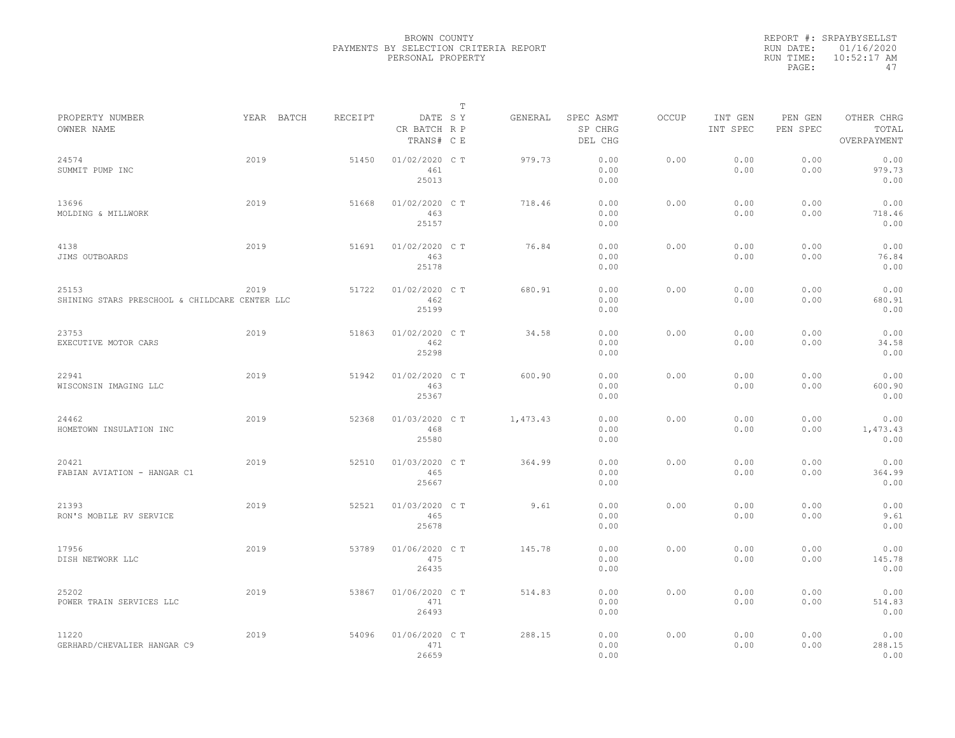|           | REPORT #: SRPAYBYSELLST |
|-----------|-------------------------|
|           | RUN DATE: 01/16/2020    |
| RUN TIME: | $10:52:17$ AM           |
| PAGE:     | 47                      |

|                                                         |            |         |                                       | T |          |                                 |              |                     |                     |                                    |
|---------------------------------------------------------|------------|---------|---------------------------------------|---|----------|---------------------------------|--------------|---------------------|---------------------|------------------------------------|
| PROPERTY NUMBER<br>OWNER NAME                           | YEAR BATCH | RECEIPT | DATE SY<br>CR BATCH R P<br>TRANS# C E |   | GENERAL  | SPEC ASMT<br>SP CHRG<br>DEL CHG | <b>OCCUP</b> | INT GEN<br>INT SPEC | PEN GEN<br>PEN SPEC | OTHER CHRG<br>TOTAL<br>OVERPAYMENT |
| 24574<br>SUMMIT PUMP INC                                | 2019       | 51450   | 01/02/2020 C T<br>461<br>25013        |   | 979.73   | 0.00<br>0.00<br>0.00            | 0.00         | 0.00<br>0.00        | 0.00<br>0.00        | 0.00<br>979.73<br>0.00             |
| 13696<br>MOLDING & MILLWORK                             | 2019       | 51668   | 01/02/2020 C T<br>463<br>25157        |   | 718.46   | 0.00<br>0.00<br>0.00            | 0.00         | 0.00<br>0.00        | 0.00<br>0.00        | 0.00<br>718.46<br>0.00             |
| 4138<br>JIMS OUTBOARDS                                  | 2019       | 51691   | 01/02/2020 C T<br>463<br>25178        |   | 76.84    | 0.00<br>0.00<br>0.00            | 0.00         | 0.00<br>0.00        | 0.00<br>0.00        | 0.00<br>76.84<br>0.00              |
| 25153<br>SHINING STARS PRESCHOOL & CHILDCARE CENTER LLC | 2019       | 51722   | 01/02/2020 C T<br>462<br>25199        |   | 680.91   | 0.00<br>0.00<br>0.00            | 0.00         | 0.00<br>0.00        | 0.00<br>0.00        | 0.00<br>680.91<br>0.00             |
| 23753<br>EXECUTIVE MOTOR CARS                           | 2019       | 51863   | 01/02/2020 C T<br>462<br>25298        |   | 34.58    | 0.00<br>0.00<br>0.00            | 0.00         | 0.00<br>0.00        | 0.00<br>0.00        | 0.00<br>34.58<br>0.00              |
| 22941<br>WISCONSIN IMAGING LLC                          | 2019       | 51942   | 01/02/2020 C T<br>463<br>25367        |   | 600.90   | 0.00<br>0.00<br>0.00            | 0.00         | 0.00<br>0.00        | 0.00<br>0.00        | 0.00<br>600.90<br>0.00             |
| 24462<br>HOMETOWN INSULATION INC                        | 2019       | 52368   | 01/03/2020 CT<br>468<br>25580         |   | 1,473.43 | 0.00<br>0.00<br>0.00            | 0.00         | 0.00<br>0.00        | 0.00<br>0.00        | 0.00<br>1,473.43<br>0.00           |
| 20421<br>FABIAN AVIATION - HANGAR C1                    | 2019       | 52510   | 01/03/2020 C T<br>465<br>25667        |   | 364.99   | 0.00<br>0.00<br>0.00            | 0.00         | 0.00<br>0.00        | 0.00<br>0.00        | 0.00<br>364.99<br>0.00             |
| 21393<br>RON'S MOBILE RV SERVICE                        | 2019       | 52521   | 01/03/2020 CT<br>465<br>25678         |   | 9.61     | 0.00<br>0.00<br>0.00            | 0.00         | 0.00<br>0.00        | 0.00<br>0.00        | 0.00<br>9.61<br>0.00               |
| 17956<br>DISH NETWORK LLC                               | 2019       | 53789   | 01/06/2020 C T<br>475<br>26435        |   | 145.78   | 0.00<br>0.00<br>0.00            | 0.00         | 0.00<br>0.00        | 0.00<br>0.00        | 0.00<br>145.78<br>0.00             |
| 25202<br>POWER TRAIN SERVICES LLC                       | 2019       | 53867   | 01/06/2020 C T<br>471<br>26493        |   | 514.83   | 0.00<br>0.00<br>0.00            | 0.00         | 0.00<br>0.00        | 0.00<br>0.00        | 0.00<br>514.83<br>0.00             |
| 11220<br>GERHARD/CHEVALIER HANGAR C9                    | 2019       | 54096   | 01/06/2020 CT<br>471<br>26659         |   | 288.15   | 0.00<br>0.00<br>0.00            | 0.00         | 0.00<br>0.00        | 0.00<br>0.00        | 0.00<br>288.15<br>0.00             |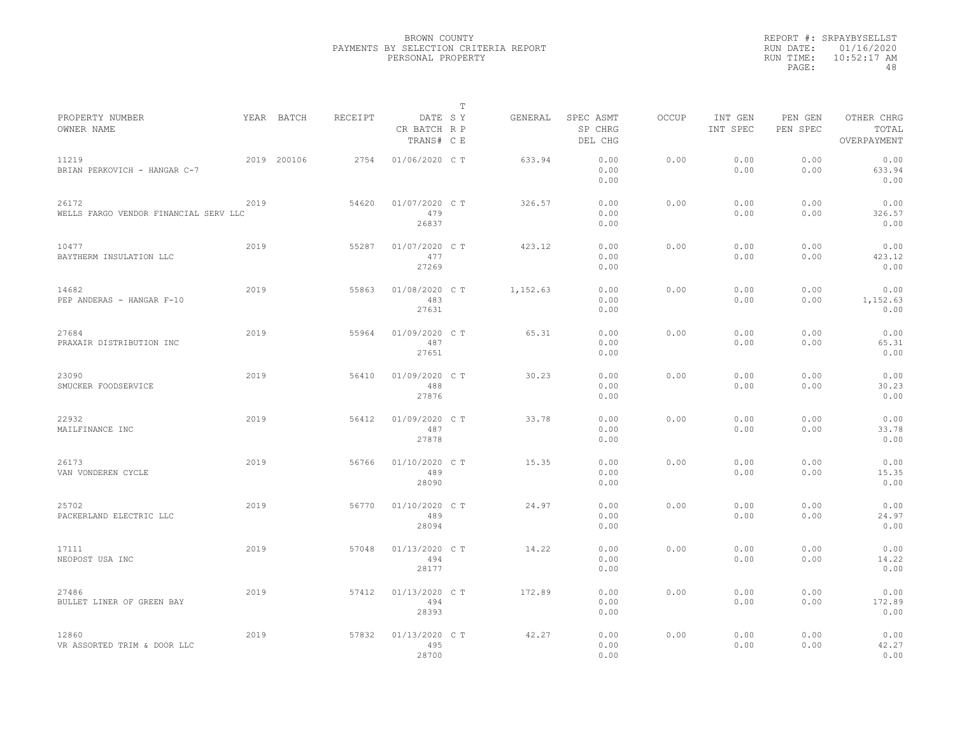|                                                |      |             |         |                                       | T |          |                                 |              |                     |                     |                                    |
|------------------------------------------------|------|-------------|---------|---------------------------------------|---|----------|---------------------------------|--------------|---------------------|---------------------|------------------------------------|
| PROPERTY NUMBER<br>OWNER NAME                  |      | YEAR BATCH  | RECEIPT | DATE SY<br>CR BATCH R P<br>TRANS# C E |   | GENERAL  | SPEC ASMT<br>SP CHRG<br>DEL CHG | <b>OCCUP</b> | INT GEN<br>INT SPEC | PEN GEN<br>PEN SPEC | OTHER CHRG<br>TOTAL<br>OVERPAYMENT |
| 11219<br>BRIAN PERKOVICH - HANGAR C-7          |      | 2019 200106 | 2754    | 01/06/2020 C T                        |   | 633.94   | 0.00<br>0.00<br>0.00            | 0.00         | 0.00<br>0.00        | 0.00<br>0.00        | 0.00<br>633.94<br>0.00             |
| 26172<br>WELLS FARGO VENDOR FINANCIAL SERV LLC | 2019 |             | 54620   | 01/07/2020 C T<br>479<br>26837        |   | 326.57   | 0.00<br>0.00<br>0.00            | 0.00         | 0.00<br>0.00        | 0.00<br>0.00        | 0.00<br>326.57<br>0.00             |
| 10477<br>BAYTHERM INSULATION LLC               | 2019 |             | 55287   | 01/07/2020 C T<br>477<br>27269        |   | 423.12   | 0.00<br>0.00<br>0.00            | 0.00         | 0.00<br>0.00        | 0.00<br>0.00        | 0.00<br>423.12<br>0.00             |
| 14682<br>PEP ANDERAS - HANGAR F-10             | 2019 |             | 55863   | 01/08/2020 C T<br>483<br>27631        |   | 1,152.63 | 0.00<br>0.00<br>0.00            | 0.00         | 0.00<br>0.00        | 0.00<br>0.00        | 0.00<br>1,152.63<br>0.00           |
| 27684<br>PRAXAIR DISTRIBUTION INC              | 2019 |             | 55964   | 01/09/2020 C T<br>487<br>27651        |   | 65.31    | 0.00<br>0.00<br>0.00            | 0.00         | 0.00<br>0.00        | 0.00<br>0.00        | 0.00<br>65.31<br>0.00              |
| 23090<br>SMUCKER FOODSERVICE                   | 2019 |             | 56410   | 01/09/2020 C T<br>488<br>27876        |   | 30.23    | 0.00<br>0.00<br>0.00            | 0.00         | 0.00<br>0.00        | 0.00<br>0.00        | 0.00<br>30.23<br>0.00              |
| 22932<br>MAILFINANCE INC                       | 2019 |             | 56412   | 01/09/2020 C T<br>487<br>27878        |   | 33.78    | 0.00<br>0.00<br>0.00            | 0.00         | 0.00<br>0.00        | 0.00<br>0.00        | 0.00<br>33.78<br>0.00              |
| 26173<br>VAN VONDEREN CYCLE                    | 2019 |             | 56766   | 01/10/2020 C T<br>489<br>28090        |   | 15.35    | 0.00<br>0.00<br>0.00            | 0.00         | 0.00<br>0.00        | 0.00<br>0.00        | 0.00<br>15.35<br>0.00              |
| 25702<br>PACKERLAND ELECTRIC LLC               | 2019 |             | 56770   | 01/10/2020 C T<br>489<br>28094        |   | 24.97    | 0.00<br>0.00<br>0.00            | 0.00         | 0.00<br>0.00        | 0.00<br>0.00        | 0.00<br>24.97<br>0.00              |
| 17111<br>NEOPOST USA INC                       | 2019 |             | 57048   | 01/13/2020 C T<br>494<br>28177        |   | 14.22    | 0.00<br>0.00<br>0.00            | 0.00         | 0.00<br>0.00        | 0.00<br>0.00        | 0.00<br>14.22<br>0.00              |
| 27486<br>BULLET LINER OF GREEN BAY             | 2019 |             | 57412   | 01/13/2020 C T<br>494<br>28393        |   | 172.89   | 0.00<br>0.00<br>0.00            | 0.00         | 0.00<br>0.00        | 0.00<br>0.00        | 0.00<br>172.89<br>0.00             |
| 12860<br>VR ASSORTED TRIM & DOOR LLC           | 2019 |             | 57832   | 01/13/2020 CT<br>495<br>28700         |   | 42.27    | 0.00<br>0.00<br>0.00            | 0.00         | 0.00<br>0.00        | 0.00<br>0.00        | 0.00<br>42.27<br>0.00              |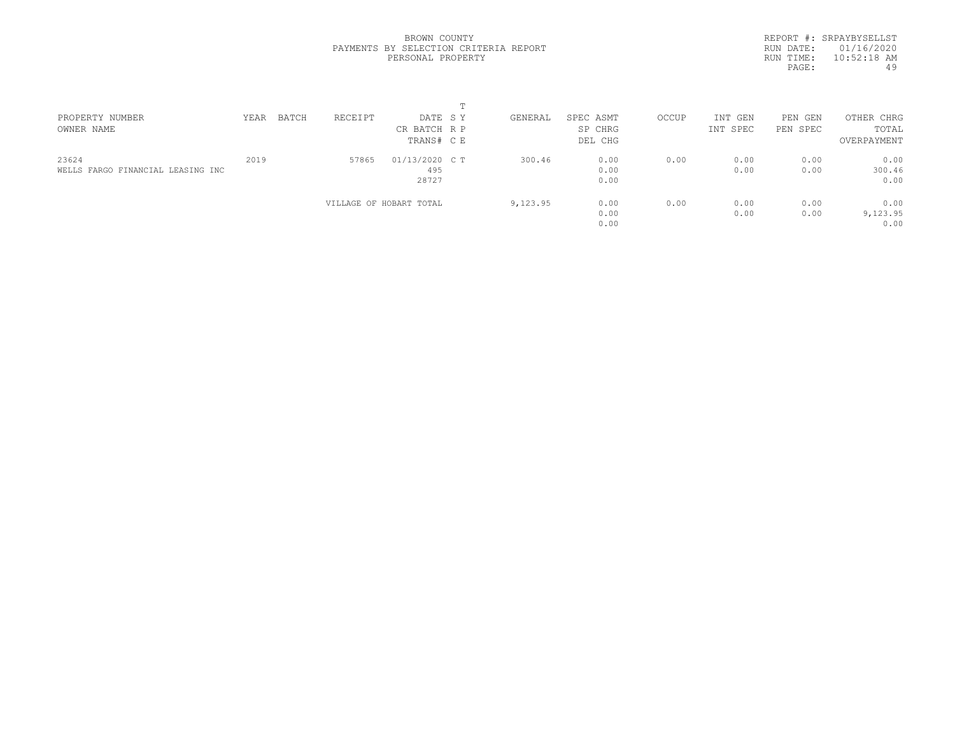REPORT #: SRPAYBYSELLST RUN DATE: 01/16/2020 RUN TIME: 10:52:18 AM<br>PAGE: 49 PAGE:

| PROPERTY NUMBER                   | YEAR | BATCH | RECEIPT | DATE SY                 | GENERAL  | SPEC ASMT | OCCUP | INT GEN  | PEN<br>GEN | OTHER CHRG  |  |
|-----------------------------------|------|-------|---------|-------------------------|----------|-----------|-------|----------|------------|-------------|--|
| OWNER NAME                        |      |       |         | CR BATCH R P            |          | SP CHRG   |       | INT SPEC | PEN SPEC   | TOTAL       |  |
|                                   |      |       |         | TRANS# CE               |          | DEL CHG   |       |          |            | OVERPAYMENT |  |
| 23624                             | 2019 |       | 57865   | 01/13/2020 C T          | 300.46   | 0.00      | 0.00  | 0.00     | 0.00       | 0.00        |  |
| WELLS FARGO FINANCIAL LEASING INC |      |       |         | 495                     |          | 0.00      |       | 0.00     | 0.00       | 300.46      |  |
|                                   |      |       |         | 28727                   |          | 0.00      |       |          |            | 0.00        |  |
|                                   |      |       |         | VILLAGE OF HOBART TOTAL | 9,123.95 | 0.00      | 0.00  | 0.00     | 0.00       | 0.00        |  |
|                                   |      |       |         |                         |          | 0.00      |       | 0.00     | 0.00       | 9,123.95    |  |
|                                   |      |       |         |                         |          | 0.00      |       |          |            | 0.00        |  |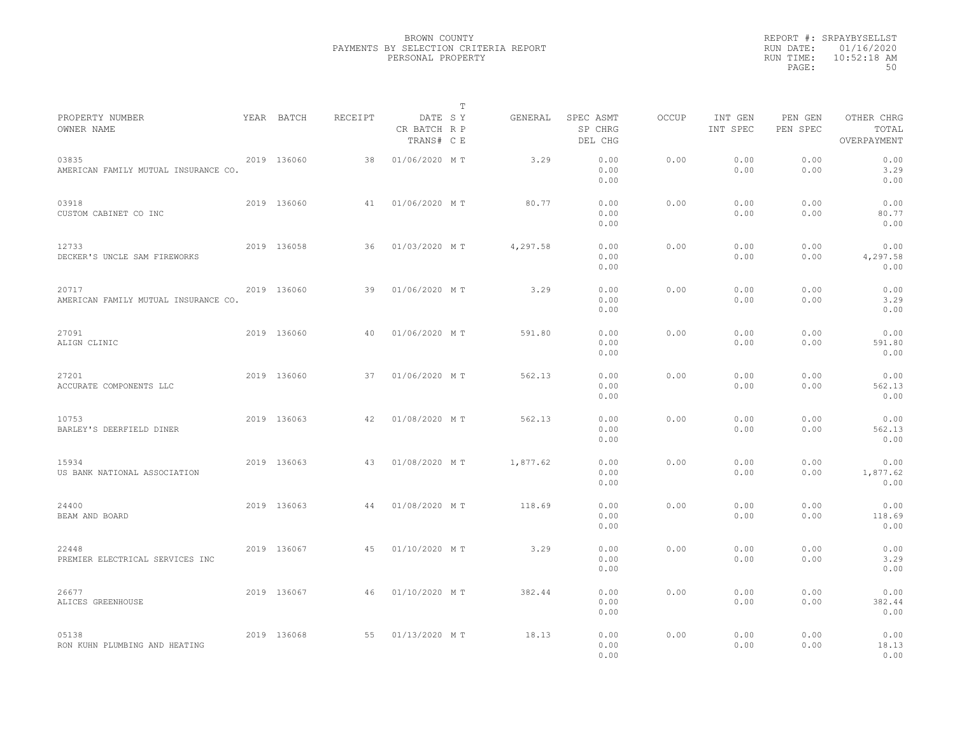|                                               |             |         |                                       | T |          |                                 |       |                     |                     |                                    |  |
|-----------------------------------------------|-------------|---------|---------------------------------------|---|----------|---------------------------------|-------|---------------------|---------------------|------------------------------------|--|
| PROPERTY NUMBER<br>OWNER NAME                 | YEAR BATCH  | RECEIPT | DATE SY<br>CR BATCH R P<br>TRANS# C E |   | GENERAL  | SPEC ASMT<br>SP CHRG<br>DEL CHG | OCCUP | INT GEN<br>INT SPEC | PEN GEN<br>PEN SPEC | OTHER CHRG<br>TOTAL<br>OVERPAYMENT |  |
| 03835<br>AMERICAN FAMILY MUTUAL INSURANCE CO. | 2019 136060 | 38      | 01/06/2020 MT                         |   | 3.29     | 0.00<br>0.00<br>0.00            | 0.00  | 0.00<br>0.00        | 0.00<br>0.00        | 0.00<br>3.29<br>0.00               |  |
| 03918<br>CUSTOM CABINET CO INC                | 2019 136060 | 41      | 01/06/2020 MT                         |   | 80.77    | 0.00<br>0.00<br>0.00            | 0.00  | 0.00<br>0.00        | 0.00<br>0.00        | 0.00<br>80.77<br>0.00              |  |
| 12733<br>DECKER'S UNCLE SAM FIREWORKS         | 2019 136058 | 36      | 01/03/2020 MT                         |   | 4,297.58 | 0.00<br>0.00<br>0.00            | 0.00  | 0.00<br>0.00        | 0.00<br>0.00        | 0.00<br>4,297.58<br>0.00           |  |
| 20717<br>AMERICAN FAMILY MUTUAL INSURANCE CO. | 2019 136060 | 39      | 01/06/2020 MT                         |   | 3.29     | 0.00<br>0.00<br>0.00            | 0.00  | 0.00<br>0.00        | 0.00<br>0.00        | 0.00<br>3.29<br>0.00               |  |
| 27091<br>ALIGN CLINIC                         | 2019 136060 | 40      | 01/06/2020 MT                         |   | 591.80   | 0.00<br>0.00<br>0.00            | 0.00  | 0.00<br>0.00        | 0.00<br>0.00        | 0.00<br>591.80<br>0.00             |  |
| 27201<br>ACCURATE COMPONENTS LLC              | 2019 136060 | 37      | 01/06/2020 MT                         |   | 562.13   | 0.00<br>0.00<br>0.00            | 0.00  | 0.00<br>0.00        | 0.00<br>0.00        | 0.00<br>562.13<br>0.00             |  |
| 10753<br>BARLEY'S DEERFIELD DINER             | 2019 136063 | 42      | 01/08/2020 MT                         |   | 562.13   | 0.00<br>0.00<br>0.00            | 0.00  | 0.00<br>0.00        | 0.00<br>0.00        | 0.00<br>562.13<br>0.00             |  |
| 15934<br>US BANK NATIONAL ASSOCIATION         | 2019 136063 | 43      | 01/08/2020 MT                         |   | 1,877.62 | 0.00<br>0.00<br>0.00            | 0.00  | 0.00<br>0.00        | 0.00<br>0.00        | 0.00<br>1,877.62<br>0.00           |  |
| 24400<br>BEAM AND BOARD                       | 2019 136063 | 44      | 01/08/2020 MT                         |   | 118.69   | 0.00<br>0.00<br>0.00            | 0.00  | 0.00<br>0.00        | 0.00<br>0.00        | 0.00<br>118.69<br>0.00             |  |
| 22448<br>PREMIER ELECTRICAL SERVICES INC      | 2019 136067 | 45      | 01/10/2020 MT                         |   | 3.29     | 0.00<br>0.00<br>0.00            | 0.00  | 0.00<br>0.00        | 0.00<br>0.00        | 0.00<br>3.29<br>0.00               |  |
| 26677<br>ALICES GREENHOUSE                    | 2019 136067 | 46      | 01/10/2020 MT                         |   | 382.44   | 0.00<br>0.00<br>0.00            | 0.00  | 0.00<br>0.00        | 0.00<br>0.00        | 0.00<br>382.44<br>0.00             |  |
| 05138<br>RON KUHN PLUMBING AND HEATING        | 2019 136068 | 55      | 01/13/2020 MT                         |   | 18.13    | 0.00<br>0.00<br>0.00            | 0.00  | 0.00<br>0.00        | 0.00<br>0.00        | 0.00<br>18.13<br>0.00              |  |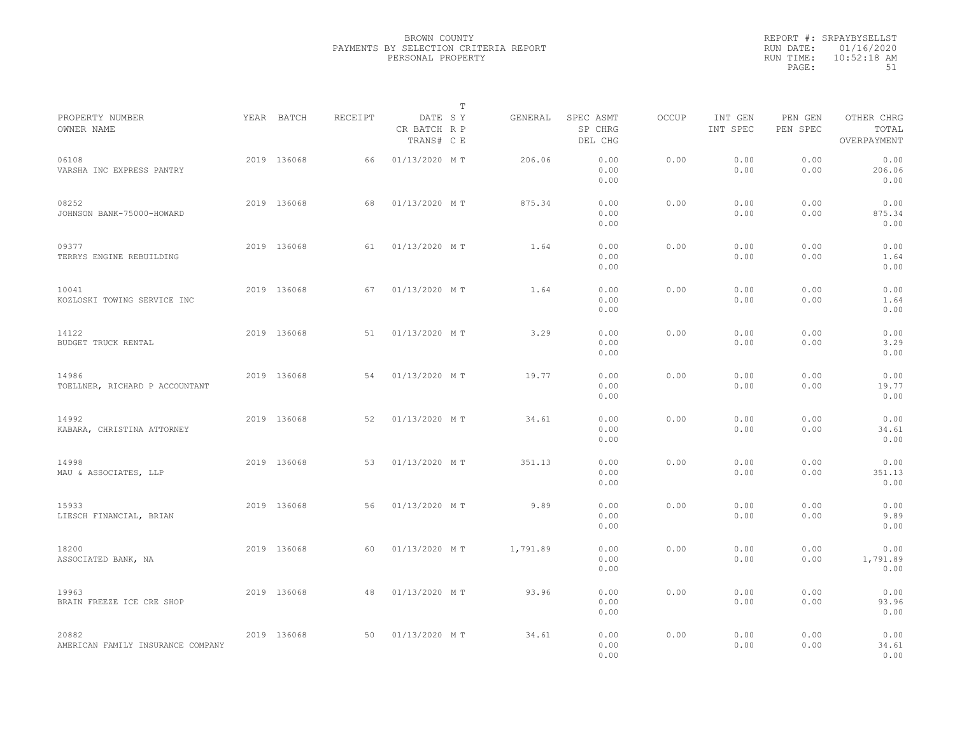|                                            |             |         | $\mathbb T$                           |          |                                 |              |                     |                     |                                    |  |
|--------------------------------------------|-------------|---------|---------------------------------------|----------|---------------------------------|--------------|---------------------|---------------------|------------------------------------|--|
| PROPERTY NUMBER<br>OWNER NAME              | YEAR BATCH  | RECEIPT | DATE SY<br>CR BATCH R P<br>TRANS# C E | GENERAL  | SPEC ASMT<br>SP CHRG<br>DEL CHG | <b>OCCUP</b> | INT GEN<br>INT SPEC | PEN GEN<br>PEN SPEC | OTHER CHRG<br>TOTAL<br>OVERPAYMENT |  |
| 06108<br>VARSHA INC EXPRESS PANTRY         | 2019 136068 | 66      | 01/13/2020 MT                         | 206.06   | 0.00<br>0.00<br>0.00            | 0.00         | 0.00<br>0.00        | 0.00<br>0.00        | 0.00<br>206.06<br>0.00             |  |
| 08252<br>JOHNSON BANK-75000-HOWARD         | 2019 136068 | 68      | 01/13/2020 MT                         | 875.34   | 0.00<br>0.00<br>0.00            | 0.00         | 0.00<br>0.00        | 0.00<br>0.00        | 0.00<br>875.34<br>0.00             |  |
| 09377<br>TERRYS ENGINE REBUILDING          | 2019 136068 | 61      | 01/13/2020 MT                         | 1.64     | 0.00<br>0.00<br>0.00            | 0.00         | 0.00<br>0.00        | 0.00<br>0.00        | 0.00<br>1.64<br>0.00               |  |
| 10041<br>KOZLOSKI TOWING SERVICE INC       | 2019 136068 | 67      | 01/13/2020 MT                         | 1.64     | 0.00<br>0.00<br>0.00            | 0.00         | 0.00<br>0.00        | 0.00<br>0.00        | 0.00<br>1.64<br>0.00               |  |
| 14122<br>BUDGET TRUCK RENTAL               | 2019 136068 | 51      | 01/13/2020 MT                         | 3.29     | 0.00<br>0.00<br>0.00            | 0.00         | 0.00<br>0.00        | 0.00<br>0.00        | 0.00<br>3.29<br>0.00               |  |
| 14986<br>TOELLNER, RICHARD P ACCOUNTANT    | 2019 136068 | 54      | 01/13/2020 MT                         | 19.77    | 0.00<br>0.00<br>0.00            | 0.00         | 0.00<br>0.00        | 0.00<br>0.00        | 0.00<br>19.77<br>0.00              |  |
| 14992<br>KABARA, CHRISTINA ATTORNEY        | 2019 136068 | 52      | 01/13/2020 MT                         | 34.61    | 0.00<br>0.00<br>0.00            | 0.00         | 0.00<br>0.00        | 0.00<br>0.00        | 0.00<br>34.61<br>0.00              |  |
| 14998<br>MAU & ASSOCIATES, LLP             | 2019 136068 | 53      | 01/13/2020 MT                         | 351.13   | 0.00<br>0.00<br>0.00            | 0.00         | 0.00<br>0.00        | 0.00<br>0.00        | 0.00<br>351.13<br>0.00             |  |
| 15933<br>LIESCH FINANCIAL, BRIAN           | 2019 136068 | 56      | 01/13/2020 MT                         | 9.89     | 0.00<br>0.00<br>0.00            | 0.00         | 0.00<br>0.00        | 0.00<br>0.00        | 0.00<br>9.89<br>0.00               |  |
| 18200<br>ASSOCIATED BANK, NA               | 2019 136068 | 60      | 01/13/2020 MT                         | 1,791.89 | 0.00<br>0.00<br>0.00            | 0.00         | 0.00<br>0.00        | 0.00<br>0.00        | 0.00<br>1,791.89<br>0.00           |  |
| 19963<br>BRAIN FREEZE ICE CRE SHOP         | 2019 136068 | 48      | 01/13/2020 MT                         | 93.96    | 0.00<br>0.00<br>0.00            | 0.00         | 0.00<br>0.00        | 0.00<br>0.00        | 0.00<br>93.96<br>0.00              |  |
| 20882<br>AMERICAN FAMILY INSURANCE COMPANY | 2019 136068 | 50      | 01/13/2020 MT                         | 34.61    | 0.00<br>0.00<br>0.00            | 0.00         | 0.00<br>0.00        | 0.00<br>0.00        | 0.00<br>34.61<br>0.00              |  |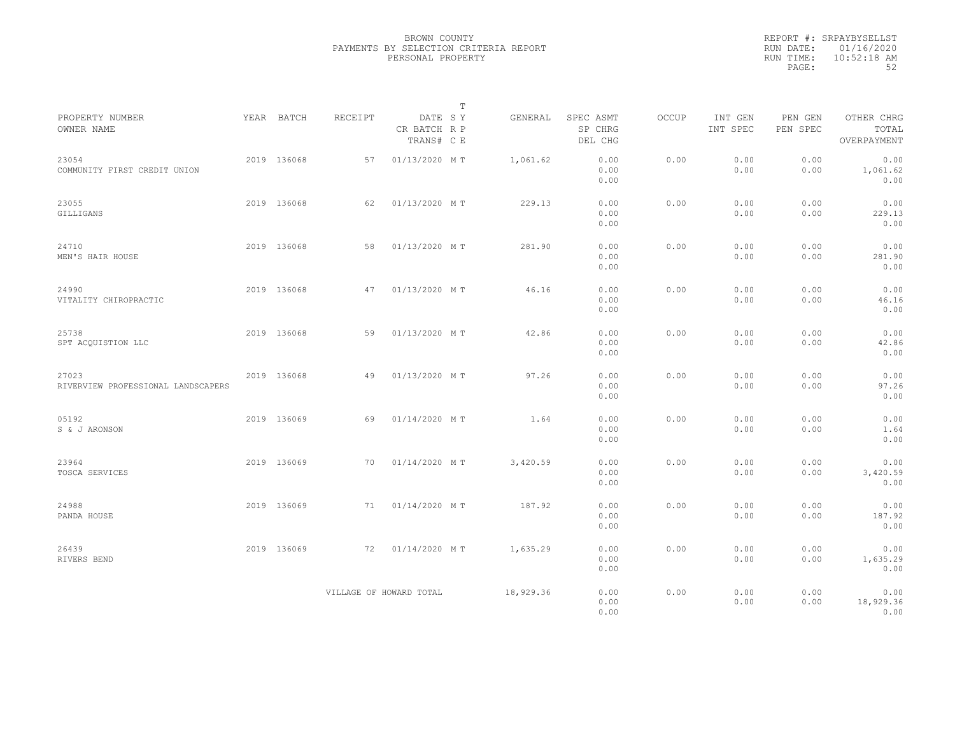|           | REPORT #: SRPAYBYSELLST |
|-----------|-------------------------|
|           | RUN DATE: 01/16/2020    |
| RUN TIME: | $10:52:18$ AM           |
| PAGE:     | 52                      |

|                                             |             |         |                                       | Т |           |                                 |              |                     |                     |                                    |  |
|---------------------------------------------|-------------|---------|---------------------------------------|---|-----------|---------------------------------|--------------|---------------------|---------------------|------------------------------------|--|
| PROPERTY NUMBER<br>OWNER NAME               | YEAR BATCH  | RECEIPT | DATE SY<br>CR BATCH R P<br>TRANS# C E |   | GENERAL   | SPEC ASMT<br>SP CHRG<br>DEL CHG | <b>OCCUP</b> | INT GEN<br>INT SPEC | PEN GEN<br>PEN SPEC | OTHER CHRG<br>TOTAL<br>OVERPAYMENT |  |
| 23054<br>COMMUNITY FIRST CREDIT UNION       | 2019 136068 | 57      | 01/13/2020 MT                         |   | 1,061.62  | 0.00<br>0.00<br>0.00            | 0.00         | 0.00<br>0.00        | 0.00<br>0.00        | 0.00<br>1,061.62<br>0.00           |  |
| 23055<br>GILLIGANS                          | 2019 136068 | 62      | 01/13/2020 MT                         |   | 229.13    | 0.00<br>0.00<br>0.00            | 0.00         | 0.00<br>0.00        | 0.00<br>0.00        | 0.00<br>229.13<br>0.00             |  |
| 24710<br>MEN'S HAIR HOUSE                   | 2019 136068 | 58      | 01/13/2020 MT                         |   | 281.90    | 0.00<br>0.00<br>0.00            | 0.00         | 0.00<br>0.00        | 0.00<br>0.00        | 0.00<br>281.90<br>0.00             |  |
| 24990<br>VITALITY CHIROPRACTIC              | 2019 136068 | 47      | 01/13/2020 MT                         |   | 46.16     | 0.00<br>0.00<br>0.00            | 0.00         | 0.00<br>0.00        | 0.00<br>0.00        | 0.00<br>46.16<br>0.00              |  |
| 25738<br>SPT ACOUISTION LLC                 | 2019 136068 | 59      | 01/13/2020 MT                         |   | 42.86     | 0.00<br>0.00<br>0.00            | 0.00         | 0.00<br>0.00        | 0.00<br>0.00        | 0.00<br>42.86<br>0.00              |  |
| 27023<br>RIVERVIEW PROFESSIONAL LANDSCAPERS | 2019 136068 | 49      | 01/13/2020 MT                         |   | 97.26     | 0.00<br>0.00<br>0.00            | 0.00         | 0.00<br>0.00        | 0.00<br>0.00        | 0.00<br>97.26<br>0.00              |  |
| 05192<br>S & J ARONSON                      | 2019 136069 | 69      | 01/14/2020 MT                         |   | 1.64      | 0.00<br>0.00<br>0.00            | 0.00         | 0.00<br>0.00        | 0.00<br>0.00        | 0.00<br>1.64<br>0.00               |  |
| 23964<br>TOSCA SERVICES                     | 2019 136069 | 70      | 01/14/2020 MT                         |   | 3,420.59  | 0.00<br>0.00<br>0.00            | 0.00         | 0.00<br>0.00        | 0.00<br>0.00        | 0.00<br>3,420.59<br>0.00           |  |
| 24988<br>PANDA HOUSE                        | 2019 136069 | 71      | 01/14/2020 MT                         |   | 187.92    | 0.00<br>0.00<br>0.00            | 0.00         | 0.00<br>0.00        | 0.00<br>0.00        | 0.00<br>187.92<br>0.00             |  |
| 26439<br>RIVERS BEND                        | 2019 136069 | 72      | 01/14/2020 MT                         |   | 1,635.29  | 0.00<br>0.00<br>0.00            | 0.00         | 0.00<br>0.00        | 0.00<br>0.00        | 0.00<br>1,635.29<br>0.00           |  |
|                                             |             |         | VILLAGE OF HOWARD TOTAL               |   | 18,929.36 | 0.00<br>0.00<br>0.00            | 0.00         | 0.00<br>0.00        | 0.00<br>0.00        | 0.00<br>18,929.36<br>0.00          |  |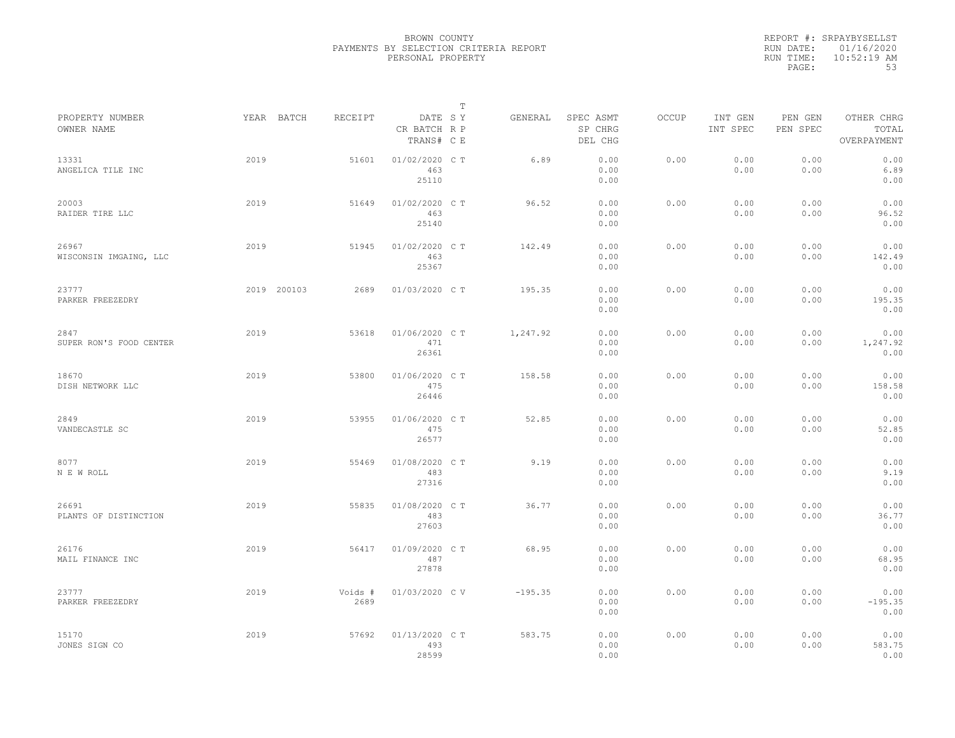|           | REPORT #: SRPAYBYSELLST |
|-----------|-------------------------|
|           | RUN DATE: 01/16/2020    |
| RUN TIME: | $10:52:19$ AM           |
| PAGE:     | 53                      |

|                                 |      |             |                 |                                       | T |           |                                 |       |                     |                     |                                    |  |
|---------------------------------|------|-------------|-----------------|---------------------------------------|---|-----------|---------------------------------|-------|---------------------|---------------------|------------------------------------|--|
| PROPERTY NUMBER<br>OWNER NAME   |      | YEAR BATCH  | RECEIPT         | DATE SY<br>CR BATCH R P<br>TRANS# C E |   | GENERAL   | SPEC ASMT<br>SP CHRG<br>DEL CHG | OCCUP | INT GEN<br>INT SPEC | PEN GEN<br>PEN SPEC | OTHER CHRG<br>TOTAL<br>OVERPAYMENT |  |
| 13331<br>ANGELICA TILE INC      | 2019 |             | 51601           | 01/02/2020 C T<br>463<br>25110        |   | 6.89      | 0.00<br>0.00<br>0.00            | 0.00  | 0.00<br>0.00        | 0.00<br>0.00        | 0.00<br>6.89<br>0.00               |  |
| 20003<br>RAIDER TIRE LLC        | 2019 |             | 51649           | 01/02/2020 C T<br>463<br>25140        |   | 96.52     | 0.00<br>0.00<br>0.00            | 0.00  | 0.00<br>0.00        | 0.00<br>0.00        | 0.00<br>96.52<br>0.00              |  |
| 26967<br>WISCONSIN IMGAING, LLC | 2019 |             | 51945           | 01/02/2020 C T<br>463<br>25367        |   | 142.49    | 0.00<br>0.00<br>0.00            | 0.00  | 0.00<br>0.00        | 0.00<br>0.00        | 0.00<br>142.49<br>0.00             |  |
| 23777<br>PARKER FREEZEDRY       |      | 2019 200103 | 2689            | 01/03/2020 C T                        |   | 195.35    | 0.00<br>0.00<br>0.00            | 0.00  | 0.00<br>0.00        | 0.00<br>0.00        | 0.00<br>195.35<br>0.00             |  |
| 2847<br>SUPER RON'S FOOD CENTER | 2019 |             | 53618           | 01/06/2020 C T<br>471<br>26361        |   | 1,247.92  | 0.00<br>0.00<br>0.00            | 0.00  | 0.00<br>0.00        | 0.00<br>0.00        | 0.00<br>1,247.92<br>0.00           |  |
| 18670<br>DISH NETWORK LLC       | 2019 |             | 53800           | 01/06/2020 C T<br>475<br>26446        |   | 158.58    | 0.00<br>0.00<br>0.00            | 0.00  | 0.00<br>0.00        | 0.00<br>0.00        | 0.00<br>158.58<br>0.00             |  |
| 2849<br>VANDECASTLE SC          | 2019 |             | 53955           | 01/06/2020 C T<br>475<br>26577        |   | 52.85     | 0.00<br>0.00<br>0.00            | 0.00  | 0.00<br>0.00        | 0.00<br>0.00        | 0.00<br>52.85<br>0.00              |  |
| 8077<br>N E W ROLL              | 2019 |             | 55469           | 01/08/2020 CT<br>483<br>27316         |   | 9.19      | 0.00<br>0.00<br>0.00            | 0.00  | 0.00<br>0.00        | 0.00<br>0.00        | 0.00<br>9.19<br>0.00               |  |
| 26691<br>PLANTS OF DISTINCTION  | 2019 |             | 55835           | 01/08/2020 CT<br>483<br>27603         |   | 36.77     | 0.00<br>0.00<br>0.00            | 0.00  | 0.00<br>0.00        | 0.00<br>0.00        | 0.00<br>36.77<br>0.00              |  |
| 26176<br>MAIL FINANCE INC       | 2019 |             | 56417           | 01/09/2020 C T<br>487<br>27878        |   | 68.95     | 0.00<br>0.00<br>0.00            | 0.00  | 0.00<br>0.00        | 0.00<br>0.00        | 0.00<br>68.95<br>0.00              |  |
| 23777<br>PARKER FREEZEDRY       | 2019 |             | Voids #<br>2689 | 01/03/2020 CV                         |   | $-195.35$ | 0.00<br>0.00<br>0.00            | 0.00  | 0.00<br>0.00        | 0.00<br>0.00        | 0.00<br>$-195.35$<br>0.00          |  |
| 15170<br>JONES SIGN CO          | 2019 |             | 57692           | 01/13/2020 C T<br>493<br>28599        |   | 583.75    | 0.00<br>0.00<br>0.00            | 0.00  | 0.00<br>0.00        | 0.00<br>0.00        | 0.00<br>583.75<br>0.00             |  |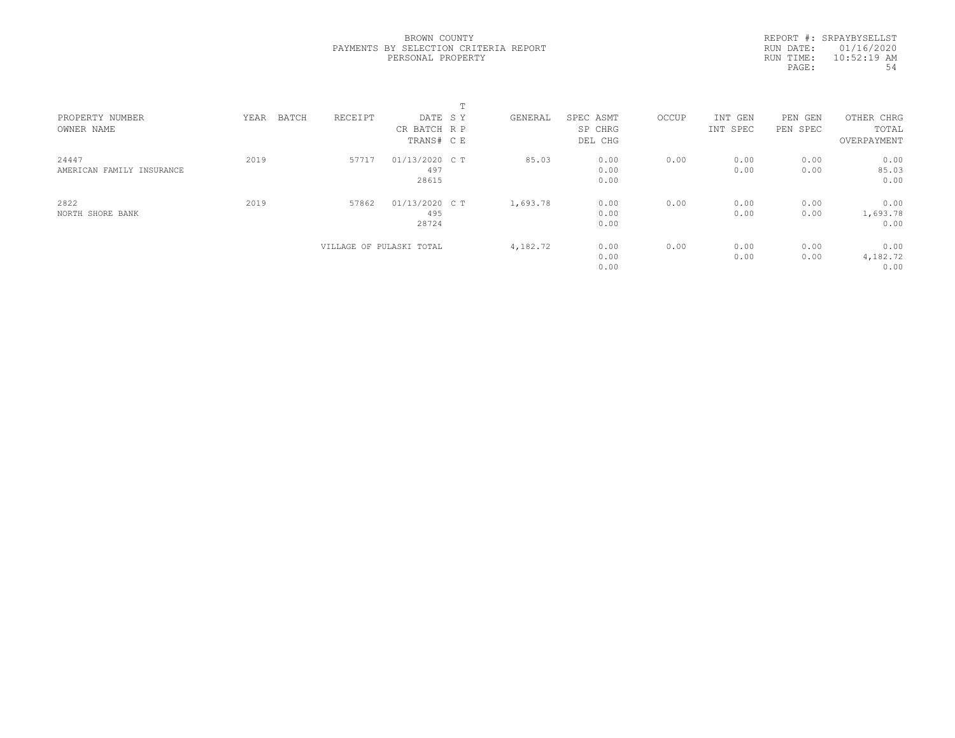REPORT #: SRPAYBYSELLST RUN DATE: 01/16/2020 RUN TIME: 10:52:19 AM PAGE: 54

|      |         |       | $\mathbf{r}$<br>÷.       |                                                                           |           |       |          |            |             |  |
|------|---------|-------|--------------------------|---------------------------------------------------------------------------|-----------|-------|----------|------------|-------------|--|
| YEAR | RECEIPT |       |                          | GENERAL                                                                   | SPEC ASMT | OCCUP | INT GEN  | PEN<br>GEN | OTHER CHRG  |  |
|      |         |       |                          |                                                                           | SP CHRG   |       | INT SPEC | PEN SPEC   | TOTAL       |  |
|      |         |       |                          |                                                                           | DEL CHG   |       |          |            | OVERPAYMENT |  |
| 2019 | 57717   |       |                          | 85.03                                                                     | 0.00      | 0.00  | 0.00     | 0.00       | 0.00        |  |
|      |         | 497   |                          |                                                                           | 0.00      |       | 0.00     | 0.00       | 85.03       |  |
|      |         | 28615 |                          |                                                                           | 0.00      |       |          |            | 0.00        |  |
| 2019 | 57862   |       |                          | 1,693.78                                                                  | 0.00      | 0.00  | 0.00     | 0.00       | 0.00        |  |
|      |         | 495   |                          |                                                                           | 0.00      |       | 0.00     | 0.00       | 1,693.78    |  |
|      |         | 28724 |                          |                                                                           | 0.00      |       |          |            | 0.00        |  |
|      |         |       |                          | 4,182.72                                                                  | 0.00      | 0.00  | 0.00     | 0.00       | 0.00        |  |
|      |         |       |                          |                                                                           | 0.00      |       | 0.00     | 0.00       | 4,182.72    |  |
|      |         |       |                          |                                                                           | 0.00      |       |          |            | 0.00        |  |
|      | BATCH   |       | VILLAGE OF PULASKI TOTAL | DATE SY<br>CR BATCH R P<br>TRANS# C E<br>01/13/2020 C T<br>01/13/2020 C T |           |       |          |            |             |  |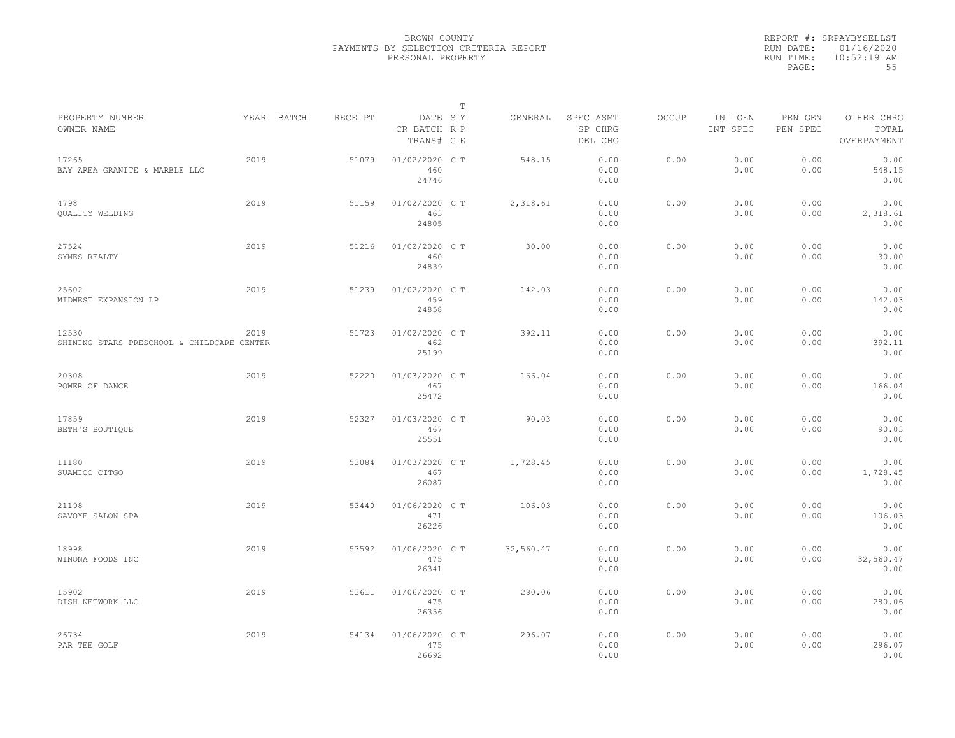|           | REPORT #: SRPAYBYSELLST |
|-----------|-------------------------|
|           | RUN DATE: 01/16/2020    |
| RUN TIME: | $10:52:19$ AM           |
| PAGE:     | 55                      |

| PROPERTY NUMBER                                     |      | YEAR BATCH | RECEIPT | DATE SY                        | т | GENERAL   | SPEC ASMT            | OCCUP | INT GEN      | PEN GEN      | OTHER CHRG                |  |
|-----------------------------------------------------|------|------------|---------|--------------------------------|---|-----------|----------------------|-------|--------------|--------------|---------------------------|--|
| OWNER NAME                                          |      |            |         | CR BATCH R P<br>TRANS# C E     |   |           | SP CHRG<br>DEL CHG   |       | INT SPEC     | PEN SPEC     | TOTAL<br>OVERPAYMENT      |  |
| 17265<br>BAY AREA GRANITE & MARBLE LLC              | 2019 |            | 51079   | 01/02/2020 C T<br>460<br>24746 |   | 548.15    | 0.00<br>0.00<br>0.00 | 0.00  | 0.00<br>0.00 | 0.00<br>0.00 | 0.00<br>548.15<br>0.00    |  |
| 4798<br><b>OUALITY WELDING</b>                      | 2019 |            | 51159   | 01/02/2020 C T<br>463<br>24805 |   | 2,318.61  | 0.00<br>0.00<br>0.00 | 0.00  | 0.00<br>0.00 | 0.00<br>0.00 | 0.00<br>2,318.61<br>0.00  |  |
| 27524<br>SYMES REALTY                               | 2019 |            | 51216   | 01/02/2020 C T<br>460<br>24839 |   | 30.00     | 0.00<br>0.00<br>0.00 | 0.00  | 0.00<br>0.00 | 0.00<br>0.00 | 0.00<br>30.00<br>0.00     |  |
| 25602<br>MIDWEST EXPANSION LP                       | 2019 |            | 51239   | 01/02/2020 CT<br>459<br>24858  |   | 142.03    | 0.00<br>0.00<br>0.00 | 0.00  | 0.00<br>0.00 | 0.00<br>0.00 | 0.00<br>142.03<br>0.00    |  |
| 12530<br>SHINING STARS PRESCHOOL & CHILDCARE CENTER | 2019 |            | 51723   | 01/02/2020 C T<br>462<br>25199 |   | 392.11    | 0.00<br>0.00<br>0.00 | 0.00  | 0.00<br>0.00 | 0.00<br>0.00 | 0.00<br>392.11<br>0.00    |  |
| 20308<br>POWER OF DANCE                             | 2019 |            | 52220   | 01/03/2020 C T<br>467<br>25472 |   | 166.04    | 0.00<br>0.00<br>0.00 | 0.00  | 0.00<br>0.00 | 0.00<br>0.00 | 0.00<br>166.04<br>0.00    |  |
| 17859<br>BETH'S BOUTIQUE                            | 2019 |            | 52327   | 01/03/2020 C T<br>467<br>25551 |   | 90.03     | 0.00<br>0.00<br>0.00 | 0.00  | 0.00<br>0.00 | 0.00<br>0.00 | 0.00<br>90.03<br>0.00     |  |
| 11180<br>SUAMICO CITGO                              | 2019 |            | 53084   | 01/03/2020 CT<br>467<br>26087  |   | 1,728.45  | 0.00<br>0.00<br>0.00 | 0.00  | 0.00<br>0.00 | 0.00<br>0.00 | 0.00<br>1,728.45<br>0.00  |  |
| 21198<br>SAVOYE SALON SPA                           | 2019 |            | 53440   | 01/06/2020 C T<br>471<br>26226 |   | 106.03    | 0.00<br>0.00<br>0.00 | 0.00  | 0.00<br>0.00 | 0.00<br>0.00 | 0.00<br>106.03<br>0.00    |  |
| 18998<br>WINONA FOODS INC                           | 2019 |            | 53592   | 01/06/2020 C T<br>475<br>26341 |   | 32,560.47 | 0.00<br>0.00<br>0.00 | 0.00  | 0.00<br>0.00 | 0.00<br>0.00 | 0.00<br>32,560.47<br>0.00 |  |
| 15902<br>DISH NETWORK LLC                           | 2019 |            | 53611   | 01/06/2020 C T<br>475<br>26356 |   | 280.06    | 0.00<br>0.00<br>0.00 | 0.00  | 0.00<br>0.00 | 0.00<br>0.00 | 0.00<br>280.06<br>0.00    |  |
| 26734<br>PAR TEE GOLF                               | 2019 |            | 54134   | 01/06/2020 C T<br>475<br>26692 |   | 296.07    | 0.00<br>0.00<br>0.00 | 0.00  | 0.00<br>0.00 | 0.00<br>0.00 | 0.00<br>296.07<br>0.00    |  |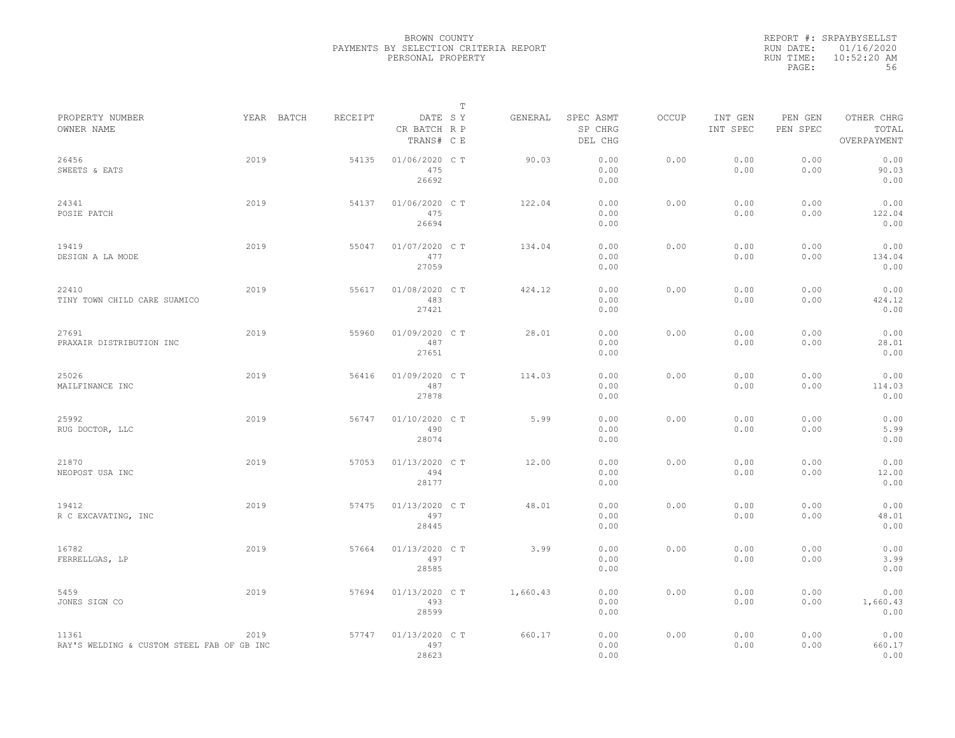|           | REPORT #: SRPAYBYSELLST |
|-----------|-------------------------|
|           | RUN DATE: 01/16/2020    |
| RUN TIME: | $10:52:20$ AM           |
| PAGE:     | 56                      |

|                                                     |            |         |                                       | $\mathbb T$ |          |                                 |       |                     |                     |                                    |
|-----------------------------------------------------|------------|---------|---------------------------------------|-------------|----------|---------------------------------|-------|---------------------|---------------------|------------------------------------|
| PROPERTY NUMBER<br>OWNER NAME                       | YEAR BATCH | RECEIPT | DATE SY<br>CR BATCH R P<br>TRANS# C E |             | GENERAL  | SPEC ASMT<br>SP CHRG<br>DEL CHG | OCCUP | INT GEN<br>INT SPEC | PEN GEN<br>PEN SPEC | OTHER CHRG<br>TOTAL<br>OVERPAYMENT |
| 26456<br>SWEETS & EATS                              | 2019       | 54135   | 01/06/2020 C T<br>475<br>26692        |             | 90.03    | 0.00<br>0.00<br>0.00            | 0.00  | 0.00<br>0.00        | 0.00<br>0.00        | 0.00<br>90.03<br>0.00              |
| 24341<br>POSIE PATCH                                | 2019       | 54137   | 01/06/2020 C T<br>475<br>26694        |             | 122.04   | 0.00<br>0.00<br>0.00            | 0.00  | 0.00<br>0.00        | 0.00<br>0.00        | 0.00<br>122.04<br>0.00             |
| 19419<br>DESIGN A LA MODE                           | 2019       | 55047   | 01/07/2020 C T<br>477<br>27059        |             | 134.04   | 0.00<br>0.00<br>0.00            | 0.00  | 0.00<br>0.00        | 0.00<br>0.00        | 0.00<br>134.04<br>0.00             |
| 22410<br>TINY TOWN CHILD CARE SUAMICO               | 2019       | 55617   | 01/08/2020 C T<br>483<br>27421        |             | 424.12   | 0.00<br>0.00<br>0.00            | 0.00  | 0.00<br>0.00        | 0.00<br>0.00        | 0.00<br>424.12<br>0.00             |
| 27691<br>PRAXAIR DISTRIBUTION INC                   | 2019       | 55960   | 01/09/2020 C T<br>487<br>27651        |             | 28.01    | 0.00<br>0.00<br>0.00            | 0.00  | 0.00<br>0.00        | 0.00<br>0.00        | 0.00<br>28.01<br>0.00              |
| 25026<br>MAILFINANCE INC                            | 2019       | 56416   | 01/09/2020 CT<br>487<br>27878         |             | 114.03   | 0.00<br>0.00<br>0.00            | 0.00  | 0.00<br>0.00        | 0.00<br>0.00        | 0.00<br>114.03<br>0.00             |
| 25992<br>RUG DOCTOR, LLC                            | 2019       | 56747   | 01/10/2020 C T<br>490<br>28074        |             | 5.99     | 0.00<br>0.00<br>0.00            | 0.00  | 0.00<br>0.00        | 0.00<br>0.00        | 0.00<br>5.99<br>0.00               |
| 21870<br>NEOPOST USA INC                            | 2019       | 57053   | 01/13/2020 C T<br>494<br>28177        |             | 12.00    | 0.00<br>0.00<br>0.00            | 0.00  | 0.00<br>0.00        | 0.00<br>0.00        | 0.00<br>12.00<br>0.00              |
| 19412<br>R C EXCAVATING, INC                        | 2019       | 57475   | 01/13/2020 C T<br>497<br>28445        |             | 48.01    | 0.00<br>0.00<br>0.00            | 0.00  | 0.00<br>0.00        | 0.00<br>0.00        | 0.00<br>48.01<br>0.00              |
| 16782<br>FERRELLGAS, LP                             | 2019       | 57664   | 01/13/2020 C T<br>497<br>28585        |             | 3.99     | 0.00<br>0.00<br>0.00            | 0.00  | 0.00<br>0.00        | 0.00<br>0.00        | 0.00<br>3.99<br>0.00               |
| 5459<br>JONES SIGN CO                               | 2019       | 57694   | 01/13/2020 C T<br>493<br>28599        |             | 1,660.43 | 0.00<br>0.00<br>0.00            | 0.00  | 0.00<br>0.00        | 0.00<br>0.00        | 0.00<br>1,660.43<br>0.00           |
| 11361<br>RAY'S WELDING & CUSTOM STEEL FAB OF GB INC | 2019       | 57747   | 01/13/2020 C T<br>497<br>28623        |             | 660.17   | 0.00<br>0.00<br>0.00            | 0.00  | 0.00<br>0.00        | 0.00<br>0.00        | 0.00<br>660.17<br>0.00             |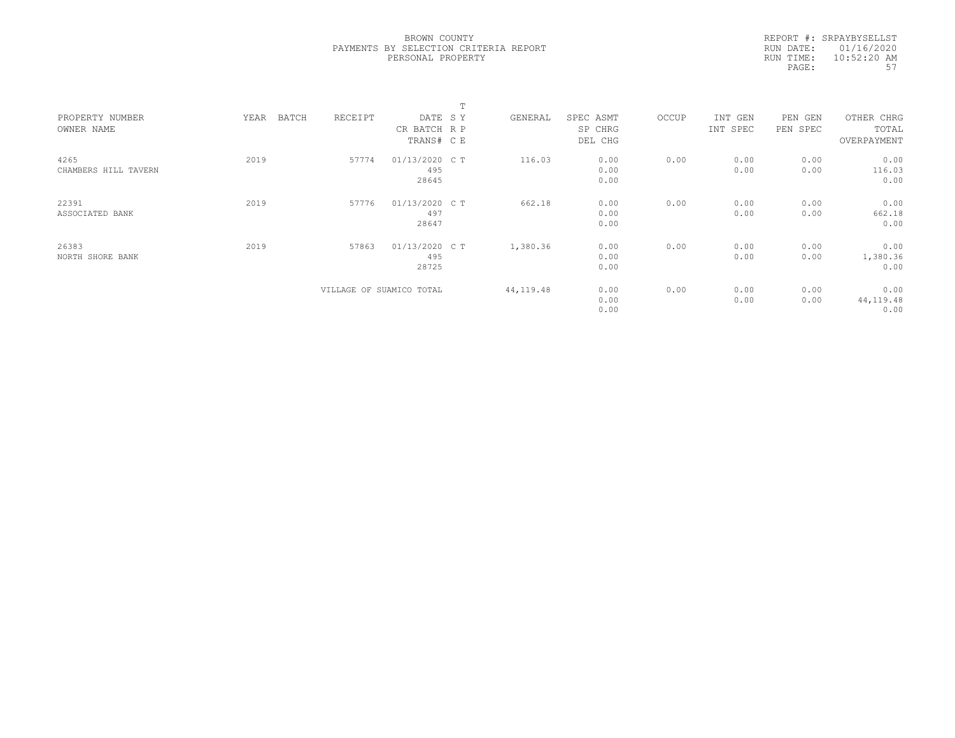|           | REPORT #: SRPAYBYSELLST |
|-----------|-------------------------|
|           | RUN DATE: 01/16/2020    |
| RUN TIME: | $10:52:20$ AM           |
| PAGE:     | 57                      |

|                      |               |                          |                | $\blacksquare$ |            |           |       |          |          |             |  |
|----------------------|---------------|--------------------------|----------------|----------------|------------|-----------|-------|----------|----------|-------------|--|
| PROPERTY NUMBER      | BATCH<br>YEAR | RECEIPT                  | DATE SY        |                | GENERAL    | SPEC ASMT | OCCUP | INT GEN  | PEN GEN  | OTHER CHRG  |  |
| OWNER NAME           |               |                          | CR BATCH R P   |                |            | SP CHRG   |       | INT SPEC | PEN SPEC | TOTAL       |  |
|                      |               |                          | TRANS# CE      |                |            | DEL CHG   |       |          |          | OVERPAYMENT |  |
| 4265                 | 2019          | 57774                    | 01/13/2020 C T |                | 116.03     | 0.00      | 0.00  | 0.00     | 0.00     | 0.00        |  |
| CHAMBERS HILL TAVERN |               |                          | 495            |                |            | 0.00      |       | 0.00     | 0.00     | 116.03      |  |
|                      |               |                          | 28645          |                |            | 0.00      |       |          |          | 0.00        |  |
| 22391                | 2019          | 57776                    | 01/13/2020 C T |                | 662.18     | 0.00      | 0.00  | 0.00     | 0.00     | 0.00        |  |
| ASSOCIATED BANK      |               |                          | 497            |                |            | 0.00      |       | 0.00     | 0.00     | 662.18      |  |
|                      |               |                          | 28647          |                |            | 0.00      |       |          |          | 0.00        |  |
| 26383                | 2019          | 57863                    | 01/13/2020 C T |                | 1,380.36   | 0.00      | 0.00  | 0.00     | 0.00     | 0.00        |  |
| NORTH SHORE BANK     |               |                          | 495            |                |            | 0.00      |       | 0.00     | 0.00     | 1,380.36    |  |
|                      |               |                          | 28725          |                |            | 0.00      |       |          |          | 0.00        |  |
|                      |               | VILLAGE OF SUAMICO TOTAL |                |                | 44, 119.48 | 0.00      | 0.00  | 0.00     | 0.00     | 0.00        |  |
|                      |               |                          |                |                |            | 0.00      |       | 0.00     | 0.00     | 44, 119.48  |  |
|                      |               |                          |                |                |            | 0.00      |       |          |          | 0.00        |  |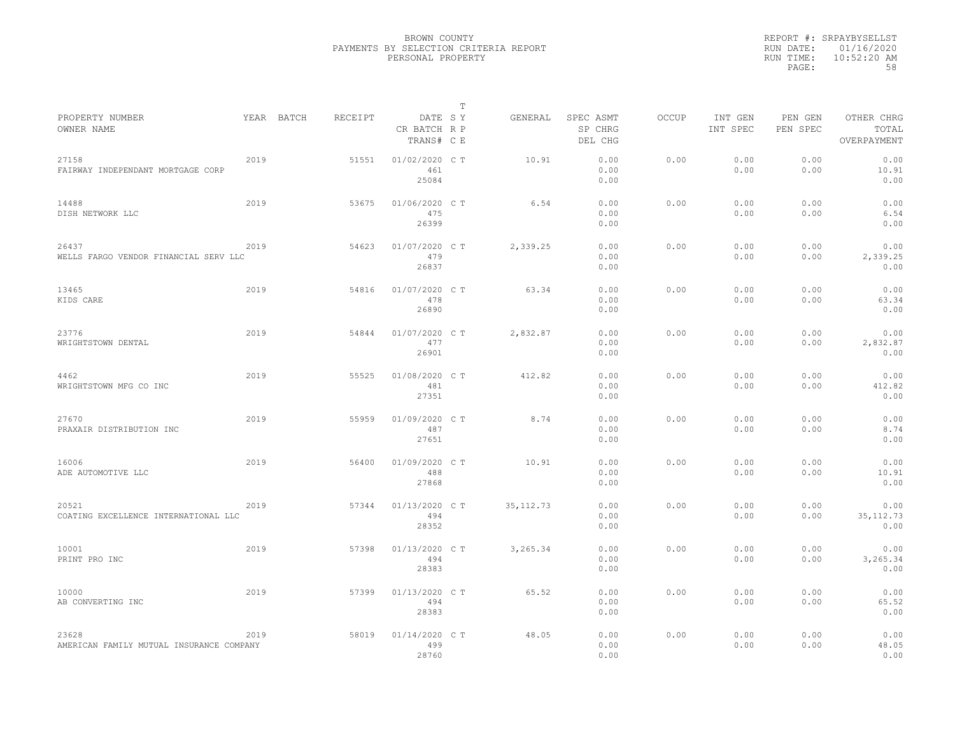|                                                   |      |            |         |                                       | $\mathbb T$ |            |                                 |              |                     |                     |                                    |
|---------------------------------------------------|------|------------|---------|---------------------------------------|-------------|------------|---------------------------------|--------------|---------------------|---------------------|------------------------------------|
| PROPERTY NUMBER<br>OWNER NAME                     |      | YEAR BATCH | RECEIPT | DATE SY<br>CR BATCH R P<br>TRANS# C E |             | GENERAL    | SPEC ASMT<br>SP CHRG<br>DEL CHG | <b>OCCUP</b> | INT GEN<br>INT SPEC | PEN GEN<br>PEN SPEC | OTHER CHRG<br>TOTAL<br>OVERPAYMENT |
| 27158<br>FAIRWAY INDEPENDANT MORTGAGE CORP        | 2019 |            | 51551   | 01/02/2020 C T<br>461<br>25084        |             | 10.91      | 0.00<br>0.00<br>0.00            | 0.00         | 0.00<br>0.00        | 0.00<br>0.00        | 0.00<br>10.91<br>0.00              |
| 14488<br>DISH NETWORK LLC                         | 2019 |            | 53675   | 01/06/2020 C T<br>475<br>26399        |             | 6.54       | 0.00<br>0.00<br>0.00            | 0.00         | 0.00<br>0.00        | 0.00<br>0.00        | 0.00<br>6.54<br>0.00               |
| 26437<br>WELLS FARGO VENDOR FINANCIAL SERV LLC    | 2019 |            | 54623   | 01/07/2020 C T<br>479<br>26837        |             | 2,339.25   | 0.00<br>0.00<br>0.00            | 0.00         | 0.00<br>0.00        | 0.00<br>0.00        | 0.00<br>2,339.25<br>0.00           |
| 13465<br>KIDS CARE                                | 2019 |            | 54816   | 01/07/2020 C T<br>478<br>26890        |             | 63.34      | 0.00<br>0.00<br>0.00            | 0.00         | 0.00<br>0.00        | 0.00<br>0.00        | 0.00<br>63.34<br>0.00              |
| 23776<br>WRIGHTSTOWN DENTAL                       | 2019 |            | 54844   | 01/07/2020 C T<br>477<br>26901        |             | 2,832.87   | 0.00<br>0.00<br>0.00            | 0.00         | 0.00<br>0.00        | 0.00<br>0.00        | 0.00<br>2,832.87<br>0.00           |
| 4462<br>WRIGHTSTOWN MFG CO INC                    | 2019 |            | 55525   | 01/08/2020 C T<br>481<br>27351        |             | 412.82     | 0.00<br>0.00<br>0.00            | 0.00         | 0.00<br>0.00        | 0.00<br>0.00        | 0.00<br>412.82<br>0.00             |
| 27670<br>PRAXAIR DISTRIBUTION INC                 | 2019 |            | 55959   | 01/09/2020 CT<br>487<br>27651         |             | 8.74       | 0.00<br>0.00<br>0.00            | 0.00         | 0.00<br>0.00        | 0.00<br>0.00        | 0.00<br>8.74<br>0.00               |
| 16006<br>ADE AUTOMOTIVE LLC                       | 2019 |            | 56400   | 01/09/2020 C T<br>488<br>27868        |             | 10.91      | 0.00<br>0.00<br>0.00            | 0.00         | 0.00<br>0.00        | 0.00<br>0.00        | 0.00<br>10.91<br>0.00              |
| 20521<br>COATING EXCELLENCE INTERNATIONAL LLC     | 2019 |            | 57344   | 01/13/2020 C T<br>494<br>28352        |             | 35, 112.73 | 0.00<br>0.00<br>0.00            | 0.00         | 0.00<br>0.00        | 0.00<br>0.00        | 0.00<br>35, 112.73<br>0.00         |
| 10001<br>PRINT PRO INC                            | 2019 |            | 57398   | 01/13/2020 C T<br>494<br>28383        |             | 3,265.34   | 0.00<br>0.00<br>0.00            | 0.00         | 0.00<br>0.00        | 0.00<br>0.00        | 0.00<br>3,265.34<br>0.00           |
| 10000<br>AB CONVERTING INC                        | 2019 |            | 57399   | 01/13/2020 C T<br>494<br>28383        |             | 65.52      | 0.00<br>0.00<br>0.00            | 0.00         | 0.00<br>0.00        | 0.00<br>0.00        | 0.00<br>65.52<br>0.00              |
| 23628<br>AMERICAN FAMILY MUTUAL INSURANCE COMPANY | 2019 |            | 58019   | 01/14/2020 C T<br>499<br>28760        |             | 48.05      | 0.00<br>0.00<br>0.00            | 0.00         | 0.00<br>0.00        | 0.00<br>0.00        | 0.00<br>48.05<br>0.00              |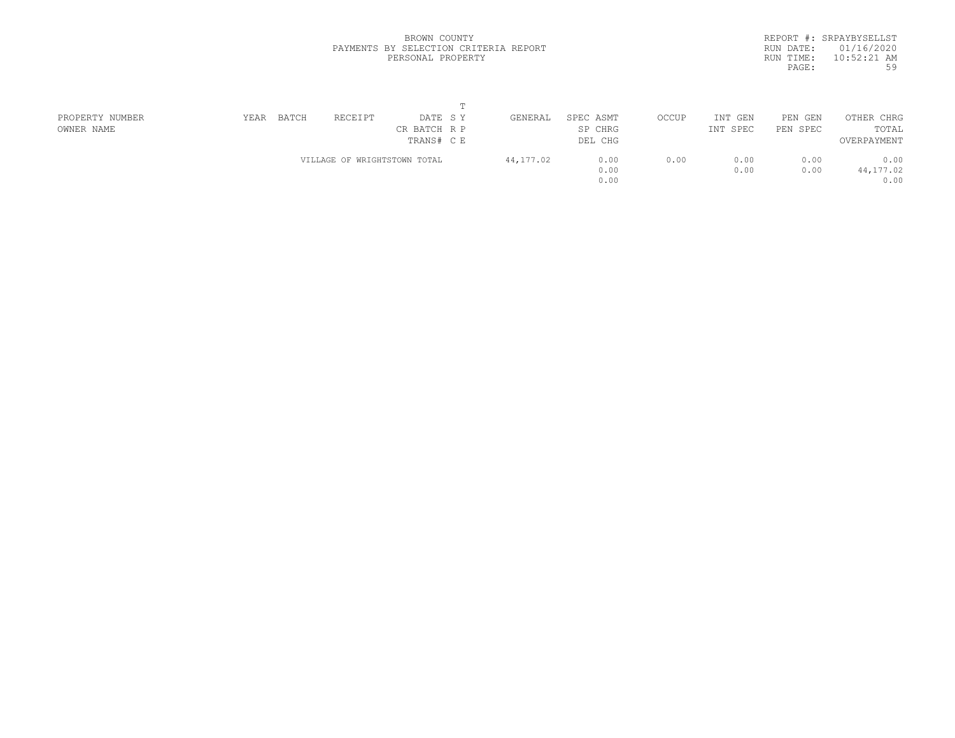|           | REPORT #: SRPAYBYSELLST |
|-----------|-------------------------|
|           | RUN DATE: 01/16/2020    |
| RUN TIME: | $10:52:21$ AM           |
| PAGE:     | 59                      |
|           |                         |

| PROPERTY NUMBER | BATCH<br>YEAR | RECEIPT<br>DATE SY           | GENERAL   | SPEC ASMT | OCCUP | INT GEN  | PEN GEN  | OTHER CHRG  |  |
|-----------------|---------------|------------------------------|-----------|-----------|-------|----------|----------|-------------|--|
| OWNER NAME      |               | CR BATCH R P                 |           | SP CHRG   |       | INT SPEC | PEN SPEC | TOTAL       |  |
|                 |               | TRANS# C E                   |           | DEL CHG   |       |          |          | OVERPAYMENT |  |
|                 |               | VILLAGE OF WRIGHTSTOWN TOTAL | 44,177.02 | 0.00      | 0.00  | 0.00     | 0.00     | 0.00        |  |
|                 |               |                              |           | 0.00      |       | 0.00     | 0.00     | 44,177.02   |  |
|                 |               |                              |           | 0.00      |       |          |          | 0.00        |  |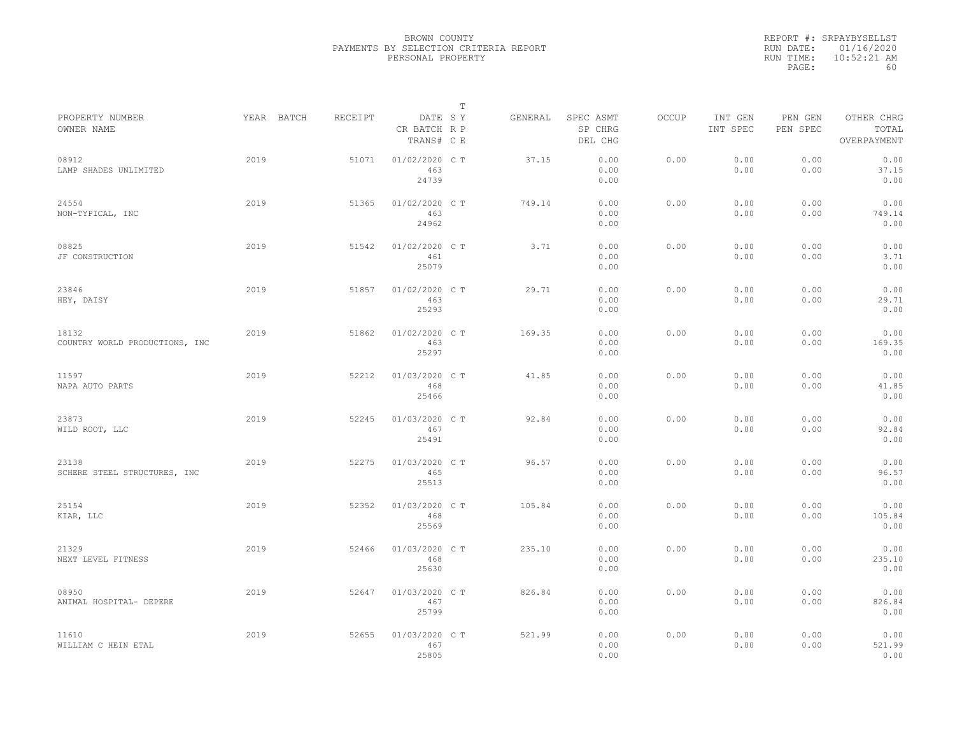|           | REPORT #: SRPAYBYSELLST |
|-----------|-------------------------|
|           | RUN DATE: 01/16/2020    |
| RUN TIME: | $10:52:21$ AM           |
| PAGE:     | 60                      |

| PROPERTY NUMBER                         |      | YEAR BATCH | RECEIPT | DATE SY                        | Т | GENERAL | SPEC ASMT            | OCCUP | INT GEN      | PEN GEN      | OTHER CHRG             |  |
|-----------------------------------------|------|------------|---------|--------------------------------|---|---------|----------------------|-------|--------------|--------------|------------------------|--|
| OWNER NAME                              |      |            |         | CR BATCH R P<br>TRANS# C E     |   |         | SP CHRG<br>DEL CHG   |       | INT SPEC     | PEN SPEC     | TOTAL<br>OVERPAYMENT   |  |
| 08912<br>LAMP SHADES UNLIMITED          | 2019 |            | 51071   | 01/02/2020 C T<br>463<br>24739 |   | 37.15   | 0.00<br>0.00<br>0.00 | 0.00  | 0.00<br>0.00 | 0.00<br>0.00 | 0.00<br>37.15<br>0.00  |  |
| 24554<br>NON-TYPICAL, INC               | 2019 |            | 51365   | 01/02/2020 C T<br>463<br>24962 |   | 749.14  | 0.00<br>0.00<br>0.00 | 0.00  | 0.00<br>0.00 | 0.00<br>0.00 | 0.00<br>749.14<br>0.00 |  |
| 08825<br>JF CONSTRUCTION                | 2019 |            | 51542   | 01/02/2020 C T<br>461<br>25079 |   | 3.71    | 0.00<br>0.00<br>0.00 | 0.00  | 0.00<br>0.00 | 0.00<br>0.00 | 0.00<br>3.71<br>0.00   |  |
| 23846<br>HEY, DAISY                     | 2019 |            | 51857   | 01/02/2020 C T<br>463<br>25293 |   | 29.71   | 0.00<br>0.00<br>0.00 | 0.00  | 0.00<br>0.00 | 0.00<br>0.00 | 0.00<br>29.71<br>0.00  |  |
| 18132<br>COUNTRY WORLD PRODUCTIONS, INC | 2019 |            | 51862   | 01/02/2020 C T<br>463<br>25297 |   | 169.35  | 0.00<br>0.00<br>0.00 | 0.00  | 0.00<br>0.00 | 0.00<br>0.00 | 0.00<br>169.35<br>0.00 |  |
| 11597<br>NAPA AUTO PARTS                | 2019 |            | 52212   | 01/03/2020 C T<br>468<br>25466 |   | 41.85   | 0.00<br>0.00<br>0.00 | 0.00  | 0.00<br>0.00 | 0.00<br>0.00 | 0.00<br>41.85<br>0.00  |  |
| 23873<br>WILD ROOT, LLC                 | 2019 |            | 52245   | 01/03/2020 C T<br>467<br>25491 |   | 92.84   | 0.00<br>0.00<br>0.00 | 0.00  | 0.00<br>0.00 | 0.00<br>0.00 | 0.00<br>92.84<br>0.00  |  |
| 23138<br>SCHERE STEEL STRUCTURES, INC   | 2019 |            | 52275   | 01/03/2020 CT<br>465<br>25513  |   | 96.57   | 0.00<br>0.00<br>0.00 | 0.00  | 0.00<br>0.00 | 0.00<br>0.00 | 0.00<br>96.57<br>0.00  |  |
| 25154<br>KIAR, LLC                      | 2019 |            | 52352   | 01/03/2020 CT<br>468<br>25569  |   | 105.84  | 0.00<br>0.00<br>0.00 | 0.00  | 0.00<br>0.00 | 0.00<br>0.00 | 0.00<br>105.84<br>0.00 |  |
| 21329<br>NEXT LEVEL FITNESS             | 2019 |            | 52466   | 01/03/2020 C T<br>468<br>25630 |   | 235.10  | 0.00<br>0.00<br>0.00 | 0.00  | 0.00<br>0.00 | 0.00<br>0.00 | 0.00<br>235.10<br>0.00 |  |
| 08950<br>ANIMAL HOSPITAL- DEPERE        | 2019 |            | 52647   | 01/03/2020 CT<br>467<br>25799  |   | 826.84  | 0.00<br>0.00<br>0.00 | 0.00  | 0.00<br>0.00 | 0.00<br>0.00 | 0.00<br>826.84<br>0.00 |  |
| 11610<br>WILLIAM C HEIN ETAL            | 2019 |            | 52655   | 01/03/2020 CT<br>467<br>25805  |   | 521.99  | 0.00<br>0.00<br>0.00 | 0.00  | 0.00<br>0.00 | 0.00<br>0.00 | 0.00<br>521.99<br>0.00 |  |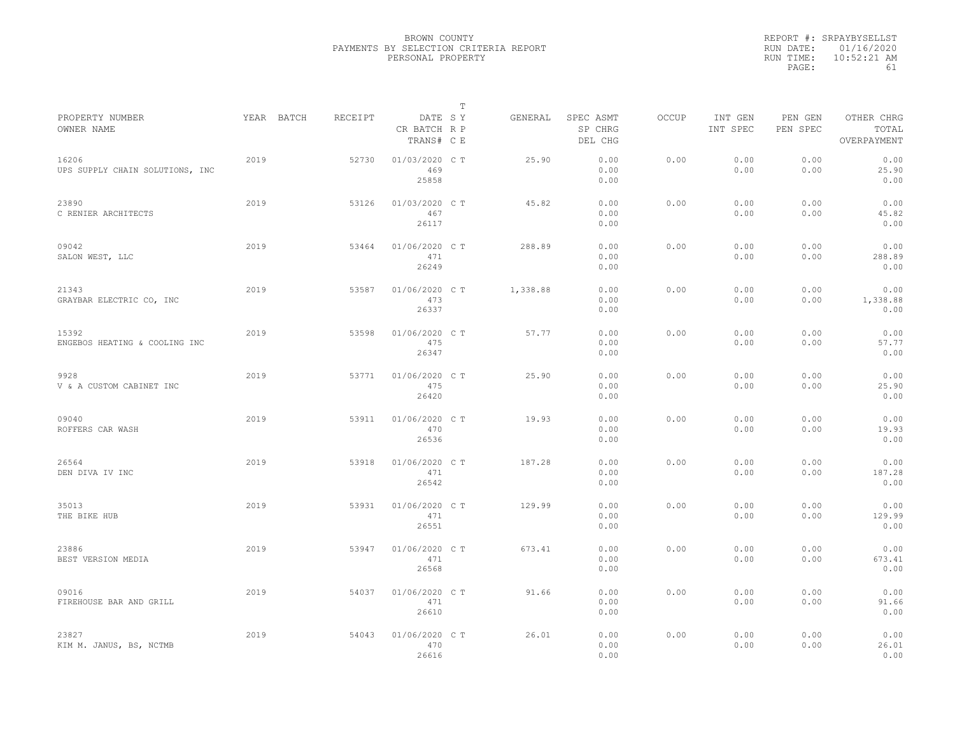|           | REPORT #: SRPAYBYSELLST |
|-----------|-------------------------|
|           | RUN DATE: 01/16/2020    |
| RUN TIME: | $10:52:21$ AM           |
| PAGE:     | 61                      |

|                                          |            |         |                                       | $\mathbb T$ |          |                                 |              |                     |                     |                                    |
|------------------------------------------|------------|---------|---------------------------------------|-------------|----------|---------------------------------|--------------|---------------------|---------------------|------------------------------------|
| PROPERTY NUMBER<br>OWNER NAME            | YEAR BATCH | RECEIPT | DATE SY<br>CR BATCH R P<br>TRANS# C E |             | GENERAL  | SPEC ASMT<br>SP CHRG<br>DEL CHG | <b>OCCUP</b> | INT GEN<br>INT SPEC | PEN GEN<br>PEN SPEC | OTHER CHRG<br>TOTAL<br>OVERPAYMENT |
| 16206<br>UPS SUPPLY CHAIN SOLUTIONS, INC | 2019       | 52730   | 01/03/2020 C T<br>469<br>25858        |             | 25.90    | 0.00<br>0.00<br>0.00            | 0.00         | 0.00<br>0.00        | 0.00<br>0.00        | 0.00<br>25.90<br>0.00              |
| 23890<br>C RENIER ARCHITECTS             | 2019       | 53126   | 01/03/2020 C T<br>467<br>26117        |             | 45.82    | 0.00<br>0.00<br>0.00            | 0.00         | 0.00<br>0.00        | 0.00<br>0.00        | 0.00<br>45.82<br>0.00              |
| 09042<br>SALON WEST, LLC                 | 2019       | 53464   | 01/06/2020 C T<br>471<br>26249        |             | 288.89   | 0.00<br>0.00<br>0.00            | 0.00         | 0.00<br>0.00        | 0.00<br>0.00        | 0.00<br>288.89<br>0.00             |
| 21343<br>GRAYBAR ELECTRIC CO, INC        | 2019       | 53587   | 01/06/2020 CT<br>473<br>26337         |             | 1,338.88 | 0.00<br>0.00<br>0.00            | 0.00         | 0.00<br>0.00        | 0.00<br>0.00        | 0.00<br>1,338.88<br>0.00           |
| 15392<br>ENGEBOS HEATING & COOLING INC   | 2019       | 53598   | 01/06/2020 CT<br>475<br>26347         |             | 57.77    | 0.00<br>0.00<br>0.00            | 0.00         | 0.00<br>0.00        | 0.00<br>0.00        | 0.00<br>57.77<br>0.00              |
| 9928<br>V & A CUSTOM CABINET INC         | 2019       | 53771   | 01/06/2020 C T<br>475<br>26420        |             | 25.90    | 0.00<br>0.00<br>0.00            | 0.00         | 0.00<br>0.00        | 0.00<br>0.00        | 0.00<br>25.90<br>0.00              |
| 09040<br>ROFFERS CAR WASH                | 2019       | 53911   | 01/06/2020 C T<br>470<br>26536        |             | 19.93    | 0.00<br>0.00<br>0.00            | 0.00         | 0.00<br>0.00        | 0.00<br>0.00        | 0.00<br>19.93<br>0.00              |
| 26564<br>DEN DIVA IV INC                 | 2019       | 53918   | 01/06/2020 C T<br>471<br>26542        |             | 187.28   | 0.00<br>0.00<br>0.00            | 0.00         | 0.00<br>0.00        | 0.00<br>0.00        | 0.00<br>187.28<br>0.00             |
| 35013<br>THE BIKE HUB                    | 2019       | 53931   | 01/06/2020 C T<br>471<br>26551        |             | 129.99   | 0.00<br>0.00<br>0.00            | 0.00         | 0.00<br>0.00        | 0.00<br>0.00        | 0.00<br>129.99<br>0.00             |
| 23886<br>BEST VERSION MEDIA              | 2019       | 53947   | 01/06/2020 CT<br>471<br>26568         |             | 673.41   | 0.00<br>0.00<br>0.00            | 0.00         | 0.00<br>0.00        | 0.00<br>0.00        | 0.00<br>673.41<br>0.00             |
| 09016<br>FIREHOUSE BAR AND GRILL         | 2019       | 54037   | 01/06/2020 C T<br>471<br>26610        |             | 91.66    | 0.00<br>0.00<br>0.00            | 0.00         | 0.00<br>0.00        | 0.00<br>0.00        | 0.00<br>91.66<br>0.00              |
| 23827<br>KIM M. JANUS, BS, NCTMB         | 2019       | 54043   | 01/06/2020 CT<br>470<br>26616         |             | 26.01    | 0.00<br>0.00<br>0.00            | 0.00         | 0.00<br>0.00        | 0.00<br>0.00        | 0.00<br>26.01<br>0.00              |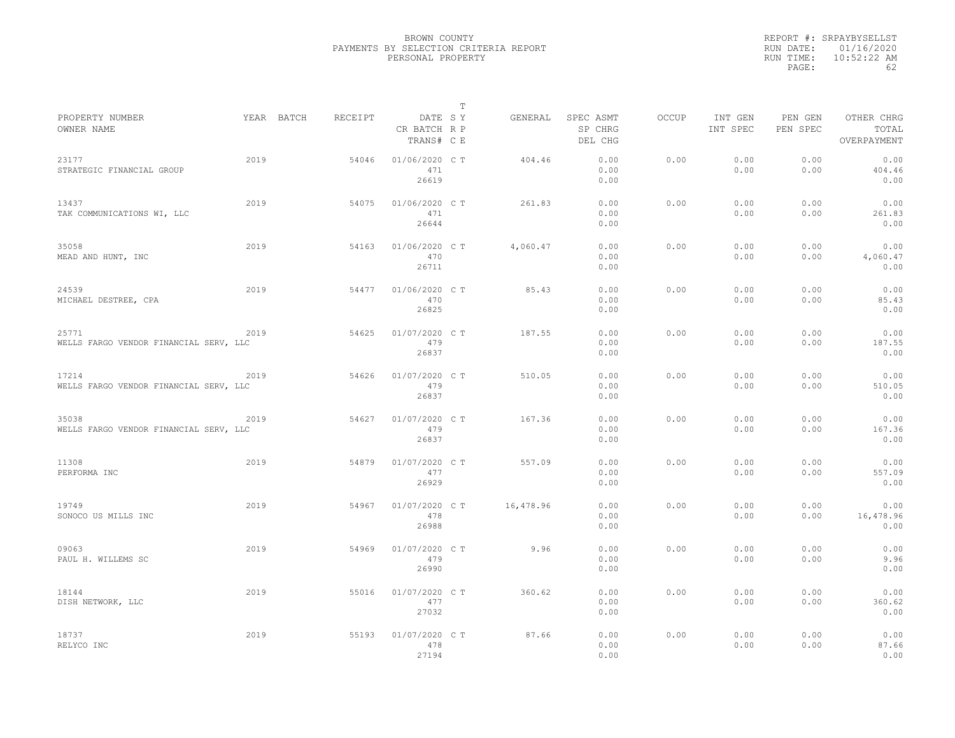|           | REPORT #: SRPAYBYSELLST |
|-----------|-------------------------|
|           | RUN DATE: 01/16/2020    |
| RUN TIME: | $10:52:22$ AM           |
| PAGE:     | 62                      |

|                                                 |      |            |         |                                       | T |           |                                 |              |                     |                     |                                    |
|-------------------------------------------------|------|------------|---------|---------------------------------------|---|-----------|---------------------------------|--------------|---------------------|---------------------|------------------------------------|
| PROPERTY NUMBER<br>OWNER NAME                   |      | YEAR BATCH | RECEIPT | DATE SY<br>CR BATCH R P<br>TRANS# C E |   | GENERAL   | SPEC ASMT<br>SP CHRG<br>DEL CHG | <b>OCCUP</b> | INT GEN<br>INT SPEC | PEN GEN<br>PEN SPEC | OTHER CHRG<br>TOTAL<br>OVERPAYMENT |
| 23177<br>STRATEGIC FINANCIAL GROUP              | 2019 |            | 54046   | 01/06/2020 C T<br>471<br>26619        |   | 404.46    | 0.00<br>0.00<br>0.00            | 0.00         | 0.00<br>0.00        | 0.00<br>0.00        | 0.00<br>404.46<br>0.00             |
| 13437<br>TAK COMMUNICATIONS WI, LLC             | 2019 |            | 54075   | 01/06/2020 C T<br>471<br>26644        |   | 261.83    | 0.00<br>0.00<br>0.00            | 0.00         | 0.00<br>0.00        | 0.00<br>0.00        | 0.00<br>261.83<br>0.00             |
| 35058<br>MEAD AND HUNT, INC                     | 2019 |            | 54163   | 01/06/2020 C T<br>470<br>26711        |   | 4,060.47  | 0.00<br>0.00<br>0.00            | 0.00         | 0.00<br>0.00        | 0.00<br>0.00        | 0.00<br>4,060.47<br>0.00           |
| 24539<br>MICHAEL DESTREE, CPA                   | 2019 |            | 54477   | 01/06/2020 C T<br>470<br>26825        |   | 85.43     | 0.00<br>0.00<br>0.00            | 0.00         | 0.00<br>0.00        | 0.00<br>0.00        | 0.00<br>85.43<br>0.00              |
| 25771<br>WELLS FARGO VENDOR FINANCIAL SERV, LLC | 2019 |            | 54625   | 01/07/2020 C T<br>479<br>26837        |   | 187.55    | 0.00<br>0.00<br>0.00            | 0.00         | 0.00<br>0.00        | 0.00<br>0.00        | 0.00<br>187.55<br>0.00             |
| 17214<br>WELLS FARGO VENDOR FINANCIAL SERV, LLC | 2019 |            | 54626   | 01/07/2020 C T<br>479<br>26837        |   | 510.05    | 0.00<br>0.00<br>0.00            | 0.00         | 0.00<br>0.00        | 0.00<br>0.00        | 0.00<br>510.05<br>0.00             |
| 35038<br>WELLS FARGO VENDOR FINANCIAL SERV, LLC | 2019 |            | 54627   | 01/07/2020 C T<br>479<br>26837        |   | 167.36    | 0.00<br>0.00<br>0.00            | 0.00         | 0.00<br>0.00        | 0.00<br>0.00        | 0.00<br>167.36<br>0.00             |
| 11308<br>PERFORMA INC                           | 2019 |            | 54879   | 01/07/2020 C T<br>477<br>26929        |   | 557.09    | 0.00<br>0.00<br>0.00            | 0.00         | 0.00<br>0.00        | 0.00<br>0.00        | 0.00<br>557.09<br>0.00             |
| 19749<br>SONOCO US MILLS INC                    | 2019 |            | 54967   | 01/07/2020 CT<br>478<br>26988         |   | 16,478.96 | 0.00<br>0.00<br>0.00            | 0.00         | 0.00<br>0.00        | 0.00<br>0.00        | 0.00<br>16,478.96<br>0.00          |
| 09063<br>PAUL H. WILLEMS SC                     | 2019 |            | 54969   | 01/07/2020 C T<br>479<br>26990        |   | 9.96      | 0.00<br>0.00<br>0.00            | 0.00         | 0.00<br>0.00        | 0.00<br>0.00        | 0.00<br>9.96<br>0.00               |
| 18144<br>DISH NETWORK, LLC                      | 2019 |            | 55016   | 01/07/2020 C T<br>477<br>27032        |   | 360.62    | 0.00<br>0.00<br>0.00            | 0.00         | 0.00<br>0.00        | 0.00<br>0.00        | 0.00<br>360.62<br>0.00             |
| 18737<br>RELYCO INC                             | 2019 |            | 55193   | 01/07/2020 C T<br>478<br>27194        |   | 87.66     | 0.00<br>0.00<br>0.00            | 0.00         | 0.00<br>0.00        | 0.00<br>0.00        | 0.00<br>87.66<br>0.00              |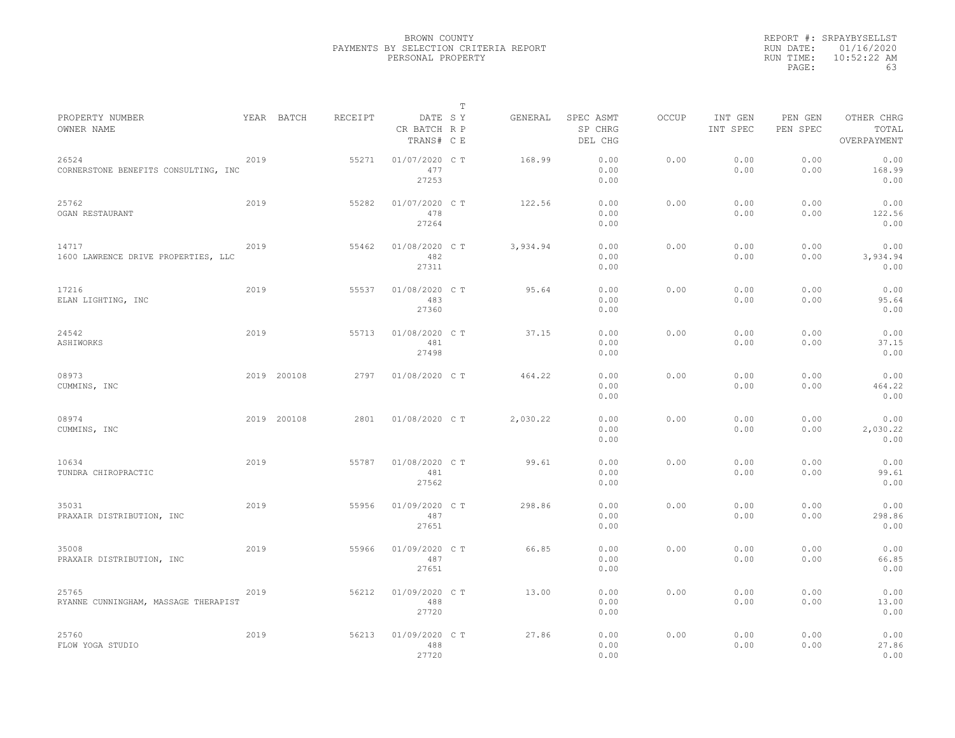|                                               |      |             |         |                                       | $\mathbb{T}$ |          |                                 |              |                     |                     |                                    |  |
|-----------------------------------------------|------|-------------|---------|---------------------------------------|--------------|----------|---------------------------------|--------------|---------------------|---------------------|------------------------------------|--|
| PROPERTY NUMBER<br>OWNER NAME                 |      | YEAR BATCH  | RECEIPT | DATE SY<br>CR BATCH R P<br>TRANS# C E |              | GENERAL  | SPEC ASMT<br>SP CHRG<br>DEL CHG | <b>OCCUP</b> | INT GEN<br>INT SPEC | PEN GEN<br>PEN SPEC | OTHER CHRG<br>TOTAL<br>OVERPAYMENT |  |
| 26524<br>CORNERSTONE BENEFITS CONSULTING, INC | 2019 |             | 55271   | 01/07/2020 C T<br>477<br>27253        |              | 168.99   | 0.00<br>0.00<br>0.00            | 0.00         | 0.00<br>0.00        | 0.00<br>0.00        | 0.00<br>168.99<br>0.00             |  |
| 25762<br>OGAN RESTAURANT                      | 2019 |             | 55282   | 01/07/2020 C T<br>478<br>27264        |              | 122.56   | 0.00<br>0.00<br>0.00            | 0.00         | 0.00<br>0.00        | 0.00<br>0.00        | 0.00<br>122.56<br>0.00             |  |
| 14717<br>1600 LAWRENCE DRIVE PROPERTIES, LLC  | 2019 |             | 55462   | 01/08/2020 C T<br>482<br>27311        |              | 3,934.94 | 0.00<br>0.00<br>0.00            | 0.00         | 0.00<br>0.00        | 0.00<br>0.00        | 0.00<br>3,934.94<br>0.00           |  |
| 17216<br>ELAN LIGHTING, INC                   | 2019 |             | 55537   | 01/08/2020 C T<br>483<br>27360        |              | 95.64    | 0.00<br>0.00<br>0.00            | 0.00         | 0.00<br>0.00        | 0.00<br>0.00        | 0.00<br>95.64<br>0.00              |  |
| 24542<br>ASHIWORKS                            | 2019 |             | 55713   | 01/08/2020 C T<br>481<br>27498        |              | 37.15    | 0.00<br>0.00<br>0.00            | 0.00         | 0.00<br>0.00        | 0.00<br>0.00        | 0.00<br>37.15<br>0.00              |  |
| 08973<br>CUMMINS, INC                         |      | 2019 200108 | 2797    | 01/08/2020 C T                        |              | 464.22   | 0.00<br>0.00<br>0.00            | 0.00         | 0.00<br>0.00        | 0.00<br>0.00        | 0.00<br>464.22<br>0.00             |  |
| 08974<br>CUMMINS, INC                         |      | 2019 200108 | 2801    | 01/08/2020 C T                        |              | 2,030.22 | 0.00<br>0.00<br>0.00            | 0.00         | 0.00<br>0.00        | 0.00<br>0.00        | 0.00<br>2,030.22<br>0.00           |  |
| 10634<br>TUNDRA CHIROPRACTIC                  | 2019 |             | 55787   | 01/08/2020 C T<br>481<br>27562        |              | 99.61    | 0.00<br>0.00<br>0.00            | 0.00         | 0.00<br>0.00        | 0.00<br>0.00        | 0.00<br>99.61<br>0.00              |  |
| 35031<br>PRAXAIR DISTRIBUTION, INC            | 2019 |             | 55956   | 01/09/2020 C T<br>487<br>27651        |              | 298.86   | 0.00<br>0.00<br>0.00            | 0.00         | 0.00<br>0.00        | 0.00<br>0.00        | 0.00<br>298.86<br>0.00             |  |
| 35008<br>PRAXAIR DISTRIBUTION, INC            | 2019 |             | 55966   | 01/09/2020 C T<br>487<br>27651        |              | 66.85    | 0.00<br>0.00<br>0.00            | 0.00         | 0.00<br>0.00        | 0.00<br>0.00        | 0.00<br>66.85<br>0.00              |  |
| 25765<br>RYANNE CUNNINGHAM, MASSAGE THERAPIST | 2019 |             | 56212   | 01/09/2020 C T<br>488<br>27720        |              | 13.00    | 0.00<br>0.00<br>0.00            | 0.00         | 0.00<br>0.00        | 0.00<br>0.00        | 0.00<br>13.00<br>0.00              |  |
| 25760<br>FLOW YOGA STUDIO                     | 2019 |             | 56213   | 01/09/2020 CT<br>488<br>27720         |              | 27.86    | 0.00<br>0.00<br>0.00            | 0.00         | 0.00<br>0.00        | 0.00<br>0.00        | 0.00<br>27.86<br>0.00              |  |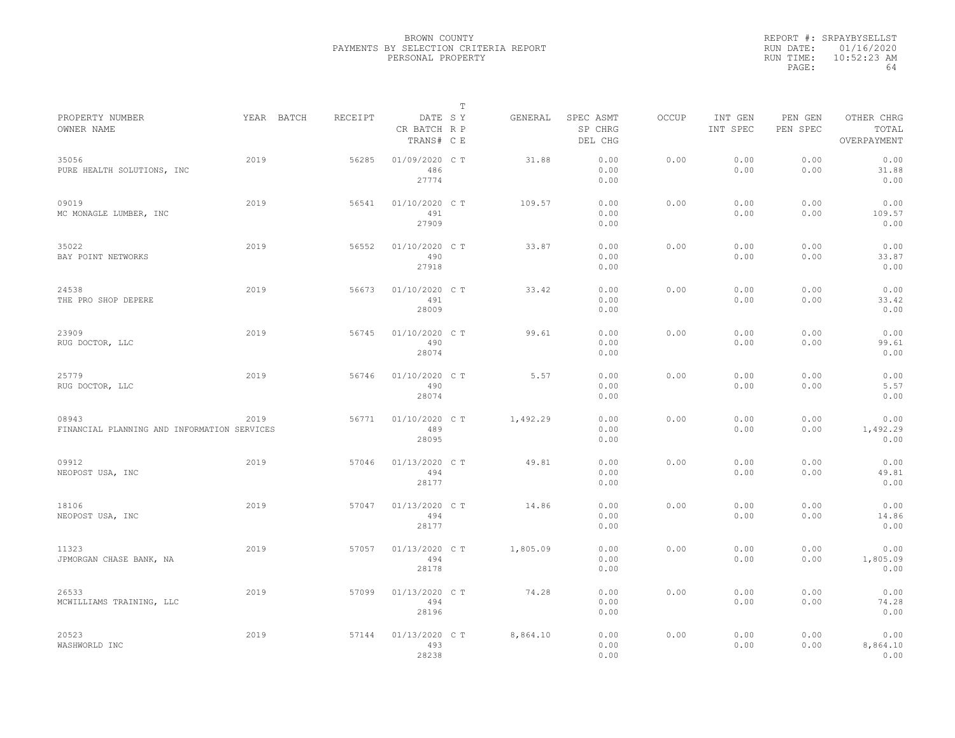|           | REPORT #: SRPAYBYSELLST |
|-----------|-------------------------|
|           | RUN DATE: 01/16/2020    |
| RUN TIME: | $10:52:23$ AM           |
| PAGE:     | 64                      |

|                                                      |            |         |                                       | T |          |                                 |              |                     |                     |                                    |
|------------------------------------------------------|------------|---------|---------------------------------------|---|----------|---------------------------------|--------------|---------------------|---------------------|------------------------------------|
| PROPERTY NUMBER<br>OWNER NAME                        | YEAR BATCH | RECEIPT | DATE SY<br>CR BATCH R P<br>TRANS# C E |   | GENERAL  | SPEC ASMT<br>SP CHRG<br>DEL CHG | <b>OCCUP</b> | INT GEN<br>INT SPEC | PEN GEN<br>PEN SPEC | OTHER CHRG<br>TOTAL<br>OVERPAYMENT |
| 35056<br>PURE HEALTH SOLUTIONS, INC                  | 2019       | 56285   | 01/09/2020 CT<br>486<br>27774         |   | 31.88    | 0.00<br>0.00<br>0.00            | 0.00         | 0.00<br>0.00        | 0.00<br>0.00        | 0.00<br>31.88<br>0.00              |
| 09019<br>MC MONAGLE LUMBER, INC                      | 2019       | 56541   | 01/10/2020 C T<br>491<br>27909        |   | 109.57   | 0.00<br>0.00<br>0.00            | 0.00         | 0.00<br>0.00        | 0.00<br>0.00        | 0.00<br>109.57<br>0.00             |
| 35022<br>BAY POINT NETWORKS                          | 2019       | 56552   | 01/10/2020 C T<br>490<br>27918        |   | 33.87    | 0.00<br>0.00<br>0.00            | 0.00         | 0.00<br>0.00        | 0.00<br>0.00        | 0.00<br>33.87<br>0.00              |
| 24538<br>THE PRO SHOP DEPERE                         | 2019       | 56673   | 01/10/2020 C T<br>491<br>28009        |   | 33.42    | 0.00<br>0.00<br>0.00            | 0.00         | 0.00<br>0.00        | 0.00<br>0.00        | 0.00<br>33.42<br>0.00              |
| 23909<br>RUG DOCTOR, LLC                             | 2019       | 56745   | 01/10/2020 C T<br>490<br>28074        |   | 99.61    | 0.00<br>0.00<br>0.00            | 0.00         | 0.00<br>0.00        | 0.00<br>0.00        | 0.00<br>99.61<br>0.00              |
| 25779<br>RUG DOCTOR, LLC                             | 2019       | 56746   | 01/10/2020 C T<br>490<br>28074        |   | 5.57     | 0.00<br>0.00<br>0.00            | 0.00         | 0.00<br>0.00        | 0.00<br>0.00        | 0.00<br>5.57<br>0.00               |
| 08943<br>FINANCIAL PLANNING AND INFORMATION SERVICES | 2019       | 56771   | 01/10/2020 C T<br>489<br>28095        |   | 1,492.29 | 0.00<br>0.00<br>0.00            | 0.00         | 0.00<br>0.00        | 0.00<br>0.00        | 0.00<br>1,492.29<br>0.00           |
| 09912<br>NEOPOST USA, INC                            | 2019       | 57046   | 01/13/2020 C T<br>494<br>28177        |   | 49.81    | 0.00<br>0.00<br>0.00            | 0.00         | 0.00<br>0.00        | 0.00<br>0.00        | 0.00<br>49.81<br>0.00              |
| 18106<br>NEOPOST USA, INC                            | 2019       | 57047   | 01/13/2020 C T<br>494<br>28177        |   | 14.86    | 0.00<br>0.00<br>0.00            | 0.00         | 0.00<br>0.00        | 0.00<br>0.00        | 0.00<br>14.86<br>0.00              |
| 11323<br>JPMORGAN CHASE BANK, NA                     | 2019       | 57057   | 01/13/2020 C T<br>494<br>28178        |   | 1,805.09 | 0.00<br>0.00<br>0.00            | 0.00         | 0.00<br>0.00        | 0.00<br>0.00        | 0.00<br>1,805.09<br>0.00           |
| 26533<br>MCWILLIAMS TRAINING, LLC                    | 2019       | 57099   | 01/13/2020 C T<br>494<br>28196        |   | 74.28    | 0.00<br>0.00<br>0.00            | 0.00         | 0.00<br>0.00        | 0.00<br>0.00        | 0.00<br>74.28<br>0.00              |
| 20523<br>WASHWORLD INC                               | 2019       | 57144   | 01/13/2020 C T<br>493<br>28238        |   | 8,864.10 | 0.00<br>0.00<br>0.00            | 0.00         | 0.00<br>0.00        | 0.00<br>0.00        | 0.00<br>8,864.10<br>0.00           |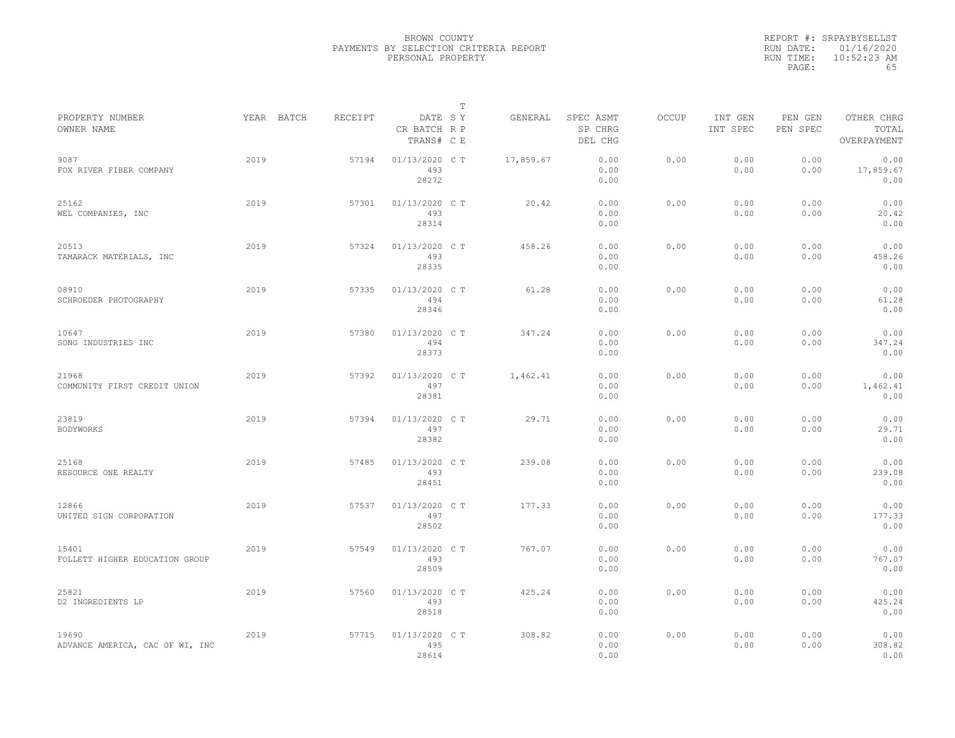|           | REPORT #: SRPAYBYSELLST |
|-----------|-------------------------|
|           | RUN DATE: 01/16/2020    |
| RUN TIME: | $10:52:23$ AM           |
| PAGE:     | 65                      |
|           |                         |

|                                          |            |         |                                       | T |           |                                 |              |                     |                     |                                    |
|------------------------------------------|------------|---------|---------------------------------------|---|-----------|---------------------------------|--------------|---------------------|---------------------|------------------------------------|
| PROPERTY NUMBER<br>OWNER NAME            | YEAR BATCH | RECEIPT | DATE SY<br>CR BATCH R P<br>TRANS# C E |   | GENERAL   | SPEC ASMT<br>SP CHRG<br>DEL CHG | <b>OCCUP</b> | INT GEN<br>INT SPEC | PEN GEN<br>PEN SPEC | OTHER CHRG<br>TOTAL<br>OVERPAYMENT |
| 9087<br>FOX RIVER FIBER COMPANY          | 2019       | 57194   | 01/13/2020 C T<br>493<br>28272        |   | 17,859.67 | 0.00<br>0.00<br>0.00            | 0.00         | 0.00<br>0.00        | 0.00<br>0.00        | 0.00<br>17,859.67<br>0.00          |
| 25162<br>WEL COMPANIES, INC              | 2019       | 57301   | 01/13/2020 C T<br>493<br>28314        |   | 20.42     | 0.00<br>0.00<br>0.00            | 0.00         | 0.00<br>0.00        | 0.00<br>0.00        | 0.00<br>20.42<br>0.00              |
| 20513<br>TAMARACK MATERIALS, INC         | 2019       | 57324   | 01/13/2020 C T<br>493<br>28335        |   | 458.26    | 0.00<br>0.00<br>0.00            | 0.00         | 0.00<br>0.00        | 0.00<br>0.00        | 0.00<br>458.26<br>0.00             |
| 08910<br>SCHROEDER PHOTOGRAPHY           | 2019       | 57335   | 01/13/2020 C T<br>494<br>28346        |   | 61.28     | 0.00<br>0.00<br>0.00            | 0.00         | 0.00<br>0.00        | 0.00<br>0.00        | 0.00<br>61.28<br>0.00              |
| 10647<br>SONG INDUSTRIES INC             | 2019       | 57380   | 01/13/2020 C T<br>494<br>28373        |   | 347.24    | 0.00<br>0.00<br>0.00            | 0.00         | 0.00<br>0.00        | 0.00<br>0.00        | 0.00<br>347.24<br>0.00             |
| 21968<br>COMMUNITY FIRST CREDIT UNION    | 2019       | 57392   | 01/13/2020 C T<br>497<br>28381        |   | 1,462.41  | 0.00<br>0.00<br>0.00            | 0.00         | 0.00<br>0.00        | 0.00<br>0.00        | 0.00<br>1,462.41<br>0.00           |
| 23819<br><b>BODYWORKS</b>                | 2019       | 57394   | 01/13/2020 C T<br>497<br>28382        |   | 29.71     | 0.00<br>0.00<br>0.00            | 0.00         | 0.00<br>0.00        | 0.00<br>0.00        | 0.00<br>29.71<br>0.00              |
| 25168<br>RESOURCE ONE REALTY             | 2019       | 57485   | 01/13/2020 C T<br>493<br>28451        |   | 239.08    | 0.00<br>0.00<br>0.00            | 0.00         | 0.00<br>0.00        | 0.00<br>0.00        | 0.00<br>239.08<br>0.00             |
| 12866<br>UNITED SIGN CORPORATION         | 2019       | 57537   | 01/13/2020 C T<br>497<br>28502        |   | 177.33    | 0.00<br>0.00<br>0.00            | 0.00         | 0.00<br>0.00        | 0.00<br>0.00        | 0.00<br>177.33<br>0.00             |
| 15401<br>FOLLETT HIGHER EDUCATION GROUP  | 2019       | 57549   | 01/13/2020 C T<br>493<br>28509        |   | 767.07    | 0.00<br>0.00<br>0.00            | 0.00         | 0.00<br>0.00        | 0.00<br>0.00        | 0.00<br>767.07<br>0.00             |
| 25821<br>D2 INGREDIENTS LP               | 2019       | 57560   | 01/13/2020 C T<br>493<br>28518        |   | 425.24    | 0.00<br>0.00<br>0.00            | 0.00         | 0.00<br>0.00        | 0.00<br>0.00        | 0.00<br>425.24<br>0.00             |
| 19690<br>ADVANCE AMERICA, CAC OF WI, INC | 2019       | 57715   | 01/13/2020 CT<br>495<br>28614         |   | 308.82    | 0.00<br>0.00<br>0.00            | 0.00         | 0.00<br>0.00        | 0.00<br>0.00        | 0.00<br>308.82<br>0.00             |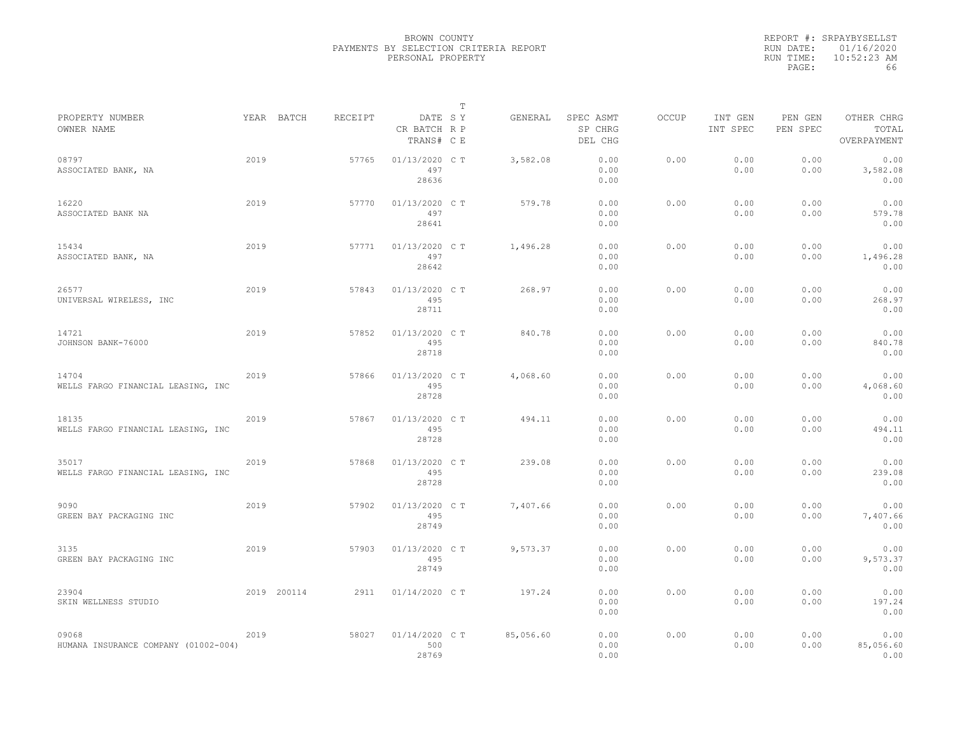|           | REPORT #: SRPAYBYSELLST |
|-----------|-------------------------|
|           | RUN DATE: 01/16/2020    |
| RUN TIME: | $10:52:23$ AM           |
| PAGE:     | 66                      |

|                                               |      |             |         |                                       | $\mathbb T$ |           |                                 |              |                     |                     |                                    |
|-----------------------------------------------|------|-------------|---------|---------------------------------------|-------------|-----------|---------------------------------|--------------|---------------------|---------------------|------------------------------------|
| PROPERTY NUMBER<br>OWNER NAME                 |      | YEAR BATCH  | RECEIPT | DATE SY<br>CR BATCH R P<br>TRANS# C E |             | GENERAL   | SPEC ASMT<br>SP CHRG<br>DEL CHG | <b>OCCUP</b> | INT GEN<br>INT SPEC | PEN GEN<br>PEN SPEC | OTHER CHRG<br>TOTAL<br>OVERPAYMENT |
| 08797<br>ASSOCIATED BANK, NA                  | 2019 |             | 57765   | 01/13/2020 C T<br>497<br>28636        |             | 3,582.08  | 0.00<br>0.00<br>0.00            | 0.00         | 0.00<br>0.00        | 0.00<br>0.00        | 0.00<br>3,582.08<br>0.00           |
| 16220<br>ASSOCIATED BANK NA                   | 2019 |             | 57770   | 01/13/2020 C T<br>497<br>28641        |             | 579.78    | 0.00<br>0.00<br>0.00            | 0.00         | 0.00<br>0.00        | 0.00<br>0.00        | 0.00<br>579.78<br>0.00             |
| 15434<br>ASSOCIATED BANK, NA                  | 2019 |             | 57771   | 01/13/2020 C T<br>497<br>28642        |             | 1,496.28  | 0.00<br>0.00<br>0.00            | 0.00         | 0.00<br>0.00        | 0.00<br>0.00        | 0.00<br>1,496.28<br>0.00           |
| 26577<br>UNIVERSAL WIRELESS, INC              | 2019 |             | 57843   | 01/13/2020 C T<br>495<br>28711        |             | 268.97    | 0.00<br>0.00<br>0.00            | 0.00         | 0.00<br>0.00        | 0.00<br>0.00        | 0.00<br>268.97<br>0.00             |
| 14721<br>JOHNSON BANK-76000                   | 2019 |             | 57852   | 01/13/2020 C T<br>495<br>28718        |             | 840.78    | 0.00<br>0.00<br>0.00            | 0.00         | 0.00<br>0.00        | 0.00<br>0.00        | 0.00<br>840.78<br>0.00             |
| 14704<br>WELLS FARGO FINANCIAL LEASING, INC   | 2019 |             | 57866   | 01/13/2020 C T<br>495<br>28728        |             | 4,068.60  | 0.00<br>0.00<br>0.00            | 0.00         | 0.00<br>0.00        | 0.00<br>0.00        | 0.00<br>4,068.60<br>0.00           |
| 18135<br>WELLS FARGO FINANCIAL LEASING, INC   | 2019 |             | 57867   | 01/13/2020 C T<br>495<br>28728        |             | 494.11    | 0.00<br>0.00<br>0.00            | 0.00         | 0.00<br>0.00        | 0.00<br>0.00        | 0.00<br>494.11<br>0.00             |
| 35017<br>WELLS FARGO FINANCIAL LEASING, INC   | 2019 |             | 57868   | 01/13/2020 C T<br>495<br>28728        |             | 239.08    | 0.00<br>0.00<br>0.00            | 0.00         | 0.00<br>0.00        | 0.00<br>0.00        | 0.00<br>239.08<br>0.00             |
| 9090<br>GREEN BAY PACKAGING INC               | 2019 |             | 57902   | 01/13/2020 C T<br>495<br>28749        |             | 7,407.66  | 0.00<br>0.00<br>0.00            | 0.00         | 0.00<br>0.00        | 0.00<br>0.00        | 0.00<br>7,407.66<br>0.00           |
| 3135<br>GREEN BAY PACKAGING INC               | 2019 |             | 57903   | 01/13/2020 C T<br>495<br>28749        |             | 9,573.37  | 0.00<br>0.00<br>0.00            | 0.00         | 0.00<br>0.00        | 0.00<br>0.00        | 0.00<br>9,573.37<br>0.00           |
| 23904<br>SKIN WELLNESS STUDIO                 |      | 2019 200114 | 2911    | 01/14/2020 C T                        |             | 197.24    | 0.00<br>0.00<br>0.00            | 0.00         | 0.00<br>0.00        | 0.00<br>0.00        | 0.00<br>197.24<br>0.00             |
| 09068<br>HUMANA INSURANCE COMPANY (01002-004) | 2019 |             | 58027   | 01/14/2020 C T<br>500<br>28769        |             | 85,056.60 | 0.00<br>0.00<br>0.00            | 0.00         | 0.00<br>0.00        | 0.00<br>0.00        | 0.00<br>85,056.60<br>0.00          |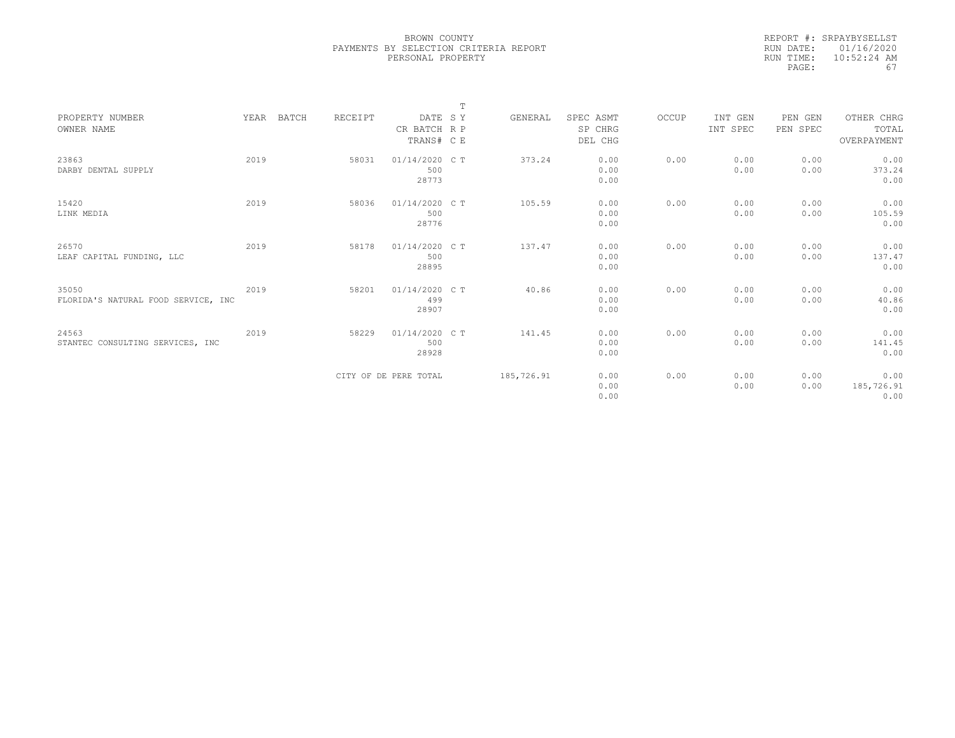|           | REPORT #: SRPAYBYSELLST |
|-----------|-------------------------|
|           | RUN DATE: 01/16/2020    |
| RUN TIME: | $10:52:24$ AM           |
| PAGE:     | 67                      |
|           |                         |

|                                     |      |            |         |                       | $\mathbb{T}$ |            |           |       |          |          |             |
|-------------------------------------|------|------------|---------|-----------------------|--------------|------------|-----------|-------|----------|----------|-------------|
| PROPERTY NUMBER                     |      | YEAR BATCH | RECEIPT | DATE SY               |              | GENERAL    | SPEC ASMT | OCCUP | INT GEN  | PEN GEN  | OTHER CHRG  |
| OWNER NAME                          |      |            |         | CR BATCH R P          |              |            | SP CHRG   |       | INT SPEC | PEN SPEC | TOTAL       |
|                                     |      |            |         | TRANS# C E            |              |            | DEL CHG   |       |          |          | OVERPAYMENT |
|                                     |      |            |         |                       |              |            |           |       |          |          |             |
| 23863                               | 2019 |            | 58031   | 01/14/2020 C T        |              | 373.24     | 0.00      | 0.00  | 0.00     | 0.00     | 0.00        |
| DARBY DENTAL SUPPLY                 |      |            |         | 500                   |              |            | 0.00      |       | 0.00     | 0.00     | 373.24      |
|                                     |      |            |         | 28773                 |              |            | 0.00      |       |          |          | 0.00        |
|                                     |      |            |         |                       |              |            |           |       |          |          |             |
| 15420                               | 2019 |            | 58036   | 01/14/2020 C T        |              | 105.59     | 0.00      | 0.00  | 0.00     | 0.00     | 0.00        |
| LINK MEDIA                          |      |            |         | 500                   |              |            | 0.00      |       | 0.00     | 0.00     | 105.59      |
|                                     |      |            |         | 28776                 |              |            | 0.00      |       |          |          | 0.00        |
|                                     |      |            |         |                       |              |            |           |       |          |          |             |
| 26570                               | 2019 |            | 58178   | 01/14/2020 C T        |              | 137.47     | 0.00      | 0.00  | 0.00     | 0.00     | 0.00        |
| LEAF CAPITAL FUNDING, LLC           |      |            |         | 500                   |              |            | 0.00      |       | 0.00     | 0.00     | 137.47      |
|                                     |      |            |         | 28895                 |              |            | 0.00      |       |          |          | 0.00        |
|                                     |      |            |         |                       |              |            |           |       |          |          |             |
| 35050                               | 2019 |            | 58201   | 01/14/2020 C T        |              | 40.86      | 0.00      | 0.00  | 0.00     | 0.00     | 0.00        |
| FLORIDA'S NATURAL FOOD SERVICE, INC |      |            |         | 499                   |              |            | 0.00      |       | 0.00     | 0.00     | 40.86       |
|                                     |      |            |         | 28907                 |              |            | 0.00      |       |          |          | 0.00        |
|                                     |      |            |         |                       |              |            |           |       |          |          |             |
| 24563                               | 2019 |            | 58229   | 01/14/2020 C T        |              | 141.45     | 0.00      | 0.00  | 0.00     | 0.00     | 0.00        |
| STANTEC CONSULTING SERVICES, INC    |      |            |         | 500                   |              |            | 0.00      |       | 0.00     | 0.00     | 141.45      |
|                                     |      |            |         | 28928                 |              |            | 0.00      |       |          |          | 0.00        |
|                                     |      |            |         |                       |              |            |           |       |          |          |             |
|                                     |      |            |         | CITY OF DE PERE TOTAL |              | 185,726.91 | 0.00      | 0.00  | 0.00     | 0.00     | 0.00        |
|                                     |      |            |         |                       |              |            | 0.00      |       | 0.00     | 0.00     | 185,726.91  |
|                                     |      |            |         |                       |              |            | 0.00      |       |          |          | 0.00        |
|                                     |      |            |         |                       |              |            |           |       |          |          |             |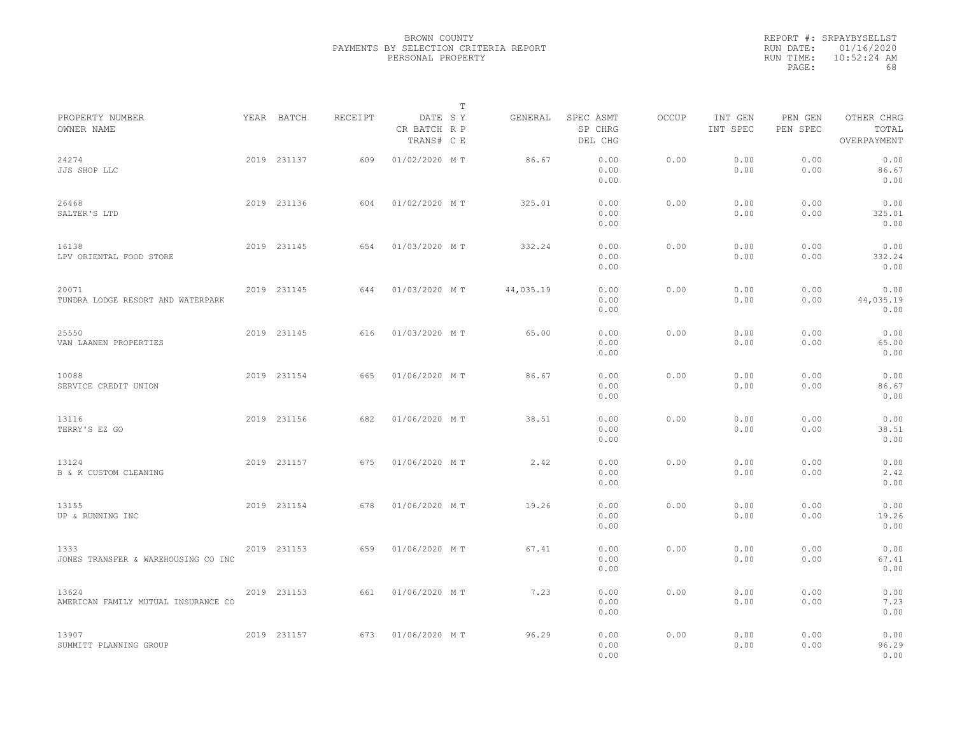|           | REPORT #: SRPAYBYSELLST |
|-----------|-------------------------|
|           | RUN DATE: 01/16/2020    |
| RUN TIME: | $10:52:24$ AM           |
| PAGE:     | 68                      |

|                                              |             |         |                                       | Т |           |                                 |              |                     |                     |                                    |
|----------------------------------------------|-------------|---------|---------------------------------------|---|-----------|---------------------------------|--------------|---------------------|---------------------|------------------------------------|
| PROPERTY NUMBER<br>OWNER NAME                | YEAR BATCH  | RECEIPT | DATE SY<br>CR BATCH R P<br>TRANS# C E |   | GENERAL   | SPEC ASMT<br>SP CHRG<br>DEL CHG | <b>OCCUP</b> | INT GEN<br>INT SPEC | PEN GEN<br>PEN SPEC | OTHER CHRG<br>TOTAL<br>OVERPAYMENT |
| 24274<br>JJS SHOP LLC                        | 2019 231137 | 609     | 01/02/2020 MT                         |   | 86.67     | 0.00<br>0.00<br>0.00            | 0.00         | 0.00<br>0.00        | 0.00<br>0.00        | 0.00<br>86.67<br>0.00              |
| 26468<br>SALTER'S LTD                        | 2019 231136 | 604     | 01/02/2020 MT                         |   | 325.01    | 0.00<br>0.00<br>0.00            | 0.00         | 0.00<br>0.00        | 0.00<br>0.00        | 0.00<br>325.01<br>0.00             |
| 16138<br>LPV ORIENTAL FOOD STORE             | 2019 231145 | 654     | 01/03/2020 MT                         |   | 332.24    | 0.00<br>0.00<br>0.00            | 0.00         | 0.00<br>0.00        | 0.00<br>0.00        | 0.00<br>332.24<br>0.00             |
| 20071<br>TUNDRA LODGE RESORT AND WATERPARK   | 2019 231145 | 644     | 01/03/2020 MT                         |   | 44,035.19 | 0.00<br>0.00<br>0.00            | 0.00         | 0.00<br>0.00        | 0.00<br>0.00        | 0.00<br>44,035.19<br>0.00          |
| 25550<br>VAN LAANEN PROPERTIES               | 2019 231145 | 616     | 01/03/2020 MT                         |   | 65.00     | 0.00<br>0.00<br>0.00            | 0.00         | 0.00<br>0.00        | 0.00<br>0.00        | 0.00<br>65.00<br>0.00              |
| 10088<br>SERVICE CREDIT UNION                | 2019 231154 | 665     | 01/06/2020 MT                         |   | 86.67     | 0.00<br>0.00<br>0.00            | 0.00         | 0.00<br>0.00        | 0.00<br>0.00        | 0.00<br>86.67<br>0.00              |
| 13116<br>TERRY'S EZ GO                       | 2019 231156 | 682     | 01/06/2020 MT                         |   | 38.51     | 0.00<br>0.00<br>0.00            | 0.00         | 0.00<br>0.00        | 0.00<br>0.00        | 0.00<br>38.51<br>0.00              |
| 13124<br>B & K CUSTOM CLEANING               | 2019 231157 | 675     | 01/06/2020 MT                         |   | 2.42      | 0.00<br>0.00<br>0.00            | 0.00         | 0.00<br>0.00        | 0.00<br>0.00        | 0.00<br>2.42<br>0.00               |
| 13155<br>UP & RUNNING INC                    | 2019 231154 | 678     | 01/06/2020 MT                         |   | 19.26     | 0.00<br>0.00<br>0.00            | 0.00         | 0.00<br>0.00        | 0.00<br>0.00        | 0.00<br>19.26<br>0.00              |
| 1333<br>JONES TRANSFER & WAREHOUSING CO INC  | 2019 231153 | 659     | 01/06/2020 MT                         |   | 67.41     | 0.00<br>0.00<br>0.00            | 0.00         | 0.00<br>0.00        | 0.00<br>0.00        | 0.00<br>67.41<br>0.00              |
| 13624<br>AMERICAN FAMILY MUTUAL INSURANCE CO | 2019 231153 | 661     | 01/06/2020 MT                         |   | 7.23      | 0.00<br>0.00<br>0.00            | 0.00         | 0.00<br>0.00        | 0.00<br>0.00        | 0.00<br>7.23<br>0.00               |
| 13907<br>SUMMITT PLANNING GROUP              | 2019 231157 | 673     | 01/06/2020 MT                         |   | 96.29     | 0.00<br>0.00<br>0.00            | 0.00         | 0.00<br>0.00        | 0.00<br>0.00        | 0.00<br>96.29<br>0.00              |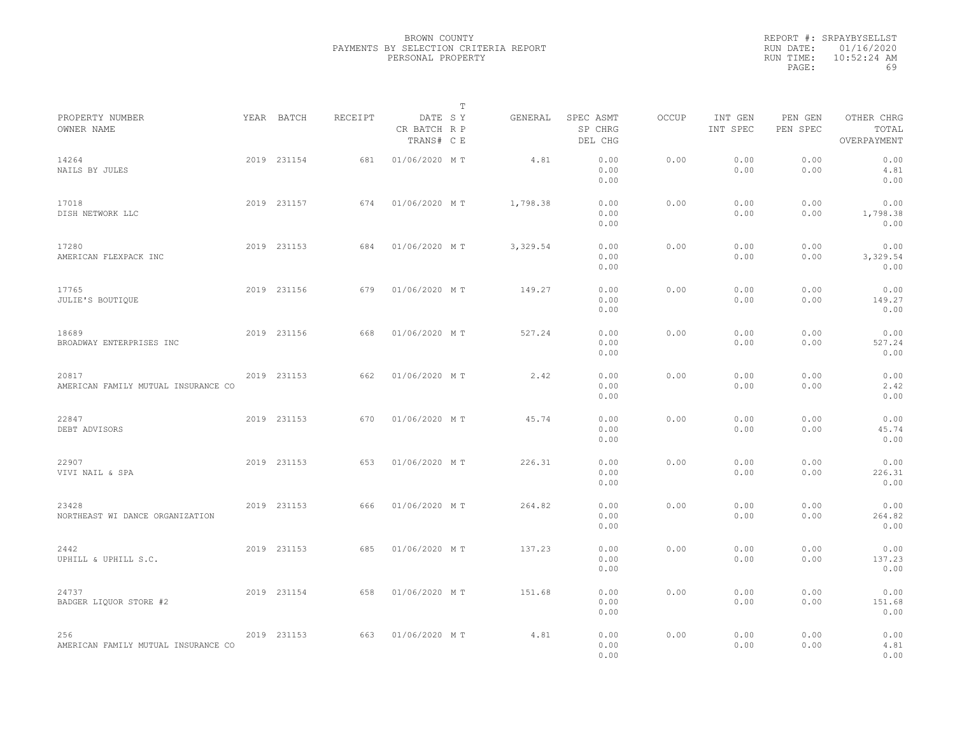|                                              |             |         |                                       | $\mathbb{T}$ |                                 |       |                     |                     |                                    |
|----------------------------------------------|-------------|---------|---------------------------------------|--------------|---------------------------------|-------|---------------------|---------------------|------------------------------------|
| PROPERTY NUMBER<br>OWNER NAME                | YEAR BATCH  | RECEIPT | DATE SY<br>CR BATCH R P<br>TRANS# C E | GENERAL      | SPEC ASMT<br>SP CHRG<br>DEL CHG | OCCUP | INT GEN<br>INT SPEC | PEN GEN<br>PEN SPEC | OTHER CHRG<br>TOTAL<br>OVERPAYMENT |
| 14264<br>NAILS BY JULES                      | 2019 231154 | 681     | 01/06/2020 MT                         | 4.81         | 0.00<br>0.00<br>0.00            | 0.00  | 0.00<br>0.00        | 0.00<br>0.00        | 0.00<br>4.81<br>0.00               |
| 17018<br>DISH NETWORK LLC                    | 2019 231157 | 674     | 01/06/2020 MT                         | 1,798.38     | 0.00<br>0.00<br>0.00            | 0.00  | 0.00<br>0.00        | 0.00<br>0.00        | 0.00<br>1,798.38<br>0.00           |
| 17280<br>AMERICAN FLEXPACK INC               | 2019 231153 | 684     | 01/06/2020 MT                         | 3,329.54     | 0.00<br>0.00<br>0.00            | 0.00  | 0.00<br>0.00        | 0.00<br>0.00        | 0.00<br>3,329.54<br>0.00           |
| 17765<br>JULIE'S BOUTIOUE                    | 2019 231156 | 679     | 01/06/2020 MT                         | 149.27       | 0.00<br>0.00<br>0.00            | 0.00  | 0.00<br>0.00        | 0.00<br>0.00        | 0.00<br>149.27<br>0.00             |
| 18689<br>BROADWAY ENTERPRISES INC            | 2019 231156 | 668     | 01/06/2020 MT                         | 527.24       | 0.00<br>0.00<br>0.00            | 0.00  | 0.00<br>0.00        | 0.00<br>0.00        | 0.00<br>527.24<br>0.00             |
| 20817<br>AMERICAN FAMILY MUTUAL INSURANCE CO | 2019 231153 | 662     | 01/06/2020 MT                         | 2.42         | 0.00<br>0.00<br>0.00            | 0.00  | 0.00<br>0.00        | 0.00<br>0.00        | 0.00<br>2.42<br>0.00               |
| 22847<br>DEBT ADVISORS                       | 2019 231153 | 670     | 01/06/2020 MT                         | 45.74        | 0.00<br>0.00<br>0.00            | 0.00  | 0.00<br>0.00        | 0.00<br>0.00        | 0.00<br>45.74<br>0.00              |
| 22907<br>VIVI NAIL & SPA                     | 2019 231153 | 653     | 01/06/2020 MT                         | 226.31       | 0.00<br>0.00<br>0.00            | 0.00  | 0.00<br>0.00        | 0.00<br>0.00        | 0.00<br>226.31<br>0.00             |
| 23428<br>NORTHEAST WI DANCE ORGANIZATION     | 2019 231153 | 666     | 01/06/2020 MT                         | 264.82       | 0.00<br>0.00<br>0.00            | 0.00  | 0.00<br>0.00        | 0.00<br>0.00        | 0.00<br>264.82<br>0.00             |
| 2442<br>UPHILL & UPHILL S.C.                 | 2019 231153 | 685     | 01/06/2020 MT                         | 137.23       | 0.00<br>0.00<br>0.00            | 0.00  | 0.00<br>0.00        | 0.00<br>0.00        | 0.00<br>137.23<br>0.00             |
| 24737<br>BADGER LIQUOR STORE #2              | 2019 231154 | 658     | 01/06/2020 MT                         | 151.68       | 0.00<br>0.00<br>0.00            | 0.00  | 0.00<br>0.00        | 0.00<br>0.00        | 0.00<br>151.68<br>0.00             |
| 256<br>AMERICAN FAMILY MUTUAL INSURANCE CO   | 2019 231153 | 663     | 01/06/2020 MT                         | 4.81         | 0.00<br>0.00<br>0.00            | 0.00  | 0.00<br>0.00        | 0.00<br>0.00        | 0.00<br>4.81<br>0.00               |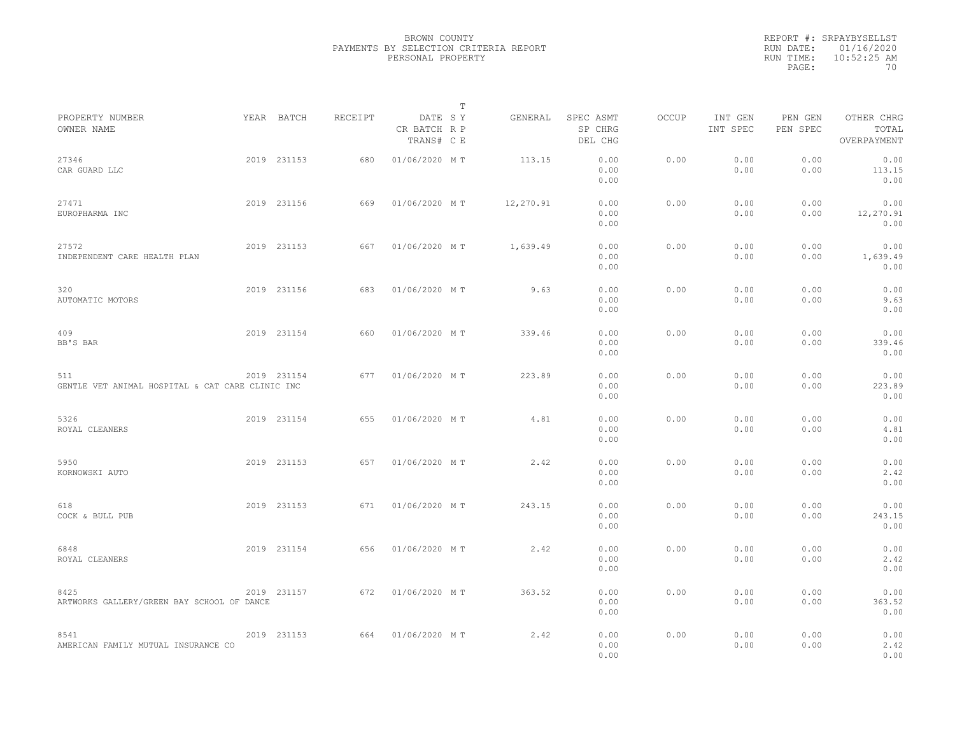|           | REPORT #: SRPAYBYSELLST |
|-----------|-------------------------|
|           | RUN DATE: 01/16/2020    |
| RUN TIME: | $10:52:25$ AM           |
| PAGE:     | 70                      |

|                                                         |             |         |                                       | T |           |                                 |       |                     |                     |                                    |
|---------------------------------------------------------|-------------|---------|---------------------------------------|---|-----------|---------------------------------|-------|---------------------|---------------------|------------------------------------|
| PROPERTY NUMBER<br>OWNER NAME                           | YEAR BATCH  | RECEIPT | DATE SY<br>CR BATCH R P<br>TRANS# C E |   | GENERAL   | SPEC ASMT<br>SP CHRG<br>DEL CHG | OCCUP | INT GEN<br>INT SPEC | PEN GEN<br>PEN SPEC | OTHER CHRG<br>TOTAL<br>OVERPAYMENT |
| 27346<br>CAR GUARD LLC                                  | 2019 231153 | 680     | 01/06/2020 MT                         |   | 113.15    | 0.00<br>0.00<br>0.00            | 0.00  | 0.00<br>0.00        | 0.00<br>0.00        | 0.00<br>113.15<br>0.00             |
| 27471<br>EUROPHARMA INC                                 | 2019 231156 | 669     | 01/06/2020 MT                         |   | 12,270.91 | 0.00<br>0.00<br>0.00            | 0.00  | 0.00<br>0.00        | 0.00<br>0.00        | 0.00<br>12,270.91<br>0.00          |
| 27572<br>INDEPENDENT CARE HEALTH PLAN                   | 2019 231153 | 667     | 01/06/2020 MT                         |   | 1,639.49  | 0.00<br>0.00<br>0.00            | 0.00  | 0.00<br>0.00        | 0.00<br>0.00        | 0.00<br>1,639.49<br>0.00           |
| 320<br>AUTOMATIC MOTORS                                 | 2019 231156 | 683     | 01/06/2020 MT                         |   | 9.63      | 0.00<br>0.00<br>0.00            | 0.00  | 0.00<br>0.00        | 0.00<br>0.00        | 0.00<br>9.63<br>0.00               |
| 409<br>BB'S BAR                                         | 2019 231154 | 660     | 01/06/2020 MT                         |   | 339.46    | 0.00<br>0.00<br>0.00            | 0.00  | 0.00<br>0.00        | 0.00<br>0.00        | 0.00<br>339.46<br>0.00             |
| 511<br>GENTLE VET ANIMAL HOSPITAL & CAT CARE CLINIC INC | 2019 231154 | 677     | 01/06/2020 MT                         |   | 223.89    | 0.00<br>0.00<br>0.00            | 0.00  | 0.00<br>0.00        | 0.00<br>0.00        | 0.00<br>223.89<br>0.00             |
| 5326<br>ROYAL CLEANERS                                  | 2019 231154 | 655     | 01/06/2020 MT                         |   | 4.81      | 0.00<br>0.00<br>0.00            | 0.00  | 0.00<br>0.00        | 0.00<br>0.00        | 0.00<br>4.81<br>0.00               |
| 5950<br>KORNOWSKI AUTO                                  | 2019 231153 | 657     | 01/06/2020 MT                         |   | 2.42      | 0.00<br>0.00<br>0.00            | 0.00  | 0.00<br>0.00        | 0.00<br>0.00        | 0.00<br>2.42<br>0.00               |
| 618<br>COCK & BULL PUB                                  | 2019 231153 | 671     | 01/06/2020 MT                         |   | 243.15    | 0.00<br>0.00<br>0.00            | 0.00  | 0.00<br>0.00        | 0.00<br>0.00        | 0.00<br>243.15<br>0.00             |
| 6848<br>ROYAL CLEANERS                                  | 2019 231154 | 656     | 01/06/2020 MT                         |   | 2.42      | 0.00<br>0.00<br>0.00            | 0.00  | 0.00<br>0.00        | 0.00<br>0.00        | 0.00<br>2.42<br>0.00               |
| 8425<br>ARTWORKS GALLERY/GREEN BAY SCHOOL OF DANCE      | 2019 231157 | 672     | 01/06/2020 MT                         |   | 363.52    | 0.00<br>0.00<br>0.00            | 0.00  | 0.00<br>0.00        | 0.00<br>0.00        | 0.00<br>363.52<br>0.00             |
| 8541<br>AMERICAN FAMILY MUTUAL INSURANCE CO             | 2019 231153 | 664     | 01/06/2020 MT                         |   | 2.42      | 0.00<br>0.00<br>0.00            | 0.00  | 0.00<br>0.00        | 0.00<br>0.00        | 0.00<br>2.42<br>0.00               |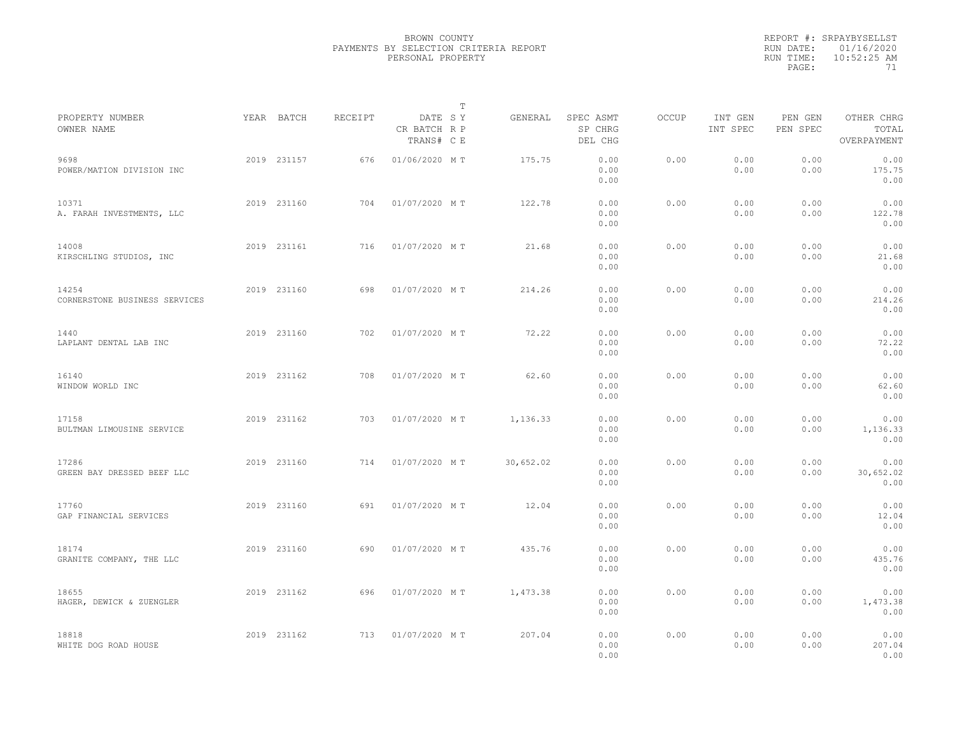|                                        |             |         |                                       | $\mathbb T$ |                                 |              |                     |                     |                                    |  |
|----------------------------------------|-------------|---------|---------------------------------------|-------------|---------------------------------|--------------|---------------------|---------------------|------------------------------------|--|
| PROPERTY NUMBER<br>OWNER NAME          | YEAR BATCH  | RECEIPT | DATE SY<br>CR BATCH R P<br>TRANS# C E | GENERAL     | SPEC ASMT<br>SP CHRG<br>DEL CHG | <b>OCCUP</b> | INT GEN<br>INT SPEC | PEN GEN<br>PEN SPEC | OTHER CHRG<br>TOTAL<br>OVERPAYMENT |  |
| 9698<br>POWER/MATION DIVISION INC      | 2019 231157 | 676     | 01/06/2020 MT                         | 175.75      | 0.00<br>0.00<br>0.00            | 0.00         | 0.00<br>0.00        | 0.00<br>0.00        | 0.00<br>175.75<br>0.00             |  |
| 10371<br>A. FARAH INVESTMENTS, LLC     | 2019 231160 | 704     | 01/07/2020 MT                         | 122.78      | 0.00<br>0.00<br>0.00            | 0.00         | 0.00<br>0.00        | 0.00<br>0.00        | 0.00<br>122.78<br>0.00             |  |
| 14008<br>KIRSCHLING STUDIOS, INC       | 2019 231161 | 716     | 01/07/2020 MT                         | 21.68       | 0.00<br>0.00<br>0.00            | 0.00         | 0.00<br>0.00        | 0.00<br>0.00        | 0.00<br>21.68<br>0.00              |  |
| 14254<br>CORNERSTONE BUSINESS SERVICES | 2019 231160 | 698     | 01/07/2020 MT                         | 214.26      | 0.00<br>0.00<br>0.00            | 0.00         | 0.00<br>0.00        | 0.00<br>0.00        | 0.00<br>214.26<br>0.00             |  |
| 1440<br>LAPLANT DENTAL LAB INC         | 2019 231160 | 702     | 01/07/2020 MT                         | 72.22       | 0.00<br>0.00<br>0.00            | 0.00         | 0.00<br>0.00        | 0.00<br>0.00        | 0.00<br>72.22<br>0.00              |  |
| 16140<br>WINDOW WORLD INC              | 2019 231162 | 708     | 01/07/2020 MT                         | 62.60       | 0.00<br>0.00<br>0.00            | 0.00         | 0.00<br>0.00        | 0.00<br>0.00        | 0.00<br>62.60<br>0.00              |  |
| 17158<br>BULTMAN LIMOUSINE SERVICE     | 2019 231162 | 703     | 01/07/2020 MT                         | 1,136.33    | 0.00<br>0.00<br>0.00            | 0.00         | 0.00<br>0.00        | 0.00<br>0.00        | 0.00<br>1,136.33<br>0.00           |  |
| 17286<br>GREEN BAY DRESSED BEEF LLC    | 2019 231160 | 714     | 01/07/2020 MT                         | 30,652.02   | 0.00<br>0.00<br>0.00            | 0.00         | 0.00<br>0.00        | 0.00<br>0.00        | 0.00<br>30,652.02<br>0.00          |  |
| 17760<br>GAP FINANCIAL SERVICES        | 2019 231160 | 691     | 01/07/2020 MT                         | 12.04       | 0.00<br>0.00<br>0.00            | 0.00         | 0.00<br>0.00        | 0.00<br>0.00        | 0.00<br>12.04<br>0.00              |  |
| 18174<br>GRANITE COMPANY, THE LLC      | 2019 231160 | 690     | 01/07/2020 MT                         | 435.76      | 0.00<br>0.00<br>0.00            | 0.00         | 0.00<br>0.00        | 0.00<br>0.00        | 0.00<br>435.76<br>0.00             |  |
| 18655<br>HAGER, DEWICK & ZUENGLER      | 2019 231162 | 696     | 01/07/2020 MT                         | 1,473.38    | 0.00<br>0.00<br>0.00            | 0.00         | 0.00<br>0.00        | 0.00<br>0.00        | 0.00<br>1,473.38<br>0.00           |  |
| 18818<br>WHITE DOG ROAD HOUSE          | 2019 231162 | 713     | 01/07/2020 MT                         | 207.04      | 0.00<br>0.00<br>0.00            | 0.00         | 0.00<br>0.00        | 0.00<br>0.00        | 0.00<br>207.04<br>0.00             |  |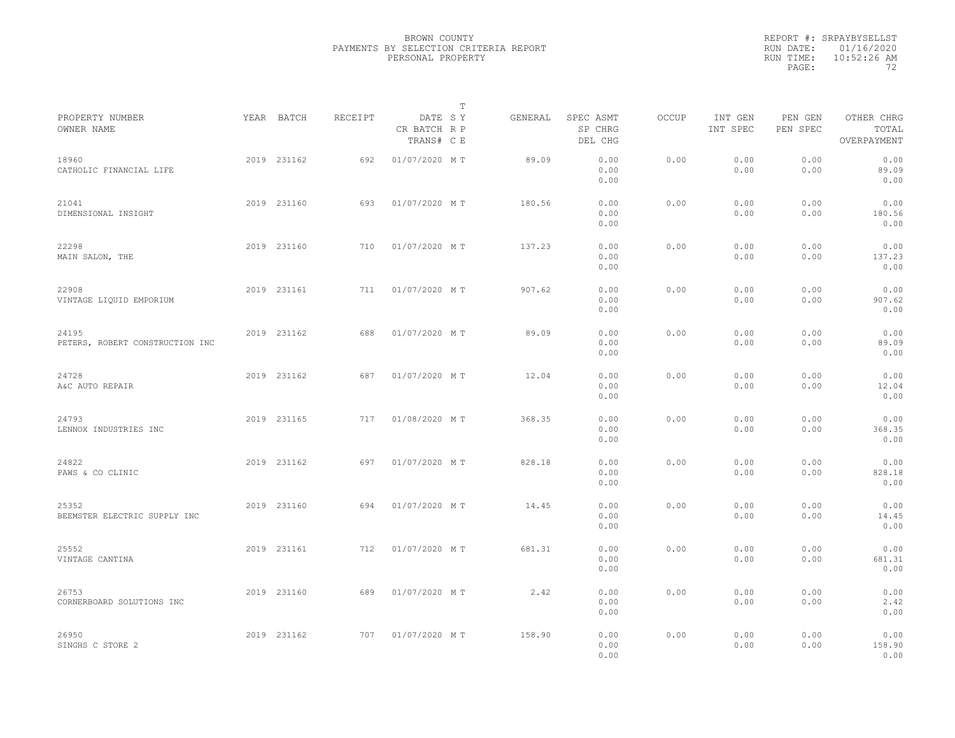|                                          |             |         |                                       | $\mathbb{T}$ |                                 |       |                     |                     |                                    |  |
|------------------------------------------|-------------|---------|---------------------------------------|--------------|---------------------------------|-------|---------------------|---------------------|------------------------------------|--|
| PROPERTY NUMBER<br>OWNER NAME            | YEAR BATCH  | RECEIPT | DATE SY<br>CR BATCH R P<br>TRANS# C E | GENERAL      | SPEC ASMT<br>SP CHRG<br>DEL CHG | OCCUP | INT GEN<br>INT SPEC | PEN GEN<br>PEN SPEC | OTHER CHRG<br>TOTAL<br>OVERPAYMENT |  |
| 18960<br>CATHOLIC FINANCIAL LIFE         | 2019 231162 | 692     | 01/07/2020 MT                         | 89.09        | 0.00<br>0.00<br>0.00            | 0.00  | 0.00<br>0.00        | 0.00<br>0.00        | 0.00<br>89.09<br>0.00              |  |
| 21041<br>DIMENSIONAL INSIGHT             | 2019 231160 | 693     | 01/07/2020 MT                         | 180.56       | 0.00<br>0.00<br>0.00            | 0.00  | 0.00<br>0.00        | 0.00<br>0.00        | 0.00<br>180.56<br>0.00             |  |
| 22298<br>MAIN SALON, THE                 | 2019 231160 | 710     | 01/07/2020 MT                         | 137.23       | 0.00<br>0.00<br>0.00            | 0.00  | 0.00<br>0.00        | 0.00<br>0.00        | 0.00<br>137.23<br>0.00             |  |
| 22908<br>VINTAGE LIQUID EMPORIUM         | 2019 231161 | 711     | 01/07/2020 MT                         | 907.62       | 0.00<br>0.00<br>0.00            | 0.00  | 0.00<br>0.00        | 0.00<br>0.00        | 0.00<br>907.62<br>0.00             |  |
| 24195<br>PETERS, ROBERT CONSTRUCTION INC | 2019 231162 | 688     | 01/07/2020 MT                         | 89.09        | 0.00<br>0.00<br>0.00            | 0.00  | 0.00<br>0.00        | 0.00<br>0.00        | 0.00<br>89.09<br>0.00              |  |
| 24728<br>A&C AUTO REPAIR                 | 2019 231162 | 687     | 01/07/2020 MT                         | 12.04        | 0.00<br>0.00<br>0.00            | 0.00  | 0.00<br>0.00        | 0.00<br>0.00        | 0.00<br>12.04<br>0.00              |  |
| 24793<br>LENNOX INDUSTRIES INC           | 2019 231165 | 717     | 01/08/2020 MT                         | 368.35       | 0.00<br>0.00<br>0.00            | 0.00  | 0.00<br>0.00        | 0.00<br>0.00        | 0.00<br>368.35<br>0.00             |  |
| 24822<br>PAWS & CO CLINIC                | 2019 231162 | 697     | 01/07/2020 MT                         | 828.18       | 0.00<br>0.00<br>0.00            | 0.00  | 0.00<br>0.00        | 0.00<br>0.00        | 0.00<br>828.18<br>0.00             |  |
| 25352<br>BEEMSTER ELECTRIC SUPPLY INC    | 2019 231160 | 694     | 01/07/2020 MT                         | 14.45        | 0.00<br>0.00<br>0.00            | 0.00  | 0.00<br>0.00        | 0.00<br>0.00        | 0.00<br>14.45<br>0.00              |  |
| 25552<br>VINTAGE CANTINA                 | 2019 231161 | 712     | 01/07/2020 MT                         | 681.31       | 0.00<br>0.00<br>0.00            | 0.00  | 0.00<br>0.00        | 0.00<br>0.00        | 0.00<br>681.31<br>0.00             |  |
| 26753<br>CORNERBOARD SOLUTIONS INC       | 2019 231160 | 689     | 01/07/2020 MT                         | 2.42         | 0.00<br>0.00<br>0.00            | 0.00  | 0.00<br>0.00        | 0.00<br>0.00        | 0.00<br>2.42<br>0.00               |  |
| 26950<br>SINGHS C STORE 2                | 2019 231162 | 707     | 01/07/2020 MT                         | 158.90       | 0.00<br>0.00<br>0.00            | 0.00  | 0.00<br>0.00        | 0.00<br>0.00        | 0.00<br>158.90<br>0.00             |  |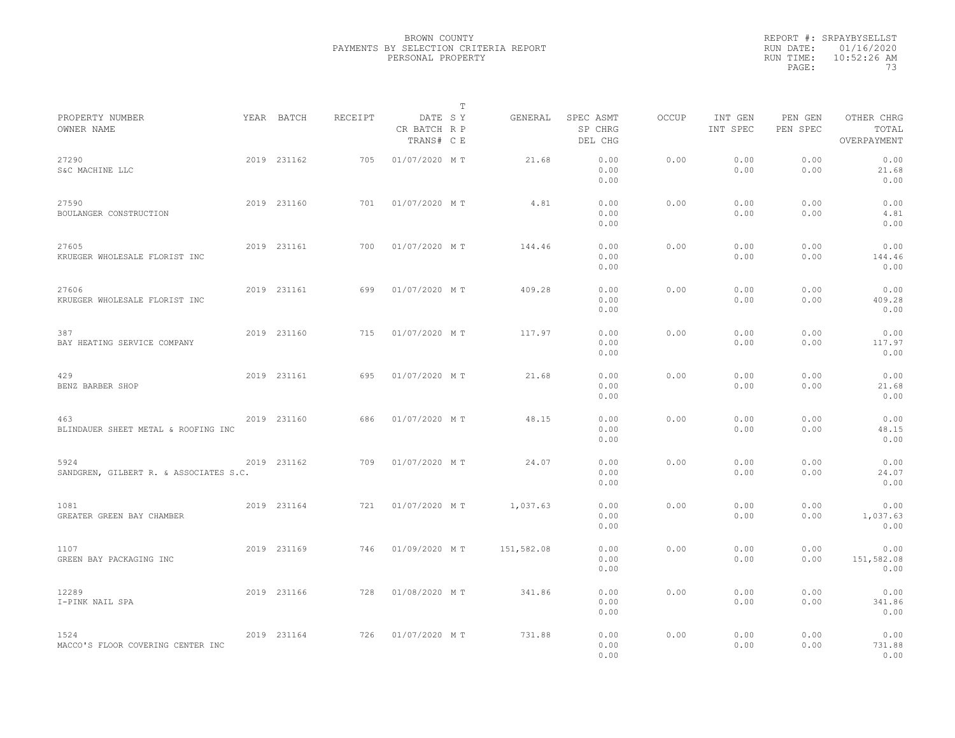|                                                |             |         |                                       | $\mathbb{T}$ |                                 |              |                     |                     |                                    |  |
|------------------------------------------------|-------------|---------|---------------------------------------|--------------|---------------------------------|--------------|---------------------|---------------------|------------------------------------|--|
| PROPERTY NUMBER<br>OWNER NAME                  | YEAR BATCH  | RECEIPT | DATE SY<br>CR BATCH R P<br>TRANS# C E | GENERAL      | SPEC ASMT<br>SP CHRG<br>DEL CHG | <b>OCCUP</b> | INT GEN<br>INT SPEC | PEN GEN<br>PEN SPEC | OTHER CHRG<br>TOTAL<br>OVERPAYMENT |  |
| 27290<br>S&C MACHINE LLC                       | 2019 231162 | 705     | 01/07/2020 MT                         | 21.68        | 0.00<br>0.00<br>0.00            | 0.00         | 0.00<br>0.00        | 0.00<br>0.00        | 0.00<br>21.68<br>0.00              |  |
| 27590<br>BOULANGER CONSTRUCTION                | 2019 231160 | 701     | 01/07/2020 MT                         | 4.81         | 0.00<br>0.00<br>0.00            | 0.00         | 0.00<br>0.00        | 0.00<br>0.00        | 0.00<br>4.81<br>0.00               |  |
| 27605<br>KRUEGER WHOLESALE FLORIST INC         | 2019 231161 | 700     | 01/07/2020 MT                         | 144.46       | 0.00<br>0.00<br>0.00            | 0.00         | 0.00<br>0.00        | 0.00<br>0.00        | 0.00<br>144.46<br>0.00             |  |
| 27606<br>KRUEGER WHOLESALE FLORIST INC         | 2019 231161 | 699     | 01/07/2020 MT                         | 409.28       | 0.00<br>0.00<br>0.00            | 0.00         | 0.00<br>0.00        | 0.00<br>0.00        | 0.00<br>409.28<br>0.00             |  |
| 387<br>BAY HEATING SERVICE COMPANY             | 2019 231160 | 715     | 01/07/2020 MT                         | 117.97       | 0.00<br>0.00<br>0.00            | 0.00         | 0.00<br>0.00        | 0.00<br>0.00        | 0.00<br>117.97<br>0.00             |  |
| 429<br>BENZ BARBER SHOP                        | 2019 231161 | 695     | 01/07/2020 MT                         | 21.68        | 0.00<br>0.00<br>0.00            | 0.00         | 0.00<br>0.00        | 0.00<br>0.00        | 0.00<br>21.68<br>0.00              |  |
| 463<br>BLINDAUER SHEET METAL & ROOFING INC     | 2019 231160 | 686     | 01/07/2020 MT                         | 48.15        | 0.00<br>0.00<br>0.00            | 0.00         | 0.00<br>0.00        | 0.00<br>0.00        | 0.00<br>48.15<br>0.00              |  |
| 5924<br>SANDGREN, GILBERT R. & ASSOCIATES S.C. | 2019 231162 | 709     | 01/07/2020 MT                         | 24.07        | 0.00<br>0.00<br>0.00            | 0.00         | 0.00<br>0.00        | 0.00<br>0.00        | 0.00<br>24.07<br>0.00              |  |
| 1081<br>GREATER GREEN BAY CHAMBER              | 2019 231164 | 721     | 01/07/2020 MT                         | 1,037.63     | 0.00<br>0.00<br>0.00            | 0.00         | 0.00<br>0.00        | 0.00<br>0.00        | 0.00<br>1,037.63<br>0.00           |  |
| 1107<br>GREEN BAY PACKAGING INC                | 2019 231169 | 746     | 01/09/2020 MT                         | 151,582.08   | 0.00<br>0.00<br>0.00            | 0.00         | 0.00<br>0.00        | 0.00<br>0.00        | 0.00<br>151,582.08<br>0.00         |  |
| 12289<br>I-PINK NAIL SPA                       | 2019 231166 | 728     | 01/08/2020 MT                         | 341.86       | 0.00<br>0.00<br>0.00            | 0.00         | 0.00<br>0.00        | 0.00<br>0.00        | 0.00<br>341.86<br>0.00             |  |
| 1524<br>MACCO'S FLOOR COVERING CENTER INC      | 2019 231164 | 726     | 01/07/2020 MT                         | 731.88       | 0.00<br>0.00<br>0.00            | 0.00         | 0.00<br>0.00        | 0.00<br>0.00        | 0.00<br>731.88<br>0.00             |  |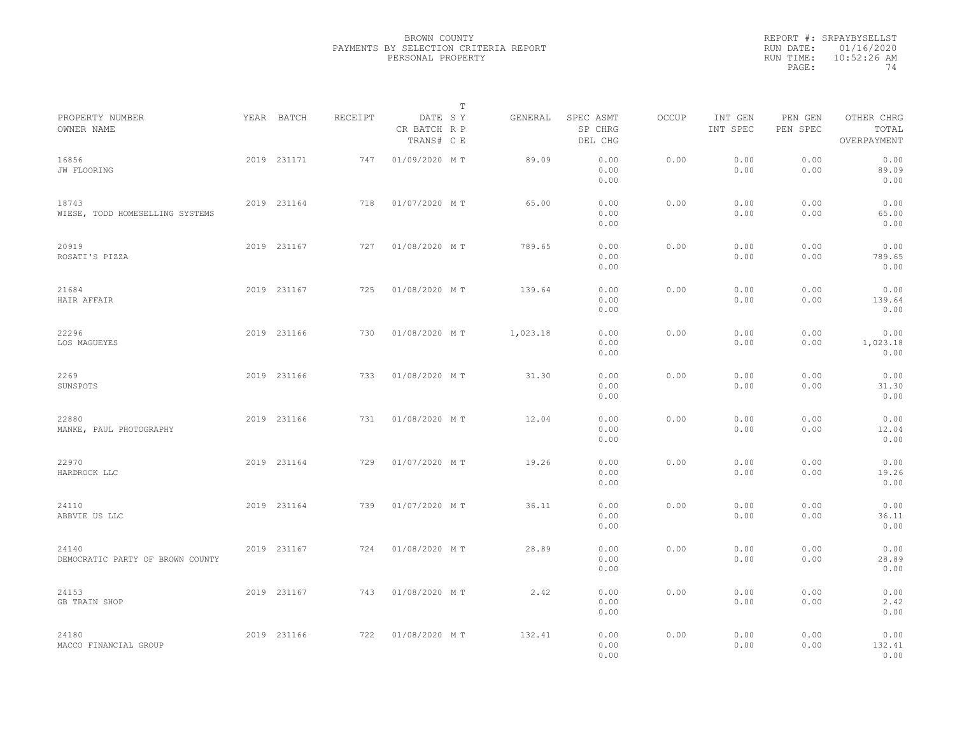|                                           |             |         |                                       | $\mathbb T$ |          |                                 |       |                     |                     |                                    |  |
|-------------------------------------------|-------------|---------|---------------------------------------|-------------|----------|---------------------------------|-------|---------------------|---------------------|------------------------------------|--|
| PROPERTY NUMBER<br>OWNER NAME             | YEAR BATCH  | RECEIPT | DATE SY<br>CR BATCH R P<br>TRANS# C E |             | GENERAL  | SPEC ASMT<br>SP CHRG<br>DEL CHG | OCCUP | INT GEN<br>INT SPEC | PEN GEN<br>PEN SPEC | OTHER CHRG<br>TOTAL<br>OVERPAYMENT |  |
| 16856<br>JW FLOORING                      | 2019 231171 | 747     | 01/09/2020 MT                         |             | 89.09    | 0.00<br>0.00<br>0.00            | 0.00  | 0.00<br>0.00        | 0.00<br>0.00        | 0.00<br>89.09<br>0.00              |  |
| 18743<br>WIESE, TODD HOMESELLING SYSTEMS  | 2019 231164 | 718     | 01/07/2020 MT                         |             | 65.00    | 0.00<br>0.00<br>0.00            | 0.00  | 0.00<br>0.00        | 0.00<br>0.00        | 0.00<br>65.00<br>0.00              |  |
| 20919<br>ROSATI'S PIZZA                   | 2019 231167 | 727     | 01/08/2020 MT                         |             | 789.65   | 0.00<br>0.00<br>0.00            | 0.00  | 0.00<br>0.00        | 0.00<br>0.00        | 0.00<br>789.65<br>0.00             |  |
| 21684<br>HAIR AFFAIR                      | 2019 231167 | 725     | 01/08/2020 MT                         |             | 139.64   | 0.00<br>0.00<br>0.00            | 0.00  | 0.00<br>0.00        | 0.00<br>0.00        | 0.00<br>139.64<br>0.00             |  |
| 22296<br>LOS MAGUEYES                     | 2019 231166 | 730     | 01/08/2020 MT                         |             | 1,023.18 | 0.00<br>0.00<br>0.00            | 0.00  | 0.00<br>0.00        | 0.00<br>0.00        | 0.00<br>1,023.18<br>0.00           |  |
| 2269<br>SUNSPOTS                          | 2019 231166 | 733     | 01/08/2020 MT                         |             | 31.30    | 0.00<br>0.00<br>0.00            | 0.00  | 0.00<br>0.00        | 0.00<br>0.00        | 0.00<br>31.30<br>0.00              |  |
| 22880<br>MANKE, PAUL PHOTOGRAPHY          | 2019 231166 | 731     | 01/08/2020 MT                         |             | 12.04    | 0.00<br>0.00<br>0.00            | 0.00  | 0.00<br>0.00        | 0.00<br>0.00        | 0.00<br>12.04<br>0.00              |  |
| 22970<br>HARDROCK LLC                     | 2019 231164 | 729     | 01/07/2020 MT                         |             | 19.26    | 0.00<br>0.00<br>0.00            | 0.00  | 0.00<br>0.00        | 0.00<br>0.00        | 0.00<br>19.26<br>0.00              |  |
| 24110<br>ABBVIE US LLC                    | 2019 231164 | 739     | 01/07/2020 MT                         |             | 36.11    | 0.00<br>0.00<br>0.00            | 0.00  | 0.00<br>0.00        | 0.00<br>0.00        | 0.00<br>36.11<br>0.00              |  |
| 24140<br>DEMOCRATIC PARTY OF BROWN COUNTY | 2019 231167 | 724     | 01/08/2020 MT                         |             | 28.89    | 0.00<br>0.00<br>0.00            | 0.00  | 0.00<br>0.00        | 0.00<br>0.00        | 0.00<br>28.89<br>0.00              |  |
| 24153<br>GB TRAIN SHOP                    | 2019 231167 | 743     | 01/08/2020 MT                         |             | 2.42     | 0.00<br>0.00<br>0.00            | 0.00  | 0.00<br>0.00        | 0.00<br>0.00        | 0.00<br>2.42<br>0.00               |  |
| 24180<br>MACCO FINANCIAL GROUP            | 2019 231166 | 722     | 01/08/2020 MT                         |             | 132.41   | 0.00<br>0.00<br>0.00            | 0.00  | 0.00<br>0.00        | 0.00<br>0.00        | 0.00<br>132.41<br>0.00             |  |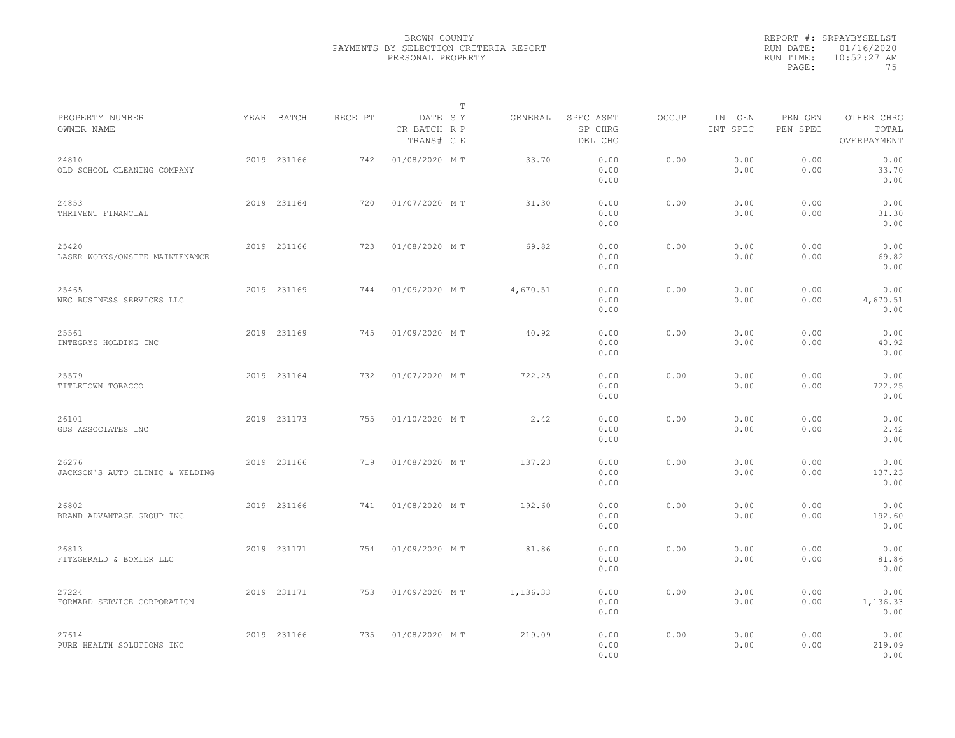|                                          |             |         | $\mathbb T$                           |          |                                 |              |                     |                     |                                    |  |
|------------------------------------------|-------------|---------|---------------------------------------|----------|---------------------------------|--------------|---------------------|---------------------|------------------------------------|--|
| PROPERTY NUMBER<br>OWNER NAME            | YEAR BATCH  | RECEIPT | DATE SY<br>CR BATCH R P<br>TRANS# C E | GENERAL  | SPEC ASMT<br>SP CHRG<br>DEL CHG | <b>OCCUP</b> | INT GEN<br>INT SPEC | PEN GEN<br>PEN SPEC | OTHER CHRG<br>TOTAL<br>OVERPAYMENT |  |
| 24810<br>OLD SCHOOL CLEANING COMPANY     | 2019 231166 | 742     | 01/08/2020 MT                         | 33.70    | 0.00<br>0.00<br>0.00            | 0.00         | 0.00<br>0.00        | 0.00<br>0.00        | 0.00<br>33.70<br>0.00              |  |
| 24853<br>THRIVENT FINANCIAL              | 2019 231164 | 720     | 01/07/2020 MT                         | 31.30    | 0.00<br>0.00<br>0.00            | 0.00         | 0.00<br>0.00        | 0.00<br>0.00        | 0.00<br>31.30<br>0.00              |  |
| 25420<br>LASER WORKS/ONSITE MAINTENANCE  | 2019 231166 | 723     | 01/08/2020 MT                         | 69.82    | 0.00<br>0.00<br>0.00            | 0.00         | 0.00<br>0.00        | 0.00<br>0.00        | 0.00<br>69.82<br>0.00              |  |
| 25465<br>WEC BUSINESS SERVICES LLC       | 2019 231169 | 744     | 01/09/2020 MT                         | 4,670.51 | 0.00<br>0.00<br>0.00            | 0.00         | 0.00<br>0.00        | 0.00<br>0.00        | 0.00<br>4,670.51<br>0.00           |  |
| 25561<br>INTEGRYS HOLDING INC            | 2019 231169 | 745     | 01/09/2020 MT                         | 40.92    | 0.00<br>0.00<br>0.00            | 0.00         | 0.00<br>0.00        | 0.00<br>0.00        | 0.00<br>40.92<br>0.00              |  |
| 25579<br>TITLETOWN TOBACCO               | 2019 231164 | 732     | 01/07/2020 MT                         | 722.25   | 0.00<br>0.00<br>0.00            | 0.00         | 0.00<br>0.00        | 0.00<br>0.00        | 0.00<br>722.25<br>0.00             |  |
| 26101<br>GDS ASSOCIATES INC              | 2019 231173 | 755     | 01/10/2020 MT                         | 2.42     | 0.00<br>0.00<br>0.00            | 0.00         | 0.00<br>0.00        | 0.00<br>0.00        | 0.00<br>2.42<br>0.00               |  |
| 26276<br>JACKSON'S AUTO CLINIC & WELDING | 2019 231166 | 719     | 01/08/2020 MT                         | 137.23   | 0.00<br>0.00<br>0.00            | 0.00         | 0.00<br>0.00        | 0.00<br>0.00        | 0.00<br>137.23<br>0.00             |  |
| 26802<br>BRAND ADVANTAGE GROUP INC       | 2019 231166 | 741     | 01/08/2020 MT                         | 192.60   | 0.00<br>0.00<br>0.00            | 0.00         | 0.00<br>0.00        | 0.00<br>0.00        | 0.00<br>192.60<br>0.00             |  |
| 26813<br>FITZGERALD & BOMIER LLC         | 2019 231171 | 754     | 01/09/2020 MT                         | 81.86    | 0.00<br>0.00<br>0.00            | 0.00         | 0.00<br>0.00        | 0.00<br>0.00        | 0.00<br>81.86<br>0.00              |  |
| 27224<br>FORWARD SERVICE CORPORATION     | 2019 231171 | 753     | 01/09/2020 MT                         | 1,136.33 | 0.00<br>0.00<br>0.00            | 0.00         | 0.00<br>0.00        | 0.00<br>0.00        | 0.00<br>1,136.33<br>0.00           |  |
| 27614<br>PURE HEALTH SOLUTIONS INC       | 2019 231166 | 735     | 01/08/2020 MT                         | 219.09   | 0.00<br>0.00<br>0.00            | 0.00         | 0.00<br>0.00        | 0.00<br>0.00        | 0.00<br>219.09<br>0.00             |  |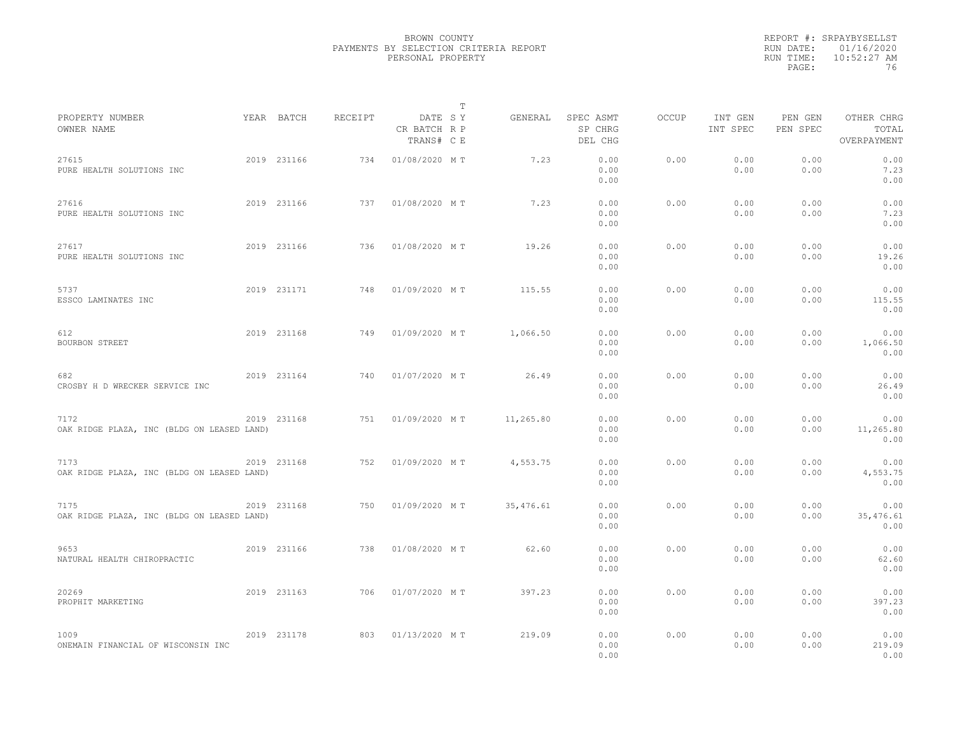|                                                    |             |         |                                       | $\mathbb{T}$ |           |                                 |              |                     |                     |                                    |  |
|----------------------------------------------------|-------------|---------|---------------------------------------|--------------|-----------|---------------------------------|--------------|---------------------|---------------------|------------------------------------|--|
| PROPERTY NUMBER<br>OWNER NAME                      | YEAR BATCH  | RECEIPT | DATE SY<br>CR BATCH R P<br>TRANS# C E |              | GENERAL   | SPEC ASMT<br>SP CHRG<br>DEL CHG | <b>OCCUP</b> | INT GEN<br>INT SPEC | PEN GEN<br>PEN SPEC | OTHER CHRG<br>TOTAL<br>OVERPAYMENT |  |
| 27615<br>PURE HEALTH SOLUTIONS INC                 | 2019 231166 | 734     | 01/08/2020 MT                         |              | 7.23      | 0.00<br>0.00<br>0.00            | 0.00         | 0.00<br>0.00        | 0.00<br>0.00        | 0.00<br>7.23<br>0.00               |  |
| 27616<br>PURE HEALTH SOLUTIONS INC                 | 2019 231166 | 737     | 01/08/2020 MT                         |              | 7.23      | 0.00<br>0.00<br>0.00            | 0.00         | 0.00<br>0.00        | 0.00<br>0.00        | 0.00<br>7.23<br>0.00               |  |
| 27617<br>PURE HEALTH SOLUTIONS INC                 | 2019 231166 | 736     | 01/08/2020 MT                         |              | 19.26     | 0.00<br>0.00<br>0.00            | 0.00         | 0.00<br>0.00        | 0.00<br>0.00        | 0.00<br>19.26<br>0.00              |  |
| 5737<br>ESSCO LAMINATES INC                        | 2019 231171 | 748     | 01/09/2020 MT                         |              | 115.55    | 0.00<br>0.00<br>0.00            | 0.00         | 0.00<br>0.00        | 0.00<br>0.00        | 0.00<br>115.55<br>0.00             |  |
| 612<br>BOURBON STREET                              | 2019 231168 | 749     | 01/09/2020 MT                         |              | 1,066.50  | 0.00<br>0.00<br>0.00            | 0.00         | 0.00<br>0.00        | 0.00<br>0.00        | 0.00<br>1,066.50<br>0.00           |  |
| 682<br>CROSBY H D WRECKER SERVICE INC              | 2019 231164 | 740     | 01/07/2020 MT                         |              | 26.49     | 0.00<br>0.00<br>0.00            | 0.00         | 0.00<br>0.00        | 0.00<br>0.00        | 0.00<br>26.49<br>0.00              |  |
| 7172<br>OAK RIDGE PLAZA, INC (BLDG ON LEASED LAND) | 2019 231168 | 751     | 01/09/2020 MT                         |              | 11,265.80 | 0.00<br>0.00<br>0.00            | 0.00         | 0.00<br>0.00        | 0.00<br>0.00        | 0.00<br>11,265.80<br>0.00          |  |
| 7173<br>OAK RIDGE PLAZA, INC (BLDG ON LEASED LAND) | 2019 231168 | 752     | 01/09/2020 MT                         |              | 4,553.75  | 0.00<br>0.00<br>0.00            | 0.00         | 0.00<br>0.00        | 0.00<br>0.00        | 0.00<br>4,553.75<br>0.00           |  |
| 7175<br>OAK RIDGE PLAZA, INC (BLDG ON LEASED LAND) | 2019 231168 | 750     | 01/09/2020 MT                         |              | 35,476.61 | 0.00<br>0.00<br>0.00            | 0.00         | 0.00<br>0.00        | 0.00<br>0.00        | 0.00<br>35,476.61<br>0.00          |  |
| 9653<br>NATURAL HEALTH CHIROPRACTIC                | 2019 231166 | 738     | 01/08/2020 MT                         |              | 62.60     | 0.00<br>0.00<br>0.00            | 0.00         | 0.00<br>0.00        | 0.00<br>0.00        | 0.00<br>62.60<br>0.00              |  |
| 20269<br>PROPHIT MARKETING                         | 2019 231163 | 706     | 01/07/2020 MT                         |              | 397.23    | 0.00<br>0.00<br>0.00            | 0.00         | 0.00<br>0.00        | 0.00<br>0.00        | 0.00<br>397.23<br>0.00             |  |
| 1009<br>ONEMAIN FINANCIAL OF WISCONSIN INC         | 2019 231178 | 803     | 01/13/2020 MT                         |              | 219.09    | 0.00<br>0.00<br>0.00            | 0.00         | 0.00<br>0.00        | 0.00<br>0.00        | 0.00<br>219.09<br>0.00             |  |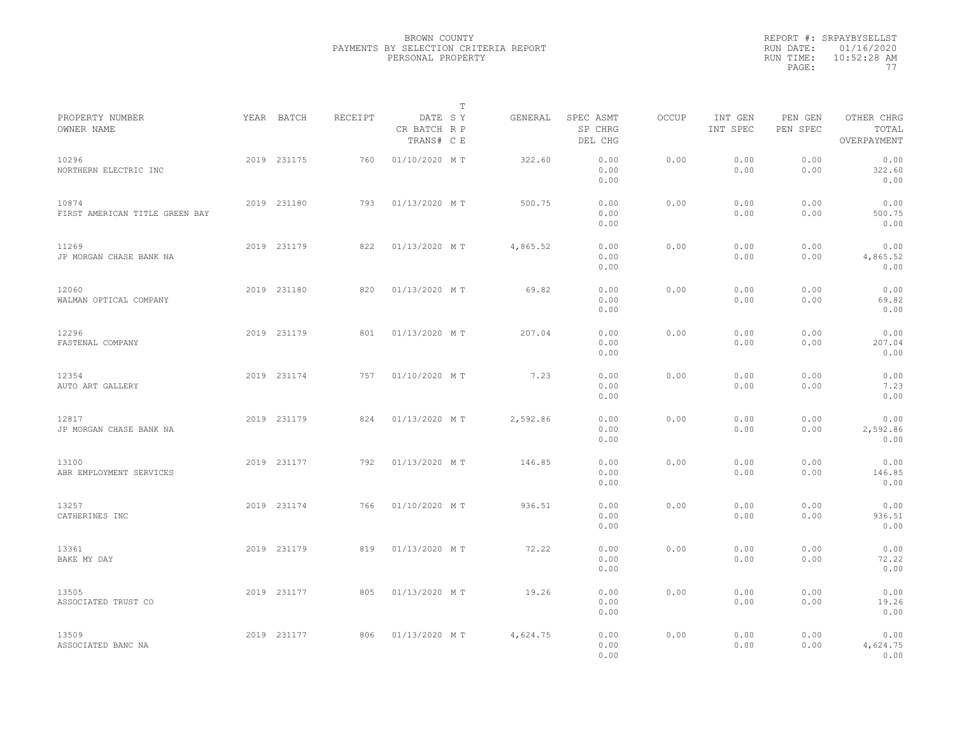|                                         |             |         |                                       | T        |                                 |              |                     |                     |                                    |  |
|-----------------------------------------|-------------|---------|---------------------------------------|----------|---------------------------------|--------------|---------------------|---------------------|------------------------------------|--|
| PROPERTY NUMBER<br>OWNER NAME           | YEAR BATCH  | RECEIPT | DATE SY<br>CR BATCH R P<br>TRANS# C E | GENERAL  | SPEC ASMT<br>SP CHRG<br>DEL CHG | <b>OCCUP</b> | INT GEN<br>INT SPEC | PEN GEN<br>PEN SPEC | OTHER CHRG<br>TOTAL<br>OVERPAYMENT |  |
| 10296<br>NORTHERN ELECTRIC INC          | 2019 231175 | 760     | 01/10/2020 MT                         | 322.60   | 0.00<br>0.00<br>0.00            | 0.00         | 0.00<br>0.00        | 0.00<br>0.00        | 0.00<br>322.60<br>0.00             |  |
| 10874<br>FIRST AMERICAN TITLE GREEN BAY | 2019 231180 | 793     | 01/13/2020 MT                         | 500.75   | 0.00<br>0.00<br>0.00            | 0.00         | 0.00<br>0.00        | 0.00<br>0.00        | 0.00<br>500.75<br>0.00             |  |
| 11269<br>JP MORGAN CHASE BANK NA        | 2019 231179 | 822     | 01/13/2020 MT                         | 4,865.52 | 0.00<br>0.00<br>0.00            | 0.00         | 0.00<br>0.00        | 0.00<br>0.00        | 0.00<br>4,865.52<br>0.00           |  |
| 12060<br>WALMAN OPTICAL COMPANY         | 2019 231180 | 820     | 01/13/2020 MT                         | 69.82    | 0.00<br>0.00<br>0.00            | 0.00         | 0.00<br>0.00        | 0.00<br>0.00        | 0.00<br>69.82<br>0.00              |  |
| 12296<br>FASTENAL COMPANY               | 2019 231179 | 801     | 01/13/2020 MT                         | 207.04   | 0.00<br>0.00<br>0.00            | 0.00         | 0.00<br>0.00        | 0.00<br>0.00        | 0.00<br>207.04<br>0.00             |  |
| 12354<br>AUTO ART GALLERY               | 2019 231174 | 757     | 01/10/2020 MT                         | 7.23     | 0.00<br>0.00<br>0.00            | 0.00         | 0.00<br>0.00        | 0.00<br>0.00        | 0.00<br>7.23<br>0.00               |  |
| 12817<br>JP MORGAN CHASE BANK NA        | 2019 231179 | 824     | 01/13/2020 MT                         | 2,592.86 | 0.00<br>0.00<br>0.00            | 0.00         | 0.00<br>0.00        | 0.00<br>0.00        | 0.00<br>2,592.86<br>0.00           |  |
| 13100<br>ABR EMPLOYMENT SERVICES        | 2019 231177 | 792     | 01/13/2020 MT                         | 146.85   | 0.00<br>0.00<br>0.00            | 0.00         | 0.00<br>0.00        | 0.00<br>0.00        | 0.00<br>146.85<br>0.00             |  |
| 13257<br>CATHERINES INC                 | 2019 231174 | 766     | 01/10/2020 MT                         | 936.51   | 0.00<br>0.00<br>0.00            | 0.00         | 0.00<br>0.00        | 0.00<br>0.00        | 0.00<br>936.51<br>0.00             |  |
| 13361<br>BAKE MY DAY                    | 2019 231179 | 819     | 01/13/2020 MT                         | 72.22    | 0.00<br>0.00<br>0.00            | 0.00         | 0.00<br>0.00        | 0.00<br>0.00        | 0.00<br>72.22<br>0.00              |  |
| 13505<br>ASSOCIATED TRUST CO            | 2019 231177 | 805     | 01/13/2020 MT                         | 19.26    | 0.00<br>0.00<br>0.00            | 0.00         | 0.00<br>0.00        | 0.00<br>0.00        | 0.00<br>19.26<br>0.00              |  |
| 13509<br>ASSOCIATED BANC NA             | 2019 231177 | 806     | 01/13/2020 MT                         | 4,624.75 | 0.00<br>0.00<br>0.00            | 0.00         | 0.00<br>0.00        | 0.00<br>0.00        | 0.00<br>4,624.75<br>0.00           |  |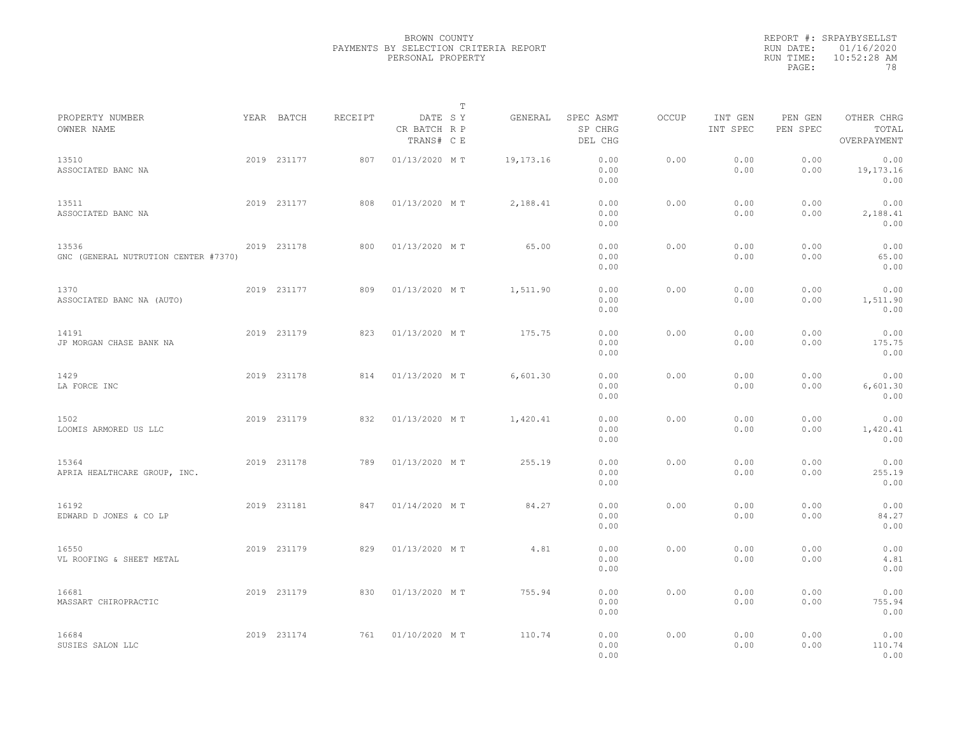|                                               |             |         |                                       | T           |                                 |              |                     |                     |                                    |
|-----------------------------------------------|-------------|---------|---------------------------------------|-------------|---------------------------------|--------------|---------------------|---------------------|------------------------------------|
| PROPERTY NUMBER<br>OWNER NAME                 | YEAR BATCH  | RECEIPT | DATE SY<br>CR BATCH R P<br>TRANS# C E | GENERAL     | SPEC ASMT<br>SP CHRG<br>DEL CHG | <b>OCCUP</b> | INT GEN<br>INT SPEC | PEN GEN<br>PEN SPEC | OTHER CHRG<br>TOTAL<br>OVERPAYMENT |
| 13510<br>ASSOCIATED BANC NA                   | 2019 231177 | 807     | 01/13/2020 MT                         | 19, 173. 16 | 0.00<br>0.00<br>0.00            | 0.00         | 0.00<br>0.00        | 0.00<br>0.00        | 0.00<br>19,173.16<br>0.00          |
| 13511<br>ASSOCIATED BANC NA                   | 2019 231177 | 808     | 01/13/2020 MT                         | 2,188.41    | 0.00<br>0.00<br>0.00            | 0.00         | 0.00<br>0.00        | 0.00<br>0.00        | 0.00<br>2,188.41<br>0.00           |
| 13536<br>GNC (GENERAL NUTRUTION CENTER #7370) | 2019 231178 | 800     | 01/13/2020 MT                         | 65.00       | 0.00<br>0.00<br>0.00            | 0.00         | 0.00<br>0.00        | 0.00<br>0.00        | 0.00<br>65.00<br>0.00              |
| 1370<br>ASSOCIATED BANC NA (AUTO)             | 2019 231177 | 809     | 01/13/2020 MT                         | 1,511.90    | 0.00<br>0.00<br>0.00            | 0.00         | 0.00<br>0.00        | 0.00<br>0.00        | 0.00<br>1,511.90<br>0.00           |
| 14191<br>JP MORGAN CHASE BANK NA              | 2019 231179 | 823     | 01/13/2020 MT                         | 175.75      | 0.00<br>0.00<br>0.00            | 0.00         | 0.00<br>0.00        | 0.00<br>0.00        | 0.00<br>175.75<br>0.00             |
| 1429<br>LA FORCE INC                          | 2019 231178 | 814     | 01/13/2020 MT                         | 6,601.30    | 0.00<br>0.00<br>0.00            | 0.00         | 0.00<br>0.00        | 0.00<br>0.00        | 0.00<br>6,601.30<br>0.00           |
| 1502<br>LOOMIS ARMORED US LLC                 | 2019 231179 | 832     | 01/13/2020 MT                         | 1,420.41    | 0.00<br>0.00<br>0.00            | 0.00         | 0.00<br>0.00        | 0.00<br>0.00        | 0.00<br>1,420.41<br>0.00           |
| 15364<br>APRIA HEALTHCARE GROUP, INC.         | 2019 231178 | 789     | 01/13/2020 MT                         | 255.19      | 0.00<br>0.00<br>0.00            | 0.00         | 0.00<br>0.00        | 0.00<br>0.00        | 0.00<br>255.19<br>0.00             |
| 16192<br>EDWARD D JONES & CO LP               | 2019 231181 | 847     | 01/14/2020 MT                         | 84.27       | 0.00<br>0.00<br>0.00            | 0.00         | 0.00<br>0.00        | 0.00<br>0.00        | 0.00<br>84.27<br>0.00              |
| 16550<br>VL ROOFING & SHEET METAL             | 2019 231179 | 829     | 01/13/2020 MT                         | 4.81        | 0.00<br>0.00<br>0.00            | 0.00         | 0.00<br>0.00        | 0.00<br>0.00        | 0.00<br>4.81<br>0.00               |
| 16681<br>MASSART CHIROPRACTIC                 | 2019 231179 | 830     | 01/13/2020 MT                         | 755.94      | 0.00<br>0.00<br>0.00            | 0.00         | 0.00<br>0.00        | 0.00<br>0.00        | 0.00<br>755.94<br>0.00             |
| 16684<br>SUSIES SALON LLC                     | 2019 231174 | 761     | 01/10/2020 MT                         | 110.74      | 0.00<br>0.00<br>0.00            | 0.00         | 0.00<br>0.00        | 0.00<br>0.00        | 0.00<br>110.74<br>0.00             |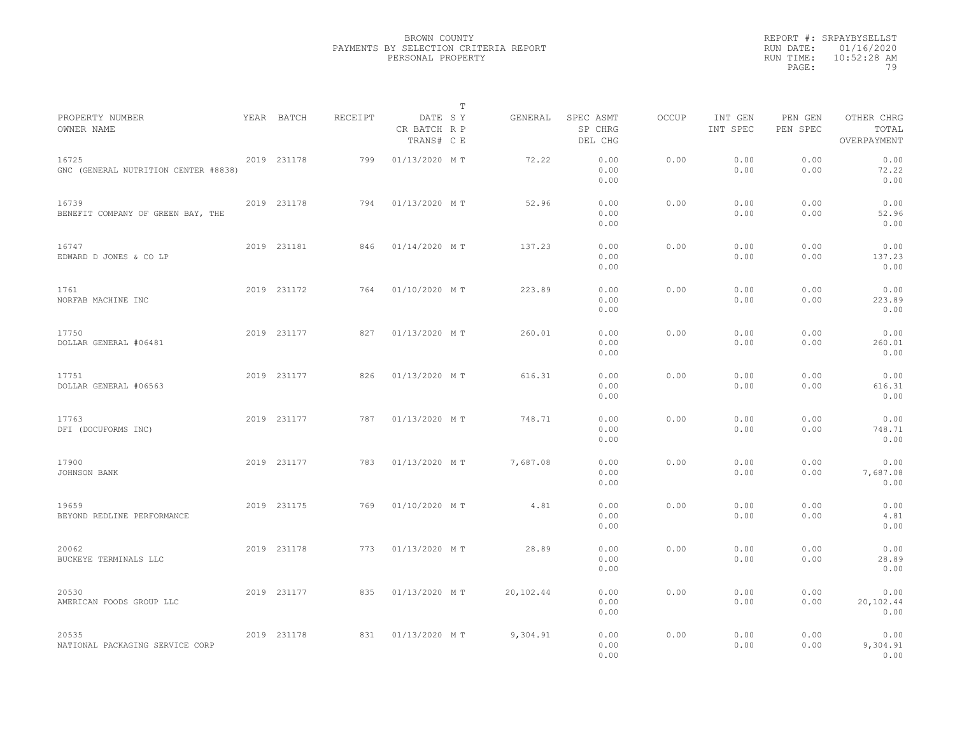|                                               |             |         |                                       | T |           |                                 |       |                     |                     |                                    |  |
|-----------------------------------------------|-------------|---------|---------------------------------------|---|-----------|---------------------------------|-------|---------------------|---------------------|------------------------------------|--|
| PROPERTY NUMBER<br>OWNER NAME                 | YEAR BATCH  | RECEIPT | DATE SY<br>CR BATCH R P<br>TRANS# C E |   | GENERAL   | SPEC ASMT<br>SP CHRG<br>DEL CHG | OCCUP | INT GEN<br>INT SPEC | PEN GEN<br>PEN SPEC | OTHER CHRG<br>TOTAL<br>OVERPAYMENT |  |
| 16725<br>GNC (GENERAL NUTRITION CENTER #8838) | 2019 231178 | 799     | 01/13/2020 MT                         |   | 72.22     | 0.00<br>0.00<br>0.00            | 0.00  | 0.00<br>0.00        | 0.00<br>0.00        | 0.00<br>72.22<br>0.00              |  |
| 16739<br>BENEFIT COMPANY OF GREEN BAY, THE    | 2019 231178 | 794     | 01/13/2020 MT                         |   | 52.96     | 0.00<br>0.00<br>0.00            | 0.00  | 0.00<br>0.00        | 0.00<br>0.00        | 0.00<br>52.96<br>0.00              |  |
| 16747<br>EDWARD D JONES & CO LP               | 2019 231181 | 846     | 01/14/2020 MT                         |   | 137.23    | 0.00<br>0.00<br>0.00            | 0.00  | 0.00<br>0.00        | 0.00<br>0.00        | 0.00<br>137.23<br>0.00             |  |
| 1761<br>NORFAB MACHINE INC                    | 2019 231172 | 764     | 01/10/2020 MT                         |   | 223.89    | 0.00<br>0.00<br>0.00            | 0.00  | 0.00<br>0.00        | 0.00<br>0.00        | 0.00<br>223.89<br>0.00             |  |
| 17750<br>DOLLAR GENERAL #06481                | 2019 231177 | 827     | 01/13/2020 MT                         |   | 260.01    | 0.00<br>0.00<br>0.00            | 0.00  | 0.00<br>0.00        | 0.00<br>0.00        | 0.00<br>260.01<br>0.00             |  |
| 17751<br>DOLLAR GENERAL #06563                | 2019 231177 | 826     | 01/13/2020 MT                         |   | 616.31    | 0.00<br>0.00<br>0.00            | 0.00  | 0.00<br>0.00        | 0.00<br>0.00        | 0.00<br>616.31<br>0.00             |  |
| 17763<br>DFI (DOCUFORMS INC)                  | 2019 231177 | 787     | 01/13/2020 MT                         |   | 748.71    | 0.00<br>0.00<br>0.00            | 0.00  | 0.00<br>0.00        | 0.00<br>0.00        | 0.00<br>748.71<br>0.00             |  |
| 17900<br>JOHNSON BANK                         | 2019 231177 | 783     | 01/13/2020 MT                         |   | 7,687.08  | 0.00<br>0.00<br>0.00            | 0.00  | 0.00<br>0.00        | 0.00<br>0.00        | 0.00<br>7,687.08<br>0.00           |  |
| 19659<br>BEYOND REDLINE PERFORMANCE           | 2019 231175 | 769     | 01/10/2020 MT                         |   | 4.81      | 0.00<br>0.00<br>0.00            | 0.00  | 0.00<br>0.00        | 0.00<br>0.00        | 0.00<br>4.81<br>0.00               |  |
| 20062<br>BUCKEYE TERMINALS LLC                | 2019 231178 | 773     | 01/13/2020 MT                         |   | 28.89     | 0.00<br>0.00<br>0.00            | 0.00  | 0.00<br>0.00        | 0.00<br>0.00        | 0.00<br>28.89<br>0.00              |  |
| 20530<br>AMERICAN FOODS GROUP LLC             | 2019 231177 | 835     | 01/13/2020 MT                         |   | 20,102.44 | 0.00<br>0.00<br>0.00            | 0.00  | 0.00<br>0.00        | 0.00<br>0.00        | 0.00<br>20,102.44<br>0.00          |  |
| 20535<br>NATIONAL PACKAGING SERVICE CORP      | 2019 231178 | 831     | 01/13/2020 MT                         |   | 9,304.91  | 0.00<br>0.00<br>0.00            | 0.00  | 0.00<br>0.00        | 0.00<br>0.00        | 0.00<br>9,304.91<br>0.00           |  |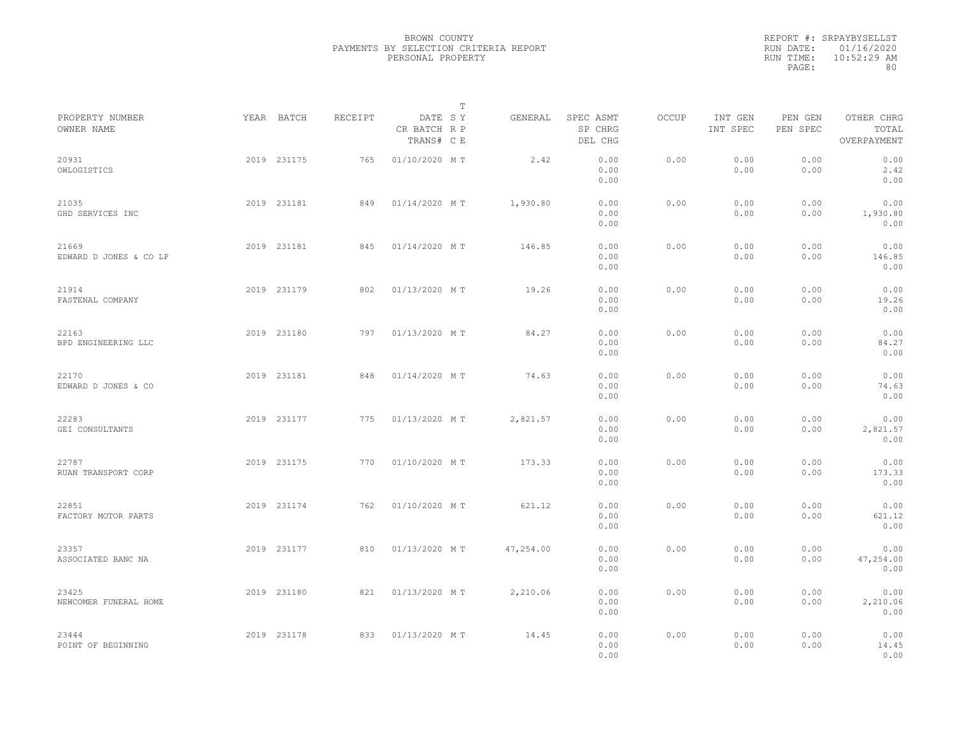|           | REPORT #: SRPAYBYSELLST |
|-----------|-------------------------|
|           | RUN DATE: 01/16/2020    |
| RUN TIME: | $10:52:29$ AM           |
| PAGE:     | 80                      |

|                                 |             |         |                                       | Т |           |                                 |       |                     |                     |                                    |  |
|---------------------------------|-------------|---------|---------------------------------------|---|-----------|---------------------------------|-------|---------------------|---------------------|------------------------------------|--|
| PROPERTY NUMBER<br>OWNER NAME   | YEAR BATCH  | RECEIPT | DATE SY<br>CR BATCH R P<br>TRANS# C E |   | GENERAL   | SPEC ASMT<br>SP CHRG<br>DEL CHG | OCCUP | INT GEN<br>INT SPEC | PEN GEN<br>PEN SPEC | OTHER CHRG<br>TOTAL<br>OVERPAYMENT |  |
| 20931<br>OWLOGISTICS            | 2019 231175 | 765     | 01/10/2020 MT                         |   | 2.42      | 0.00<br>0.00<br>0.00            | 0.00  | 0.00<br>0.00        | 0.00<br>0.00        | 0.00<br>2.42<br>0.00               |  |
| 21035<br>GHD SERVICES INC       | 2019 231181 | 849     | 01/14/2020 MT                         |   | 1,930.80  | 0.00<br>0.00<br>0.00            | 0.00  | 0.00<br>0.00        | 0.00<br>0.00        | 0.00<br>1,930.80<br>0.00           |  |
| 21669<br>EDWARD D JONES & CO LP | 2019 231181 | 845     | 01/14/2020 MT                         |   | 146.85    | 0.00<br>0.00<br>0.00            | 0.00  | 0.00<br>0.00        | 0.00<br>0.00        | 0.00<br>146.85<br>0.00             |  |
| 21914<br>FASTENAL COMPANY       | 2019 231179 | 802     | 01/13/2020 MT                         |   | 19.26     | 0.00<br>0.00<br>0.00            | 0.00  | 0.00<br>0.00        | 0.00<br>0.00        | 0.00<br>19.26<br>0.00              |  |
| 22163<br>BPD ENGINEERING LLC    | 2019 231180 | 797     | 01/13/2020 MT                         |   | 84.27     | 0.00<br>0.00<br>0.00            | 0.00  | 0.00<br>0.00        | 0.00<br>0.00        | 0.00<br>84.27<br>0.00              |  |
| 22170<br>EDWARD D JONES & CO    | 2019 231181 | 848     | 01/14/2020 MT                         |   | 74.63     | 0.00<br>0.00<br>0.00            | 0.00  | 0.00<br>0.00        | 0.00<br>0.00        | 0.00<br>74.63<br>0.00              |  |
| 22283<br>GEI CONSULTANTS        | 2019 231177 | 775     | 01/13/2020 MT                         |   | 2,821.57  | 0.00<br>0.00<br>0.00            | 0.00  | 0.00<br>0.00        | 0.00<br>0.00        | 0.00<br>2,821.57<br>0.00           |  |
| 22787<br>RUAN TRANSPORT CORP    | 2019 231175 | 770     | 01/10/2020 MT                         |   | 173.33    | 0.00<br>0.00<br>0.00            | 0.00  | 0.00<br>0.00        | 0.00<br>0.00        | 0.00<br>173.33<br>0.00             |  |
| 22851<br>FACTORY MOTOR PARTS    | 2019 231174 | 762     | 01/10/2020 MT                         |   | 621.12    | 0.00<br>0.00<br>0.00            | 0.00  | 0.00<br>0.00        | 0.00<br>0.00        | 0.00<br>621.12<br>0.00             |  |
| 23357<br>ASSOCIATED BANC NA     | 2019 231177 | 810     | 01/13/2020 MT                         |   | 47,254.00 | 0.00<br>0.00<br>0.00            | 0.00  | 0.00<br>0.00        | 0.00<br>0.00        | 0.00<br>47,254.00<br>0.00          |  |
| 23425<br>NEWCOMER FUNERAL HOME  | 2019 231180 | 821     | 01/13/2020 MT                         |   | 2,210.06  | 0.00<br>0.00<br>0.00            | 0.00  | 0.00<br>0.00        | 0.00<br>0.00        | 0.00<br>2,210.06<br>0.00           |  |
| 23444<br>POINT OF BEGINNING     | 2019 231178 | 833     | 01/13/2020 MT                         |   | 14.45     | 0.00<br>0.00<br>0.00            | 0.00  | 0.00<br>0.00        | 0.00<br>0.00        | 0.00<br>14.45<br>0.00              |  |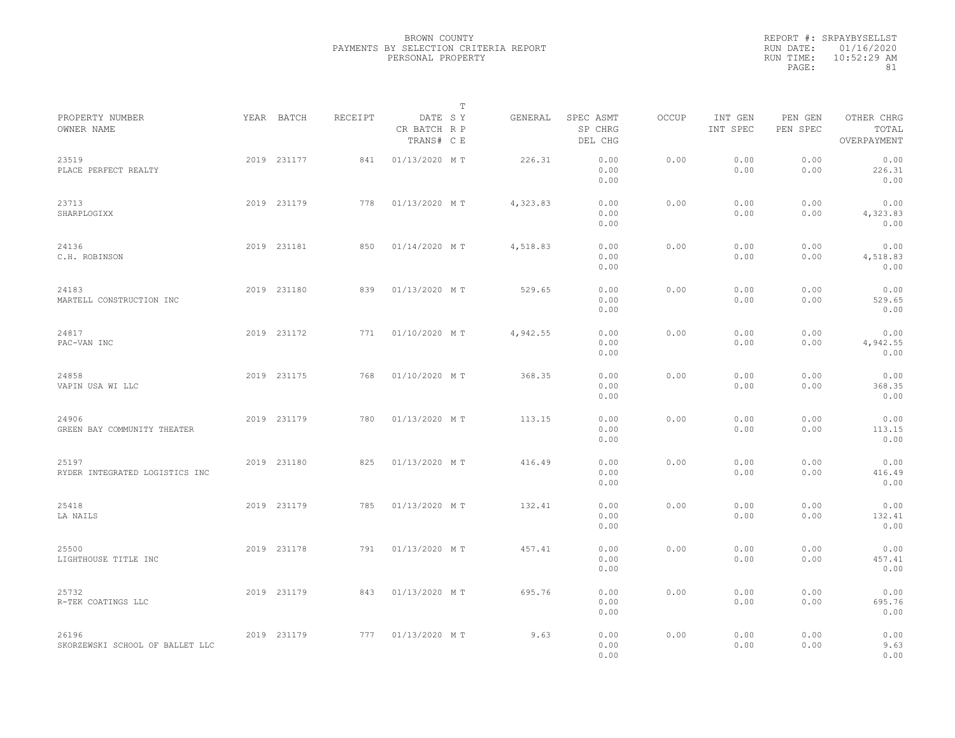|           | REPORT #: SRPAYBYSELLST |
|-----------|-------------------------|
|           | RUN DATE: 01/16/2020    |
| RUN TIME: | $10:52:29$ AM           |
| PAGE:     | 81                      |

|                                          |             |         |                                       | T |          |                                 |       |                     |                     |                                    |  |
|------------------------------------------|-------------|---------|---------------------------------------|---|----------|---------------------------------|-------|---------------------|---------------------|------------------------------------|--|
| PROPERTY NUMBER<br>OWNER NAME            | YEAR BATCH  | RECEIPT | DATE SY<br>CR BATCH R P<br>TRANS# C E |   | GENERAL  | SPEC ASMT<br>SP CHRG<br>DEL CHG | OCCUP | INT GEN<br>INT SPEC | PEN GEN<br>PEN SPEC | OTHER CHRG<br>TOTAL<br>OVERPAYMENT |  |
| 23519<br>PLACE PERFECT REALTY            | 2019 231177 | 841     | 01/13/2020 MT                         |   | 226.31   | 0.00<br>0.00<br>0.00            | 0.00  | 0.00<br>0.00        | 0.00<br>0.00        | 0.00<br>226.31<br>0.00             |  |
| 23713<br>SHARPLOGIXX                     | 2019 231179 | 778     | 01/13/2020 MT                         |   | 4,323.83 | 0.00<br>0.00<br>0.00            | 0.00  | 0.00<br>0.00        | 0.00<br>0.00        | 0.00<br>4,323.83<br>0.00           |  |
| 24136<br>C.H. ROBINSON                   | 2019 231181 | 850     | 01/14/2020 MT                         |   | 4,518.83 | 0.00<br>0.00<br>0.00            | 0.00  | 0.00<br>0.00        | 0.00<br>0.00        | 0.00<br>4,518.83<br>0.00           |  |
| 24183<br>MARTELL CONSTRUCTION INC        | 2019 231180 | 839     | 01/13/2020 MT                         |   | 529.65   | 0.00<br>0.00<br>0.00            | 0.00  | 0.00<br>0.00        | 0.00<br>0.00        | 0.00<br>529.65<br>0.00             |  |
| 24817<br>PAC-VAN INC                     | 2019 231172 | 771     | 01/10/2020 MT                         |   | 4,942.55 | 0.00<br>0.00<br>0.00            | 0.00  | 0.00<br>0.00        | 0.00<br>0.00        | 0.00<br>4,942.55<br>0.00           |  |
| 24858<br>VAPIN USA WI LLC                | 2019 231175 | 768     | 01/10/2020 MT                         |   | 368.35   | 0.00<br>0.00<br>0.00            | 0.00  | 0.00<br>0.00        | 0.00<br>0.00        | 0.00<br>368.35<br>0.00             |  |
| 24906<br>GREEN BAY COMMUNITY THEATER     | 2019 231179 | 780     | 01/13/2020 MT                         |   | 113.15   | 0.00<br>0.00<br>0.00            | 0.00  | 0.00<br>0.00        | 0.00<br>0.00        | 0.00<br>113.15<br>0.00             |  |
| 25197<br>RYDER INTEGRATED LOGISTICS INC  | 2019 231180 | 825     | 01/13/2020 MT                         |   | 416.49   | 0.00<br>0.00<br>0.00            | 0.00  | 0.00<br>0.00        | 0.00<br>0.00        | 0.00<br>416.49<br>0.00             |  |
| 25418<br>LA NAILS                        | 2019 231179 | 785     | 01/13/2020 MT                         |   | 132.41   | 0.00<br>0.00<br>0.00            | 0.00  | 0.00<br>0.00        | 0.00<br>0.00        | 0.00<br>132.41<br>0.00             |  |
| 25500<br>LIGHTHOUSE TITLE INC            | 2019 231178 | 791     | 01/13/2020 MT                         |   | 457.41   | 0.00<br>0.00<br>0.00            | 0.00  | 0.00<br>0.00        | 0.00<br>0.00        | 0.00<br>457.41<br>0.00             |  |
| 25732<br>R-TEK COATINGS LLC              | 2019 231179 | 843     | 01/13/2020 MT                         |   | 695.76   | 0.00<br>0.00<br>0.00            | 0.00  | 0.00<br>0.00        | 0.00<br>0.00        | 0.00<br>695.76<br>0.00             |  |
| 26196<br>SKORZEWSKI SCHOOL OF BALLET LLC | 2019 231179 | 777     | 01/13/2020 MT                         |   | 9.63     | 0.00<br>0.00<br>0.00            | 0.00  | 0.00<br>0.00        | 0.00<br>0.00        | 0.00<br>9.63<br>0.00               |  |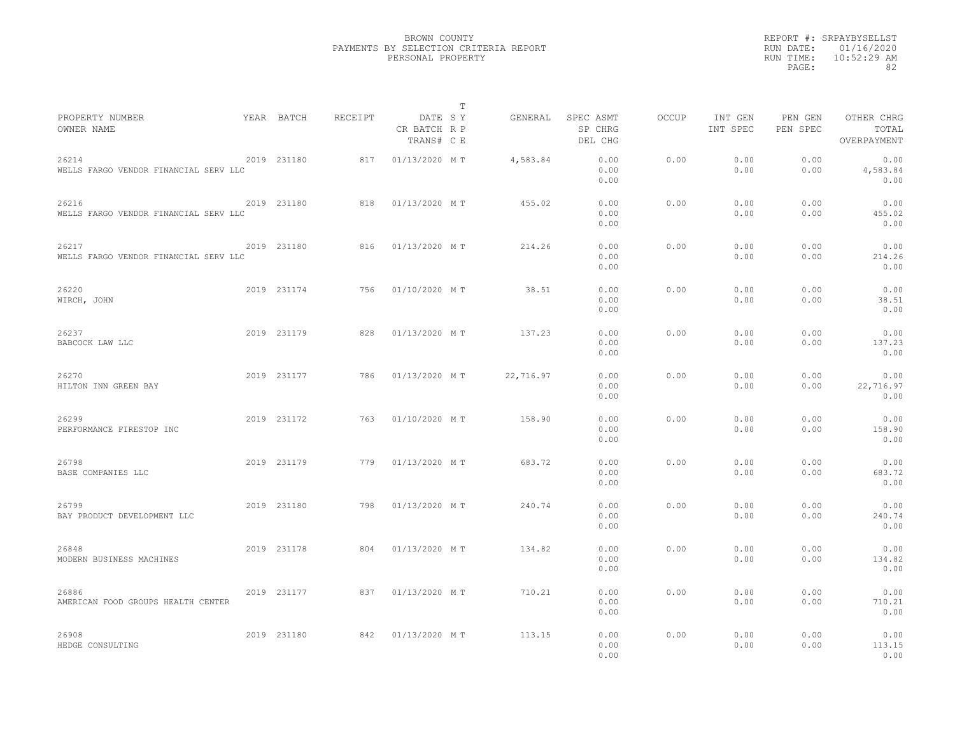|                                                |             |         |                                       | $\mathbb{T}$ |                                 |                      |              |                     |                     |                                    |  |
|------------------------------------------------|-------------|---------|---------------------------------------|--------------|---------------------------------|----------------------|--------------|---------------------|---------------------|------------------------------------|--|
| PROPERTY NUMBER<br>OWNER NAME                  | YEAR BATCH  | RECEIPT | DATE SY<br>CR BATCH R P<br>TRANS# C E | GENERAL      | SPEC ASMT<br>SP CHRG<br>DEL CHG |                      | <b>OCCUP</b> | INT GEN<br>INT SPEC | PEN GEN<br>PEN SPEC | OTHER CHRG<br>TOTAL<br>OVERPAYMENT |  |
| 26214<br>WELLS FARGO VENDOR FINANCIAL SERV LLC | 2019 231180 | 817     | 01/13/2020 MT                         | 4,583.84     |                                 | 0.00<br>0.00<br>0.00 | 0.00         | 0.00<br>0.00        | 0.00<br>0.00        | 0.00<br>4,583.84<br>0.00           |  |
| 26216<br>WELLS FARGO VENDOR FINANCIAL SERV LLC | 2019 231180 | 818     | 01/13/2020 MT                         | 455.02       |                                 | 0.00<br>0.00<br>0.00 | 0.00         | 0.00<br>0.00        | 0.00<br>0.00        | 0.00<br>455.02<br>0.00             |  |
| 26217<br>WELLS FARGO VENDOR FINANCIAL SERV LLC | 2019 231180 | 816     | 01/13/2020 MT                         | 214.26       |                                 | 0.00<br>0.00<br>0.00 | 0.00         | 0.00<br>0.00        | 0.00<br>0.00        | 0.00<br>214.26<br>0.00             |  |
| 26220<br>WIRCH, JOHN                           | 2019 231174 | 756     | 01/10/2020 MT                         |              | 38.51                           | 0.00<br>0.00<br>0.00 | 0.00         | 0.00<br>0.00        | 0.00<br>0.00        | 0.00<br>38.51<br>0.00              |  |
| 26237<br>BABCOCK LAW LLC                       | 2019 231179 | 828     | 01/13/2020 MT                         | 137.23       |                                 | 0.00<br>0.00<br>0.00 | 0.00         | 0.00<br>0.00        | 0.00<br>0.00        | 0.00<br>137.23<br>0.00             |  |
| 26270<br>HILTON INN GREEN BAY                  | 2019 231177 | 786     | 01/13/2020 MT                         | 22,716.97    |                                 | 0.00<br>0.00<br>0.00 | 0.00         | 0.00<br>0.00        | 0.00<br>0.00        | 0.00<br>22,716.97<br>0.00          |  |
| 26299<br>PERFORMANCE FIRESTOP INC              | 2019 231172 | 763     | 01/10/2020 MT                         | 158.90       |                                 | 0.00<br>0.00<br>0.00 | 0.00         | 0.00<br>0.00        | 0.00<br>0.00        | 0.00<br>158.90<br>0.00             |  |
| 26798<br>BASE COMPANIES LLC                    | 2019 231179 | 779     | 01/13/2020 MT                         | 683.72       |                                 | 0.00<br>0.00<br>0.00 | 0.00         | 0.00<br>0.00        | 0.00<br>0.00        | 0.00<br>683.72<br>0.00             |  |
| 26799<br>BAY PRODUCT DEVELOPMENT LLC           | 2019 231180 | 798     | 01/13/2020 MT                         | 240.74       |                                 | 0.00<br>0.00<br>0.00 | 0.00         | 0.00<br>0.00        | 0.00<br>0.00        | 0.00<br>240.74<br>0.00             |  |
| 26848<br>MODERN BUSINESS MACHINES              | 2019 231178 | 804     | 01/13/2020 MT                         | 134.82       |                                 | 0.00<br>0.00<br>0.00 | 0.00         | 0.00<br>0.00        | 0.00<br>0.00        | 0.00<br>134.82<br>0.00             |  |
| 26886<br>AMERICAN FOOD GROUPS HEALTH CENTER    | 2019 231177 | 837     | 01/13/2020 MT                         | 710.21       |                                 | 0.00<br>0.00<br>0.00 | 0.00         | 0.00<br>0.00        | 0.00<br>0.00        | 0.00<br>710.21<br>0.00             |  |
| 26908<br>HEDGE CONSULTING                      | 2019 231180 | 842     | 01/13/2020 MT                         | 113.15       |                                 | 0.00<br>0.00<br>0.00 | 0.00         | 0.00<br>0.00        | 0.00<br>0.00        | 0.00<br>113.15<br>0.00             |  |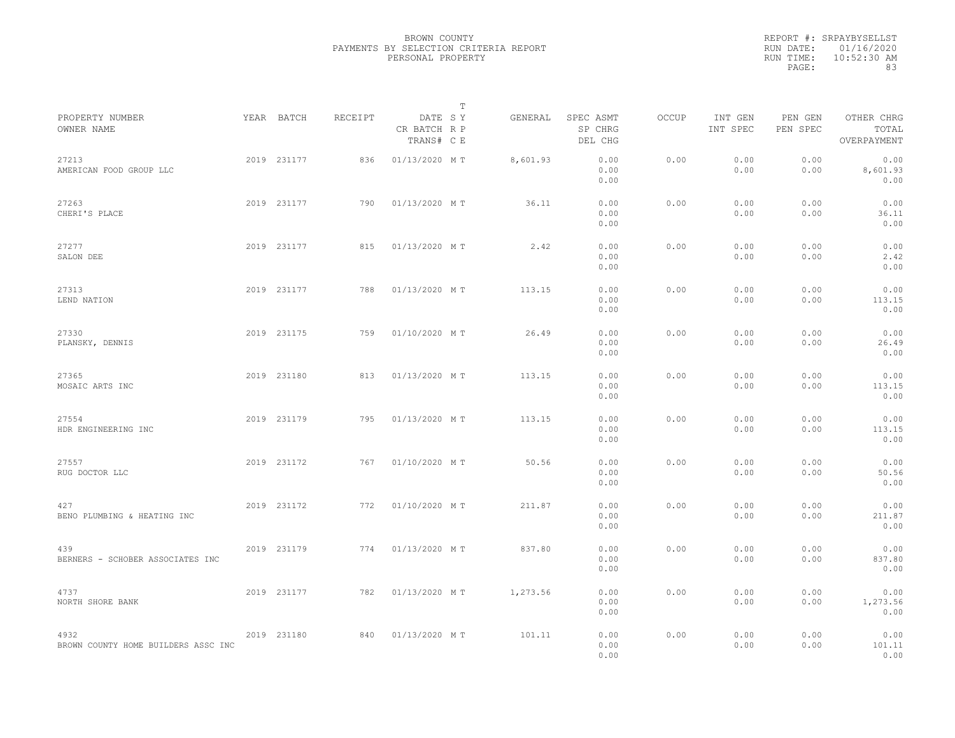|                                             |             |         | $\mathbb T$                           |          |                                 |       |                     |                     |                                    |
|---------------------------------------------|-------------|---------|---------------------------------------|----------|---------------------------------|-------|---------------------|---------------------|------------------------------------|
| PROPERTY NUMBER<br>OWNER NAME               | YEAR BATCH  | RECEIPT | DATE SY<br>CR BATCH R P<br>TRANS# C E | GENERAL  | SPEC ASMT<br>SP CHRG<br>DEL CHG | OCCUP | INT GEN<br>INT SPEC | PEN GEN<br>PEN SPEC | OTHER CHRG<br>TOTAL<br>OVERPAYMENT |
| 27213<br>AMERICAN FOOD GROUP LLC            | 2019 231177 | 836     | 01/13/2020 MT                         | 8,601.93 | 0.00<br>0.00<br>0.00            | 0.00  | 0.00<br>0.00        | 0.00<br>0.00        | 0.00<br>8,601.93<br>0.00           |
| 27263<br>CHERI'S PLACE                      | 2019 231177 | 790     | 01/13/2020 MT                         | 36.11    | 0.00<br>0.00<br>0.00            | 0.00  | 0.00<br>0.00        | 0.00<br>0.00        | 0.00<br>36.11<br>0.00              |
| 27277<br>SALON DEE                          | 2019 231177 | 815     | 01/13/2020 MT                         | 2.42     | 0.00<br>0.00<br>0.00            | 0.00  | 0.00<br>0.00        | 0.00<br>0.00        | 0.00<br>2.42<br>0.00               |
| 27313<br>LEND NATION                        | 2019 231177 | 788     | 01/13/2020 MT                         | 113.15   | 0.00<br>0.00<br>0.00            | 0.00  | 0.00<br>0.00        | 0.00<br>0.00        | 0.00<br>113.15<br>0.00             |
| 27330<br>PLANSKY, DENNIS                    | 2019 231175 | 759     | 01/10/2020 MT                         | 26.49    | 0.00<br>0.00<br>0.00            | 0.00  | 0.00<br>0.00        | 0.00<br>0.00        | 0.00<br>26.49<br>0.00              |
| 27365<br>MOSAIC ARTS INC                    | 2019 231180 | 813     | 01/13/2020 MT                         | 113.15   | 0.00<br>0.00<br>0.00            | 0.00  | 0.00<br>0.00        | 0.00<br>0.00        | 0.00<br>113.15<br>0.00             |
| 27554<br>HDR ENGINEERING INC                | 2019 231179 | 795     | 01/13/2020 MT                         | 113.15   | 0.00<br>0.00<br>0.00            | 0.00  | 0.00<br>0.00        | 0.00<br>0.00        | 0.00<br>113.15<br>0.00             |
| 27557<br>RUG DOCTOR LLC                     | 2019 231172 | 767     | 01/10/2020 MT                         | 50.56    | 0.00<br>0.00<br>0.00            | 0.00  | 0.00<br>0.00        | 0.00<br>0.00        | 0.00<br>50.56<br>0.00              |
| 427<br>BENO PLUMBING & HEATING INC          | 2019 231172 | 772     | 01/10/2020 MT                         | 211.87   | 0.00<br>0.00<br>0.00            | 0.00  | 0.00<br>0.00        | 0.00<br>0.00        | 0.00<br>211.87<br>0.00             |
| 439<br>BERNERS - SCHOBER ASSOCIATES INC     | 2019 231179 | 774     | 01/13/2020 MT                         | 837.80   | 0.00<br>0.00<br>0.00            | 0.00  | 0.00<br>0.00        | 0.00<br>0.00        | 0.00<br>837.80<br>0.00             |
| 4737<br>NORTH SHORE BANK                    | 2019 231177 | 782     | 01/13/2020 MT                         | 1,273.56 | 0.00<br>0.00<br>0.00            | 0.00  | 0.00<br>0.00        | 0.00<br>0.00        | 0.00<br>1,273.56<br>0.00           |
| 4932<br>BROWN COUNTY HOME BUILDERS ASSC INC | 2019 231180 | 840     | 01/13/2020 MT                         | 101.11   | 0.00<br>0.00<br>0.00            | 0.00  | 0.00<br>0.00        | 0.00<br>0.00        | 0.00<br>101.11<br>0.00             |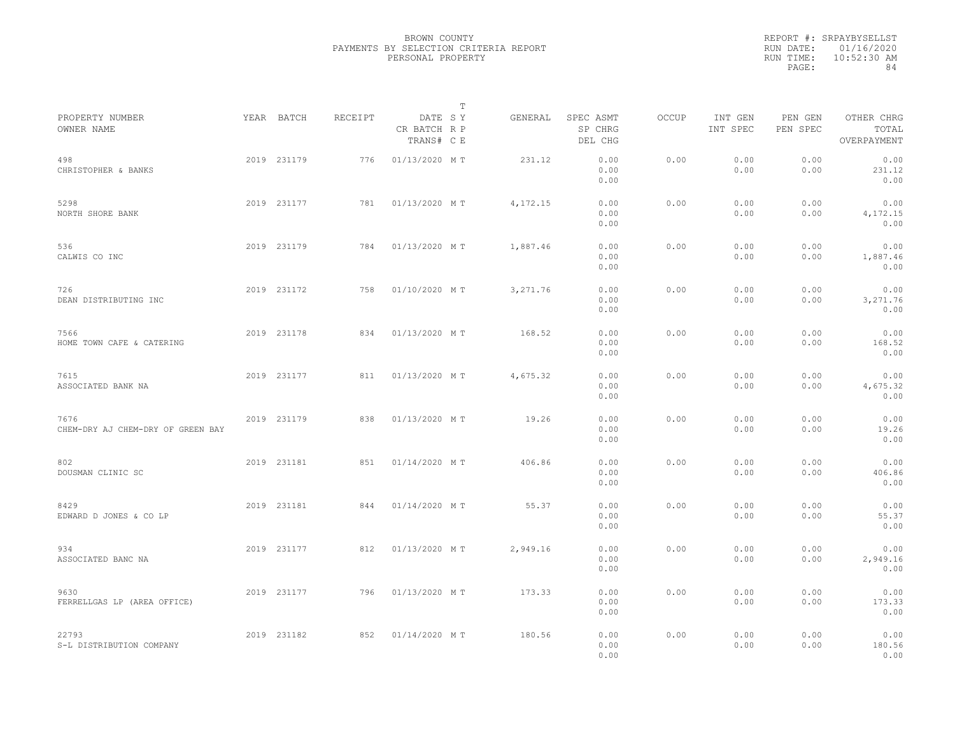|           | REPORT #: SRPAYBYSELLST |
|-----------|-------------------------|
|           | RUN DATE: 01/16/2020    |
| RUN TIME: | $10:52:30$ AM           |
| PAGE:     | 84                      |
|           |                         |

|                                           |             |         |                                       | $\mathbb T$ |           |                                 |       |                     |                     |                                    |  |
|-------------------------------------------|-------------|---------|---------------------------------------|-------------|-----------|---------------------------------|-------|---------------------|---------------------|------------------------------------|--|
| PROPERTY NUMBER<br>OWNER NAME             | YEAR BATCH  | RECEIPT | DATE SY<br>CR BATCH R P<br>TRANS# C E |             | GENERAL   | SPEC ASMT<br>SP CHRG<br>DEL CHG | OCCUP | INT GEN<br>INT SPEC | PEN GEN<br>PEN SPEC | OTHER CHRG<br>TOTAL<br>OVERPAYMENT |  |
| 498<br>CHRISTOPHER & BANKS                | 2019 231179 | 776     | 01/13/2020 MT                         |             | 231.12    | 0.00<br>0.00<br>0.00            | 0.00  | 0.00<br>0.00        | 0.00<br>0.00        | 0.00<br>231.12<br>0.00             |  |
| 5298<br>NORTH SHORE BANK                  | 2019 231177 | 781     | 01/13/2020 MT                         |             | 4,172.15  | 0.00<br>0.00<br>0.00            | 0.00  | 0.00<br>0.00        | 0.00<br>0.00        | 0.00<br>4, 172. 15<br>0.00         |  |
| 536<br>CALWIS CO INC                      | 2019 231179 | 784     | 01/13/2020 MT                         |             | 1,887.46  | 0.00<br>0.00<br>0.00            | 0.00  | 0.00<br>0.00        | 0.00<br>0.00        | 0.00<br>1,887.46<br>0.00           |  |
| 726<br>DEAN DISTRIBUTING INC              | 2019 231172 | 758     | 01/10/2020 MT                         |             | 3, 271.76 | 0.00<br>0.00<br>0.00            | 0.00  | 0.00<br>0.00        | 0.00<br>0.00        | 0.00<br>3,271.76<br>0.00           |  |
| 7566<br>HOME TOWN CAFE & CATERING         | 2019 231178 | 834     | 01/13/2020 MT                         |             | 168.52    | 0.00<br>0.00<br>0.00            | 0.00  | 0.00<br>0.00        | 0.00<br>0.00        | 0.00<br>168.52<br>0.00             |  |
| 7615<br>ASSOCIATED BANK NA                | 2019 231177 | 811     | 01/13/2020 MT                         |             | 4,675.32  | 0.00<br>0.00<br>0.00            | 0.00  | 0.00<br>0.00        | 0.00<br>0.00        | 0.00<br>4,675.32<br>0.00           |  |
| 7676<br>CHEM-DRY AJ CHEM-DRY OF GREEN BAY | 2019 231179 | 838     | 01/13/2020 MT                         |             | 19.26     | 0.00<br>0.00<br>0.00            | 0.00  | 0.00<br>0.00        | 0.00<br>0.00        | 0.00<br>19.26<br>0.00              |  |
| 802<br>DOUSMAN CLINIC SC                  | 2019 231181 | 851     | 01/14/2020 MT                         |             | 406.86    | 0.00<br>0.00<br>0.00            | 0.00  | 0.00<br>0.00        | 0.00<br>0.00        | 0.00<br>406.86<br>0.00             |  |
| 8429<br>EDWARD D JONES & CO LP            | 2019 231181 | 844     | 01/14/2020 MT                         |             | 55.37     | 0.00<br>0.00<br>0.00            | 0.00  | 0.00<br>0.00        | 0.00<br>0.00        | 0.00<br>55.37<br>0.00              |  |
| 934<br>ASSOCIATED BANC NA                 | 2019 231177 | 812     | 01/13/2020 MT                         |             | 2,949.16  | 0.00<br>0.00<br>0.00            | 0.00  | 0.00<br>0.00        | 0.00<br>0.00        | 0.00<br>2,949.16<br>0.00           |  |
| 9630<br>FERRELLGAS LP (AREA OFFICE)       | 2019 231177 | 796     | 01/13/2020 MT                         |             | 173.33    | 0.00<br>0.00<br>0.00            | 0.00  | 0.00<br>0.00        | 0.00<br>0.00        | 0.00<br>173.33<br>0.00             |  |
| 22793<br>S-L DISTRIBUTION COMPANY         | 2019 231182 | 852     | 01/14/2020 MT                         |             | 180.56    | 0.00<br>0.00<br>0.00            | 0.00  | 0.00<br>0.00        | 0.00<br>0.00        | 0.00<br>180.56<br>0.00             |  |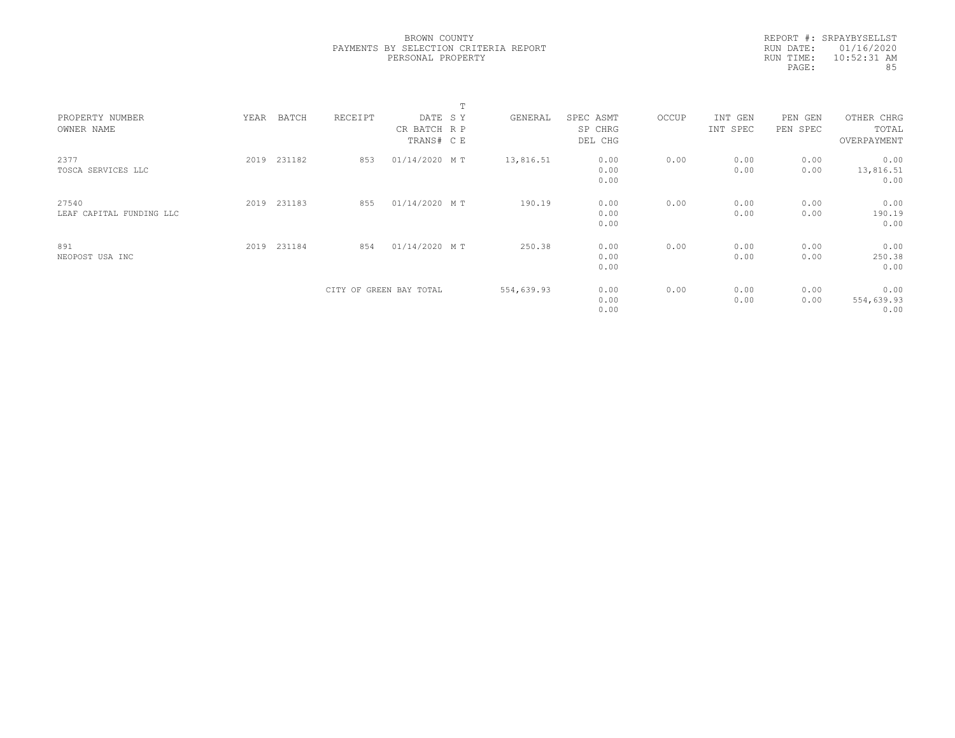|           | REPORT #: SRPAYBYSELLST |
|-----------|-------------------------|
|           | RUN DATE: 01/16/2020    |
| RUN TIME: | $10:52:31$ AM           |
| PAGE:     | 85                      |
|           |                         |

|                                   |      |             |         |                                       | m |            |                                 |       |                     |                     |                                    |  |
|-----------------------------------|------|-------------|---------|---------------------------------------|---|------------|---------------------------------|-------|---------------------|---------------------|------------------------------------|--|
| PROPERTY NUMBER<br>OWNER NAME     | YEAR | BATCH       | RECEIPT | DATE SY<br>CR BATCH R P<br>TRANS# C E |   | GENERAL    | SPEC ASMT<br>SP CHRG<br>DEL CHG | OCCUP | INT GEN<br>INT SPEC | PEN GEN<br>PEN SPEC | OTHER CHRG<br>TOTAL<br>OVERPAYMENT |  |
| 2377<br>TOSCA SERVICES LLC        | 2019 | 231182      | 853     | 01/14/2020 MT                         |   | 13,816.51  | 0.00<br>0.00<br>0.00            | 0.00  | 0.00<br>0.00        | 0.00<br>0.00        | 0.00<br>13,816.51<br>0.00          |  |
| 27540<br>LEAF CAPITAL FUNDING LLC |      | 2019 231183 | 855     | 01/14/2020 MT                         |   | 190.19     | 0.00<br>0.00<br>0.00            | 0.00  | 0.00<br>0.00        | 0.00<br>0.00        | 0.00<br>190.19<br>0.00             |  |
| 891<br>NEOPOST USA INC            |      | 2019 231184 | 854     | 01/14/2020 MT                         |   | 250.38     | 0.00<br>0.00<br>0.00            | 0.00  | 0.00<br>0.00        | 0.00<br>0.00        | 0.00<br>250.38<br>0.00             |  |
|                                   |      |             |         | CITY OF GREEN BAY TOTAL               |   | 554,639.93 | 0.00<br>0.00<br>0.00            | 0.00  | 0.00<br>0.00        | 0.00<br>0.00        | 0.00<br>554,639.93<br>0.00         |  |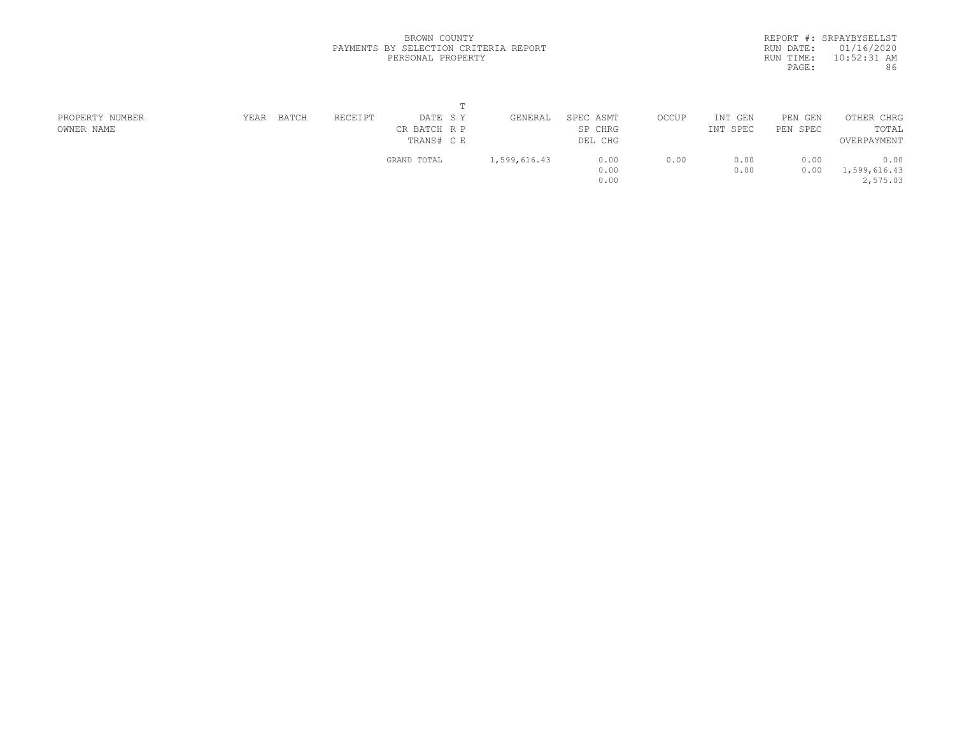|           | REPORT #: SRPAYBYSELLST |
|-----------|-------------------------|
|           | RUN DATE: 01/16/2020    |
| RUN TIME: | $10:52:31$ AM           |
| PAGE:     | 86                      |
|           |                         |

| PROPERTY NUMBER | YEAR | BATCH | RECEIPT | DATE SY      | GENERAL      | SPEC ASMT | OCCUP | INT GEN  | PEN GEN  | OTHER CHRG   |  |
|-----------------|------|-------|---------|--------------|--------------|-----------|-------|----------|----------|--------------|--|
| OWNER NAME      |      |       |         | CR BATCH R P |              | SP CHRG   |       | INT SPEC | PEN SPEC | TOTAL        |  |
|                 |      |       |         | TRANS# C E   |              | DEL CHG   |       |          |          | OVERPAYMENT  |  |
|                 |      |       |         | GRAND TOTAL  | 1,599,616.43 | 0.00      | 0.00  | 0.00     | 0.00     | 0.00         |  |
|                 |      |       |         |              |              | 0.00      |       | 0.00     | 0.00     | 1,599,616.43 |  |
|                 |      |       |         |              |              | 0.00      |       |          |          | 2,575.03     |  |